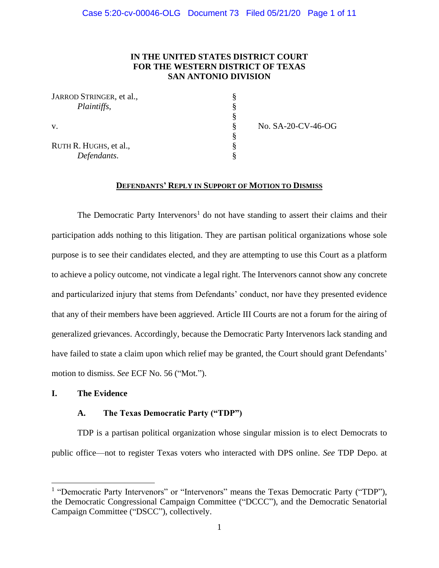### **IN THE UNITED STATES DISTRICT COURT FOR THE WESTERN DISTRICT OF TEXAS SAN ANTONIO DIVISION**

| JARROD STRINGER, et al., |  |
|--------------------------|--|
| Plaintiffs,              |  |
|                          |  |
| V.                       |  |
|                          |  |
| RUTH R. HUGHS, et al.,   |  |
| Defendants.              |  |

v. § No. SA-20-CV-46-OG

### **DEFENDANTS' REPLY IN SUPPORT OF MOTION TO DISMISS**

The Democratic Party Intervenors<sup>1</sup> do not have standing to assert their claims and their participation adds nothing to this litigation. They are partisan political organizations whose sole purpose is to see their candidates elected, and they are attempting to use this Court as a platform to achieve a policy outcome, not vindicate a legal right. The Intervenors cannot show any concrete and particularized injury that stems from Defendants' conduct, nor have they presented evidence that any of their members have been aggrieved. Article III Courts are not a forum for the airing of generalized grievances. Accordingly, because the Democratic Party Intervenors lack standing and have failed to state a claim upon which relief may be granted, the Court should grant Defendants' motion to dismiss. *See* ECF No. 56 ("Mot.").

### **I. The Evidence**

### **A. The Texas Democratic Party ("TDP")**

TDP is a partisan political organization whose singular mission is to elect Democrats to public office—not to register Texas voters who interacted with DPS online. *See* TDP Depo. at

<sup>&</sup>lt;sup>1</sup> "Democratic Party Intervenors" or "Intervenors" means the Texas Democratic Party ("TDP"), the Democratic Congressional Campaign Committee ("DCCC"), and the Democratic Senatorial Campaign Committee ("DSCC"), collectively.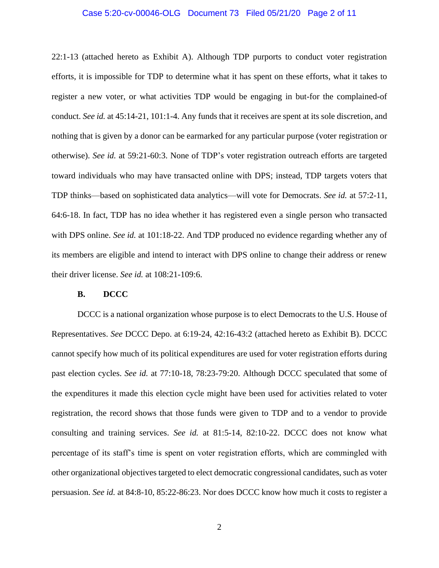#### Case 5:20-cv-00046-OLG Document 73 Filed 05/21/20 Page 2 of 11

22:1-13 (attached hereto as Exhibit A). Although TDP purports to conduct voter registration efforts, it is impossible for TDP to determine what it has spent on these efforts, what it takes to register a new voter, or what activities TDP would be engaging in but-for the complained-of conduct. *See id.* at 45:14-21, 101:1-4. Any funds that it receives are spent at its sole discretion, and nothing that is given by a donor can be earmarked for any particular purpose (voter registration or otherwise). *See id.* at 59:21-60:3. None of TDP's voter registration outreach efforts are targeted toward individuals who may have transacted online with DPS; instead, TDP targets voters that TDP thinks—based on sophisticated data analytics—will vote for Democrats. *See id.* at 57:2-11, 64:6-18. In fact, TDP has no idea whether it has registered even a single person who transacted with DPS online. *See id.* at 101:18-22. And TDP produced no evidence regarding whether any of its members are eligible and intend to interact with DPS online to change their address or renew their driver license. *See id.* at 108:21-109:6.

### **B. DCCC**

DCCC is a national organization whose purpose is to elect Democrats to the U.S. House of Representatives. *See* DCCC Depo. at 6:19-24, 42:16-43:2 (attached hereto as Exhibit B). DCCC cannot specify how much of its political expenditures are used for voter registration efforts during past election cycles. *See id.* at 77:10-18, 78:23-79:20. Although DCCC speculated that some of the expenditures it made this election cycle might have been used for activities related to voter registration, the record shows that those funds were given to TDP and to a vendor to provide consulting and training services. *See id.* at 81:5-14, 82:10-22. DCCC does not know what percentage of its staff's time is spent on voter registration efforts, which are commingled with other organizational objectives targeted to elect democratic congressional candidates, such as voter persuasion. *See id.* at 84:8-10, 85:22-86:23. Nor does DCCC know how much it costs to register a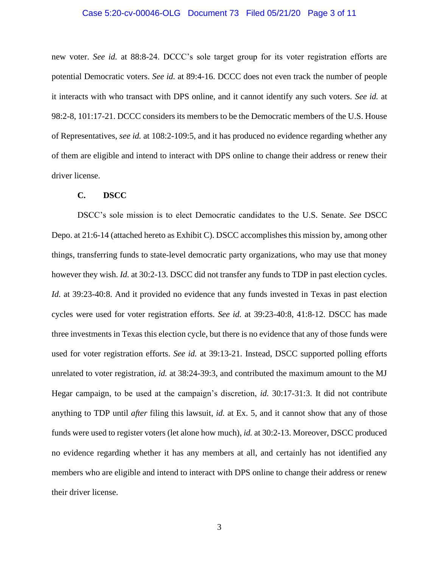#### Case 5:20-cv-00046-OLG Document 73 Filed 05/21/20 Page 3 of 11

new voter. *See id.* at 88:8-24. DCCC's sole target group for its voter registration efforts are potential Democratic voters. *See id.* at 89:4-16. DCCC does not even track the number of people it interacts with who transact with DPS online, and it cannot identify any such voters. *See id.* at 98:2-8, 101:17-21. DCCC considers its members to be the Democratic members of the U.S. House of Representatives, *see id.* at 108:2-109:5, and it has produced no evidence regarding whether any of them are eligible and intend to interact with DPS online to change their address or renew their driver license.

#### **C. DSCC**

DSCC's sole mission is to elect Democratic candidates to the U.S. Senate. *See* DSCC Depo. at 21:6-14 (attached hereto as Exhibit C). DSCC accomplishes this mission by, among other things, transferring funds to state-level democratic party organizations, who may use that money however they wish. *Id.* at 30:2-13. DSCC did not transfer any funds to TDP in past election cycles. *Id.* at 39:23-40:8. And it provided no evidence that any funds invested in Texas in past election cycles were used for voter registration efforts. *See id.* at 39:23-40:8, 41:8-12. DSCC has made three investments in Texas this election cycle, but there is no evidence that any of those funds were used for voter registration efforts. *See id.* at 39:13-21. Instead, DSCC supported polling efforts unrelated to voter registration, *id.* at 38:24-39:3, and contributed the maximum amount to the MJ Hegar campaign, to be used at the campaign's discretion, *id.* 30:17-31:3. It did not contribute anything to TDP until *after* filing this lawsuit, *id.* at Ex. 5, and it cannot show that any of those funds were used to register voters (let alone how much), *id.* at 30:2-13. Moreover, DSCC produced no evidence regarding whether it has any members at all, and certainly has not identified any members who are eligible and intend to interact with DPS online to change their address or renew their driver license.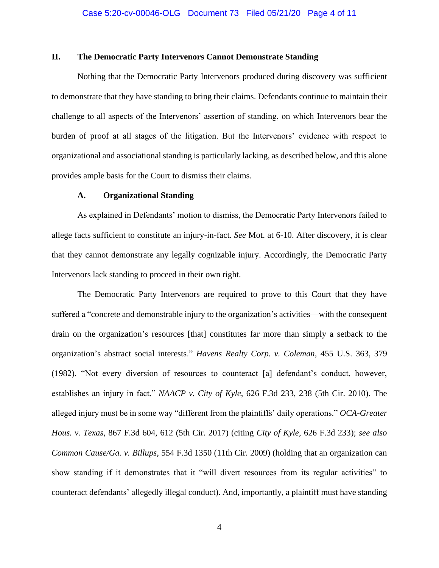### **II. The Democratic Party Intervenors Cannot Demonstrate Standing**

Nothing that the Democratic Party Intervenors produced during discovery was sufficient to demonstrate that they have standing to bring their claims. Defendants continue to maintain their challenge to all aspects of the Intervenors' assertion of standing, on which Intervenors bear the burden of proof at all stages of the litigation. But the Intervenors' evidence with respect to organizational and associational standing is particularly lacking, as described below, and this alone provides ample basis for the Court to dismiss their claims.

### **A. Organizational Standing**

As explained in Defendants' motion to dismiss, the Democratic Party Intervenors failed to allege facts sufficient to constitute an injury-in-fact. *See* Mot. at 6-10. After discovery, it is clear that they cannot demonstrate any legally cognizable injury. Accordingly, the Democratic Party Intervenors lack standing to proceed in their own right.

The Democratic Party Intervenors are required to prove to this Court that they have suffered a "concrete and demonstrable injury to the organization's activities—with the consequent drain on the organization's resources [that] constitutes far more than simply a setback to the organization's abstract social interests." *Havens Realty Corp. v. Coleman*, 455 U.S. 363, 379 (1982). "Not every diversion of resources to counteract [a] defendant's conduct, however, establishes an injury in fact." *NAACP v. City of Kyle*, 626 F.3d 233, 238 (5th Cir. 2010). The alleged injury must be in some way "different from the plaintiffs' daily operations." *OCA-Greater Hous. v. Texas*, 867 F.3d 604, 612 (5th Cir. 2017) (citing *City of Kyle*, 626 F.3d 233); *see also Common Cause/Ga. v. Billups*, 554 F.3d 1350 (11th Cir. 2009) (holding that an organization can show standing if it demonstrates that it "will divert resources from its regular activities" to counteract defendants' allegedly illegal conduct). And, importantly, a plaintiff must have standing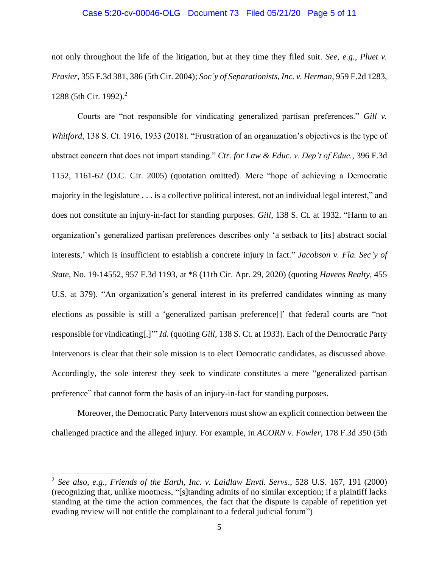#### Case 5:20-cv-00046-OLG Document 73 Filed 05/21/20 Page 5 of 11

not only throughout the life of the litigation, but at they time they filed suit. *See, e.g.*, *Pluet v. Frasier*, 355 F.3d 381, 386 (5th Cir. 2004); *Soc'y of Separationists, Inc. v. Herman*, 959 F.2d 1283, 1288 (5th Cir. 1992).<sup>2</sup>

Courts are "not responsible for vindicating generalized partisan preferences." *Gill v. Whitford*, 138 S. Ct. 1916, 1933 (2018). "Frustration of an organization's objectives is the type of abstract concern that does not impart standing." *Ctr. for Law & Educ. v. Dep't of Educ.*, 396 F.3d 1152, 1161-62 (D.C. Cir. 2005) (quotation omitted). Mere "hope of achieving a Democratic majority in the legislature . . . is a collective political interest, not an individual legal interest," and does not constitute an injury-in-fact for standing purposes. *Gill*, 138 S. Ct. at 1932. "Harm to an organization's generalized partisan preferences describes only 'a setback to [its] abstract social interests,' which is insufficient to establish a concrete injury in fact." *Jacobson v. Fla. Sec'y of State*, No. 19-14552, 957 F.3d 1193, at \*8 (11th Cir. Apr. 29, 2020) (quoting *Havens Realty*, 455 U.S. at 379). "An organization's general interest in its preferred candidates winning as many elections as possible is still a 'generalized partisan preference[]' that federal courts are "not responsible for vindicating[.]'" *Id.* (quoting *Gill*, 138 S. Ct. at 1933). Each of the Democratic Party Intervenors is clear that their sole mission is to elect Democratic candidates, as discussed above. Accordingly, the sole interest they seek to vindicate constitutes a mere "generalized partisan preference" that cannot form the basis of an injury-in-fact for standing purposes.

Moreover, the Democratic Party Intervenors must show an explicit connection between the challenged practice and the alleged injury. For example, in *ACORN v. Fowler*, 178 F.3d 350 (5th

<sup>2</sup> *See also, e.g.*, *Friends of the Earth, Inc. v. Laidlaw Envtl. Servs*., 528 U.S. 167, 191 (2000) (recognizing that, unlike mootness, "[s]tanding admits of no similar exception; if a plaintiff lacks standing at the time the action commences, the fact that the dispute is capable of repetition yet evading review will not entitle the complainant to a federal judicial forum")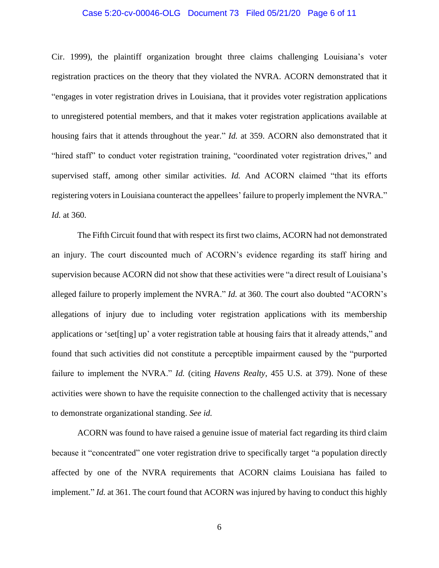#### Case 5:20-cv-00046-OLG Document 73 Filed 05/21/20 Page 6 of 11

Cir. 1999), the plaintiff organization brought three claims challenging Louisiana's voter registration practices on the theory that they violated the NVRA. ACORN demonstrated that it "engages in voter registration drives in Louisiana, that it provides voter registration applications to unregistered potential members, and that it makes voter registration applications available at housing fairs that it attends throughout the year." *Id.* at 359. ACORN also demonstrated that it "hired staff" to conduct voter registration training, "coordinated voter registration drives," and supervised staff, among other similar activities. *Id.* And ACORN claimed "that its efforts registering voters in Louisiana counteract the appellees' failure to properly implement the NVRA." *Id.* at 360.

The Fifth Circuit found that with respect its first two claims, ACORN had not demonstrated an injury. The court discounted much of ACORN's evidence regarding its staff hiring and supervision because ACORN did not show that these activities were "a direct result of Louisiana's alleged failure to properly implement the NVRA." *Id.* at 360. The court also doubted "ACORN's allegations of injury due to including voter registration applications with its membership applications or 'set[ting] up' a voter registration table at housing fairs that it already attends," and found that such activities did not constitute a perceptible impairment caused by the "purported failure to implement the NVRA." *Id.* (citing *Havens Realty*, 455 U.S. at 379). None of these activities were shown to have the requisite connection to the challenged activity that is necessary to demonstrate organizational standing. *See id.*

ACORN was found to have raised a genuine issue of material fact regarding its third claim because it "concentrated" one voter registration drive to specifically target "a population directly affected by one of the NVRA requirements that ACORN claims Louisiana has failed to implement." *Id.* at 361. The court found that ACORN was injured by having to conduct this highly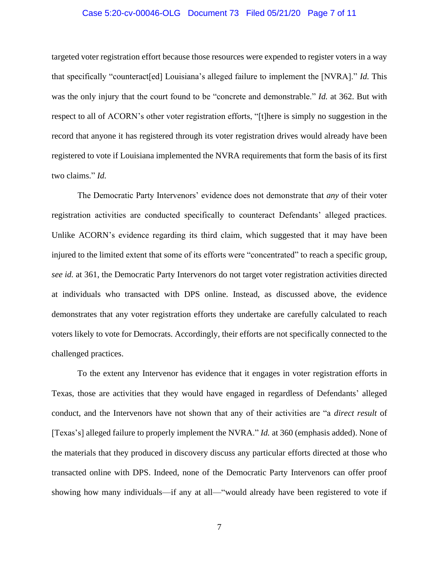#### Case 5:20-cv-00046-OLG Document 73 Filed 05/21/20 Page 7 of 11

targeted voter registration effort because those resources were expended to register voters in a way that specifically "counteract[ed] Louisiana's alleged failure to implement the [NVRA]." *Id.* This was the only injury that the court found to be "concrete and demonstrable." *Id.* at 362. But with respect to all of ACORN's other voter registration efforts, "[t]here is simply no suggestion in the record that anyone it has registered through its voter registration drives would already have been registered to vote if Louisiana implemented the NVRA requirements that form the basis of its first two claims." *Id.*

The Democratic Party Intervenors' evidence does not demonstrate that *any* of their voter registration activities are conducted specifically to counteract Defendants' alleged practices. Unlike ACORN's evidence regarding its third claim, which suggested that it may have been injured to the limited extent that some of its efforts were "concentrated" to reach a specific group, *see id.* at 361, the Democratic Party Intervenors do not target voter registration activities directed at individuals who transacted with DPS online. Instead, as discussed above, the evidence demonstrates that any voter registration efforts they undertake are carefully calculated to reach voters likely to vote for Democrats. Accordingly, their efforts are not specifically connected to the challenged practices.

To the extent any Intervenor has evidence that it engages in voter registration efforts in Texas, those are activities that they would have engaged in regardless of Defendants' alleged conduct, and the Intervenors have not shown that any of their activities are "a *direct result* of [Texas's] alleged failure to properly implement the NVRA." *Id.* at 360 (emphasis added). None of the materials that they produced in discovery discuss any particular efforts directed at those who transacted online with DPS. Indeed, none of the Democratic Party Intervenors can offer proof showing how many individuals—if any at all—"would already have been registered to vote if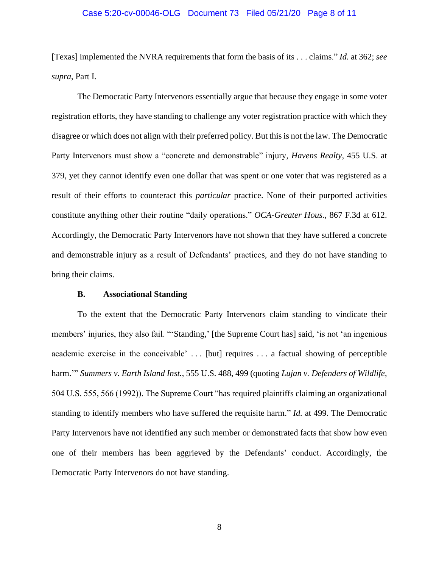#### Case 5:20-cv-00046-OLG Document 73 Filed 05/21/20 Page 8 of 11

[Texas] implemented the NVRA requirements that form the basis of its . . . claims." *Id.* at 362; *see supra*, Part I.

The Democratic Party Intervenors essentially argue that because they engage in some voter registration efforts, they have standing to challenge any voter registration practice with which they disagree or which does not align with their preferred policy. But this is not the law. The Democratic Party Intervenors must show a "concrete and demonstrable" injury, *Havens Realty*, 455 U.S. at 379, yet they cannot identify even one dollar that was spent or one voter that was registered as a result of their efforts to counteract this *particular* practice. None of their purported activities constitute anything other their routine "daily operations." *OCA-Greater Hous.*, 867 F.3d at 612. Accordingly, the Democratic Party Intervenors have not shown that they have suffered a concrete and demonstrable injury as a result of Defendants' practices, and they do not have standing to bring their claims.

#### **B. Associational Standing**

To the extent that the Democratic Party Intervenors claim standing to vindicate their members' injuries, they also fail. "'Standing,' [the Supreme Court has] said, 'is not 'an ingenious academic exercise in the conceivable' . . . [but] requires . . . a factual showing of perceptible harm.'" *Summers v. Earth Island Inst.*, 555 U.S. 488, 499 (quoting *Lujan v. Defenders of Wildlife*, 504 U.S. 555, 566 (1992)). The Supreme Court "has required plaintiffs claiming an organizational standing to identify members who have suffered the requisite harm." *Id.* at 499. The Democratic Party Intervenors have not identified any such member or demonstrated facts that show how even one of their members has been aggrieved by the Defendants' conduct. Accordingly, the Democratic Party Intervenors do not have standing.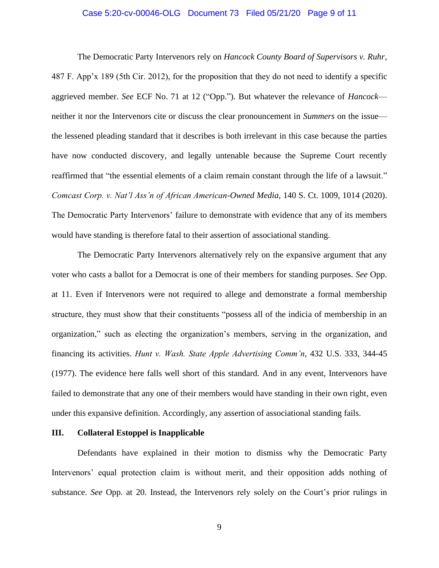#### Case 5:20-cv-00046-OLG Document 73 Filed 05/21/20 Page 9 of 11

The Democratic Party Intervenors rely on *Hancock County Board of Supervisors v. Ruhr*, 487 F. App'x 189 (5th Cir. 2012), for the proposition that they do not need to identify a specific aggrieved member. *See* ECF No. 71 at 12 ("Opp."). But whatever the relevance of *Hancock* neither it nor the Intervenors cite or discuss the clear pronouncement in *Summers* on the issue the lessened pleading standard that it describes is both irrelevant in this case because the parties have now conducted discovery, and legally untenable because the Supreme Court recently reaffirmed that "the essential elements of a claim remain constant through the life of a lawsuit." *Comcast Corp. v. Nat'l Ass'n of African American-Owned Media*, 140 S. Ct. 1009, 1014 (2020). The Democratic Party Intervenors' failure to demonstrate with evidence that any of its members would have standing is therefore fatal to their assertion of associational standing.

The Democratic Party Intervenors alternatively rely on the expansive argument that any voter who casts a ballot for a Democrat is one of their members for standing purposes. *See* Opp. at 11. Even if Intervenors were not required to allege and demonstrate a formal membership structure, they must show that their constituents "possess all of the indicia of membership in an organization," such as electing the organization's members, serving in the organization, and financing its activities. *Hunt v. Wash. State Apple Advertising Comm'n*, 432 U.S. 333, 344-45 (1977). The evidence here falls well short of this standard. And in any event, Intervenors have failed to demonstrate that any one of their members would have standing in their own right, even under this expansive definition. Accordingly, any assertion of associational standing fails.

#### **III. Collateral Estoppel is Inapplicable**

Defendants have explained in their motion to dismiss why the Democratic Party Intervenors' equal protection claim is without merit, and their opposition adds nothing of substance. *See* Opp. at 20. Instead, the Intervenors rely solely on the Court's prior rulings in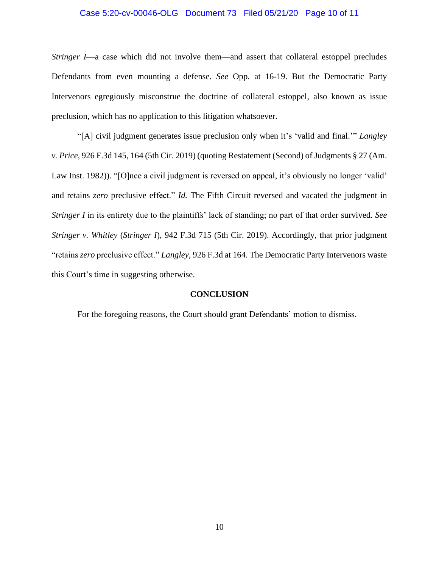#### Case 5:20-cv-00046-OLG Document 73 Filed 05/21/20 Page 10 of 11

*Stringer I*—a case which did not involve them—and assert that collateral estoppel precludes Defendants from even mounting a defense. *See* Opp. at 16-19. But the Democratic Party Intervenors egregiously misconstrue the doctrine of collateral estoppel, also known as issue preclusion, which has no application to this litigation whatsoever.

"[A] civil judgment generates issue preclusion only when it's 'valid and final.'" *Langley v. Price*, 926 F.3d 145, 164 (5th Cir. 2019) (quoting Restatement (Second) of Judgments § 27 (Am. Law Inst. 1982)). "[O]nce a civil judgment is reversed on appeal, it's obviously no longer 'valid' and retains *zero* preclusive effect." *Id.* The Fifth Circuit reversed and vacated the judgment in *Stringer I* in its entirety due to the plaintiffs' lack of standing; no part of that order survived. *See Stringer v. Whitley* (*Stringer I*), 942 F.3d 715 (5th Cir. 2019). Accordingly, that prior judgment "retains *zero* preclusive effect." *Langley*, 926 F.3d at 164. The Democratic Party Intervenors waste this Court's time in suggesting otherwise.

#### **CONCLUSION**

For the foregoing reasons, the Court should grant Defendants' motion to dismiss.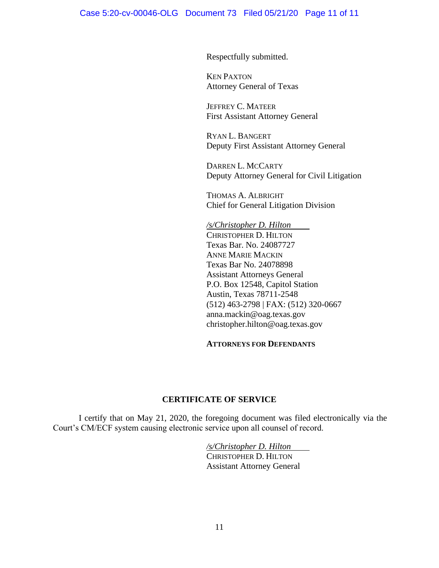Respectfully submitted.

KEN PAXTON Attorney General of Texas

JEFFREY C. MATEER First Assistant Attorney General

RYAN L. BANGERT Deputy First Assistant Attorney General

DARREN L. MCCARTY Deputy Attorney General for Civil Litigation

THOMAS A. ALBRIGHT Chief for General Litigation Division

*/s/Christopher D. Hilton* CHRISTOPHER D. HILTON Texas Bar. No. 24087727 ANNE MARIE MACKIN Texas Bar No. 24078898 Assistant Attorneys General P.O. Box 12548, Capitol Station Austin, Texas 78711-2548 (512) 463-2798 | FAX: (512) 320-0667 anna.mackin@oag.texas.gov christopher.hilton@oag.texas.gov

### **ATTORNEYS FOR DEFENDANTS**

### **CERTIFICATE OF SERVICE**

I certify that on May 21, 2020, the foregoing document was filed electronically via the Court's CM/ECF system causing electronic service upon all counsel of record.

> */s/Christopher D. Hilton* CHRISTOPHER D. HILTON Assistant Attorney General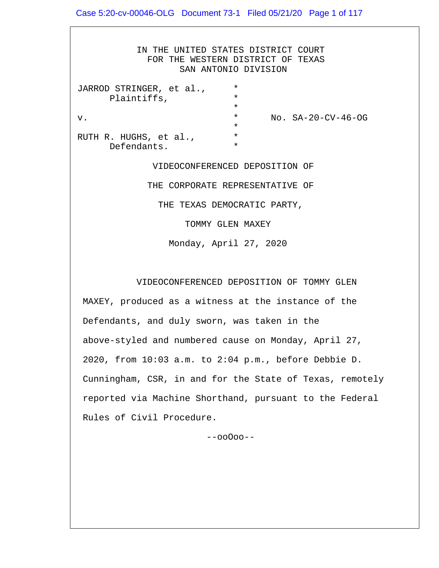IN THE UNITED STATES DISTRICT COURT FOR THE WESTERN DISTRICT OF TEXAS SAN ANTONIO DIVISION JARROD STRINGER, et al., \* Plaintiffs, \*  $\star$ v. \* No. SA-20-CV-46-OG  $\star$ RUTH R. HUGHS, et al., Defendants. \* VIDEOCONFERENCED DEPOSITION OF THE CORPORATE REPRESENTATIVE OF THE TEXAS DEMOCRATIC PARTY, TOMMY GLEN MAXEY Monday, April 27, 2020

VIDEOCONFERENCED DEPOSITION OF TOMMY GLEN

 MAXEY, produced as a witness at the instance of the Defendants, and duly sworn, was taken in the above-styled and numbered cause on Monday, April 27, 2020, from 10:03 a.m. to 2:04 p.m., before Debbie D. Cunningham, CSR, in and for the State of Texas, remotely reported via Machine Shorthand, pursuant to the Federal Rules of Civil Procedure.

--ooOoo--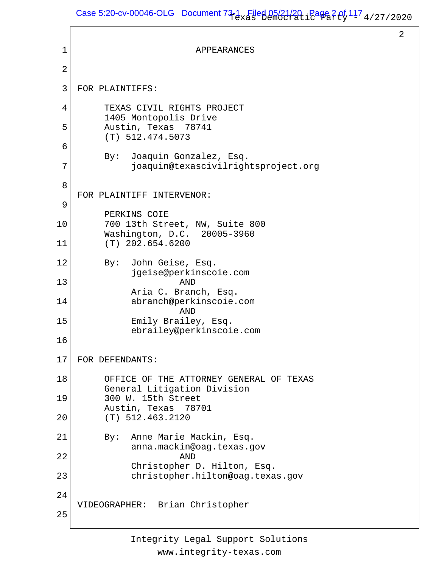# Case 5:20-cv-00046-OLG Document  $73-1$  Filed 05/21/20, Page 2 of  $11^7$  4/27/2020

2

```
1
 2
 3
 4
 5
 6
 7
 8
 9
10
11
12
13
14
15
16
17
18
19
20
21
22
23
24
25
                            APPEARANCES
    FOR PLAINTIFFS:
          TEXAS CIVIL RIGHTS PROJECT
          1405 Montopolis Drive
          Austin, Texas 78741
          (T) 512.474.5073
          By: Joaquin Gonzalez, Esq.
               joaquin@texascivilrightsproject.org
    FOR PLAINTIFF INTERVENOR:
          PERKINS COIE
          700 13th Street, NW, Suite 800
          Washington, D.C. 20005-3960
          (T) 202.654.6200
          By: John Geise, Esq.
               jgeise@perkinscoie.com
    AND
               Aria C. Branch, Esq.
               abranch@perkinscoie.com
                         AND
               Emily Brailey, Esq.
               ebrailey@perkinscoie.com
   FOR DEFENDANTS:
          OFFICE OF THE ATTORNEY GENERAL OF TEXAS
          General Litigation Division
          300 W. 15th Street
          Austin, Texas 78701
          (T) 512.463.2120
          By: Anne Marie Mackin, Esq.
               anna.mackin@oag.texas.gov
                         AND
               Christopher D. Hilton, Esq.
               christopher.hilton@oag.texas.gov
   VIDEOGRAPHER: Brian Christopher
```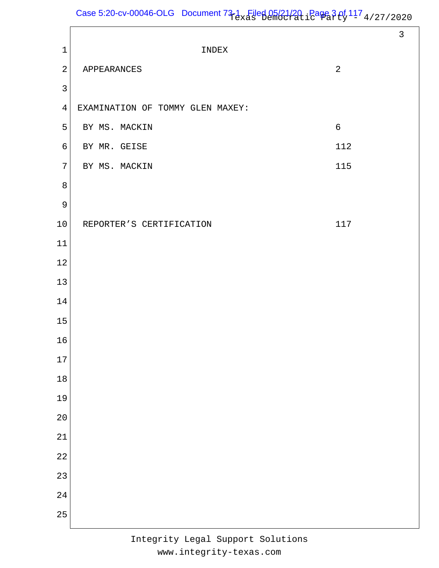# Case 5:20-cv-00046-OLG Document  $73-1$  Filed 05/21/20, Page 3 of  $11^7$  4/27/2020

|                |                                  |                | $\mathbf{3}$ |
|----------------|----------------------------------|----------------|--------------|
| $1\,$          | INDEX                            |                |              |
| $\overline{a}$ | APPEARANCES                      | $\overline{a}$ |              |
| $\mathbf{3}$   |                                  |                |              |
| $\overline{4}$ | EXAMINATION OF TOMMY GLEN MAXEY: |                |              |
| 5              | BY MS. MACKIN                    | $\sqrt{6}$     |              |
| $\epsilon$     | BY MR. GEISE                     | 112            |              |
| $\sqrt{ }$     | BY MS. MACKIN                    | 115            |              |
| 8              |                                  |                |              |
| $\overline{9}$ |                                  |                |              |
| $10\,$         | REPORTER'S CERTIFICATION         | 117            |              |
| $11\,$         |                                  |                |              |
| $1\,2$         |                                  |                |              |
| $13\,$         |                                  |                |              |
| 14             |                                  |                |              |
| 15             |                                  |                |              |
| 16             |                                  |                |              |
| 17             |                                  |                |              |
| $18\,$         |                                  |                |              |
| 19             |                                  |                |              |
| 20             |                                  |                |              |
| 21             |                                  |                |              |
| 22             |                                  |                |              |
| 23             |                                  |                |              |
| 24             |                                  |                |              |
| 25             |                                  |                |              |
|                |                                  |                |              |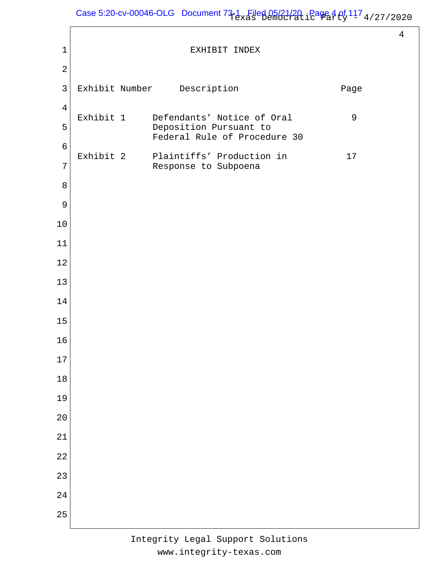# Case 5:20-cv-00046-OLG Document  $73-1$  Filed 05/21/20, Page 4 of  $11^7$  4/27/2020

 EXHIBIT INDEX Exhibit Number Description **Description** Exhibit 1 Defendants' Notice of Oral 9 Deposition Pursuant to Federal Rule of Procedure 30 Exhibit 2 Plaintiffs' Production in 17 Response to Subpoena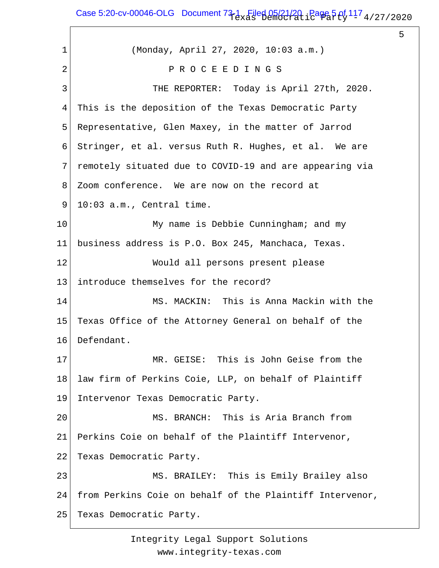Case 5:20-cv-00046-OLG Document  $73-1$  Filed 05/21/20,  $P$ age 5 of  $11^7$  4/27/2020

 $\sqrt{ }$ 

5

| 1  | (Monday, April 27, 2020, 10:03 a.m.)                     |
|----|----------------------------------------------------------|
| 2  | PROCEEDINGS                                              |
| 3  | THE REPORTER: Today is April 27th, 2020.                 |
| 4  | This is the deposition of the Texas Democratic Party     |
| 5  | Representative, Glen Maxey, in the matter of Jarrod      |
| 6  | Stringer, et al. versus Ruth R. Hughes, et al. We are    |
| 7  | remotely situated due to COVID-19 and are appearing via  |
| 8  | Zoom conference. We are now on the record at             |
| 9  | 10:03 a.m., Central time.                                |
| 10 | My name is Debbie Cunningham; and my                     |
| 11 | business address is P.O. Box 245, Manchaca, Texas.       |
| 12 | Would all persons present please                         |
| 13 | introduce themselves for the record?                     |
| 14 | MS. MACKIN: This is Anna Mackin with the                 |
| 15 | Texas Office of the Attorney General on behalf of the    |
| 16 | Defendant.                                               |
| 17 | MR. GEISE: This is John Geise from the                   |
| 18 | law firm of Perkins Coie, LLP, on behalf of Plaintiff    |
| 19 | Intervenor Texas Democratic Party.                       |
| 20 | MS. BRANCH: This is Aria Branch from                     |
| 21 | Perkins Coie on behalf of the Plaintiff Intervenor,      |
| 22 | Texas Democratic Party.                                  |
| 23 | MS. BRAILEY: This is Emily Brailey also                  |
| 24 | from Perkins Coie on behalf of the Plaintiff Intervenor, |
| 25 | Texas Democratic Party.                                  |
|    |                                                          |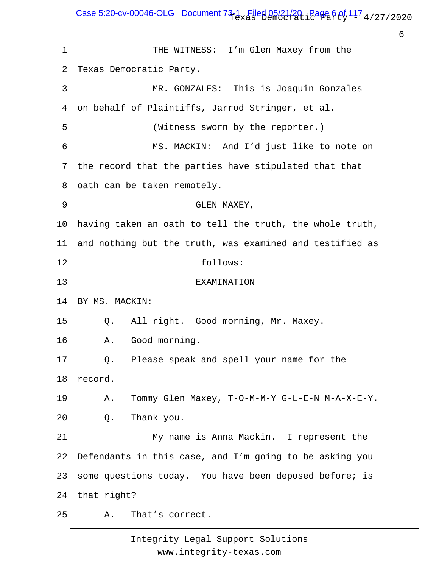Case 5:20-cv-00046-OLG Document  $73-1$  Filed 05/21/20, Page 6 of  $11^7$  4/27/2020

6

1 2 3 4 5 6 7 8 9 10 11 12 13 14 15 16 17 18 19 20 21 22 23 24 25 THE WITNESS: I'm Glen Maxey from the Texas Democratic Party. MR. GONZALES: This is Joaquin Gonzales on behalf of Plaintiffs, Jarrod Stringer, et al. (Witness sworn by the reporter.) MS. MACKIN: And I'd just like to note on the record that the parties have stipulated that that oath can be taken remotely. GLEN MAXEY, having taken an oath to tell the truth, the whole truth, and nothing but the truth, was examined and testified as follows: EXAMINATION BY MS. MACKIN: Q. All right. Good morning, Mr. Maxey. A. Good morning. Q. Please speak and spell your name for the record. A. Tommy Glen Maxey, T-O-M-M-Y G-L-E-N M-A-X-E-Y. Q. Thank you. My name is Anna Mackin. I represent the Defendants in this case, and I'm going to be asking you some questions today. You have been deposed before; is that right? A. That's correct.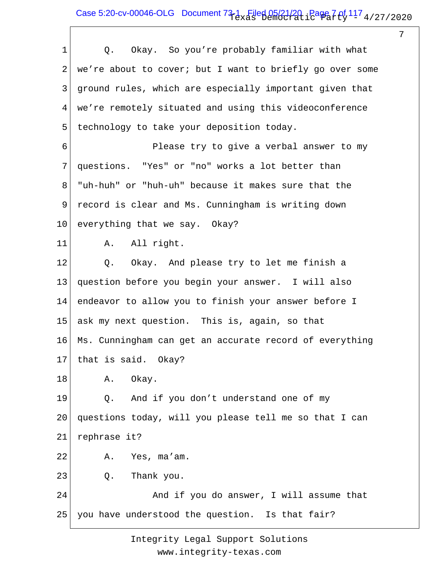## Case 5:20-cv-00046-OLG Document  $73-1$  Filed 05/21/20,  $P$ age 7 of  $11^7$  4/27/2020

7

| $\mathbf{1}$   | Okay. So you're probably familiar with what<br>Q.        |
|----------------|----------------------------------------------------------|
| $\overline{a}$ | we're about to cover; but I want to briefly go over some |
| 3              | ground rules, which are especially important given that  |
| 4              | we're remotely situated and using this videoconference   |
| 5              | technology to take your deposition today.                |
| 6              | Please try to give a verbal answer to my                 |
| 7              | questions. "Yes" or "no" works a lot better than         |
| 8              | "uh-huh" or "huh-uh" because it makes sure that the      |
| 9              | record is clear and Ms. Cunningham is writing down       |
| 10             | everything that we say. Okay?                            |
| 11             | A. All right.                                            |
| 12             | Q.<br>Okay. And please try to let me finish a            |
| 13             | question before you begin your answer. I will also       |
| 14             | endeavor to allow you to finish your answer before I     |
| 15             | ask my next question. This is, again, so that            |
| 16             | Ms. Cunningham can get an accurate record of everything  |
|                | 17   that is said. Okay?                                 |
| 18             | Okay.<br>Α.                                              |
| 19             | And if you don't understand one of my<br>Q.              |
| 20             | questions today, will you please tell me so that I can   |
| 21             | rephrase it?                                             |
| 22             | A. Yes, ma'am.                                           |
| 23             | Thank you.<br>$Q$ .                                      |
| 24             | And if you do answer, I will assume that                 |
| 25             | you have understood the question. Is that fair?          |
|                |                                                          |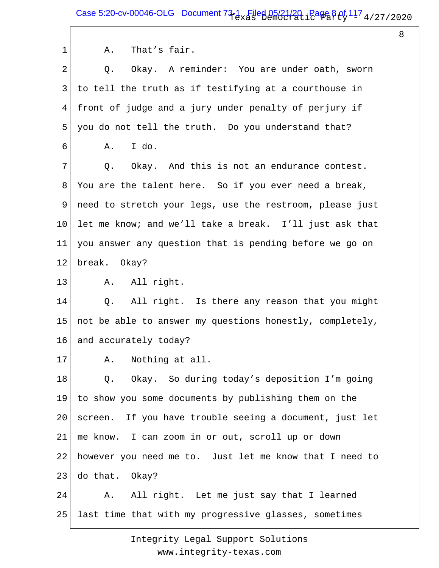Case 5:20-cv-00046-OLG Document  $73-1$  Filed 05/21/20, Page 8 of  $11^7$  4/27/2020

8

1 2 3 4 5 6 7 8 9 10 11 12 13 14 15 16 17 18 19 20 21 22 23 24 25 A. That's fair. Q. Okay. A reminder: You are under oath, sworn to tell the truth as if testifying at a courthouse in front of judge and a jury under penalty of perjury if you do not tell the truth. Do you understand that? A. I do. Q. Okay. And this is not an endurance contest. You are the talent here. So if you ever need a break, need to stretch your legs, use the restroom, please just let me know; and we'll take a break. I'll just ask that you answer any question that is pending before we go on break. Okay? A. All right. Q. All right. Is there any reason that you might not be able to answer my questions honestly, completely, and accurately today? A. Nothing at all. Q. Okay. So during today's deposition I'm going to show you some documents by publishing them on the screen. If you have trouble seeing a document, just let me know. I can zoom in or out, scroll up or down however you need me to. Just let me know that I need to do that. Okay? A. All right. Let me just say that I learned last time that with my progressive glasses, sometimes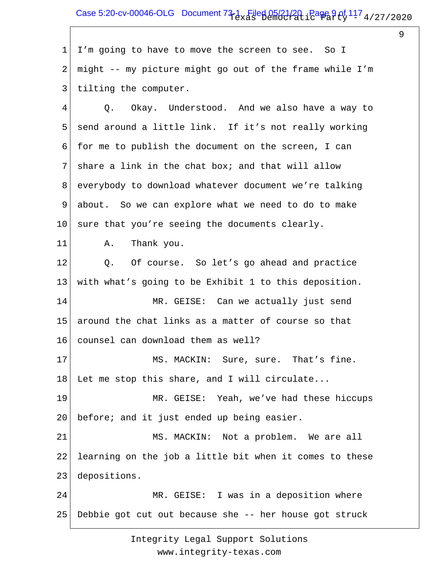## Case 5:20-cv-00046-OLG Document  $73-1$  Filed 05/21/20, Page 9 of  $117$  4/27/2020

9

1 2 3 I'm going to have to move the screen to see. So I might -- my picture might go out of the frame while I'm tilting the computer.

4 5 6 7 8 9 10 Q. Okay. Understood. And we also have a way to send around a little link. If it's not really working for me to publish the document on the screen, I can share a link in the chat box; and that will allow everybody to download whatever document we're talking about. So we can explore what we need to do to make sure that you're seeing the documents clearly.

A. Thank you.

11

12 13 14 15 16 17 18 19 20 21 22 23 24 Q. Of course. So let's go ahead and practice with what's going to be Exhibit 1 to this deposition. MR. GEISE: Can we actually just send around the chat links as a matter of course so that counsel can download them as well? MS. MACKIN: Sure, sure. That's fine. Let me stop this share, and I will circulate... MR. GEISE: Yeah, we've had these hiccups before; and it just ended up being easier. MS. MACKIN: Not a problem. We are all learning on the job a little bit when it comes to these depositions. MR. GEISE: I was in a deposition where

25 Debbie got cut out because she -- her house got struck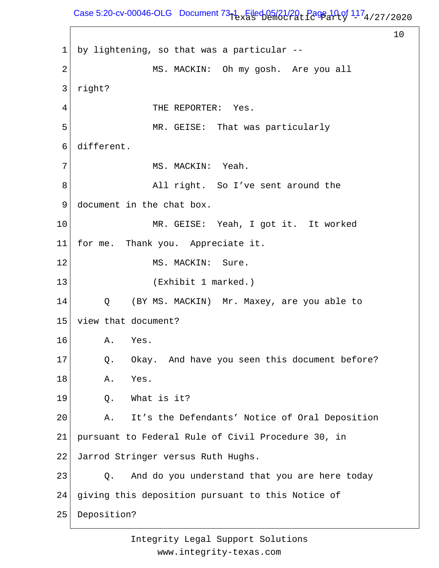## Case 5:20-cv-00046-OLG Document  $73-1$  Filed 05/21/20, Page 10 of  $117_4$ /27/2020

10

1 2 3 4 5 6 7 8 9 10 11 12 13 14 15 16 17 18 19 20 21 22 23 24 25 by lightening, so that was a particular -- MS. MACKIN: Oh my gosh. Are you all right? THE REPORTER: Yes. MR. GEISE: That was particularly different. MS. MACKIN: Yeah. All right. So I've sent around the document in the chat box. MR. GEISE: Yeah, I got it. It worked for me. Thank you. Appreciate it. MS. MACKIN: Sure. (Exhibit 1 marked.) Q (BY MS. MACKIN) Mr. Maxey, are you able to view that document? A. Yes. Q. Okay. And have you seen this document before? A. Yes. Q. What is it? A. It's the Defendants' Notice of Oral Deposition pursuant to Federal Rule of Civil Procedure 30, in Jarrod Stringer versus Ruth Hughs. Q. And do you understand that you are here today giving this deposition pursuant to this Notice of Deposition?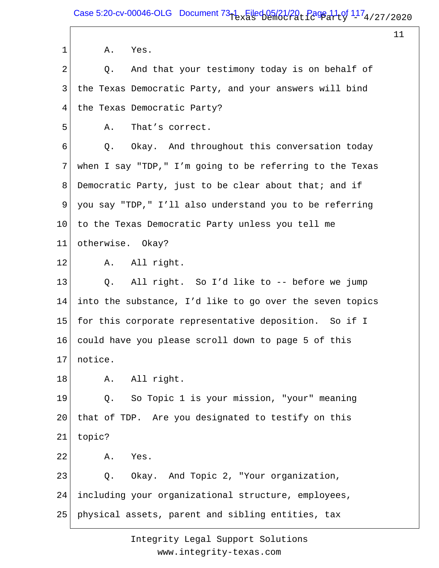1 2 3 4 5 6 7 8 9 10 11 12 13 14 15 16 17 18 19 20 21 22 23 24 25 A. Yes. Q. And that your testimony today is on behalf of the Texas Democratic Party, and your answers will bind the Texas Democratic Party? A. That's correct. Q. Okay. And throughout this conversation today when I say "TDP," I'm going to be referring to the Texas Democratic Party, just to be clear about that; and if you say "TDP," I'll also understand you to be referring to the Texas Democratic Party unless you tell me otherwise. Okay? A. All right. Q. All right. So I'd like to -- before we jump into the substance, I'd like to go over the seven topics for this corporate representative deposition. So if I could have you please scroll down to page 5 of this notice. A. All right. Q. So Topic 1 is your mission, "your" meaning that of TDP. Are you designated to testify on this topic? A. Yes. Q. Okay. And Topic 2, "Your organization, including your organizational structure, employees, physical assets, parent and sibling entities, tax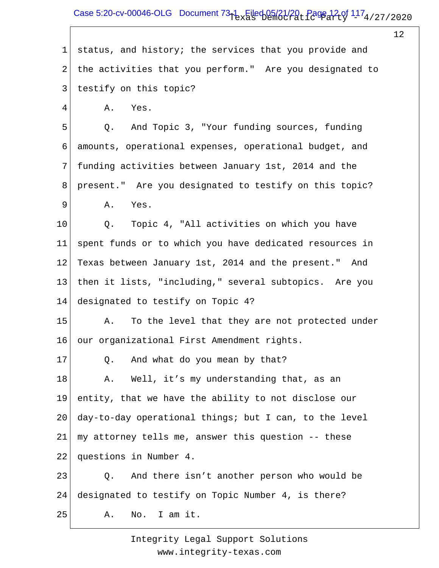### Case 5:20-cv-00046-OLG Document  $73-1$  Filed 05/21/20, Page 12 of  $117_4$ /27/2020

12

1 2 3 4 5 6 7 8 9 10 11 12 13 14 15 16 17 18 19 20 21 22 23 24 25 status, and history; the services that you provide and the activities that you perform." Are you designated to testify on this topic? A. Yes. Q. And Topic 3, "Your funding sources, funding amounts, operational expenses, operational budget, and funding activities between January 1st, 2014 and the present." Are you designated to testify on this topic? A. Yes. Q. Topic 4, "All activities on which you have spent funds or to which you have dedicated resources in Texas between January 1st, 2014 and the present." And then it lists, "including," several subtopics. Are you designated to testify on Topic 4? A. To the level that they are not protected under our organizational First Amendment rights. Q. And what do you mean by that? A. Well, it's my understanding that, as an entity, that we have the ability to not disclose our day-to-day operational things; but I can, to the level my attorney tells me, answer this question -- these questions in Number 4. Q. And there isn't another person who would be designated to testify on Topic Number 4, is there? A. No. I am it.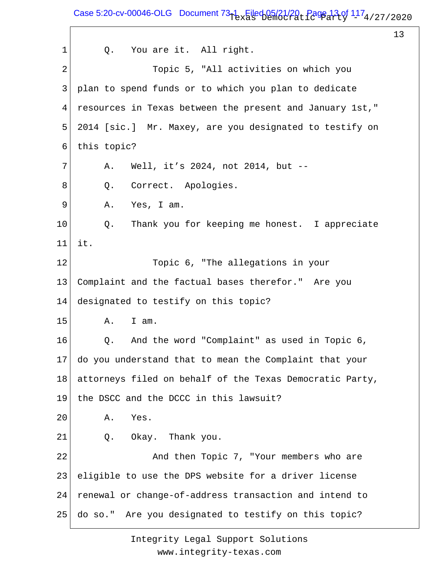Case 5:20-cv-00046-OLG Document  $73-1$  Filed 05/21/20, Page 13 of  $117_4$ /27/2020

13

1 2 3 4 5 6 7 8 9 10 11 12 13 14 15 16 17 18 19 20 21 22 23 24 25 Q. You are it. All right. Topic 5, "All activities on which you plan to spend funds or to which you plan to dedicate resources in Texas between the present and January 1st," 2014 [sic.] Mr. Maxey, are you designated to testify on this topic? A. Well, it's 2024, not 2014, but -- Q. Correct. Apologies. A. Yes, I am. Q. Thank you for keeping me honest. I appreciate it. Topic 6, "The allegations in your Complaint and the factual bases therefor." Are you designated to testify on this topic? A. I am. Q. And the word "Complaint" as used in Topic 6, do you understand that to mean the Complaint that your attorneys filed on behalf of the Texas Democratic Party, the DSCC and the DCCC in this lawsuit? A. Yes. Q. Okay. Thank you. And then Topic 7, "Your members who are eligible to use the DPS website for a driver license renewal or change-of-address transaction and intend to do so." Are you designated to testify on this topic?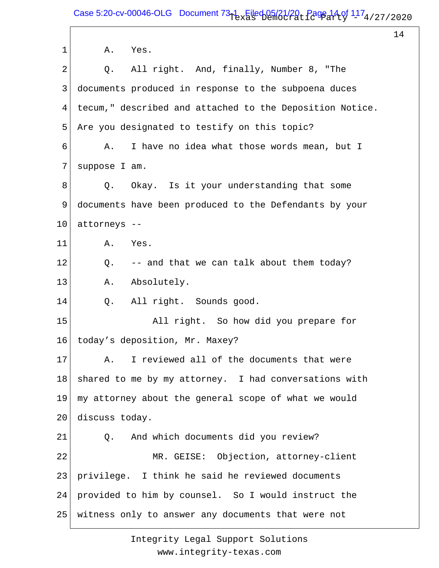1 2 3 4 5 6 7 8 9 10 11 12 13 14 15 16 17 18 19 20 21 22 23 24 25 A. Yes. Q. All right. And, finally, Number 8, "The documents produced in response to the subpoena duces tecum," described and attached to the Deposition Notice. Are you designated to testify on this topic? A. I have no idea what those words mean, but I suppose I am. Q. Okay. Is it your understanding that some documents have been produced to the Defendants by your attorneys -- A. Yes. Q. -- and that we can talk about them today? A. Absolutely. Q. All right. Sounds good. All right. So how did you prepare for today's deposition, Mr. Maxey? A. I reviewed all of the documents that were shared to me by my attorney. I had conversations with my attorney about the general scope of what we would discuss today. Q. And which documents did you review? MR. GEISE: Objection, attorney-client privilege. I think he said he reviewed documents provided to him by counsel. So I would instruct the witness only to answer any documents that were not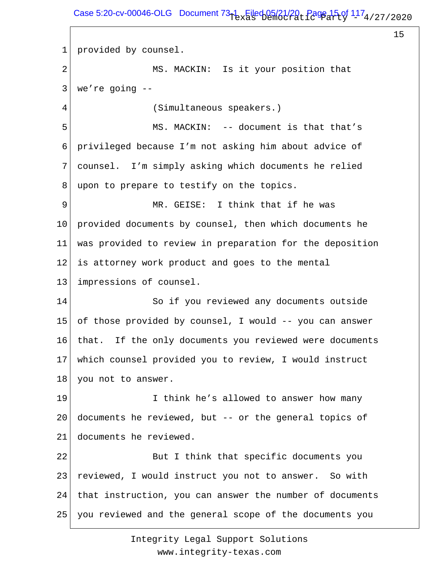1 2 3 4 5 6 7 8 9 10 11 12 13 14 15 16 17 18 19 20 21 22 23 24 25 provided by counsel. MS. MACKIN: Is it your position that we're going -- (Simultaneous speakers.) MS. MACKIN: -- document is that that's privileged because I'm not asking him about advice of counsel. I'm simply asking which documents he relied upon to prepare to testify on the topics. MR. GEISE: I think that if he was provided documents by counsel, then which documents he was provided to review in preparation for the deposition is attorney work product and goes to the mental impressions of counsel. So if you reviewed any documents outside of those provided by counsel, I would -- you can answer that. If the only documents you reviewed were documents which counsel provided you to review, I would instruct you not to answer. I think he's allowed to answer how many documents he reviewed, but -- or the general topics of documents he reviewed. But I think that specific documents you reviewed, I would instruct you not to answer. So with that instruction, you can answer the number of documents you reviewed and the general scope of the documents you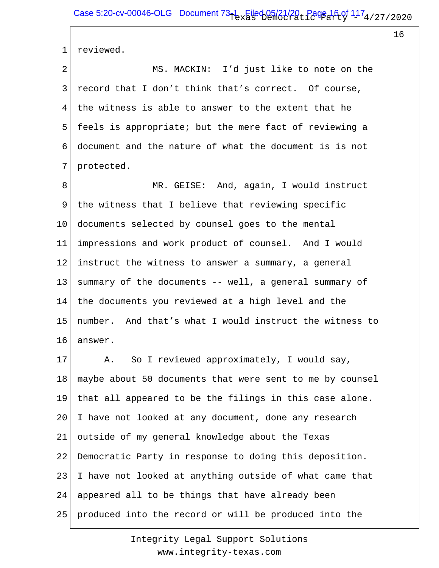1 reviewed.

2 3 4 5 6 7 MS. MACKIN: I'd just like to note on the record that I don't think that's correct. Of course, the witness is able to answer to the extent that he feels is appropriate; but the mere fact of reviewing a document and the nature of what the document is is not protected.

8 9 10 11 12 13 14 15 16 MR. GEISE: And, again, I would instruct the witness that I believe that reviewing specific documents selected by counsel goes to the mental impressions and work product of counsel. And I would instruct the witness to answer a summary, a general summary of the documents -- well, a general summary of the documents you reviewed at a high level and the number. And that's what I would instruct the witness to answer.

17 18 19 20 21 22 23 24 25 A. So I reviewed approximately, I would say, maybe about 50 documents that were sent to me by counsel that all appeared to be the filings in this case alone. I have not looked at any document, done any research outside of my general knowledge about the Texas Democratic Party in response to doing this deposition. I have not looked at anything outside of what came that appeared all to be things that have already been produced into the record or will be produced into the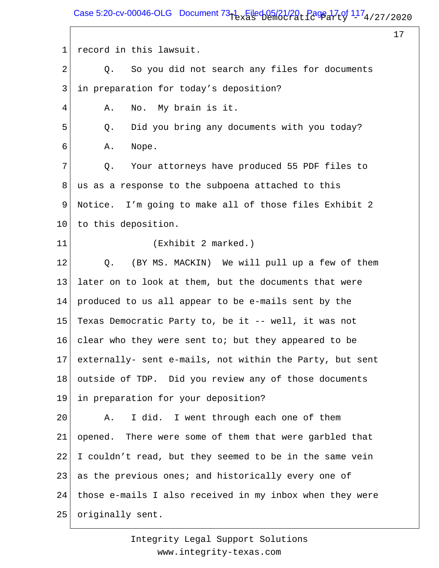Case 5:20-cv-00046-OLG Document  $73-1$  Filed 05/21/20, Page 17 of  $117_4$ /27/2020

17

1 2 3 4 5 6 7 8 9 10 11 12 13 14 15 16 17 18 19 20 21 22 23 24 25 record in this lawsuit. Q. So you did not search any files for documents in preparation for today's deposition? A. No. My brain is it. Q. Did you bring any documents with you today? A. Nope. Q. Your attorneys have produced 55 PDF files to us as a response to the subpoena attached to this Notice. I'm going to make all of those files Exhibit 2 to this deposition. (Exhibit 2 marked.) Q. (BY MS. MACKIN) We will pull up a few of them later on to look at them, but the documents that were produced to us all appear to be e-mails sent by the Texas Democratic Party to, be it -- well, it was not clear who they were sent to; but they appeared to be externally- sent e-mails, not within the Party, but sent outside of TDP. Did you review any of those documents in preparation for your deposition? A. I did. I went through each one of them opened. There were some of them that were garbled that I couldn't read, but they seemed to be in the same vein as the previous ones; and historically every one of those e-mails I also received in my inbox when they were originally sent.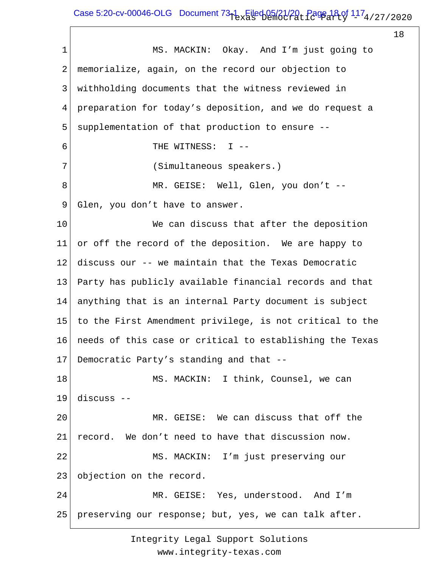## Case 5:20-cv-00046-OLG Document  $73-1$  Filed 05/21/20, Page 18 of  $117_4$ /27/2020

18

1 2 3 4 5 6 7 8 9 10 11 12 13 14 15 16 17 18 19 20 21 22 23 24 25 MS. MACKIN: Okay. And I'm just going to memorialize, again, on the record our objection to withholding documents that the witness reviewed in preparation for today's deposition, and we do request a supplementation of that production to ensure -- THE WITNESS: I -- (Simultaneous speakers.) MR. GEISE: Well, Glen, you don't -- Glen, you don't have to answer. We can discuss that after the deposition or off the record of the deposition. We are happy to discuss our -- we maintain that the Texas Democratic Party has publicly available financial records and that anything that is an internal Party document is subject to the First Amendment privilege, is not critical to the needs of this case or critical to establishing the Texas Democratic Party's standing and that -- MS. MACKIN: I think, Counsel, we can discuss -- MR. GEISE: We can discuss that off the record. We don't need to have that discussion now. MS. MACKIN: I'm just preserving our objection on the record. MR. GEISE: Yes, understood. And I'm preserving our response; but, yes, we can talk after.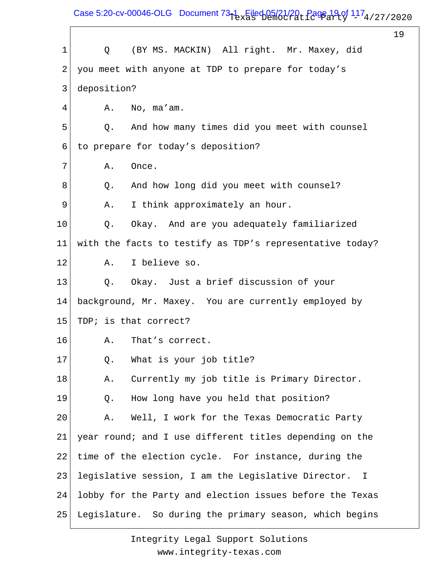Case 5:20-cv-00046-OLG Document  $73-1$  Filed 05/21/20, Page 19 of  $117_4$ /27/2020

19 1 2 3 4 5 6 7 8 9 10 11 12 13 14 15 16 17 18 19 20 21 22 23 24 25 Q (BY MS. MACKIN) All right. Mr. Maxey, did you meet with anyone at TDP to prepare for today's deposition? A. No, ma'am. Q. And how many times did you meet with counsel to prepare for today's deposition? A. Once. Q. And how long did you meet with counsel? A. I think approximately an hour. Q. Okay. And are you adequately familiarized with the facts to testify as TDP's representative today? A. I believe so. Q. Okay. Just a brief discussion of your background, Mr. Maxey. You are currently employed by TDP; is that correct? A. That's correct. Q. What is your job title? A. Currently my job title is Primary Director. Q. How long have you held that position? A. Well, I work for the Texas Democratic Party year round; and I use different titles depending on the time of the election cycle. For instance, during the legislative session, I am the Legislative Director. I lobby for the Party and election issues before the Texas Legislature. So during the primary season, which begins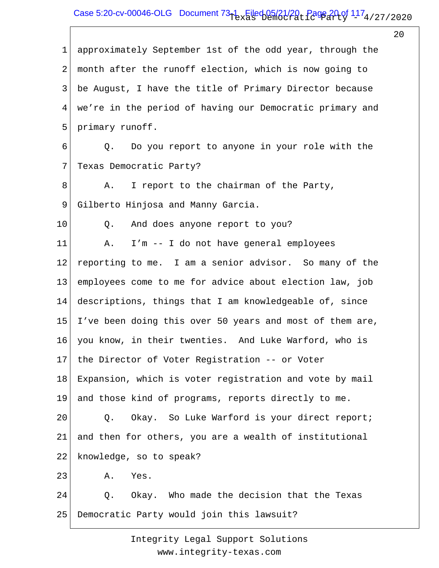## Case 5:20-cv-00046-OLG Document  $73-1$  Filed 05/21/20, Page 20 of  $117_4$ /27/2020

 $20^{\circ}$ 

1 2 3 4 5 6 7 8 9 10 11 12 13 14 15 16 17 18 19 20 21 22 23 24 25 approximately September 1st of the odd year, through the month after the runoff election, which is now going to be August, I have the title of Primary Director because we're in the period of having our Democratic primary and primary runoff. Q. Do you report to anyone in your role with the Texas Democratic Party? A. I report to the chairman of the Party, Gilberto Hinjosa and Manny Garcia. Q. And does anyone report to you? A. I'm -- I do not have general employees reporting to me. I am a senior advisor. So many of the employees come to me for advice about election law, job descriptions, things that I am knowledgeable of, since I've been doing this over 50 years and most of them are, you know, in their twenties. And Luke Warford, who is the Director of Voter Registration -- or Voter Expansion, which is voter registration and vote by mail and those kind of programs, reports directly to me. Q. Okay. So Luke Warford is your direct report; and then for others, you are a wealth of institutional knowledge, so to speak? A. Yes. Q. Okay. Who made the decision that the Texas Democratic Party would join this lawsuit?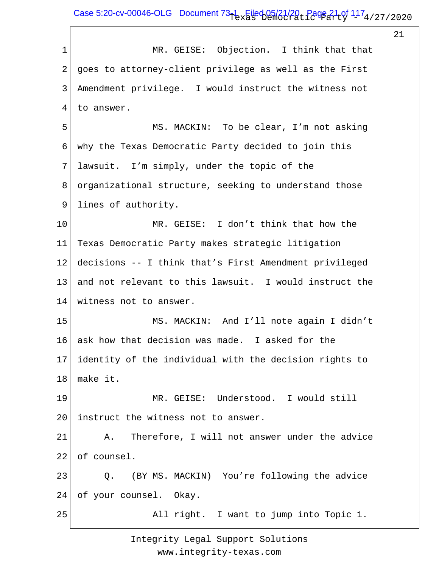## Case 5:20-cv-00046-OLG Document  $73-1$  Filed 05/21/20, Page 21 of  $117_4$ /27/2020

21

1 2 3 4 5 6 7 8 9 10 11 12 13 14 15 16 17 18 19 20 21 22 23 24 25 MR. GEISE: Objection. I think that that goes to attorney-client privilege as well as the First Amendment privilege. I would instruct the witness not to answer. MS. MACKIN: To be clear, I'm not asking why the Texas Democratic Party decided to join this lawsuit. I'm simply, under the topic of the organizational structure, seeking to understand those lines of authority. MR. GEISE: I don't think that how the Texas Democratic Party makes strategic litigation decisions -- I think that's First Amendment privileged and not relevant to this lawsuit. I would instruct the witness not to answer. MS. MACKIN: And I'll note again I didn't ask how that decision was made. I asked for the identity of the individual with the decision rights to make it. MR. GEISE: Understood. I would still instruct the witness not to answer. A. Therefore, I will not answer under the advice of counsel. Q. (BY MS. MACKIN) You're following the advice of your counsel. Okay. All right. I want to jump into Topic 1.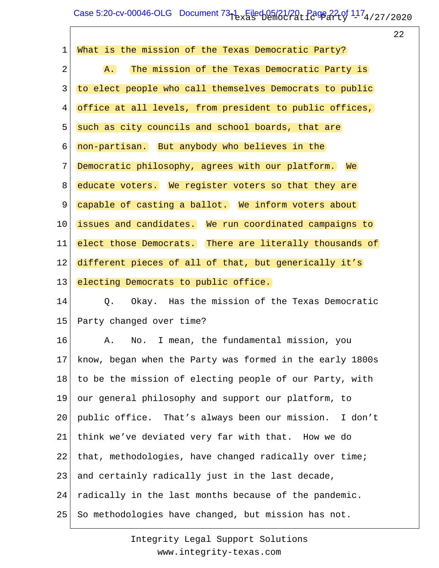# Case 5:20-cv-00046-OLG Document  $73-1$  Filed 05/21/20, Page 22 of  $117_4$ /27/2020

 $\overline{\phantom{a}}$ 

22

| $\mathbf 1$ | What is the mission of the Texas Democratic Party?        |
|-------------|-----------------------------------------------------------|
| 2           | The mission of the Texas Democratic Party is<br>A.        |
| 3           | to elect people who call themselves Democrats to public   |
| 4           | office at all levels, from president to public offices,   |
| 5           | such as city councils and school boards, that are         |
| 6           | non-partisan. But anybody who believes in the             |
| 7           | Democratic philosophy, agrees with our platform. We       |
| 8           | educate voters. We register voters so that they are       |
| 9           | capable of casting a ballot. We inform voters about       |
| 10          | issues and candidates. We run coordinated campaigns to    |
| 11          | elect those Democrats. There are literally thousands of   |
| 12          | different pieces of all of that, but generically it's     |
| 13          | electing Democrats to public office.                      |
| 14          | Okay. Has the mission of the Texas Democratic<br>Q.       |
| 15          | Party changed over time?                                  |
| 16          | No. I mean, the fundamental mission, you<br>Α.            |
| 17          | know, began when the Party was formed in the early 1800s  |
| 18          | to be the mission of electing people of our Party, with   |
| 19          | our general philosophy and support our platform, to       |
| 20          | public office. That's always been our mission.<br>I don't |
| 21          | think we've deviated very far with that. How we do        |
| 22          | that, methodologies, have changed radically over time;    |
| 23          | and certainly radically just in the last decade,          |
| 24          | radically in the last months because of the pandemic.     |
| 25          | So methodologies have changed, but mission has not.       |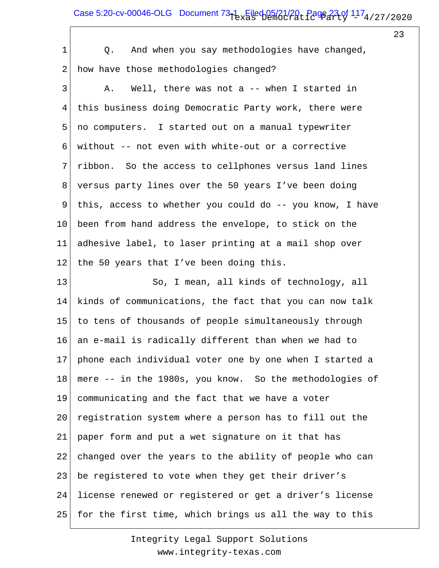## Case 5:20-cv-00046-OLG Document  $73-1$  Filed 05/21/20, Page 23 of  $117_4$ /27/2020

 $\sqrt{ }$ 

23

| 1               | And when you say methodologies have changed,<br>Q.       |
|-----------------|----------------------------------------------------------|
| 2               | how have those methodologies changed?                    |
| 3               | Well, there was not a $-$ when I started in<br>Α.        |
| 4               | this business doing Democratic Party work, there were    |
| 5               | no computers. I started out on a manual typewriter       |
| 6               | without -- not even with white-out or a corrective       |
| 7               | ribbon. So the access to cellphones versus land lines    |
| 8               | versus party lines over the 50 years I've been doing     |
| 9               | this, access to whether you could do -- you know, I have |
| 10 <sub>o</sub> | been from hand address the envelope, to stick on the     |
| 11              | adhesive label, to laser printing at a mail shop over    |
| 12              | the 50 years that I've been doing this.                  |
| 13              | So, I mean, all kinds of technology, all                 |
| 14              | kinds of communications, the fact that you can now talk  |
| 15              | to tens of thousands of people simultaneously through    |
| 16              | an e-mail is radically different than when we had to     |
| 17              | phone each individual voter one by one when I started a  |
| 18              | mere -- in the 1980s, you know. So the methodologies of  |
| 19              | communicating and the fact that we have a voter          |
| 20              | registration system where a person has to fill out the   |
| 21              | paper form and put a wet signature on it that has        |
| 22              | changed over the years to the ability of people who can  |
| 23              | be registered to vote when they get their driver's       |
| 24              | license renewed or registered or get a driver's license  |
| 25              | for the first time, which brings us all the way to this  |
|                 |                                                          |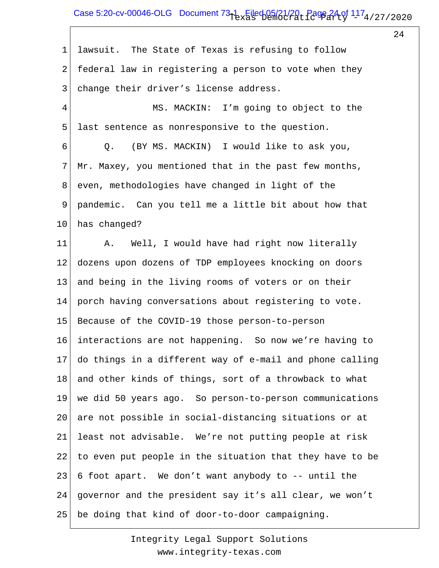### Case 5:20-cv-00046-OLG Document  $73-1$  Filed 05/21/20, Page 24 of  $117_4$ /27/2020

24

1 2 3 4 5 6 7 8 9 10 11 12 13 14 15 16 17 18 19 20 21 22 23 24 25 lawsuit. The State of Texas is refusing to follow federal law in registering a person to vote when they change their driver's license address. MS. MACKIN: I'm going to object to the last sentence as nonresponsive to the question. Q. (BY MS. MACKIN) I would like to ask you, Mr. Maxey, you mentioned that in the past few months, even, methodologies have changed in light of the pandemic. Can you tell me a little bit about how that has changed? A. Well, I would have had right now literally dozens upon dozens of TDP employees knocking on doors and being in the living rooms of voters or on their porch having conversations about registering to vote. Because of the COVID-19 those person-to-person interactions are not happening. So now we're having to do things in a different way of e-mail and phone calling and other kinds of things, sort of a throwback to what we did 50 years ago. So person-to-person communications are not possible in social-distancing situations or at least not advisable. We're not putting people at risk to even put people in the situation that they have to be 6 foot apart. We don't want anybody to -- until the governor and the president say it's all clear, we won't be doing that kind of door-to-door campaigning.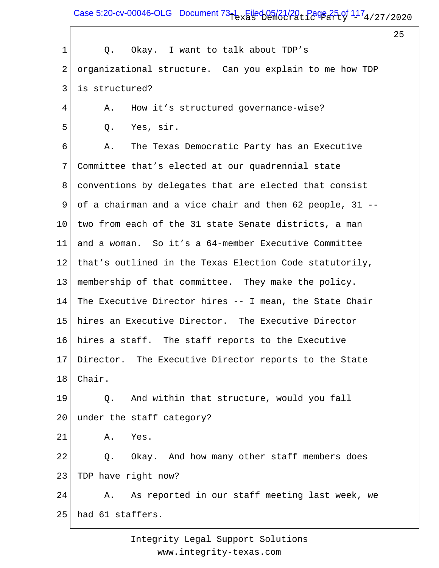Case 5:20-cv-00046-OLG Document  $73-1$  Filed 05/21/20, Page 25 of  $117_4$ /27/2020

25

| $\mathbf{1}$ | Okay. I want to talk about TDP's<br>Q.                   |
|--------------|----------------------------------------------------------|
| 2            | organizational structure. Can you explain to me how TDP  |
| 3            | is structured?                                           |
| 4            | How it's structured governance-wise?<br>Α.               |
| 5            | Yes, sir.<br>Q.                                          |
| 6            | The Texas Democratic Party has an Executive<br>Α.        |
| 7            | Committee that's elected at our quadrennial state        |
| 8            | conventions by delegates that are elected that consist   |
| 9            | of a chairman and a vice chair and then 62 people, 31 -- |
| 10           | two from each of the 31 state Senate districts, a man    |
| 11           | and a woman. So it's a 64-member Executive Committee     |
| 12           | that's outlined in the Texas Election Code statutorily,  |
| 13           | membership of that committee. They make the policy.      |
| 14           | The Executive Director hires -- I mean, the State Chair  |
| 15           | hires an Executive Director. The Executive Director      |
| 16           | hires a staff. The staff reports to the Executive        |
| 17           | Director. The Executive Director reports to the State    |
| 18           | Chair.                                                   |
| 19           | And within that structure, would you fall<br>Q.          |
| 20           | under the staff category?                                |
| 21           | Yes.<br>Α.                                               |
| 22           | Okay. And how many other staff members does<br>Q.        |
| 23           | TDP have right now?                                      |
| 24           | A. As reported in our staff meeting last week, we        |
| 25           | had 61 staffers.                                         |
|              |                                                          |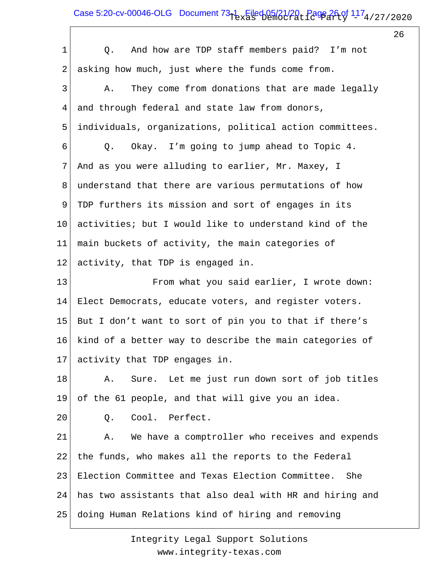# Case 5:20-cv-00046-OLG Document  $73-1$  Filed 05/21/20, Page 26 of  $117_4$ /27/2020

26

| $\mathbf 1$    | And how are TDP staff members paid? I'm not<br>Q.        |
|----------------|----------------------------------------------------------|
| $\mathbf{2}$   | asking how much, just where the funds come from.         |
| $\mathfrak{Z}$ | They come from donations that are made legally<br>Α.     |
| 4              | and through federal and state law from donors,           |
| 5              | individuals, organizations, political action committees. |
| 6              | Q. Okay. I'm going to jump ahead to Topic 4.             |
| $\overline{7}$ | And as you were alluding to earlier, Mr. Maxey, I        |
| 8              | understand that there are various permutations of how    |
| 9              | TDP furthers its mission and sort of engages in its      |
| 10             | activities; but I would like to understand kind of the   |
| 11             | main buckets of activity, the main categories of         |
| 12             | activity, that TDP is engaged in.                        |
| 13             | From what you said earlier, I wrote down:                |
| 14             | Elect Democrats, educate voters, and register voters.    |
| 15             | But I don't want to sort of pin you to that if there's   |
| 16             | kind of a better way to describe the main categories of  |
| 17             | activity that TDP engages in.                            |
| 18             | Sure. Let me just run down sort of job titles<br>Α.      |
| 19             | of the 61 people, and that will give you an idea.        |
| 20             | Cool. Perfect.<br>Q.                                     |
| 21             | We have a comptroller who receives and expends<br>Α.     |
| 22             | the funds, who makes all the reports to the Federal      |
| 23             | Election Committee and Texas Election Committee. She     |
| 24             | has two assistants that also deal with HR and hiring and |
| 25             | doing Human Relations kind of hiring and removing        |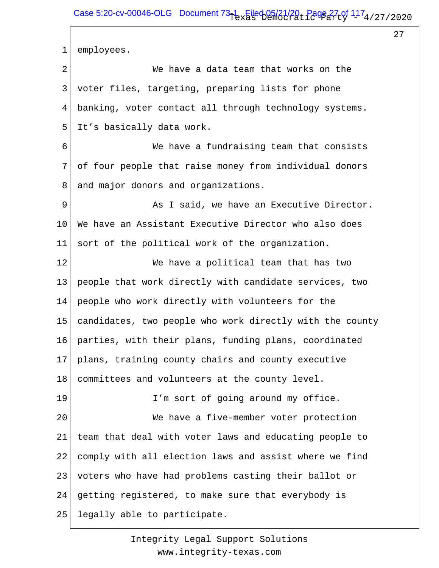27

1 2 3 4 5 6 7 8 9 10 11 12 13 14 15 16 17 18 19 20 21 22 23 24 25 employees. We have a data team that works on the voter files, targeting, preparing lists for phone banking, voter contact all through technology systems. It's basically data work. We have a fundraising team that consists of four people that raise money from individual donors and major donors and organizations. As I said, we have an Executive Director. We have an Assistant Executive Director who also does sort of the political work of the organization. We have a political team that has two people that work directly with candidate services, two people who work directly with volunteers for the candidates, two people who work directly with the county parties, with their plans, funding plans, coordinated plans, training county chairs and county executive committees and volunteers at the county level. I'm sort of going around my office. We have a five-member voter protection team that deal with voter laws and educating people to comply with all election laws and assist where we find voters who have had problems casting their ballot or getting registered, to make sure that everybody is legally able to participate.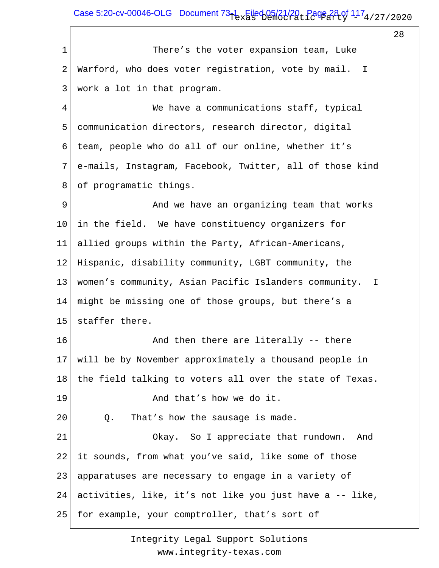# Case 5:20-cv-00046-OLG Document  $73-1$  Filed 05/21/20, Page 28 of  $117_4$ /27/2020

28

1 2 3 4 5 6 7 8 9 10 11 12 13 14 15 16 17 18 19 20 21 22 23 24 25 There's the voter expansion team, Luke Warford, who does voter registration, vote by mail. I work a lot in that program. We have a communications staff, typical communication directors, research director, digital team, people who do all of our online, whether it's e-mails, Instagram, Facebook, Twitter, all of those kind of programatic things. And we have an organizing team that works in the field. We have constituency organizers for allied groups within the Party, African-Americans, Hispanic, disability community, LGBT community, the women's community, Asian Pacific Islanders community. I might be missing one of those groups, but there's a staffer there. And then there are literally -- there will be by November approximately a thousand people in the field talking to voters all over the state of Texas. And that's how we do it. Q. That's how the sausage is made. Okay. So I appreciate that rundown. And it sounds, from what you've said, like some of those apparatuses are necessary to engage in a variety of activities, like, it's not like you just have a -- like, for example, your comptroller, that's sort of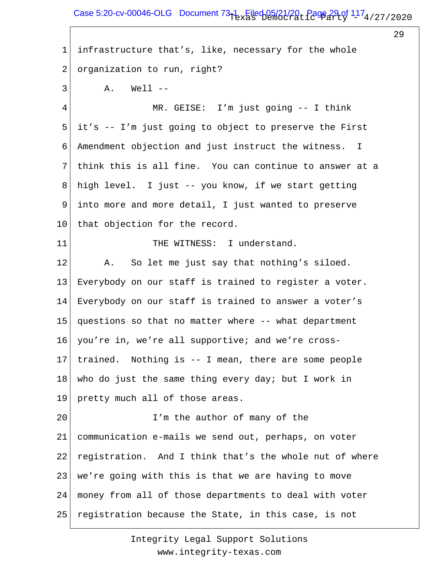### Case 5:20-cv-00046-OLG Document  $73-1$  Filed 05/21/20, Page 29 of  $117_4$ /27/2020

29

1 2 3 4 5 6 7 8 9 10 11 12 13 14 15 16 17 18 19 20 21 22 23 24 25 infrastructure that's, like, necessary for the whole organization to run, right?  $A.$  Well  $-$  MR. GEISE: I'm just going -- I think it's -- I'm just going to object to preserve the First Amendment objection and just instruct the witness. I think this is all fine. You can continue to answer at a high level. I just -- you know, if we start getting into more and more detail, I just wanted to preserve that objection for the record. THE WITNESS: I understand. A. So let me just say that nothing's siloed. Everybody on our staff is trained to register a voter. Everybody on our staff is trained to answer a voter's questions so that no matter where -- what department you're in, we're all supportive; and we're crosstrained. Nothing is -- I mean, there are some people who do just the same thing every day; but I work in pretty much all of those areas. I'm the author of many of the communication e-mails we send out, perhaps, on voter registration. And I think that's the whole nut of where we're going with this is that we are having to move money from all of those departments to deal with voter registration because the State, in this case, is not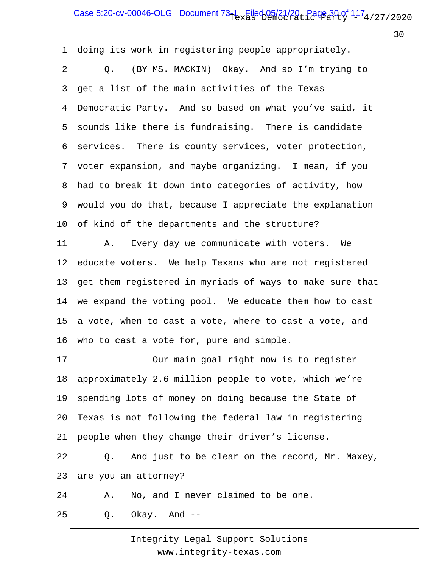# Case 5:20-cv-00046-OLG Document  $73-1$  Filed 05/21/20, Page 30 of  $117_4$ /27/2020

30

1 2 3 4 5 6 7 8 9 10 11 12 13 14 15 16 17 18 19 20 21 22 23 24 25 doing its work in registering people appropriately. Q. (BY MS. MACKIN) Okay. And so I'm trying to get a list of the main activities of the Texas Democratic Party. And so based on what you've said, it sounds like there is fundraising. There is candidate services. There is county services, voter protection, voter expansion, and maybe organizing. I mean, if you had to break it down into categories of activity, how would you do that, because I appreciate the explanation of kind of the departments and the structure? A. Every day we communicate with voters. We educate voters. We help Texans who are not registered get them registered in myriads of ways to make sure that we expand the voting pool. We educate them how to cast a vote, when to cast a vote, where to cast a vote, and who to cast a vote for, pure and simple. Our main goal right now is to register approximately 2.6 million people to vote, which we're spending lots of money on doing because the State of Texas is not following the federal law in registering people when they change their driver's license. Q. And just to be clear on the record, Mr. Maxey, are you an attorney? A. No, and I never claimed to be one. Q. Okay. And --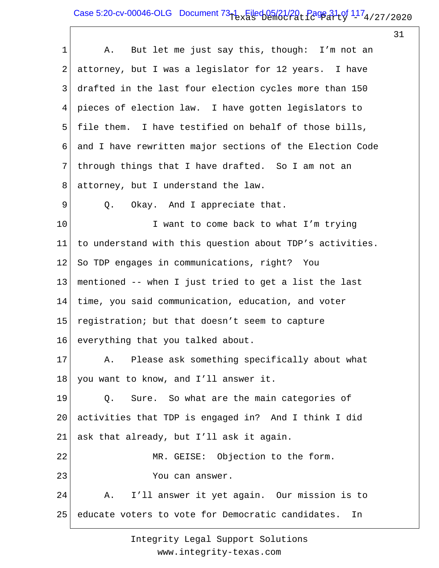## Case 5:20-cv-00046-OLG Document  $73-1$  Filed 05/21/20, Page 31 of  $117_4$ /27/2020

31

| $\mathbf 1$ | A. But let me just say this, though: I'm not an          |
|-------------|----------------------------------------------------------|
| 2           | attorney, but I was a legislator for 12 years. I have    |
| 3           | drafted in the last four election cycles more than 150   |
| 4           | pieces of election law. I have gotten legislators to     |
| 5           | file them. I have testified on behalf of those bills,    |
| 6           | and I have rewritten major sections of the Election Code |
| 7           | through things that I have drafted. So I am not an       |
| 8           | attorney, but I understand the law.                      |
| 9           | Okay. And I appreciate that.<br>Q.                       |
| 10          | I want to come back to what I'm trying                   |
| 11          | to understand with this question about TDP's activities. |
| 12          | So TDP engages in communications, right? You             |
| 13          | mentioned -- when I just tried to get a list the last    |
| 14          | time, you said communication, education, and voter       |
| 15          | registration; but that doesn't seem to capture           |
| 16          | everything that you talked about.                        |
| 17          | A. Please ask something specifically about what          |
| 18          | you want to know, and I'll answer it.                    |
| 19          | Sure. So what are the main categories of<br>Q.           |
| 20          | activities that TDP is engaged in? And I think I did     |
| 21          | ask that already, but I'll ask it again.                 |
| 22          | MR. GEISE: Objection to the form.                        |
| 23          | You can answer.                                          |
| 24          | A. I'll answer it yet again. Our mission is to           |
| 25          | educate voters to vote for Democratic candidates.<br>In  |
|             |                                                          |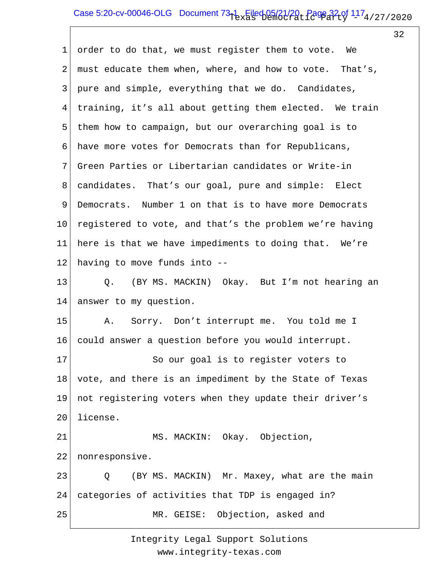## Case 5:20-cv-00046-OLG Document  $73-1$  Filed 05/21/20, Page 32 of  $117_4$ /27/2020

32

1 2 3 4 5 6 7 8 9 10 11 12 13 14 15 16 17 18 19 20 21 22 23 24 25 order to do that, we must register them to vote. We must educate them when, where, and how to vote. That's, pure and simple, everything that we do. Candidates, training, it's all about getting them elected. We train them how to campaign, but our overarching goal is to have more votes for Democrats than for Republicans, Green Parties or Libertarian candidates or Write-in candidates. That's our goal, pure and simple: Elect Democrats. Number 1 on that is to have more Democrats registered to vote, and that's the problem we're having here is that we have impediments to doing that. We're having to move funds into -- Q. (BY MS. MACKIN) Okay. But I'm not hearing an answer to my question. A. Sorry. Don't interrupt me. You told me I could answer a question before you would interrupt. So our goal is to register voters to vote, and there is an impediment by the State of Texas not registering voters when they update their driver's license. MS. MACKIN: Okay. Objection, nonresponsive. Q (BY MS. MACKIN) Mr. Maxey, what are the main categories of activities that TDP is engaged in? MR. GEISE: Objection, asked and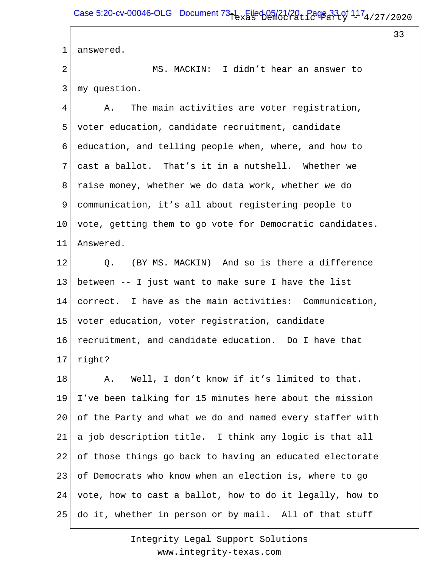33

1 answered.

2 3 MS. MACKIN: I didn't hear an answer to my question.

4 5 6 7 8 9 10 11 A. The main activities are voter registration, voter education, candidate recruitment, candidate education, and telling people when, where, and how to cast a ballot. That's it in a nutshell. Whether we raise money, whether we do data work, whether we do communication, it's all about registering people to vote, getting them to go vote for Democratic candidates. Answered.

12 13 14 15 16 17 Q. (BY MS. MACKIN) And so is there a difference between -- I just want to make sure I have the list correct. I have as the main activities: Communication, voter education, voter registration, candidate recruitment, and candidate education. Do I have that right?

18 19 20 21 22 23 24 25 A. Well, I don't know if it's limited to that. I've been talking for 15 minutes here about the mission of the Party and what we do and named every staffer with a job description title. I think any logic is that all of those things go back to having an educated electorate of Democrats who know when an election is, where to go vote, how to cast a ballot, how to do it legally, how to do it, whether in person or by mail. All of that stuff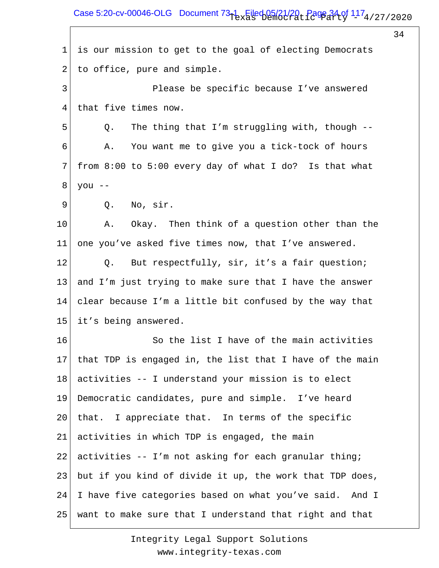Case 5:20-cv-00046-OLG Document  $73-1$  Filed 05/21/20, Page 34 of  $117_4$ /27/2020

34

1 2 3 4 5 6 7 8 9 10 11 12 13 14 15 16 17 18 19 20 21 22 23 24 25 is our mission to get to the goal of electing Democrats to office, pure and simple. Please be specific because I've answered that five times now. Q. The thing that I'm struggling with, though -- A. You want me to give you a tick-tock of hours from 8:00 to 5:00 every day of what I do? Is that what you -- Q. No, sir. A. Okay. Then think of a question other than the one you've asked five times now, that I've answered. Q. But respectfully, sir, it's a fair question; and I'm just trying to make sure that I have the answer clear because I'm a little bit confused by the way that it's being answered. So the list I have of the main activities that TDP is engaged in, the list that I have of the main activities -- I understand your mission is to elect Democratic candidates, pure and simple. I've heard that. I appreciate that. In terms of the specific activities in which TDP is engaged, the main activities -- I'm not asking for each granular thing; but if you kind of divide it up, the work that TDP does, I have five categories based on what you've said. And I want to make sure that I understand that right and that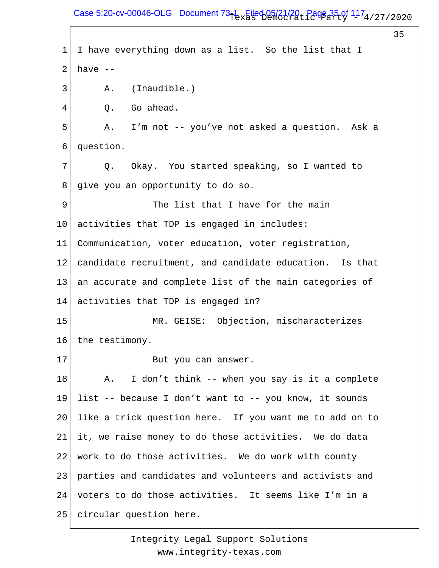### Case 5:20-cv-00046-OLG Document  $73-1$  Filed 05/21/20, Page 35 of  $117_4$ /27/2020

35

1 2 3 4 5 6 7 8 9 10 11 12 13 14 15 16 17 18 19 20 21 22 23 24 25 I have everything down as a list. So the list that I have -- A. (Inaudible.) Q. Go ahead. A. I'm not -- you've not asked a question. Ask a question. Q. Okay. You started speaking, so I wanted to give you an opportunity to do so. The list that I have for the main activities that TDP is engaged in includes: Communication, voter education, voter registration, candidate recruitment, and candidate education. Is that an accurate and complete list of the main categories of activities that TDP is engaged in? MR. GEISE: Objection, mischaracterizes the testimony. But you can answer. A. I don't think -- when you say is it a complete list -- because I don't want to -- you know, it sounds like a trick question here. If you want me to add on to it, we raise money to do those activities. We do data work to do those activities. We do work with county parties and candidates and volunteers and activists and voters to do those activities. It seems like I'm in a circular question here.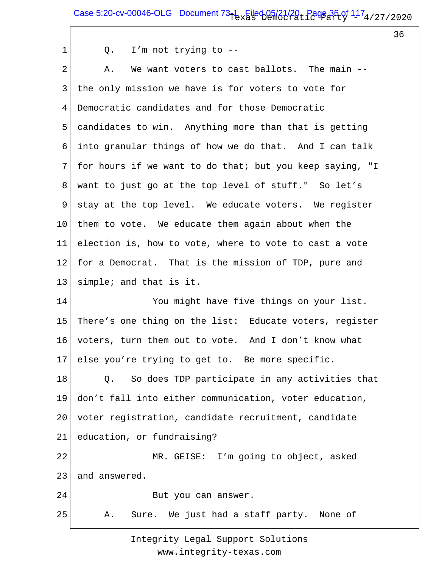# Case 5:20-cv-00046-OLG Document  $73-1$  Filed 05/21/20, Page 36 of  $117_4$ /27/2020

36

|  |  |  | I'm not trying to $-$ - |  |  |
|--|--|--|-------------------------|--|--|
|--|--|--|-------------------------|--|--|

1

| $\overline{2}$ | We want voters to cast ballots. The main --<br>Α.        |
|----------------|----------------------------------------------------------|
| 3              | the only mission we have is for voters to vote for       |
| 4              | Democratic candidates and for those Democratic           |
| 5              | candidates to win. Anything more than that is getting    |
| 6              | into granular things of how we do that. And I can talk   |
| 7              | for hours if we want to do that; but you keep saying, "I |
| 8              | want to just go at the top level of stuff." So let's     |
| 9              | stay at the top level. We educate voters. We register    |
| $10 \,$        | them to vote. We educate them again about when the       |
| 11             | election is, how to vote, where to vote to cast a vote   |
| 12             | for a Democrat. That is the mission of TDP, pure and     |
| 13             | simple; and that is it.                                  |
| 14             | You might have five things on your list.                 |
| 15             | There's one thing on the list: Educate voters, register  |
| 16             | voters, turn them out to vote. And I don't know what     |
| 17             | else you're trying to get to. Be more specific.          |
| 18             | Q. So does TDP participate in any activities that        |
| 19             | don't fall into either communication, voter education,   |
| 20             | voter registration, candidate recruitment, candidate     |
| 21             | education, or fundraising?                               |
| 22             | MR. GEISE: I'm going to object, asked                    |
| 23             | and answered.                                            |
| 24             | But you can answer.                                      |
| 25             | Sure. We just had a staff party. None of<br>Α.           |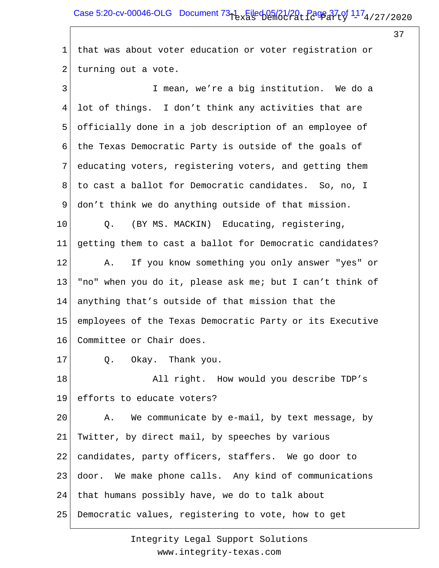# Case 5:20-cv-00046-OLG Document  $73-1$  Filed 05/21/20, Page 37 of  $117_4$ /27/2020

37

1 that was about voter education or voter registration or 2 turning out a vote.

| 3  | I mean, we're a big institution. We do a                 |
|----|----------------------------------------------------------|
| 4  | lot of things. I don't think any activities that are     |
| 5  | officially done in a job description of an employee of   |
| 6  | the Texas Democratic Party is outside of the goals of    |
| 7  | educating voters, registering voters, and getting them   |
| 8  | to cast a ballot for Democratic candidates. So, no, I    |
| 9  | don't think we do anything outside of that mission.      |
| 10 | (BY MS. MACKIN) Educating, registering,<br>$Q$ .         |
| 11 | getting them to cast a ballot for Democratic candidates? |
| 12 | If you know something you only answer "yes" or<br>A.     |
| 13 | "no" when you do it, please ask me; but I can't think of |
| 14 | anything that's outside of that mission that the         |
| 15 | employees of the Texas Democratic Party or its Executive |
| 16 | Committee or Chair does.                                 |
| 17 | Q.<br>Okay. Thank you.                                   |
| 18 | All right. How would you describe TDP's                  |
| 19 | efforts to educate voters?                               |
| 20 | We communicate by e-mail, by text message, by<br>Α.      |
| 21 | Twitter, by direct mail, by speeches by various          |
| 22 | candidates, party officers, staffers. We go door to      |
| 23 | door. We make phone calls. Any kind of communications    |
| 24 | that humans possibly have, we do to talk about           |
| 25 | Democratic values, registering to vote, how to get       |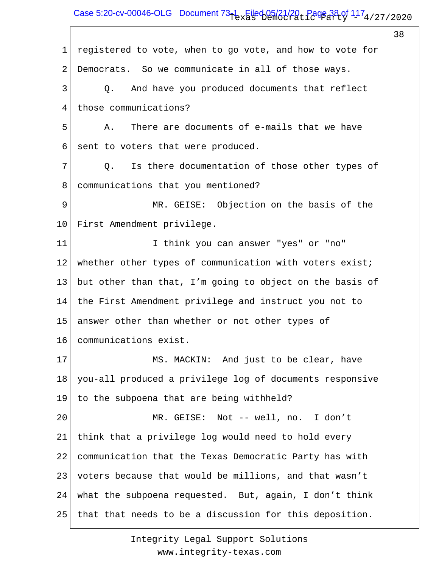# Case 5:20-cv-00046-OLG Document  $73-1$  Filed 05/21/20, Page 38 of  $117_4$ /27/2020

38

1 2 3 4 5 6 7 8 9 10 11 12 13 14 15 16 17 18 19 20 21 22 23 24 25 registered to vote, when to go vote, and how to vote for Democrats. So we communicate in all of those ways. Q. And have you produced documents that reflect those communications? A. There are documents of e-mails that we have sent to voters that were produced. Q. Is there documentation of those other types of communications that you mentioned? MR. GEISE: Objection on the basis of the First Amendment privilege. I think you can answer "yes" or "no" whether other types of communication with voters exist; but other than that, I'm going to object on the basis of the First Amendment privilege and instruct you not to answer other than whether or not other types of communications exist. MS. MACKIN: And just to be clear, have you-all produced a privilege log of documents responsive to the subpoena that are being withheld? MR. GEISE: Not -- well, no. I don't think that a privilege log would need to hold every communication that the Texas Democratic Party has with voters because that would be millions, and that wasn't what the subpoena requested. But, again, I don't think that that needs to be a discussion for this deposition.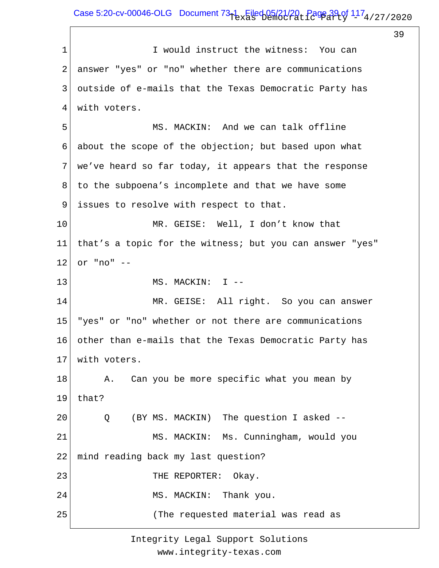## Case 5:20-cv-00046-OLG Document  $73-1$  Filed 05/21/20, Page 39 of  $117_4$ /27/2020

39

1 2 3 4 5 6 7 8 9 10 11 12 13 14 15 16 17 18 19 20 21 22 23 24 25 I would instruct the witness: You can answer "yes" or "no" whether there are communications outside of e-mails that the Texas Democratic Party has with voters. MS. MACKIN: And we can talk offline about the scope of the objection; but based upon what we've heard so far today, it appears that the response to the subpoena's incomplete and that we have some issues to resolve with respect to that. MR. GEISE: Well, I don't know that that's a topic for the witness; but you can answer "yes" or "no" -- MS. MACKIN: I -- MR. GEISE: All right. So you can answer "yes" or "no" whether or not there are communications other than e-mails that the Texas Democratic Party has with voters. A. Can you be more specific what you mean by that? Q (BY MS. MACKIN) The question I asked -- MS. MACKIN: Ms. Cunningham, would you mind reading back my last question? THE REPORTER: Okay. MS. MACKIN: Thank you. (The requested material was read as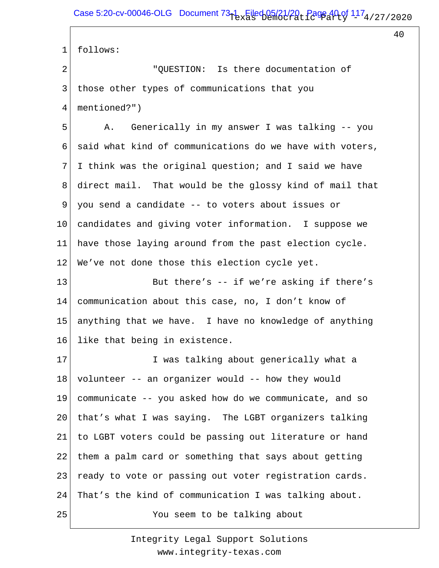40

1 2 3 4 5 6 7 8 9 10 11 12 13 14 15 16 17 18 19 20 21 22 23 24 25 follows: "QUESTION: Is there documentation of those other types of communications that you mentioned?") A. Generically in my answer I was talking -- you said what kind of communications do we have with voters, I think was the original question; and I said we have direct mail. That would be the glossy kind of mail that you send a candidate -- to voters about issues or candidates and giving voter information. I suppose we have those laying around from the past election cycle. We've not done those this election cycle yet. But there's -- if we're asking if there's communication about this case, no, I don't know of anything that we have. I have no knowledge of anything like that being in existence. I was talking about generically what a volunteer -- an organizer would -- how they would communicate -- you asked how do we communicate, and so that's what I was saying. The LGBT organizers talking to LGBT voters could be passing out literature or hand them a palm card or something that says about getting ready to vote or passing out voter registration cards. That's the kind of communication I was talking about. You seem to be talking about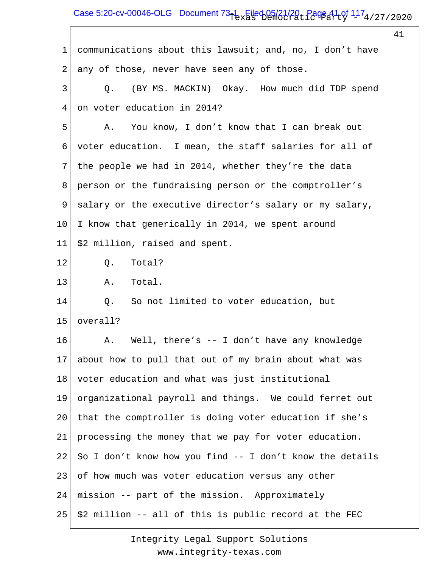# Case 5:20-cv-00046-OLG Document  $73-1$  Filed 05/21/20, Page 41 of  $117_4$ /27/2020

|    |                                                          | 41 |
|----|----------------------------------------------------------|----|
| 1  | communications about this lawsuit; and, no, I don't have |    |
| 2  | any of those, never have seen any of those.              |    |
| 3  | (BY MS. MACKIN) Okay. How much did TDP spend<br>Q.       |    |
| 4  | on voter education in 2014?                              |    |
| 5  | You know, I don't know that I can break out<br>Α.        |    |
| 6  | voter education. I mean, the staff salaries for all of   |    |
| 7  | the people we had in 2014, whether they're the data      |    |
| 8  | person or the fundraising person or the comptroller's    |    |
| 9  | salary or the executive director's salary or my salary,  |    |
| 10 | I know that generically in 2014, we spent around         |    |
| 11 | \$2 million, raised and spent.                           |    |
| 12 | Total?<br>Q.                                             |    |
| 13 | Total.<br>Α.                                             |    |
| 14 | So not limited to voter education, but<br>Q.             |    |
| 15 | overall?                                                 |    |
| 16 | Well, there's $-$ I don't have any knowledge<br>Α.       |    |
| 17 | about how to pull that out of my brain about what was    |    |
| 18 | voter education and what was just institutional          |    |
| 19 | organizational payroll and things. We could ferret out   |    |
| 20 | that the comptroller is doing voter education if she's   |    |
| 21 | processing the money that we pay for voter education.    |    |
| 22 | So I don't know how you find -- I don't know the details |    |
| 23 | of how much was voter education versus any other         |    |
| 24 | mission -- part of the mission. Approximately            |    |
| 25 | \$2 million -- all of this is public record at the FEC   |    |
|    |                                                          |    |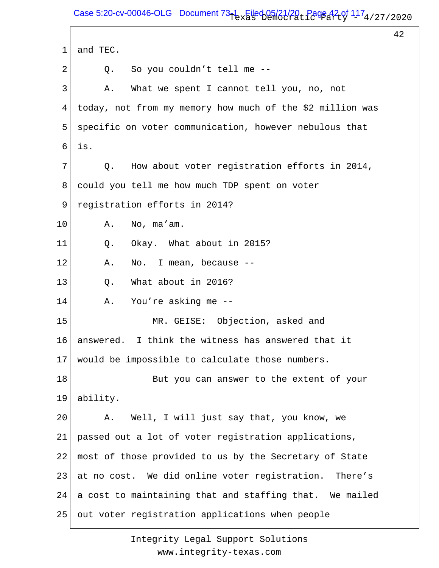Case 5:20-cv-00046-OLG Document  $73-1$  Filed 05/21/20, Page 42 of  $117_4$ /27/2020

42 1 2 3 4 5 6 7 8 9 10 11 12 13 14 15 16 17 18 19 20 21 22 23 24 25 and TEC. Q. So you couldn't tell me -- A. What we spent I cannot tell you, no, not today, not from my memory how much of the \$2 million was specific on voter communication, however nebulous that is. Q. How about voter registration efforts in 2014, could you tell me how much TDP spent on voter registration efforts in 2014? A. No, ma'am. Q. Okay. What about in 2015? A. No. I mean, because -- Q. What about in 2016? A. You're asking me -- MR. GEISE: Objection, asked and answered. I think the witness has answered that it would be impossible to calculate those numbers. But you can answer to the extent of your ability. A. Well, I will just say that, you know, we passed out a lot of voter registration applications, most of those provided to us by the Secretary of State at no cost. We did online voter registration. There's a cost to maintaining that and staffing that. We mailed out voter registration applications when people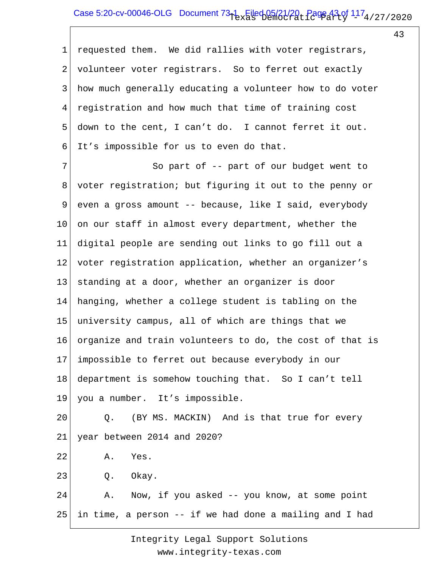### Case 5:20-cv-00046-OLG Document  $73-1$  Filed 05/21/20, Page 43 of  $117_4$ /27/2020

43

1 2 3 4 5 6 requested them. We did rallies with voter registrars, volunteer voter registrars. So to ferret out exactly how much generally educating a volunteer how to do voter registration and how much that time of training cost down to the cent, I can't do. I cannot ferret it out. It's impossible for us to even do that.

7 8 9 10 11 12 13 14 15 16 17 18 19 20 21 So part of -- part of our budget went to voter registration; but figuring it out to the penny or even a gross amount -- because, like I said, everybody on our staff in almost every department, whether the digital people are sending out links to go fill out a voter registration application, whether an organizer's standing at a door, whether an organizer is door hanging, whether a college student is tabling on the university campus, all of which are things that we organize and train volunteers to do, the cost of that is impossible to ferret out because everybody in our department is somehow touching that. So I can't tell you a number. It's impossible. Q. (BY MS. MACKIN) And is that true for every year between 2014 and 2020?

- 22 A. Yes.
- 23 Q. Okay.

24 25 A. Now, if you asked -- you know, at some point in time, a person -- if we had done a mailing and I had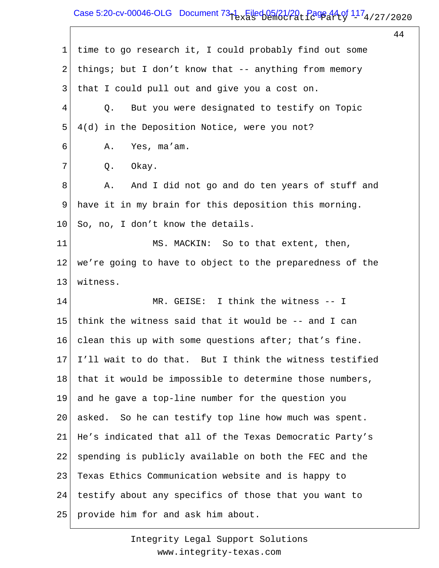# Case 5:20-cv-00046-OLG Document  $73-1$  Filed 05/21/20, Page 44 of  $117_4$ /27/2020

44

1 2 3 4 5 6 7 8 9 10 11 12 13 14 15 16 17 18 19 20 21 22 23 24 25 time to go research it, I could probably find out some things; but I don't know that -- anything from memory that I could pull out and give you a cost on. Q. But you were designated to testify on Topic 4(d) in the Deposition Notice, were you not? A. Yes, ma'am. Q. Okay. A. And I did not go and do ten years of stuff and have it in my brain for this deposition this morning. So, no, I don't know the details. MS. MACKIN: So to that extent, then, we're going to have to object to the preparedness of the witness. MR. GEISE: I think the witness -- I think the witness said that it would be -- and I can clean this up with some questions after; that's fine. I'll wait to do that. But I think the witness testified that it would be impossible to determine those numbers, and he gave a top-line number for the question you asked. So he can testify top line how much was spent. He's indicated that all of the Texas Democratic Party's spending is publicly available on both the FEC and the Texas Ethics Communication website and is happy to testify about any specifics of those that you want to provide him for and ask him about.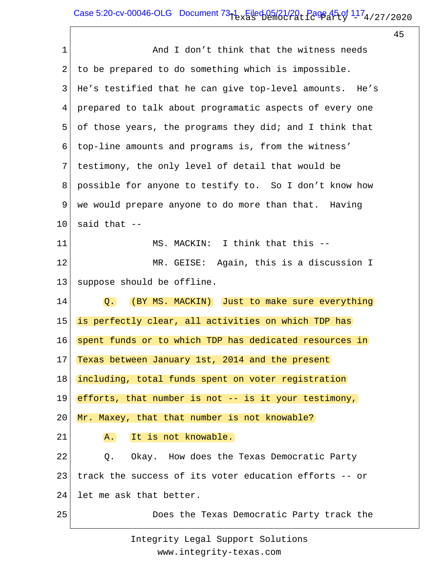# Case 5:20-cv-00046-OLG Document  $73-1$  Filed 05/21/20, Page 45 of  $117_4$ /27/2020

45

| $\mathbf 1$ | And I don't think that the witness needs                |
|-------------|---------------------------------------------------------|
| 2           | to be prepared to do something which is impossible.     |
| 3           | He's testified that he can give top-level amounts. He's |
| 4           | prepared to talk about programatic aspects of every one |
| 5           | of those years, the programs they did; and I think that |
| 6           | top-line amounts and programs is, from the witness'     |
| 7           | testimony, the only level of detail that would be       |
| 8           | possible for anyone to testify to. So I don't know how  |
| 9           | we would prepare anyone to do more than that. Having    |
| 10          | said that $--$                                          |
| 11          | MS. MACKIN: I think that this --                        |
| 12          | Again, this is a discussion I<br>MR. GEISE:             |
| 13          | suppose should be offline.                              |
| 14          | Q. (BY MS. MACKIN) Just to make sure everything         |
| 15          | is perfectly clear, all activities on which TDP has     |
| 16          | spent funds or to which TDP has dedicated resources in  |
|             | 17 Texas between January 1st, 2014 and the present      |
| 18          | including, total funds spent on voter registration      |
| 19          | efforts, that number is not -- is it your testimony,    |
| 20          | Mr. Maxey, that that number is not knowable?            |
| 21          | It is not knowable.<br>A.                               |
| 22          | Q. Okay. How does the Texas Democratic Party            |
| 23          | track the success of its voter education efforts -- or  |
| 24          | let me ask that better.                                 |
| 25          | Does the Texas Democratic Party track the               |
|             |                                                         |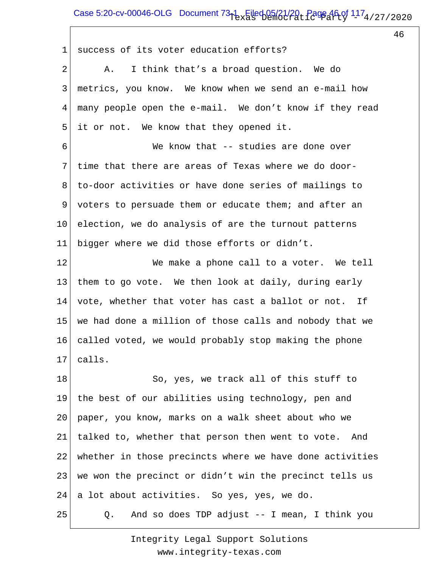## Case 5:20-cv-00046-OLG Document  $73-1$  Filed 05/21/20, Page 46 of  $117_4$ /27/2020

46

1 2 3 4 5 6 7 8 9 10 11 12 13 14 15 16 17 18 19 20 21 22 23 24 25 success of its voter education efforts? A. I think that's a broad question. We do metrics, you know. We know when we send an e-mail how many people open the e-mail. We don't know if they read it or not. We know that they opened it. We know that -- studies are done over time that there are areas of Texas where we do doorto-door activities or have done series of mailings to voters to persuade them or educate them; and after an election, we do analysis of are the turnout patterns bigger where we did those efforts or didn't. We make a phone call to a voter. We tell them to go vote. We then look at daily, during early vote, whether that voter has cast a ballot or not. If we had done a million of those calls and nobody that we called voted, we would probably stop making the phone calls. So, yes, we track all of this stuff to the best of our abilities using technology, pen and paper, you know, marks on a walk sheet about who we talked to, whether that person then went to vote. And whether in those precincts where we have done activities we won the precinct or didn't win the precinct tells us a lot about activities. So yes, yes, we do. Q. And so does TDP adjust -- I mean, I think you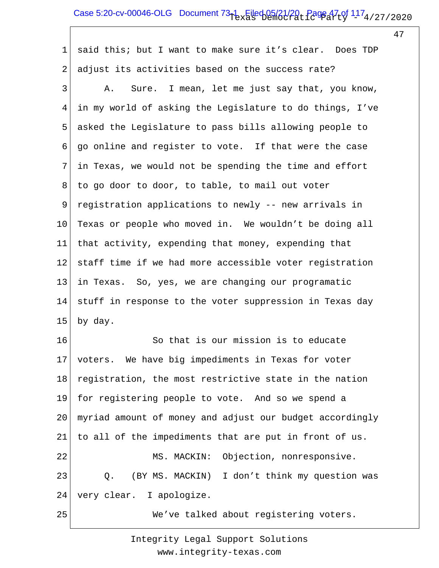# Case 5:20-cv-00046-OLG Document  $73-1$  Filed 05/21/20, Page 47 of  $117_4$ /27/2020

47

1 2 3 4 5 6 7 8 9 10 11 12 13 14 15 16 17 18 19 20 21 22 23 24 25 said this; but I want to make sure it's clear. Does TDP adjust its activities based on the success rate? A. Sure. I mean, let me just say that, you know, in my world of asking the Legislature to do things, I've asked the Legislature to pass bills allowing people to go online and register to vote. If that were the case in Texas, we would not be spending the time and effort to go door to door, to table, to mail out voter registration applications to newly -- new arrivals in Texas or people who moved in. We wouldn't be doing all that activity, expending that money, expending that staff time if we had more accessible voter registration in Texas. So, yes, we are changing our programatic stuff in response to the voter suppression in Texas day by day. So that is our mission is to educate voters. We have big impediments in Texas for voter registration, the most restrictive state in the nation for registering people to vote. And so we spend a myriad amount of money and adjust our budget accordingly to all of the impediments that are put in front of us. MS. MACKIN: Objection, nonresponsive. Q. (BY MS. MACKIN) I don't think my question was very clear. I apologize. We've talked about registering voters.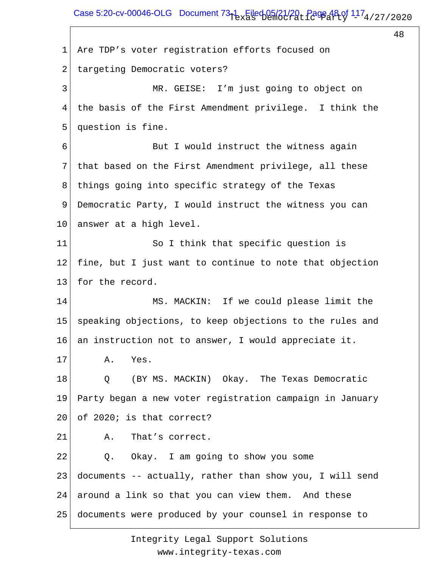Case 5:20-cv-00046-OLG Document  $73-1$  Filed 05/21/20, Page 48 of  $117_4$ /27/2020

48

1 2 3 4 5 6 7 8 9 10 11 12 13 14 15 16 17 18 19 20 21 22 23 24 25 Are TDP's voter registration efforts focused on targeting Democratic voters? MR. GEISE: I'm just going to object on the basis of the First Amendment privilege. I think the question is fine. But I would instruct the witness again that based on the First Amendment privilege, all these things going into specific strategy of the Texas Democratic Party, I would instruct the witness you can answer at a high level. So I think that specific question is fine, but I just want to continue to note that objection for the record. MS. MACKIN: If we could please limit the speaking objections, to keep objections to the rules and an instruction not to answer, I would appreciate it. A. Yes. Q (BY MS. MACKIN) Okay. The Texas Democratic Party began a new voter registration campaign in January of 2020; is that correct? A. That's correct. Q. Okay. I am going to show you some documents -- actually, rather than show you, I will send around a link so that you can view them. And these documents were produced by your counsel in response to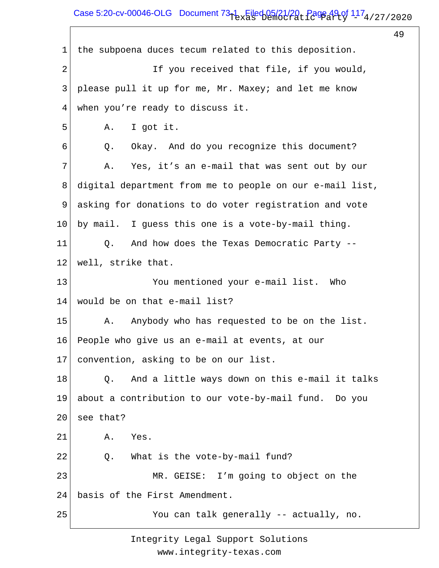# Case 5:20-cv-00046-OLG Document  $73-1$  Filed 05/21/20, Page 49 of  $117_4$ /27/2020

49

1 2 3 4 5 6 7 8 9 10 11 12 13 14 15 16 17 18 19 20 21 22 23 24 25 the subpoena duces tecum related to this deposition. If you received that file, if you would, please pull it up for me, Mr. Maxey; and let me know when you're ready to discuss it. A. I got it. Q. Okay. And do you recognize this document? A. Yes, it's an e-mail that was sent out by our digital department from me to people on our e-mail list, asking for donations to do voter registration and vote by mail. I guess this one is a vote-by-mail thing. Q. And how does the Texas Democratic Party - well, strike that. You mentioned your e-mail list. Who would be on that e-mail list? A. Anybody who has requested to be on the list. People who give us an e-mail at events, at our convention, asking to be on our list. Q. And a little ways down on this e-mail it talks about a contribution to our vote-by-mail fund. Do you see that? A. Yes. Q. What is the vote-by-mail fund? MR. GEISE: I'm going to object on the basis of the First Amendment. You can talk generally -- actually, no.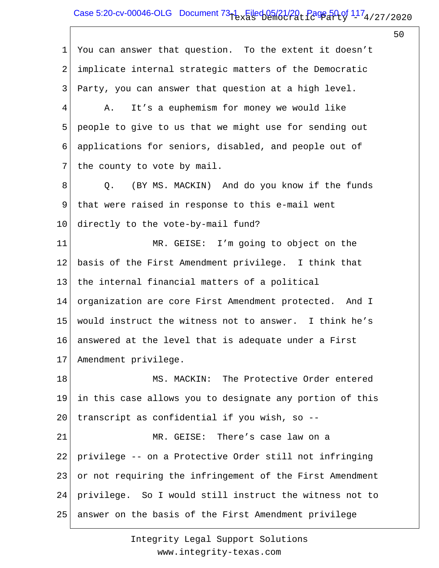# Case 5:20-cv-00046-OLG Document  $73-1$  Filed 05/21/20, Page 50 of  $117_4$ /27/2020

50

1 2 3 4 5 6 7 8 9 10 11 12 13 14 15 16 17 18 19 20 21 22 23 24 25 You can answer that question. To the extent it doesn't implicate internal strategic matters of the Democratic Party, you can answer that question at a high level. A. It's a euphemism for money we would like people to give to us that we might use for sending out applications for seniors, disabled, and people out of the county to vote by mail. Q. (BY MS. MACKIN) And do you know if the funds that were raised in response to this e-mail went directly to the vote-by-mail fund? MR. GEISE: I'm going to object on the basis of the First Amendment privilege. I think that the internal financial matters of a political organization are core First Amendment protected. And I would instruct the witness not to answer. I think he's answered at the level that is adequate under a First Amendment privilege. MS. MACKIN: The Protective Order entered in this case allows you to designate any portion of this transcript as confidential if you wish, so -- MR. GEISE: There's case law on a privilege -- on a Protective Order still not infringing or not requiring the infringement of the First Amendment privilege. So I would still instruct the witness not to answer on the basis of the First Amendment privilege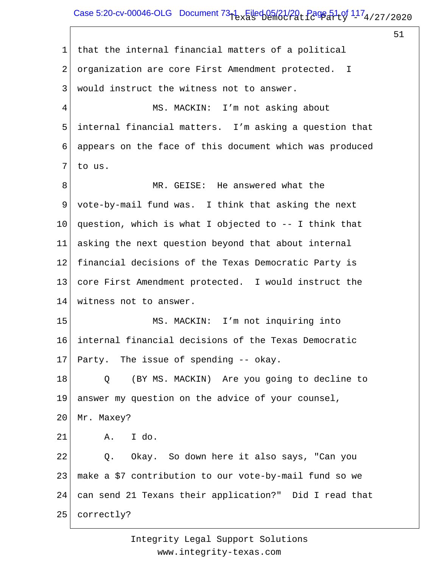### Case 5:20-cv-00046-OLG Document  $73-1$  Filed 05/21/20, Page 51 of  $117_4$ /27/2020

51

| that the internal financial matters of a political      |
|---------------------------------------------------------|
| organization are core First Amendment protected. I      |
| would instruct the witness not to answer.               |
| MS. MACKIN: I'm not asking about                        |
| internal financial matters. I'm asking a question that  |
| appears on the face of this document which was produced |
| to us.                                                  |
| MR. GEISE: He answered what the                         |
| vote-by-mail fund was. I think that asking the next     |
| question, which is what I objected to -- I think that   |
| asking the next question beyond that about internal     |
| financial decisions of the Texas Democratic Party is    |
| core First Amendment protected. I would instruct the    |
| witness not to answer.                                  |
| MS. MACKIN: I'm not inquiring into                      |
| internal financial decisions of the Texas Democratic    |
| Party. The issue of spending -- okay.                   |
| (BY MS. MACKIN) Are you going to decline to<br>Q        |
| answer my question on the advice of your counsel,       |
| Mr. Maxey?                                              |
| I do.<br>A.                                             |
| Q. Okay. So down here it also says, "Can you            |
| make a \$7 contribution to our vote-by-mail fund so we  |
| can send 21 Texans their application?" Did I read that  |
| correctly?                                              |
|                                                         |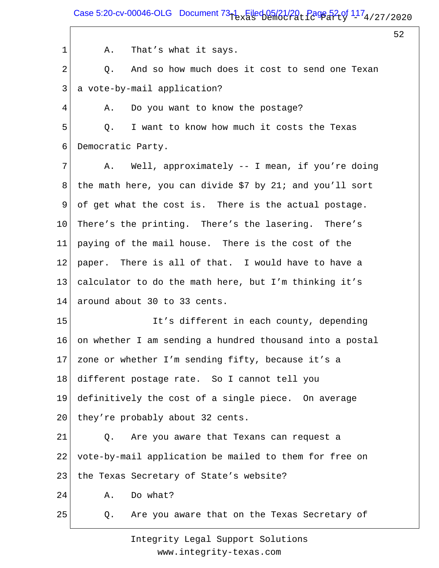Case 5:20-cv-00046-OLG Document  $73-1$  Filed 05/21/20, Page 52 of  $117_4$ /27/2020

52

1 2 3 4 5 6 7 8 9 10 11 12 13 14 15 16 17 18 19 20 21 22 23 24 25 A. That's what it says. Q. And so how much does it cost to send one Texan a vote-by-mail application? A. Do you want to know the postage? Q. I want to know how much it costs the Texas Democratic Party. A. Well, approximately -- I mean, if you're doing the math here, you can divide \$7 by 21; and you'll sort of get what the cost is. There is the actual postage. There's the printing. There's the lasering. There's paying of the mail house. There is the cost of the paper. There is all of that. I would have to have a calculator to do the math here, but I'm thinking it's around about 30 to 33 cents. It's different in each county, depending on whether I am sending a hundred thousand into a postal zone or whether I'm sending fifty, because it's a different postage rate. So I cannot tell you definitively the cost of a single piece. On average they're probably about 32 cents. Q. Are you aware that Texans can request a vote-by-mail application be mailed to them for free on the Texas Secretary of State's website? A. Do what? Q. Are you aware that on the Texas Secretary of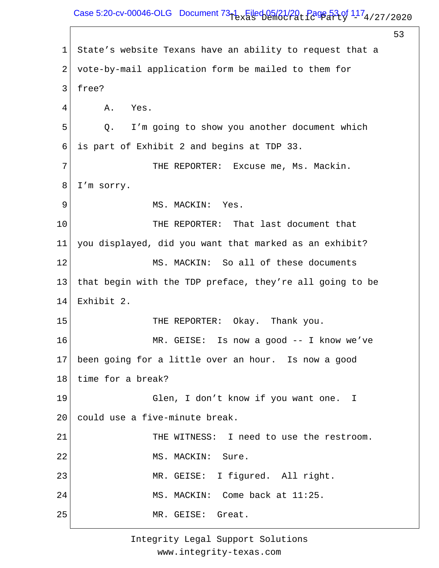# Case 5:20-cv-00046-OLG Document  $73-1$  Filed 05/21/20, Page 53 of  $117_4$ /27/2020

53

1 2 3 4 5 6 7 8 9 10 11 12 13 14 15 16 17 18 19 20 21 22 23 24 25 State's website Texans have an ability to request that a vote-by-mail application form be mailed to them for free? A. Yes. Q. I'm going to show you another document which is part of Exhibit 2 and begins at TDP 33. THE REPORTER: Excuse me, Ms. Mackin. I'm sorry. MS. MACKIN: Yes. THE REPORTER: That last document that you displayed, did you want that marked as an exhibit? MS. MACKIN: So all of these documents that begin with the TDP preface, they're all going to be Exhibit 2. THE REPORTER: Okay. Thank you. MR. GEISE: Is now a good -- I know we've been going for a little over an hour. Is now a good time for a break? Glen, I don't know if you want one. I could use a five-minute break. THE WITNESS: I need to use the restroom. MS. MACKIN: Sure. MR. GEISE: I figured. All right. MS. MACKIN: Come back at 11:25. MR. GEISE: Great.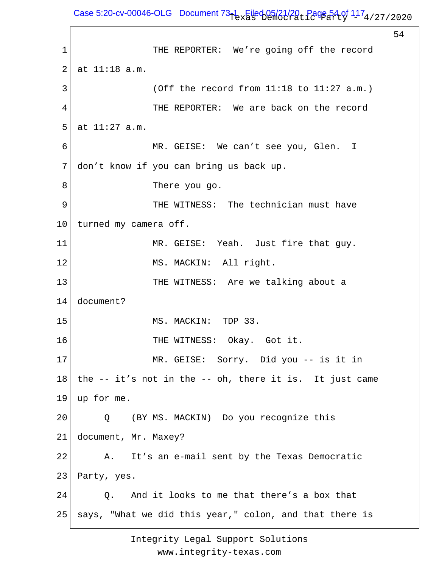Case 5:20-cv-00046-OLG Document  $73-1$  Filed 05/21/20, Page 54 of  $117_4$ /27/2020

54

1 2 3 4 5 6 7 8 9 10 11 12 13 14 15 16 17 18 19 20 21 22 23 24 25 THE REPORTER: We're going off the record at 11:18 a.m. (Off the record from  $11:18$  to  $11:27$  a.m.) THE REPORTER: We are back on the record at 11:27 a.m. MR. GEISE: We can't see you, Glen. I don't know if you can bring us back up. There you go. THE WITNESS: The technician must have turned my camera off. MR. GEISE: Yeah. Just fire that guy. MS. MACKIN: All right. THE WITNESS: Are we talking about a document? MS. MACKIN: TDP 33. THE WITNESS: Okay. Got it. MR. GEISE: Sorry. Did you -- is it in the -- it's not in the -- oh, there it is. It just came up for me. Q (BY MS. MACKIN) Do you recognize this document, Mr. Maxey? A. It's an e-mail sent by the Texas Democratic Party, yes. Q. And it looks to me that there's a box that says, "What we did this year," colon, and that there is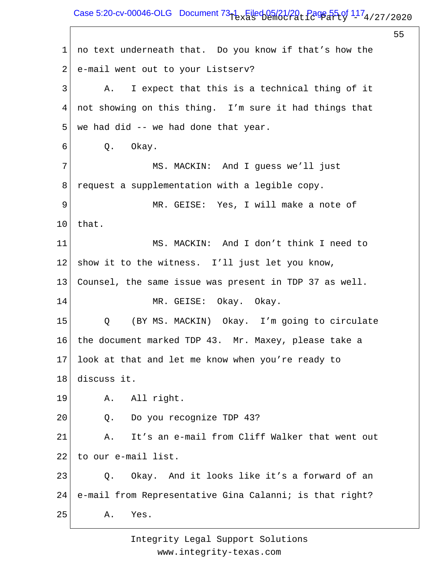# Case 5:20-cv-00046-OLG Document  $73-1$  Filed 05/21/20, Page 55 of  $117_4$ /27/2020

55 1 2 3 4 5 6 7 8 9 10 11 12 13 14 15 16 17 18 19 20 21 22 23 24 25 no text underneath that. Do you know if that's how the e-mail went out to your Listserv? A. I expect that this is a technical thing of it not showing on this thing. I'm sure it had things that we had did -- we had done that year. Q. Okay. MS. MACKIN: And I guess we'll just request a supplementation with a legible copy. MR. GEISE: Yes, I will make a note of that. MS. MACKIN: And I don't think I need to show it to the witness. I'll just let you know, Counsel, the same issue was present in TDP 37 as well. MR. GEISE: Okay. Okay. Q (BY MS. MACKIN) Okay. I'm going to circulate the document marked TDP 43. Mr. Maxey, please take a look at that and let me know when you're ready to discuss it. A. All right. Q. Do you recognize TDP 43? A. It's an e-mail from Cliff Walker that went out to our e-mail list. Q. Okay. And it looks like it's a forward of an e-mail from Representative Gina Calanni; is that right? A. Yes.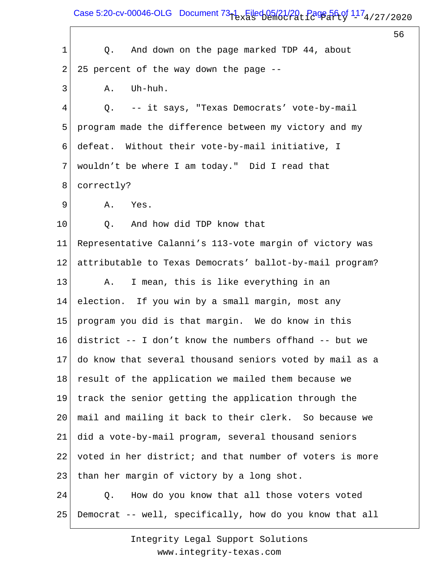Case 5:20-cv-00046-OLG Document  $73-1$  Filed 05/21/20, Page 56 of  $117_4$ /27/2020

 $\sqrt{ }$ 

56

| $\mathbf 1$    | Q. And down on the page marked TDP 44, about             |
|----------------|----------------------------------------------------------|
| $\overline{a}$ | 25 percent of the way down the page --                   |
| 3              | Uh-huh.<br>Α.                                            |
| 4              | -- it says, "Texas Democrats' vote-by-mail<br>Q.         |
| 5              | program made the difference between my victory and my    |
| 6              | defeat. Without their vote-by-mail initiative, I         |
| 7              | wouldn't be where I am today." Did I read that           |
| 8              | correctly?                                               |
| 9              | Yes.<br>Α.                                               |
| $10 \,$        | Q. And how did TDP know that                             |
| 11             | Representative Calanni's 113-vote margin of victory was  |
| 12             | attributable to Texas Democrats' ballot-by-mail program? |
| 13             | I mean, this is like everything in an<br>Α.              |
| 14             | election. If you win by a small margin, most any         |
| 15             | program you did is that margin. We do know in this       |
| 16             | district -- I don't know the numbers offhand -- but we   |
| 17             | do know that several thousand seniors voted by mail as a |
| 18             | result of the application we mailed them because we      |
| 19             | track the senior getting the application through the     |
| 20             | mail and mailing it back to their clerk. So because we   |
| 21             | did a vote-by-mail program, several thousand seniors     |
| 22             | voted in her district; and that number of voters is more |
| 23             | than her margin of victory by a long shot.               |
| 24             | How do you know that all those voters voted<br>Q.        |
| 25             | Democrat -- well, specifically, how do you know that all |
|                |                                                          |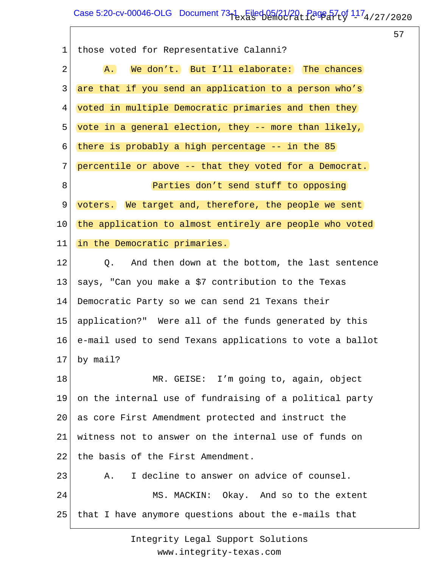# Case 5:20-cv-00046-OLG Document  $73-1$  Filed 05/21/20, Page 57 of  $117_4$ /27/2020

57

| $\mathbf 1$ | those voted for Representative Calanni?                  |
|-------------|----------------------------------------------------------|
| 2           | We don't. But I'll elaborate: The chances<br>A.          |
| 3           | are that if you send an application to a person who's    |
| 4           | voted in multiple Democratic primaries and then they     |
| 5           | vote in a general election, they -- more than likely,    |
| 6           | there is probably a high percentage $-$ in the 85        |
| 7           | percentile or above -- that they voted for a Democrat.   |
| 8           | Parties don't send stuff to opposing                     |
| 9           | voters. We target and, therefore, the people we sent     |
| 10          | the application to almost entirely are people who voted  |
| 11          | in the Democratic primaries.                             |
| 12          | Q.<br>And then down at the bottom, the last sentence     |
| 13          | says, "Can you make a \$7 contribution to the Texas      |
| 14          | Democratic Party so we can send 21 Texans their          |
| 15          | application?" Were all of the funds generated by this    |
| 16          | e-mail used to send Texans applications to vote a ballot |
| 17          | by mail?                                                 |
| 18          | MR. GEISE: I'm going to, again, object                   |
| 19          | on the internal use of fundraising of a political party  |
| 20          | as core First Amendment protected and instruct the       |
| 21          | witness not to answer on the internal use of funds on    |
| 22          | the basis of the First Amendment.                        |
| 23          | I decline to answer on advice of counsel.<br>Α.          |
| 24          | MS. MACKIN: Okay. And so to the extent                   |
| 25          | that I have anymore questions about the e-mails that     |
|             |                                                          |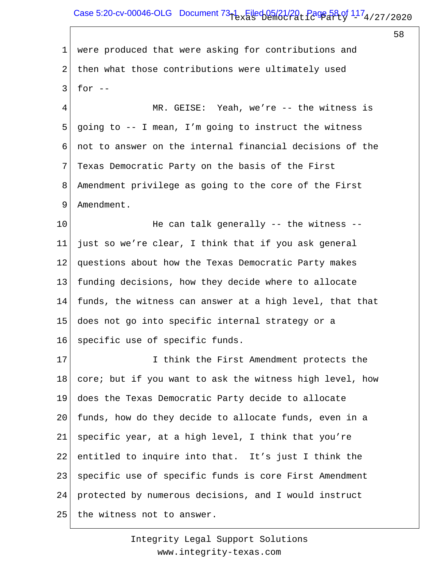### Case 5:20-cv-00046-OLG Document  $73-1$  Filed 05/21/20, Page 58 of  $117_4$ /27/2020

58

1 2 3 were produced that were asking for contributions and then what those contributions were ultimately used for  $--$ 

4 5 6 7 8 9 MR. GEISE: Yeah, we're -- the witness is going to -- I mean, I'm going to instruct the witness not to answer on the internal financial decisions of the Texas Democratic Party on the basis of the First Amendment privilege as going to the core of the First Amendment.

10 11 12 13 14 15 16 He can talk generally -- the witness - just so we're clear, I think that if you ask general questions about how the Texas Democratic Party makes funding decisions, how they decide where to allocate funds, the witness can answer at a high level, that that does not go into specific internal strategy or a specific use of specific funds.

17 18 19 20 21 22 23 24 25 I think the First Amendment protects the core; but if you want to ask the witness high level, how does the Texas Democratic Party decide to allocate funds, how do they decide to allocate funds, even in a specific year, at a high level, I think that you're entitled to inquire into that. It's just I think the specific use of specific funds is core First Amendment protected by numerous decisions, and I would instruct the witness not to answer.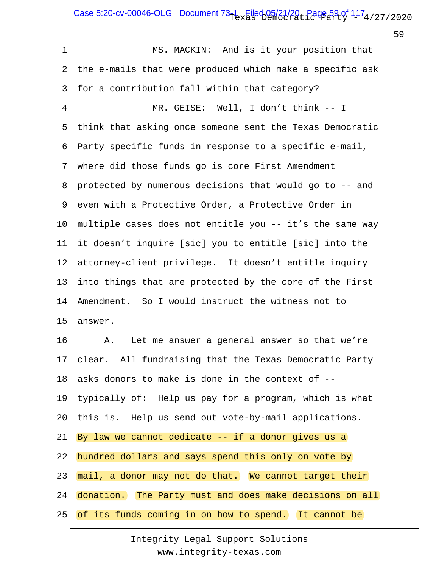# Case 5:20-cv-00046-OLG Document  $73-1$  Filed 05/21/20, Page 59 of  $117_4$ /27/2020

59

1 2 3 4 5 6 7 8 9 10 11 12 13 14 15 16 17 18 19 20 21 22 23 24 25 MS. MACKIN: And is it your position that the e-mails that were produced which make a specific ask for a contribution fall within that category? MR. GEISE: Well, I don't think -- I think that asking once someone sent the Texas Democratic Party specific funds in response to a specific e-mail, where did those funds go is core First Amendment protected by numerous decisions that would go to -- and even with a Protective Order, a Protective Order in multiple cases does not entitle you -- it's the same way it doesn't inquire [sic] you to entitle [sic] into the attorney-client privilege. It doesn't entitle inquiry into things that are protected by the core of the First Amendment. So I would instruct the witness not to answer. A. Let me answer a general answer so that we're clear. All fundraising that the Texas Democratic Party asks donors to make is done in the context of - typically of: Help us pay for a program, which is what this is. Help us send out vote-by-mail applications. By law we cannot dedicate  $--$  if a donor gives us a hundred dollars and says spend this only on vote by mail, a donor may not do that. We cannot target their donation. The Party must and does make decisions on all of its funds coming in on how to spend. It cannot be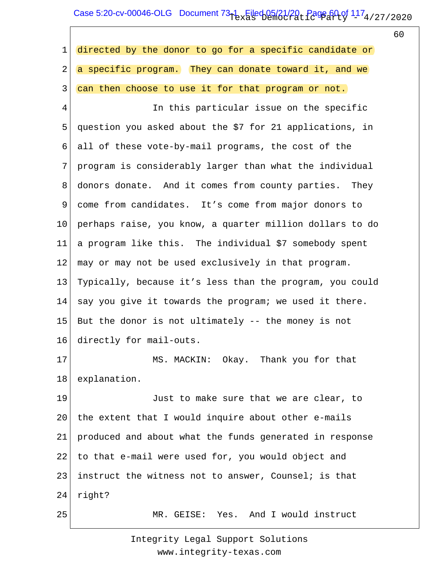# Case 5:20-cv-00046-OLG Document  $73-1$  Filed 05/21/20, Page 60 of  $117_4$ /27/2020

60

| $\mathbf 1$ | directed by the donor to go for a specific candidate or  |
|-------------|----------------------------------------------------------|
| 2           | a specific program. They can donate toward it, and we    |
| 3           | can then choose to use it for that program or not.       |
| 4           | In this particular issue on the specific                 |
| 5           | question you asked about the \$7 for 21 applications, in |
| 6           | all of these vote-by-mail programs, the cost of the      |
| 7           | program is considerably larger than what the individual  |
| 8           | donors donate. And it comes from county parties. They    |
| 9           | come from candidates. It's come from major donors to     |
| 10          | perhaps raise, you know, a quarter million dollars to do |
| 11          | a program like this. The individual \$7 somebody spent   |
| 12          | may or may not be used exclusively in that program.      |
| 13          | Typically, because it's less than the program, you could |
| 14          | say you give it towards the program; we used it there.   |
| 15          | But the donor is not ultimately -- the money is not      |
| 16          | directly for mail-outs.                                  |
| 17          | MS. MACKIN: Okay. Thank you for that                     |
| 18          | explanation.                                             |
| 19          | Just to make sure that we are clear, to                  |
| 20          | the extent that I would inquire about other e-mails      |
| 21          | produced and about what the funds generated in response  |
| 22          | to that e-mail were used for, you would object and       |
| 23          | instruct the witness not to answer, Counsel; is that     |
| 24          | right?                                                   |
| 25          | MR. GEISE: Yes. And I would instruct                     |
|             |                                                          |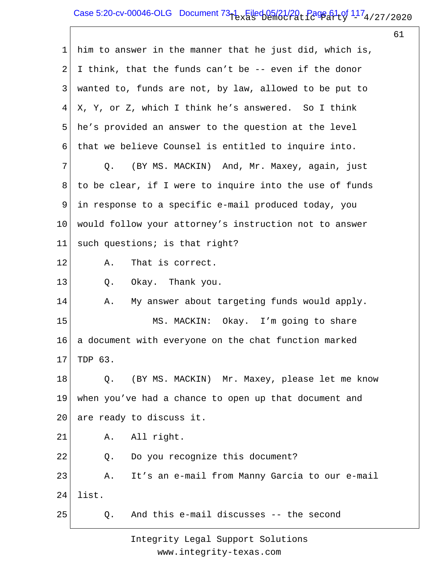# Case 5:20-cv-00046-OLG Document  $73-1$  Filed 05/21/20, Page 61 of  $117_4$ /27/2020

61

| $\mathbf 1$     | him to answer in the manner that he just did, which is, |
|-----------------|---------------------------------------------------------|
| $\overline{2}$  | I think, that the funds can't be -- even if the donor   |
| 3               | wanted to, funds are not, by law, allowed to be put to  |
| 4               | X, Y, or Z, which I think he's answered. So I think     |
| 5               | he's provided an answer to the question at the level    |
| 6               | that we believe Counsel is entitled to inquire into.    |
| 7               | (BY MS. MACKIN) And, Mr. Maxey, again, just<br>Q.       |
| 8               | to be clear, if I were to inquire into the use of funds |
| 9               | in response to a specific e-mail produced today, you    |
| 10 <sub>o</sub> | would follow your attorney's instruction not to answer  |
| 11 <sub>1</sub> | such questions; is that right?                          |
| 12              | Α.<br>That is correct.                                  |
| 13              | Okay. Thank you.<br>$Q$ .                               |
| 14              | My answer about targeting funds would apply.<br>Α.      |
| 15              | MS. MACKIN: Okay. I'm going to share                    |
| 16              | a document with everyone on the chat function marked    |
| 17              | TDP 63.                                                 |
| 18              | (BY MS. MACKIN) Mr. Maxey, please let me know<br>Q.     |
| 19              | when you've had a chance to open up that document and   |
| 20              | are ready to discuss it.                                |
| 21              | A. All right.                                           |
| 22              | Q.<br>Do you recognize this document?                   |
| 23              | It's an e-mail from Manny Garcia to our e-mail<br>Α.    |
| 24              | list.                                                   |
| 25              | And this e-mail discusses -- the second<br>Q.           |
|                 |                                                         |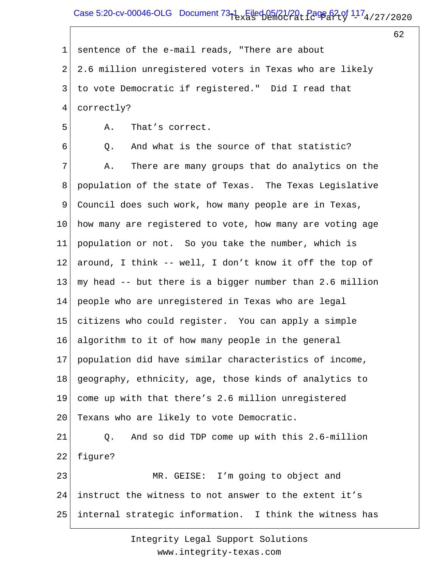## Case 5:20-cv-00046-OLG Document  $73-1$  Filed 05/21/20, Page 62 of  $117_4$ /27/2020

62

1 2 3 4 sentence of the e-mail reads, "There are about 2.6 million unregistered voters in Texas who are likely to vote Democratic if registered." Did I read that correctly?

A. That's correct.

5

6 7 8 9 10 11 12 13 14 15 16 17 18 19 20 21 22 23 24 Q. And what is the source of that statistic? A. There are many groups that do analytics on the population of the state of Texas. The Texas Legislative Council does such work, how many people are in Texas, how many are registered to vote, how many are voting age population or not. So you take the number, which is around, I think -- well, I don't know it off the top of my head -- but there is a bigger number than 2.6 million people who are unregistered in Texas who are legal citizens who could register. You can apply a simple algorithm to it of how many people in the general population did have similar characteristics of income, geography, ethnicity, age, those kinds of analytics to come up with that there's 2.6 million unregistered Texans who are likely to vote Democratic. Q. And so did TDP come up with this 2.6-million figure? MR. GEISE: I'm going to object and instruct the witness to not answer to the extent it's

25 internal strategic information. I think the witness has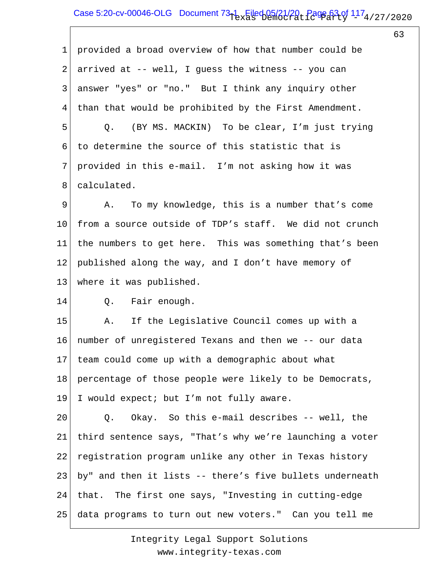## Case 5:20-cv-00046-OLG Document  $73-1$  Filed 05/21/20, Page 63 of  $117_4$ /27/2020

63

1 2 3 4 5 6 7 8 9 10 11 12 13 14 15 16 17 18 19 20 21 22 23 24 25 provided a broad overview of how that number could be arrived at -- well, I guess the witness -- you can answer "yes" or "no." But I think any inquiry other than that would be prohibited by the First Amendment. Q. (BY MS. MACKIN) To be clear, I'm just trying to determine the source of this statistic that is provided in this e-mail. I'm not asking how it was calculated. A. To my knowledge, this is a number that's come from a source outside of TDP's staff. We did not crunch the numbers to get here. This was something that's been published along the way, and I don't have memory of where it was published. Q. Fair enough. A. If the Legislative Council comes up with a number of unregistered Texans and then we -- our data team could come up with a demographic about what percentage of those people were likely to be Democrats, I would expect; but I'm not fully aware. Q. Okay. So this e-mail describes -- well, the third sentence says, "That's why we're launching a voter registration program unlike any other in Texas history by" and then it lists -- there's five bullets underneath that. The first one says, "Investing in cutting-edge data programs to turn out new voters." Can you tell me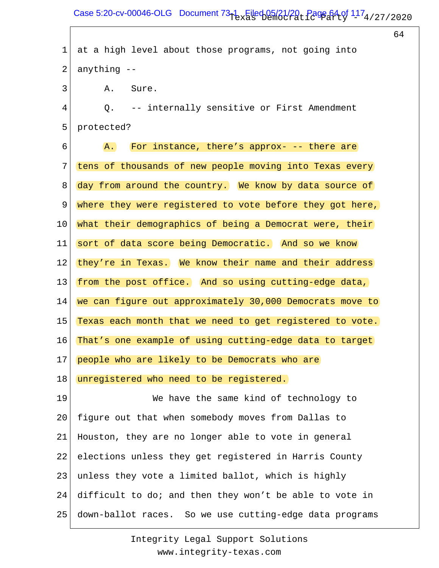## Case 5:20-cv-00046-OLG Document  $73-1$  Filed 05/21/20, Page 64 of  $117_4$ /27/2020

64

1 2 3 4 5 6 7 8 9 10 11 12 13 14 15 16 17 18 19 20 21 22 23 24 25 at a high level about those programs, not going into anything -- A. Sure. Q. -- internally sensitive or First Amendment protected? A. For instance, there's approx- -- there are tens of thousands of new people moving into Texas every day from around the country. We know by data source of where they were registered to vote before they got here, what their demographics of being a Democrat were, their sort of data score being Democratic. And so we know they're in Texas. We know their name and their address from the post office. And so using cutting-edge data, we can figure out approximately 30,000 Democrats move to Texas each month that we need to get registered to vote. That's one example of using cutting-edge data to target people who are likely to be Democrats who are unregistered who need to be registered. We have the same kind of technology to figure out that when somebody moves from Dallas to Houston, they are no longer able to vote in general elections unless they get registered in Harris County unless they vote a limited ballot, which is highly difficult to do; and then they won't be able to vote in down-ballot races. So we use cutting-edge data programs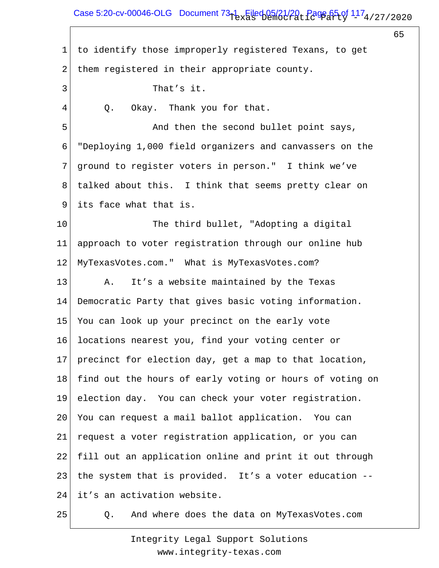# Case 5:20-cv-00046-OLG Document  $73-1$  Filed 05/21/20, Page 65 of  $117_4$ /27/2020

65

1 2 3 4 5 6 7 8 9 10 11 12 13 14 15 16 17 18 19 20 21 22 23 24 25 to identify those improperly registered Texans, to get them registered in their appropriate county. That's it. Q. Okay. Thank you for that. And then the second bullet point says, "Deploying 1,000 field organizers and canvassers on the ground to register voters in person." I think we've talked about this. I think that seems pretty clear on its face what that is. The third bullet, "Adopting a digital approach to voter registration through our online hub MyTexasVotes.com." What is MyTexasVotes.com? A. It's a website maintained by the Texas Democratic Party that gives basic voting information. You can look up your precinct on the early vote locations nearest you, find your voting center or precinct for election day, get a map to that location, find out the hours of early voting or hours of voting on election day. You can check your voter registration. You can request a mail ballot application. You can request a voter registration application, or you can fill out an application online and print it out through the system that is provided. It's a voter education - it's an activation website. Q. And where does the data on MyTexasVotes.com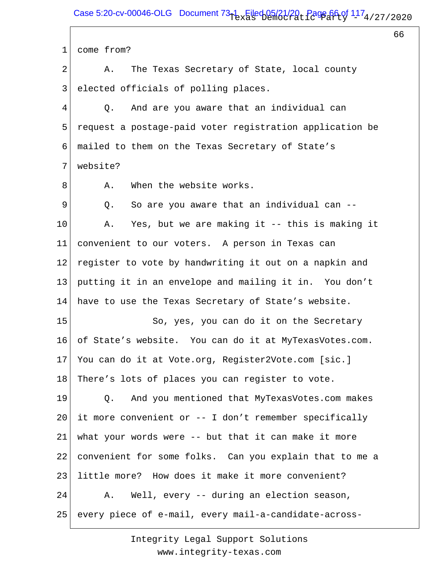Case 5:20-cv-00046-OLG Document  $73-1$  Filed 05/21/20, Page 66 of  $117_4$ /27/2020

66

1 2 3 4 5 6 7 8 9 10 11 12 13 14 15 16 17 18 19 20 21 22 23 24 25 come from? A. The Texas Secretary of State, local county elected officials of polling places. Q. And are you aware that an individual can request a postage-paid voter registration application be mailed to them on the Texas Secretary of State's website? A. When the website works. Q. So are you aware that an individual can -- A. Yes, but we are making it -- this is making it convenient to our voters. A person in Texas can register to vote by handwriting it out on a napkin and putting it in an envelope and mailing it in. You don't have to use the Texas Secretary of State's website. So, yes, you can do it on the Secretary of State's website. You can do it at MyTexasVotes.com. You can do it at Vote.org, Register2Vote.com [sic.] There's lots of places you can register to vote. Q. And you mentioned that MyTexasVotes.com makes it more convenient or -- I don't remember specifically what your words were -- but that it can make it more convenient for some folks. Can you explain that to me a little more? How does it make it more convenient? A. Well, every -- during an election season, every piece of e-mail, every mail-a-candidate-across-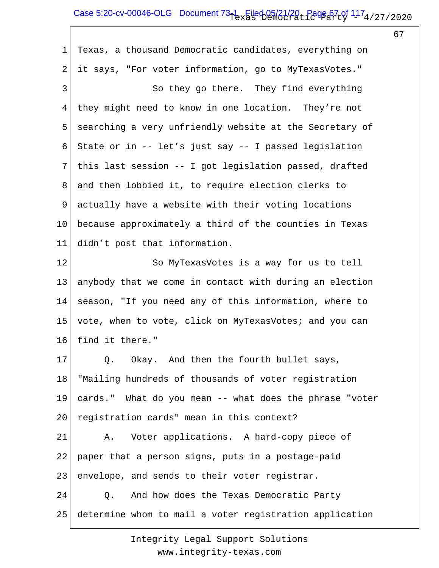# Case 5:20-cv-00046-OLG Document  $73-1$  Filed 05/21/20, Page 67 of  $117_4$ /27/2020

67

1 2 3 4 5 6 7 8 9 10 11 12 13 14 15 16 17 18 19 20 21 22 23 24 25 Texas, a thousand Democratic candidates, everything on it says, "For voter information, go to MyTexasVotes." So they go there. They find everything they might need to know in one location. They're not searching a very unfriendly website at the Secretary of State or in -- let's just say -- I passed legislation this last session -- I got legislation passed, drafted and then lobbied it, to require election clerks to actually have a website with their voting locations because approximately a third of the counties in Texas didn't post that information. So MyTexasVotes is a way for us to tell anybody that we come in contact with during an election season, "If you need any of this information, where to vote, when to vote, click on MyTexasVotes; and you can find it there." Q. Okay. And then the fourth bullet says, "Mailing hundreds of thousands of voter registration cards." What do you mean -- what does the phrase "voter registration cards" mean in this context? A. Voter applications. A hard-copy piece of paper that a person signs, puts in a postage-paid envelope, and sends to their voter registrar. Q. And how does the Texas Democratic Party determine whom to mail a voter registration application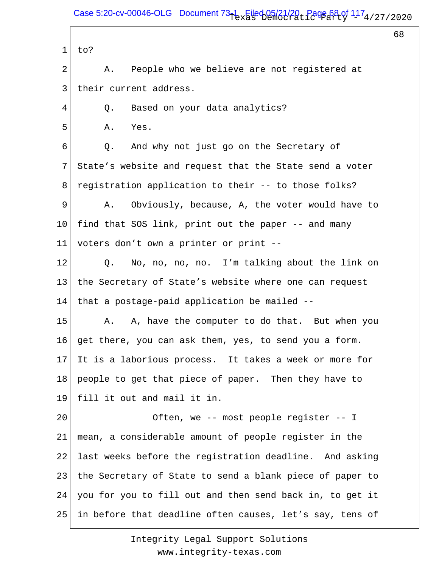68

```
1
to?
```
2 3 A. People who we believe are not registered at their current address.

4 Q. Based on your data analytics?

5 A. Yes.

6 7 8 Q. And why not just go on the Secretary of State's website and request that the State send a voter registration application to their -- to those folks?

9 10 11 A. Obviously, because, A, the voter would have to find that SOS link, print out the paper -- and many voters don't own a printer or print --

12 13 14 Q. No, no, no, no. I'm talking about the link on the Secretary of State's website where one can request that a postage-paid application be mailed --

15 16 17 18 19 A. A, have the computer to do that. But when you get there, you can ask them, yes, to send you a form. It is a laborious process. It takes a week or more for people to get that piece of paper. Then they have to fill it out and mail it in.

20 21 22 23 24 25 Often, we -- most people register -- I mean, a considerable amount of people register in the last weeks before the registration deadline. And asking the Secretary of State to send a blank piece of paper to you for you to fill out and then send back in, to get it in before that deadline often causes, let's say, tens of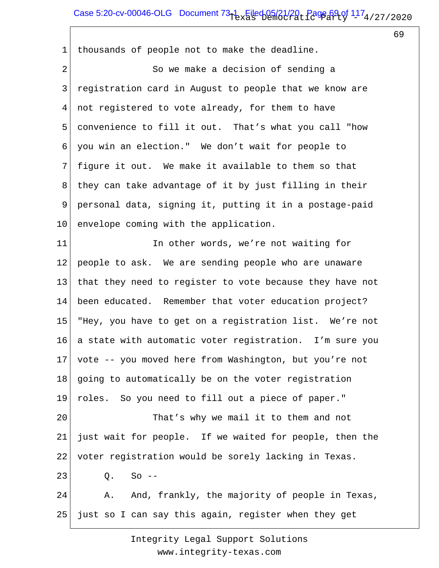# Case 5:20-cv-00046-OLG Document  $73-1$  Filed 05/21/20, Page 69 of  $117_4$ /27/2020

69

1 2 3 4 5 6 7 8 9 10 11 12 13 14 15 16 17 18 19 20 21 22 23 24 25 thousands of people not to make the deadline. So we make a decision of sending a registration card in August to people that we know are not registered to vote already, for them to have convenience to fill it out. That's what you call "how you win an election." We don't wait for people to figure it out. We make it available to them so that they can take advantage of it by just filling in their personal data, signing it, putting it in a postage-paid envelope coming with the application. In other words, we're not waiting for people to ask. We are sending people who are unaware that they need to register to vote because they have not been educated. Remember that voter education project? "Hey, you have to get on a registration list. We're not a state with automatic voter registration. I'm sure you vote -- you moved here from Washington, but you're not going to automatically be on the voter registration roles. So you need to fill out a piece of paper." That's why we mail it to them and not just wait for people. If we waited for people, then the voter registration would be sorely lacking in Texas. Q. So -- A. And, frankly, the majority of people in Texas, just so I can say this again, register when they get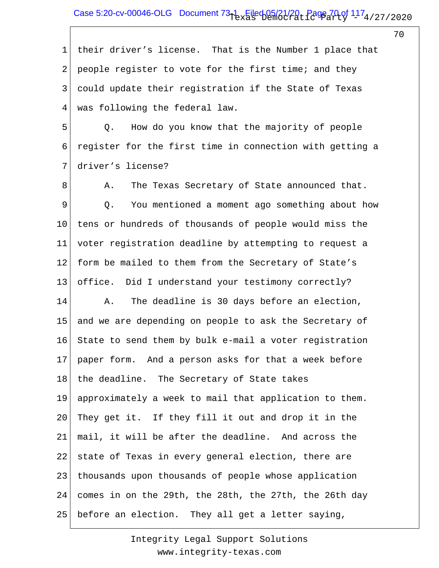## Case 5:20-cv-00046-OLG Document  $73-1$  Filed 05/21/20, Page 70 of  $117_4$ /27/2020

70

1 2 3 4 their driver's license. That is the Number 1 place that people register to vote for the first time; and they could update their registration if the State of Texas was following the federal law.

5 6 7 Q. How do you know that the majority of people register for the first time in connection with getting a driver's license?

8 9 10 11 12 13 14 15 16 17 18 19 20 21 22 23 24 25 A. The Texas Secretary of State announced that. Q. You mentioned a moment ago something about how tens or hundreds of thousands of people would miss the voter registration deadline by attempting to request a form be mailed to them from the Secretary of State's office. Did I understand your testimony correctly? A. The deadline is 30 days before an election, and we are depending on people to ask the Secretary of State to send them by bulk e-mail a voter registration paper form. And a person asks for that a week before the deadline. The Secretary of State takes approximately a week to mail that application to them. They get it. If they fill it out and drop it in the mail, it will be after the deadline. And across the state of Texas in every general election, there are thousands upon thousands of people whose application comes in on the 29th, the 28th, the 27th, the 26th day before an election. They all get a letter saying,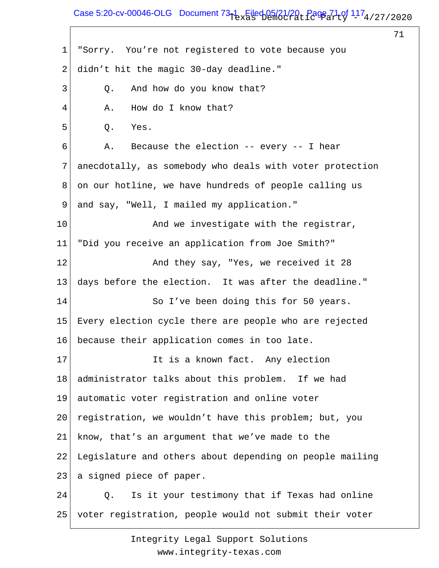### Case 5:20-cv-00046-OLG Document  $73-1$  Filed 05/21/20, Page 71 of  $117_4$ /27/2020

71

1 2 3 4 5 6 7 8 9 10 11 12 13 14 15 16 17 18 19 20 21 22 23 24 25 "Sorry. You're not registered to vote because you didn't hit the magic 30-day deadline." Q. And how do you know that? A. How do I know that? Q. Yes. A. Because the election -- every -- I hear anecdotally, as somebody who deals with voter protection on our hotline, we have hundreds of people calling us and say, "Well, I mailed my application." And we investigate with the registrar, "Did you receive an application from Joe Smith?" And they say, "Yes, we received it 28 days before the election. It was after the deadline." So I've been doing this for 50 years. Every election cycle there are people who are rejected because their application comes in too late. It is a known fact. Any election administrator talks about this problem. If we had automatic voter registration and online voter registration, we wouldn't have this problem; but, you know, that's an argument that we've made to the Legislature and others about depending on people mailing a signed piece of paper. Q. Is it your testimony that if Texas had online voter registration, people would not submit their voter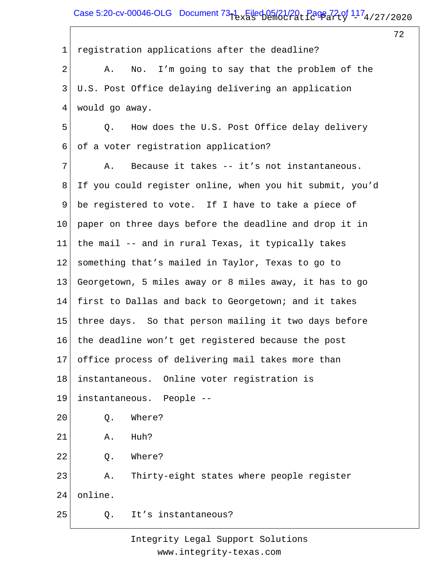# Case 5:20-cv-00046-OLG Document  $73-1$  Filed 05/21/20, Page 72 of  $117_4$ /27/2020

72

1 2 3 4 5 6 7 8 9 10 11 12 13 14 15 16 17 18 19 20 21 22 23 24 25 registration applications after the deadline? A. No. I'm going to say that the problem of the U.S. Post Office delaying delivering an application would go away. Q. How does the U.S. Post Office delay delivery of a voter registration application? A. Because it takes -- it's not instantaneous. If you could register online, when you hit submit, you'd be registered to vote. If I have to take a piece of paper on three days before the deadline and drop it in the mail -- and in rural Texas, it typically takes something that's mailed in Taylor, Texas to go to Georgetown, 5 miles away or 8 miles away, it has to go first to Dallas and back to Georgetown; and it takes three days. So that person mailing it two days before the deadline won't get registered because the post office process of delivering mail takes more than instantaneous. Online voter registration is instantaneous. People -- Q. Where? A. Huh? Q. Where? A. Thirty-eight states where people register online. Q. It's instantaneous?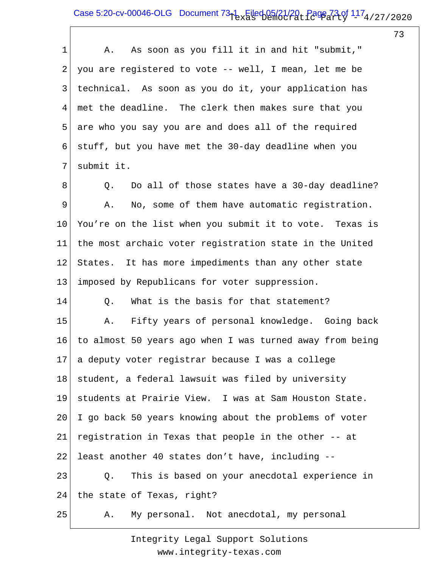#### Case 5:20-cv-00046-OLG Document  $73-1$  Filed 05/21/20, Page 73 of  $117_4$ /27/2020

73

1 2 3 4 5 6 7 8 9 10 11 12 13 14 15 16 17 18 19 20 21 22 23 24 25 A. As soon as you fill it in and hit "submit," you are registered to vote -- well, I mean, let me be technical. As soon as you do it, your application has met the deadline. The clerk then makes sure that you are who you say you are and does all of the required stuff, but you have met the 30-day deadline when you submit it. Q. Do all of those states have a 30-day deadline? A. No, some of them have automatic registration. You're on the list when you submit it to vote. Texas is the most archaic voter registration state in the United States. It has more impediments than any other state imposed by Republicans for voter suppression. Q. What is the basis for that statement? A. Fifty years of personal knowledge. Going back to almost 50 years ago when I was turned away from being a deputy voter registrar because I was a college student, a federal lawsuit was filed by university students at Prairie View. I was at Sam Houston State. I go back 50 years knowing about the problems of voter registration in Texas that people in the other -- at least another 40 states don't have, including -- Q. This is based on your anecdotal experience in the state of Texas, right? A. My personal. Not anecdotal, my personal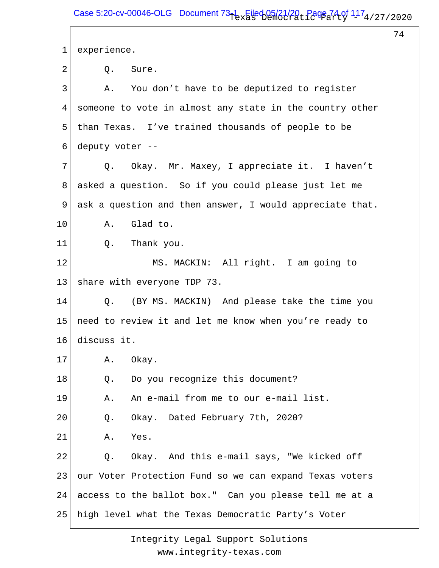74

1 2 3 4 5 6 7 8 9 10 11 12 13 14 15 16 17 18 19 20 21 22 23 24 25 experience. Q. Sure. A. You don't have to be deputized to register someone to vote in almost any state in the country other than Texas. I've trained thousands of people to be deputy voter -- Q. Okay. Mr. Maxey, I appreciate it. I haven't asked a question. So if you could please just let me ask a question and then answer, I would appreciate that. A. Glad to. Q. Thank you. MS. MACKIN: All right. I am going to share with everyone TDP 73. Q. (BY MS. MACKIN) And please take the time you need to review it and let me know when you're ready to discuss it. A. Okay. Q. Do you recognize this document? A. An e-mail from me to our e-mail list. Q. Okay. Dated February 7th, 2020? A. Yes. Q. Okay. And this e-mail says, "We kicked off our Voter Protection Fund so we can expand Texas voters access to the ballot box." Can you please tell me at a high level what the Texas Democratic Party's Voter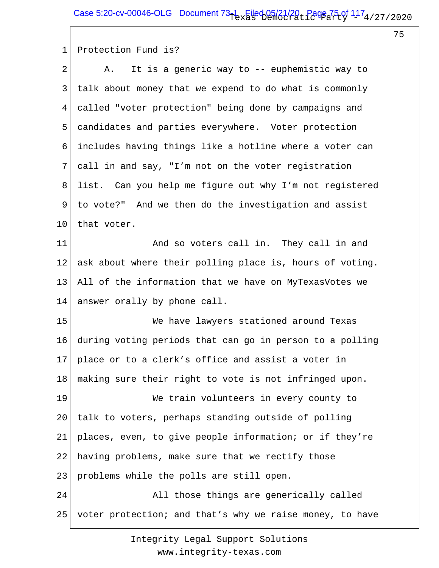75

1 Protection Fund is?

| $\overline{2}$ | It is a generic way to -- euphemistic way to<br>Α.       |
|----------------|----------------------------------------------------------|
| 3              | talk about money that we expend to do what is commonly   |
| 4              | called "voter protection" being done by campaigns and    |
| 5              | candidates and parties everywhere. Voter protection      |
| 6              | includes having things like a hotline where a voter can  |
| 7              | call in and say, "I'm not on the voter registration      |
| 8              | list. Can you help me figure out why I'm not registered  |
| 9              | to vote?" And we then do the investigation and assist    |
| $10 \,$        | that voter.                                              |
| 11             | And so voters call in. They call in and                  |
| 12             | ask about where their polling place is, hours of voting. |
| 13             | All of the information that we have on MyTexasVotes we   |
| 14             | answer orally by phone call.                             |
| 15             | We have lawyers stationed around Texas                   |
| 16             | during voting periods that can go in person to a polling |
| 17             | place or to a clerk's office and assist a voter in       |
| 18             | making sure their right to vote is not infringed upon.   |
| 19             | We train volunteers in every county to                   |
| 20             | talk to voters, perhaps standing outside of polling      |
| 21             | places, even, to give people information; or if they're  |
| 22             | having problems, make sure that we rectify those         |
| 23             | problems while the polls are still open.                 |
| 24             | All those things are generically called                  |
| 25             | voter protection; and that's why we raise money, to have |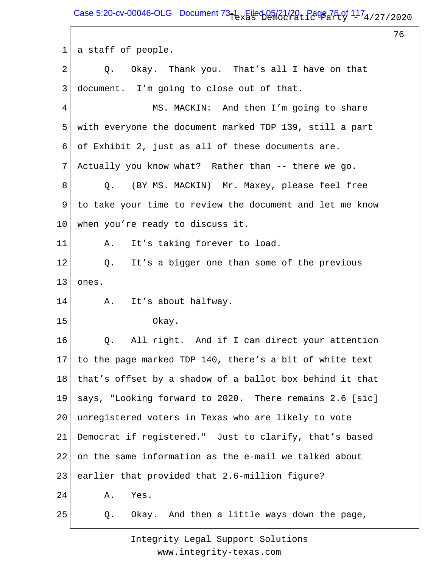Case 5:20-cv-00046-OLG Document  $73-1$  Filed 05/21/20, Page 76 of  $117_4$ /27/2020

76

1 2 3 4 5 6 7 8 9 10 11 12 13 14 15 16 17 18 19 20 21 22 23 24 25 a staff of people. Q. Okay. Thank you. That's all I have on that document. I'm going to close out of that. MS. MACKIN: And then I'm going to share with everyone the document marked TDP 139, still a part of Exhibit 2, just as all of these documents are. Actually you know what? Rather than -- there we go. Q. (BY MS. MACKIN) Mr. Maxey, please feel free to take your time to review the document and let me know when you're ready to discuss it. A. It's taking forever to load. Q. It's a bigger one than some of the previous ones. A. It's about halfway. Okay. Q. All right. And if I can direct your attention to the page marked TDP 140, there's a bit of white text that's offset by a shadow of a ballot box behind it that says, "Looking forward to 2020. There remains 2.6 [sic] unregistered voters in Texas who are likely to vote Democrat if registered." Just to clarify, that's based on the same information as the e-mail we talked about earlier that provided that 2.6-million figure? A. Yes. Q. Okay. And then a little ways down the page,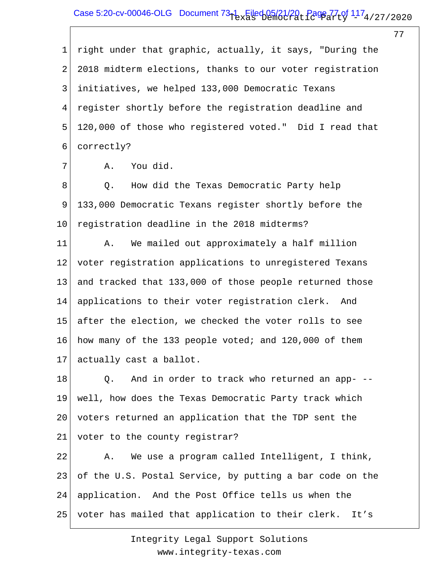## Case 5:20-cv-00046-OLG Document  $73-1$  Filed 05/21/20, Page 77 of  $117_4$ /27/2020

77

1 2 3 4 5 6 right under that graphic, actually, it says, "During the 2018 midterm elections, thanks to our voter registration initiatives, we helped 133,000 Democratic Texans register shortly before the registration deadline and 120,000 of those who registered voted." Did I read that correctly?

7

A. You did.

8 9 10 Q. How did the Texas Democratic Party help 133,000 Democratic Texans register shortly before the registration deadline in the 2018 midterms?

11 12 13 14 15 16 17 A. We mailed out approximately a half million voter registration applications to unregistered Texans and tracked that 133,000 of those people returned those applications to their voter registration clerk. And after the election, we checked the voter rolls to see how many of the 133 people voted; and 120,000 of them actually cast a ballot.

18 19 20 21 Q. And in order to track who returned an app- - well, how does the Texas Democratic Party track which voters returned an application that the TDP sent the voter to the county registrar?

22 23 24 25 A. We use a program called Intelligent, I think, of the U.S. Postal Service, by putting a bar code on the application. And the Post Office tells us when the voter has mailed that application to their clerk. It's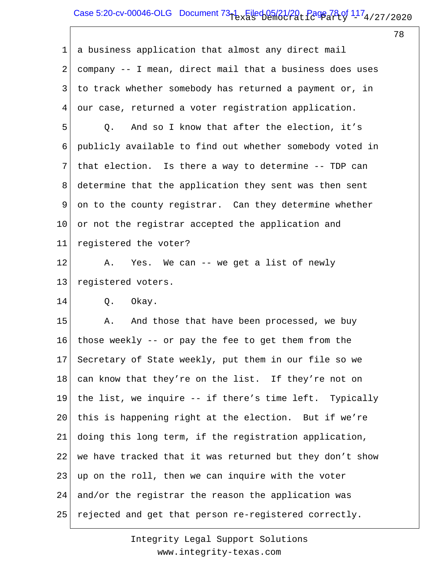# Case 5:20-cv-00046-OLG Document  $73-1$  Filed 05/21/20, Page 78 of  $117_4$ /27/2020

78

1 2 3 4 5 6 7 8 9 10 11 12 13 14 15 16 17 18 19 20 21 22 23 24 25 a business application that almost any direct mail company -- I mean, direct mail that a business does uses to track whether somebody has returned a payment or, in our case, returned a voter registration application. Q. And so I know that after the election, it's publicly available to find out whether somebody voted in that election. Is there a way to determine -- TDP can determine that the application they sent was then sent on to the county registrar. Can they determine whether or not the registrar accepted the application and registered the voter? A. Yes. We can -- we get a list of newly registered voters. Q. Okay. A. And those that have been processed, we buy those weekly -- or pay the fee to get them from the Secretary of State weekly, put them in our file so we can know that they're on the list. If they're not on the list, we inquire -- if there's time left. Typically this is happening right at the election. But if we're doing this long term, if the registration application, we have tracked that it was returned but they don't show up on the roll, then we can inquire with the voter and/or the registrar the reason the application was rejected and get that person re-registered correctly.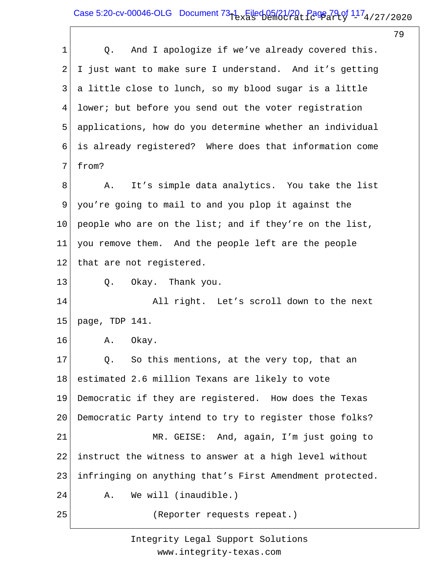## Case 5:20-cv-00046-OLG Document  $73-1$  Filed 05/21/20, Page 79 of  $117_4$ /27/2020

79

| $\mathbf 1$ | And I apologize if we've already covered this.<br>Q.     |
|-------------|----------------------------------------------------------|
| 2           | I just want to make sure I understand. And it's getting  |
| 3           | a little close to lunch, so my blood sugar is a little   |
| 4           | lower; but before you send out the voter registration    |
| 5           | applications, how do you determine whether an individual |
| 6           | is already registered? Where does that information come  |
| 7           | from?                                                    |
| 8           | It's simple data analytics. You take the list<br>Α.      |
| 9           | you're going to mail to and you plop it against the      |
| 10          | people who are on the list; and if they're on the list,  |
| 11          | you remove them. And the people left are the people      |
| 12          | that are not registered.                                 |
| 13          | Okay. Thank you.<br>Q.                                   |
| 14          | All right. Let's scroll down to the next                 |
| 15          | page, TDP 141.                                           |
| 16          | Α.<br>Okay.                                              |
| 17          | Q. So this mentions, at the very top, that an            |
| 18          | estimated 2.6 million Texans are likely to vote          |
| 19          | Democratic if they are registered. How does the Texas    |
| 20          | Democratic Party intend to try to register those folks?  |
| 21          | MR. GEISE: And, again, I'm just going to                 |
| 22          | instruct the witness to answer at a high level without   |
| 23          | infringing on anything that's First Amendment protected. |
| 24          | We will (inaudible.)<br>Α.                               |
| 25          | (Reporter requests repeat.)                              |
|             |                                                          |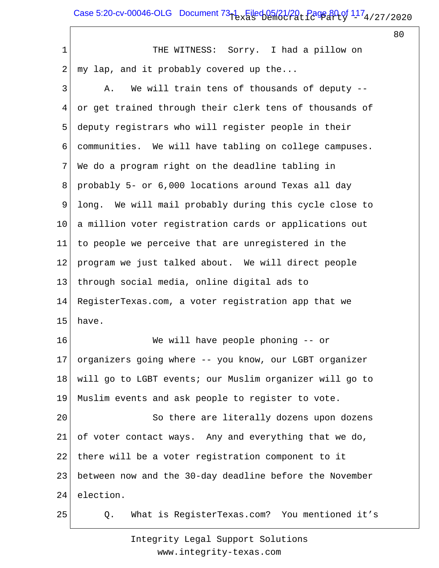# Case 5:20-cv-00046-OLG Document  $73-1$  Filed 05/21/20, Page 80 of  $117_4$ /27/2020

80

1 2 3 4 5 6 7 8 9 10 11 12 13 14 15 16 17 18 19 20 21 22 23 24 25 THE WITNESS: Sorry. I had a pillow on my lap, and it probably covered up the... A. We will train tens of thousands of deputy - or get trained through their clerk tens of thousands of deputy registrars who will register people in their communities. We will have tabling on college campuses. We do a program right on the deadline tabling in probably 5- or 6,000 locations around Texas all day long. We will mail probably during this cycle close to a million voter registration cards or applications out to people we perceive that are unregistered in the program we just talked about. We will direct people through social media, online digital ads to RegisterTexas.com, a voter registration app that we have. We will have people phoning -- or organizers going where -- you know, our LGBT organizer will go to LGBT events; our Muslim organizer will go to Muslim events and ask people to register to vote. So there are literally dozens upon dozens of voter contact ways. Any and everything that we do, there will be a voter registration component to it between now and the 30-day deadline before the November election. Q. What is RegisterTexas.com? You mentioned it's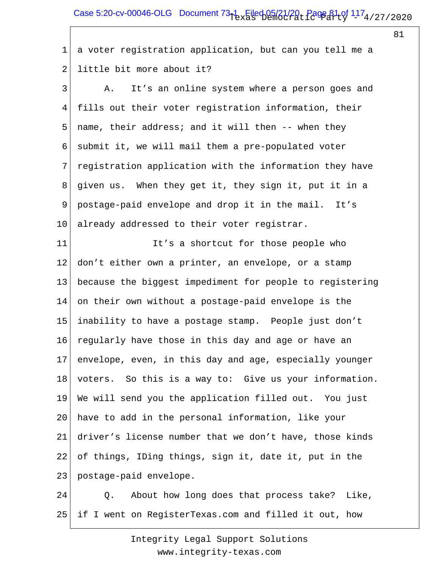# Case 5:20-cv-00046-OLG Document  $73-1$  Filed 05/21/20, Page 81 of  $117_4$ /27/2020

81

1 2 a voter registration application, but can you tell me a little bit more about it?

3 4 5 6 7 8 9 10 A. It's an online system where a person goes and fills out their voter registration information, their name, their address; and it will then -- when they submit it, we will mail them a pre-populated voter registration application with the information they have given us. When they get it, they sign it, put it in a postage-paid envelope and drop it in the mail. It's already addressed to their voter registrar.

11 12 13 14 15 16 17 18 19 20 21 22 23 It's a shortcut for those people who don't either own a printer, an envelope, or a stamp because the biggest impediment for people to registering on their own without a postage-paid envelope is the inability to have a postage stamp. People just don't regularly have those in this day and age or have an envelope, even, in this day and age, especially younger voters. So this is a way to: Give us your information. We will send you the application filled out. You just have to add in the personal information, like your driver's license number that we don't have, those kinds of things, IDing things, sign it, date it, put in the postage-paid envelope.

24 25 Q. About how long does that process take? Like, if I went on RegisterTexas.com and filled it out, how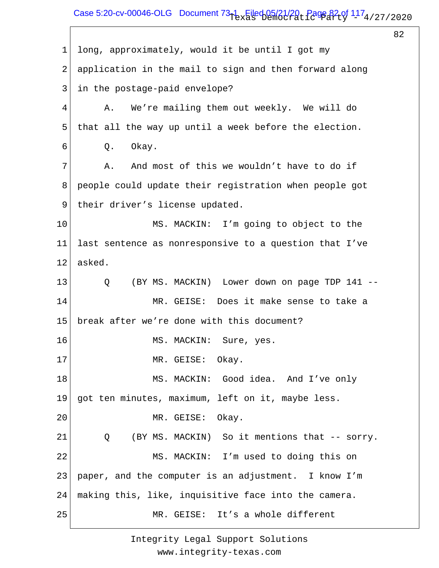# Case 5:20-cv-00046-OLG Document  $73-1$  Filed 05/21/20, Page 82 of  $117_4$ /27/2020

82

1 2 3 4 5 6 7 8 9 10 11 12 13 14 15 16 17 18 19 20 21 22 23 24 25 long, approximately, would it be until I got my application in the mail to sign and then forward along in the postage-paid envelope? A. We're mailing them out weekly. We will do that all the way up until a week before the election. Q. Okay. A. And most of this we wouldn't have to do if people could update their registration when people got their driver's license updated. MS. MACKIN: I'm going to object to the last sentence as nonresponsive to a question that I've asked. Q (BY MS. MACKIN) Lower down on page TDP 141 -- MR. GEISE: Does it make sense to take a break after we're done with this document? MS. MACKIN: Sure, yes. MR. GEISE: Okay. MS. MACKIN: Good idea. And I've only got ten minutes, maximum, left on it, maybe less. MR. GEISE: Okay. Q (BY MS. MACKIN) So it mentions that -- sorry. MS. MACKIN: I'm used to doing this on paper, and the computer is an adjustment. I know I'm making this, like, inquisitive face into the camera. MR. GEISE: It's a whole different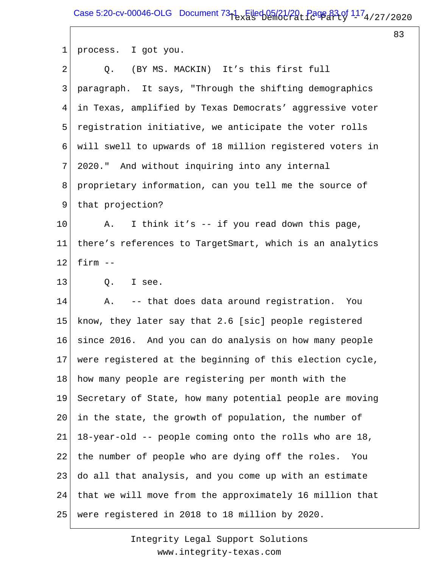83

| 1               | process. I got you.                                      |
|-----------------|----------------------------------------------------------|
| $\overline{2}$  | Q. (BY MS. MACKIN) It's this first full                  |
| 3               | paragraph. It says, "Through the shifting demographics   |
| 4               | in Texas, amplified by Texas Democrats' aggressive voter |
| 5               | registration initiative, we anticipate the voter rolls   |
| 6               | will swell to upwards of 18 million registered voters in |
| 7               | 2020." And without inquiring into any internal           |
| 8               | proprietary information, can you tell me the source of   |
| 9               | that projection?                                         |
| $10 \,$         | I think it's -- if you read down this page,<br>A.        |
| 11              | there's references to TargetSmart, which is an analytics |
| 12 <sub>2</sub> | firm $--$                                                |
| 13              | Q.<br>I see.                                             |
| 14              | -- that does data around registration. You<br>Α.         |
| 15              | know, they later say that 2.6 [sic] people registered    |
| 16              | since 2016. And you can do analysis on how many people   |
| 17              | were registered at the beginning of this election cycle, |
| 18              | how many people are registering per month with the       |
| 19              | Secretary of State, how many potential people are moving |
| 20              | in the state, the growth of population, the number of    |
| 21              | 18-year-old -- people coming onto the rolls who are 18,  |
| 22              | the number of people who are dying off the roles.<br>You |
| 23              | do all that analysis, and you come up with an estimate   |
| 24              | that we will move from the approximately 16 million that |
| 25              | were registered in 2018 to 18 million by 2020.           |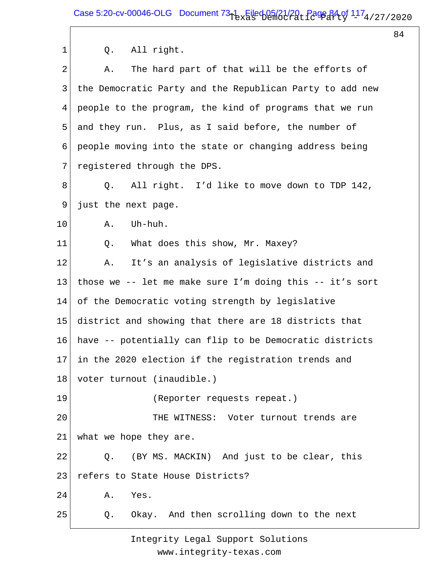Case 5:20-cv-00046-OLG Document  $73-1$  Filed 05/21/20, Page 84 of  $117_4$ /27/2020

84

| 1              | All right.<br>Q.                                              |
|----------------|---------------------------------------------------------------|
| $\overline{2}$ | The hard part of that will be the efforts of<br>Α.            |
| 3              | the Democratic Party and the Republican Party to add new      |
| 4              | people to the program, the kind of programs that we run       |
| 5              | and they run. Plus, as I said before, the number of           |
| 6              | people moving into the state or changing address being        |
| 7              | registered through the DPS.                                   |
| 8              | All right. I'd like to move down to TDP 142,<br>Q.            |
| 9              | just the next page.                                           |
| 10             | Uh-huh.<br>Α.                                                 |
| 11             | What does this show, Mr. Maxey?<br>Q.                         |
| 12             | It's an analysis of legislative districts and<br>Α.           |
| 13             | those we -- let me make sure I'm doing this -- it's sort      |
| 14             | of the Democratic voting strength by legislative              |
| 15             | district and showing that there are 18 districts that         |
| 16             | have -- potentially can flip to be Democratic districts       |
|                | $17\vert$ in the 2020 election if the registration trends and |
| 18             | voter turnout (inaudible.)                                    |
| 19             | (Reporter requests repeat.)                                   |
| 20             | THE WITNESS: Voter turnout trends are                         |
| 21             | what we hope they are.                                        |
| 22             | (BY MS. MACKIN) And just to be clear, this<br>$Q$ .           |
| 23             | refers to State House Districts?                              |
| 24             | Yes.<br>Α.                                                    |
| 25             | Okay. And then scrolling down to the next<br>Q.               |
|                |                                                               |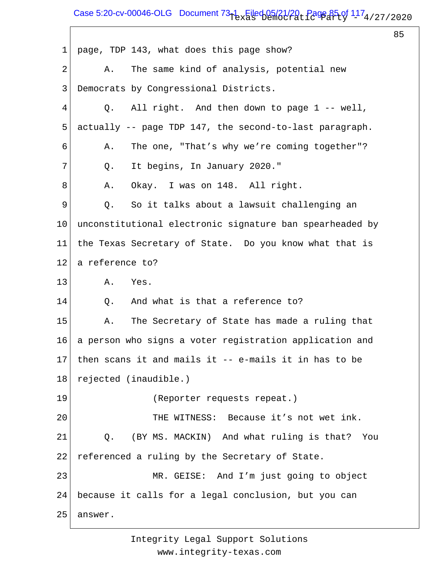## Case 5:20-cv-00046-OLG Document  $73-1$  Filed 05/21/20, Page 85 of  $117_4$ /27/2020

 $\overline{\Gamma}$ 

85

| $\mathbf 1$ | page, TDP 143, what does this page show?                 |
|-------------|----------------------------------------------------------|
| 2           | The same kind of analysis, potential new<br>Α.           |
| 3           | Democrats by Congressional Districts.                    |
| 4           | Q. All right. And then down to page 1 -- well,           |
| 5           | actually -- page TDP 147, the second-to-last paragraph.  |
| 6           | The one, "That's why we're coming together"?<br>Α.       |
| 7           | It begins, In January 2020."<br>Q.                       |
| 8           | Okay. I was on 148. All right.<br>Α.                     |
| 9           | Q.<br>So it talks about a lawsuit challenging an         |
| 10          | unconstitutional electronic signature ban spearheaded by |
| 11          | the Texas Secretary of State. Do you know what that is   |
| 12          | a reference to?                                          |
| 13          | A. Yes.                                                  |
| 14          | And what is that a reference to?<br>Q.                   |
| 15          | The Secretary of State has made a ruling that<br>Α.      |
| 16          | a person who signs a voter registration application and  |
| 17          | then scans it and mails it -- e-mails it in has to be    |
| 18          | rejected (inaudible.)                                    |
| 19          | (Reporter requests repeat.)                              |
| 20          | THE WITNESS: Because it's not wet ink.                   |
| 21          | (BY MS. MACKIN) And what ruling is that? You<br>Q.       |
| 22          | referenced a ruling by the Secretary of State.           |
| 23          | MR. GEISE: And I'm just going to object                  |
| 24          | because it calls for a legal conclusion, but you can     |
| 25          | answer.                                                  |
|             |                                                          |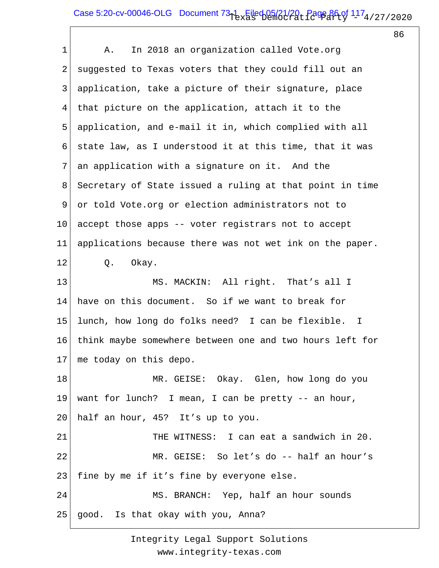## Case 5:20-cv-00046-OLG Document  $73-1$  Filed 05/21/20, Page 86 of  $117_4$ /27/2020

86

1 2 3 4 5 6 7 8 9 10 11 12 13 14 15 16 17 18 19 20 21 22 23 24 25 A. In 2018 an organization called Vote.org suggested to Texas voters that they could fill out an application, take a picture of their signature, place that picture on the application, attach it to the application, and e-mail it in, which complied with all state law, as I understood it at this time, that it was an application with a signature on it. And the Secretary of State issued a ruling at that point in time or told Vote.org or election administrators not to accept those apps -- voter registrars not to accept applications because there was not wet ink on the paper. Q. Okay. MS. MACKIN: All right. That's all I have on this document. So if we want to break for lunch, how long do folks need? I can be flexible. I think maybe somewhere between one and two hours left for me today on this depo. MR. GEISE: Okay. Glen, how long do you want for lunch? I mean, I can be pretty -- an hour, half an hour, 45? It's up to you. THE WITNESS: I can eat a sandwich in 20. MR. GEISE: So let's do -- half an hour's fine by me if it's fine by everyone else. MS. BRANCH: Yep, half an hour sounds good. Is that okay with you, Anna?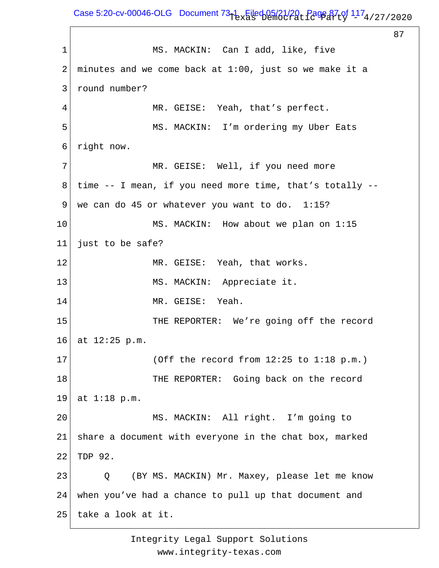Case 5:20-cv-00046-OLG Document  $73-1$  Filed 05/21/20, Page 87 of  $117_4$ /27/2020

87 1 2 3 4 5 6 7 8 9 10 11 12 13 14 15 16 17 18 19 20 21 22 23 24 25 MS. MACKIN: Can I add, like, five minutes and we come back at 1:00, just so we make it a round number? MR. GEISE: Yeah, that's perfect. MS. MACKIN: I'm ordering my Uber Eats right now. MR. GEISE: Well, if you need more time -- I mean, if you need more time, that's totally - we can do 45 or whatever you want to do. 1:15? MS. MACKIN: How about we plan on 1:15 just to be safe? MR. GEISE: Yeah, that works. MS. MACKIN: Appreciate it. MR. GEISE: Yeah. THE REPORTER: We're going off the record at 12:25 p.m. (Off the record from 12:25 to 1:18 p.m.) THE REPORTER: Going back on the record at 1:18 p.m. MS. MACKIN: All right. I'm going to share a document with everyone in the chat box, marked TDP 92. Q (BY MS. MACKIN) Mr. Maxey, please let me know when you've had a chance to pull up that document and take a look at it.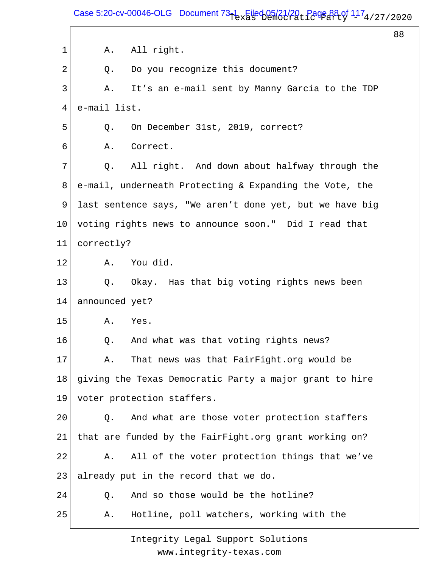Case 5:20-cv-00046-OLG Document  $73-1$  Filed 05/21/20, Page 88 of  $117_4$ /27/2020

88

1 2 3 4 5 6 7 8 9 10 11 12 13 14 15 16 17 18 19 20 21 22 23 24 25 A. All right. Q. Do you recognize this document? A. It's an e-mail sent by Manny Garcia to the TDP e-mail list. Q. On December 31st, 2019, correct? A. Correct. Q. All right. And down about halfway through the e-mail, underneath Protecting & Expanding the Vote, the last sentence says, "We aren't done yet, but we have big voting rights news to announce soon." Did I read that correctly? A. You did. Q. Okay. Has that big voting rights news been announced yet? A. Yes. Q. And what was that voting rights news? A. That news was that FairFight.org would be giving the Texas Democratic Party a major grant to hire voter protection staffers. Q. And what are those voter protection staffers that are funded by the FairFight.org grant working on? A. All of the voter protection things that we've already put in the record that we do. Q. And so those would be the hotline? A. Hotline, poll watchers, working with the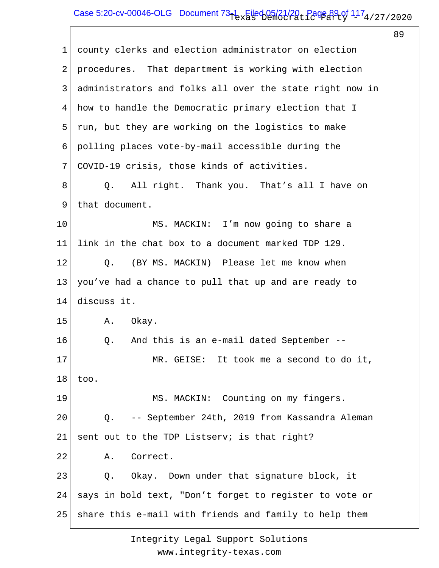# Case 5:20-cv-00046-OLG Document  $73-1$  Filed 05/21/20, Page 89 of  $117_4$ /27/2020

89

| 1  | county clerks and election administrator on election     |
|----|----------------------------------------------------------|
| 2  | procedures. That department is working with election     |
| 3  | administrators and folks all over the state right now in |
| 4  | how to handle the Democratic primary election that I     |
| 5  | run, but they are working on the logistics to make       |
| 6  | polling places vote-by-mail accessible during the        |
| 7  | COVID-19 crisis, those kinds of activities.              |
| 8  | All right. Thank you. That's all I have on<br>Q.         |
| 9  | that document.                                           |
| 10 | MS. MACKIN: I'm now going to share a                     |
| 11 | link in the chat box to a document marked TDP 129.       |
| 12 | (BY MS. MACKIN) Please let me know when<br>Q.            |
| 13 | you've had a chance to pull that up and are ready to     |
| 14 | discuss it.                                              |
| 15 | Okay.<br>Α.                                              |
| 16 | Q.<br>And this is an e-mail dated September --           |
| 17 | MR. GEISE: It took me a second to do it,                 |
| 18 | too.                                                     |
| 19 | MS. MACKIN: Counting on my fingers.                      |
| 20 | -- September 24th, 2019 from Kassandra Aleman<br>Q.      |
| 21 | sent out to the TDP Listserv; is that right?             |
| 22 | Correct.<br>Α.                                           |
| 23 | Okay. Down under that signature block, it<br>Q.          |
| 24 | says in bold text, "Don't forget to register to vote or  |
| 25 | share this e-mail with friends and family to help them   |
|    |                                                          |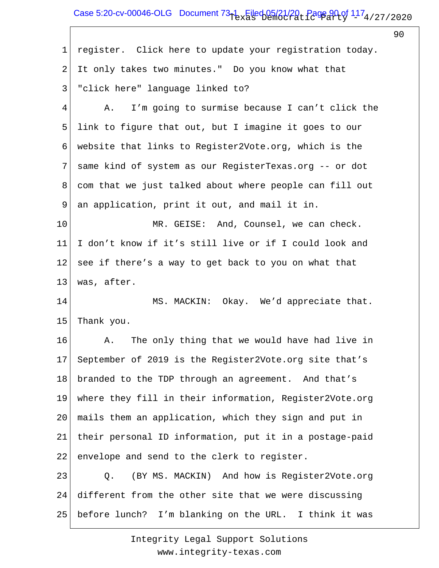## Case 5:20-cv-00046-OLG Document  $73-1$  Filed 05/21/20, Page 90 of  $117_4$ /27/2020

 $\overline{\Gamma}$ 

90

| $\mathbf 1$    | register. Click here to update your registration today. |
|----------------|---------------------------------------------------------|
| $\overline{2}$ | It only takes two minutes." Do you know what that       |
| $\mathfrak{Z}$ | "click here" language linked to?                        |
| 4              | I'm going to surmise because I can't click the<br>Α.    |
| 5              | link to figure that out, but I imagine it goes to our   |
| 6              | website that links to Register2Vote.org, which is the   |
| 7              | same kind of system as our RegisterTexas.org -- or dot  |
| 8              | com that we just talked about where people can fill out |
| 9              | an application, print it out, and mail it in.           |
| 10             | MR. GEISE: And, Counsel, we can check.                  |
| 11             | I don't know if it's still live or if I could look and  |
| 12             | see if there's a way to get back to you on what that    |
| 13             | was, after.                                             |
| 14             | MS. MACKIN: Okay. We'd appreciate that.                 |
| 15             | Thank you.                                              |
| 16             | The only thing that we would have had live in<br>Α.     |
| 17             | September of 2019 is the Register2Vote.org site that's  |
| 18             | branded to the TDP through an agreement. And that's     |
| 19             | where they fill in their information, Register2Vote.org |
| 20             | mails them an application, which they sign and put in   |
| 21             | their personal ID information, put it in a postage-paid |
| 22             | envelope and send to the clerk to register.             |
| 23             | (BY MS. MACKIN) And how is Register2Vote.org<br>Q.      |
| 24             | different from the other site that we were discussing   |
| 25             | before lunch? I'm blanking on the URL. I think it was   |
|                |                                                         |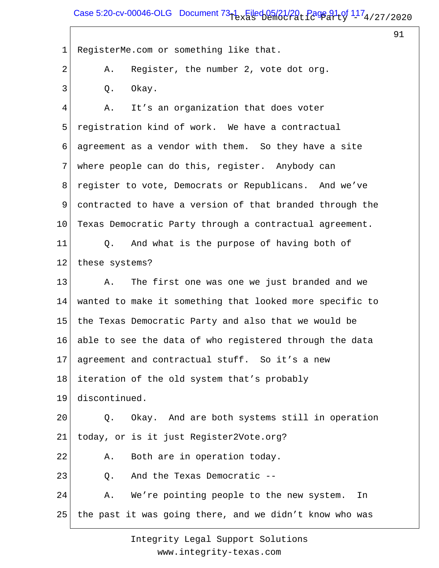## Case 5:20-cv-00046-OLG Document  $73-1$  Filed 05/21/20, Page 91 of  $117_4$ /27/2020

91

1 2 3 4 5 6 7 8 9 10 11 12 13 14 15 16 17 18 19 20 21 22 23 24 25 RegisterMe.com or something like that. A. Register, the number 2, vote dot org. Q. Okay. A. It's an organization that does voter registration kind of work. We have a contractual agreement as a vendor with them. So they have a site where people can do this, register. Anybody can register to vote, Democrats or Republicans. And we've contracted to have a version of that branded through the Texas Democratic Party through a contractual agreement. Q. And what is the purpose of having both of these systems? A. The first one was one we just branded and we wanted to make it something that looked more specific to the Texas Democratic Party and also that we would be able to see the data of who registered through the data agreement and contractual stuff. So it's a new iteration of the old system that's probably discontinued. Q. Okay. And are both systems still in operation today, or is it just Register2Vote.org? A. Both are in operation today. Q. And the Texas Democratic -- A. We're pointing people to the new system. In the past it was going there, and we didn't know who was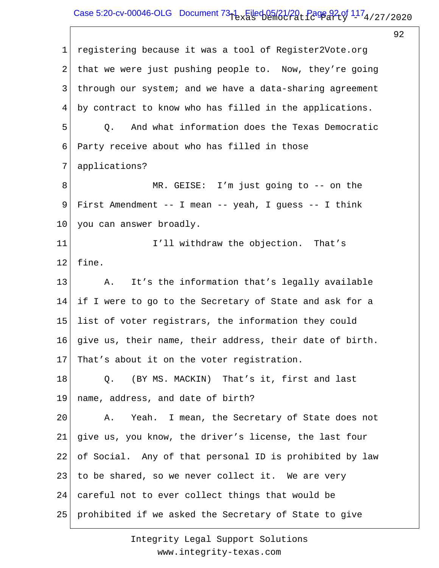# Case 5:20-cv-00046-OLG Document  $73-1$  Filed 05/21/20, Page 92 of  $117_4$ /27/2020

92

1 2 3 4 5 6 7 8 9 10 11 12 13 14 15 16 17 18 19 20 21 22 23 24 25 registering because it was a tool of Register2Vote.org that we were just pushing people to. Now, they're going through our system; and we have a data-sharing agreement by contract to know who has filled in the applications. Q. And what information does the Texas Democratic Party receive about who has filled in those applications? MR. GEISE: I'm just going to -- on the First Amendment -- I mean -- yeah, I guess -- I think you can answer broadly. I'll withdraw the objection. That's fine. A. It's the information that's legally available if I were to go to the Secretary of State and ask for a list of voter registrars, the information they could give us, their name, their address, their date of birth. That's about it on the voter registration. Q. (BY MS. MACKIN) That's it, first and last name, address, and date of birth? A. Yeah. I mean, the Secretary of State does not give us, you know, the driver's license, the last four of Social. Any of that personal ID is prohibited by law to be shared, so we never collect it. We are very careful not to ever collect things that would be prohibited if we asked the Secretary of State to give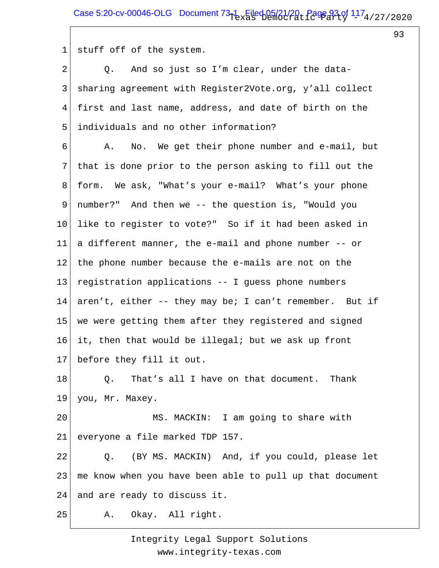93

1 stuff off of the system.

2 3 4 5 Q. And so just so I'm clear, under the datasharing agreement with Register2Vote.org, y'all collect first and last name, address, and date of birth on the individuals and no other information?

6 7 8 9 10 11 12 13 14 15 16 17 A. No. We get their phone number and e-mail, but that is done prior to the person asking to fill out the form. We ask, "What's your e-mail? What's your phone number?" And then we -- the question is, "Would you like to register to vote?" So if it had been asked in a different manner, the e-mail and phone number -- or the phone number because the e-mails are not on the registration applications -- I guess phone numbers aren't, either -- they may be; I can't remember. But if we were getting them after they registered and signed it, then that would be illegal; but we ask up front before they fill it out.

18 19 Q. That's all I have on that document. Thank you, Mr. Maxey.

20 21 MS. MACKIN: I am going to share with everyone a file marked TDP 157.

22 23 24 Q. (BY MS. MACKIN) And, if you could, please let me know when you have been able to pull up that document and are ready to discuss it.

25 A. Okay. All right.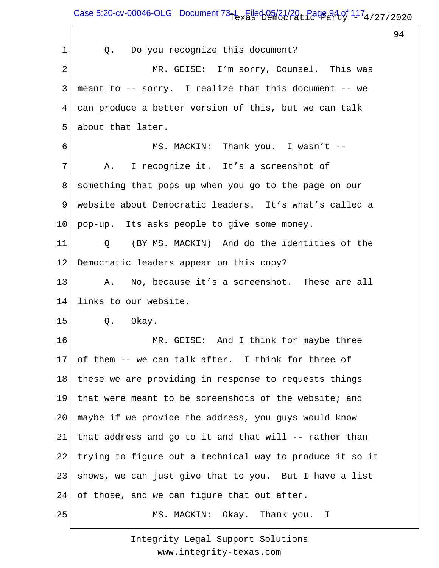Case 5:20-cv-00046-OLG Document  $73-1$  Filed 05/21/20, Page 94 of  $117_4$ /27/2020

94

| 1              | Q. Do you recognize this document?                       |
|----------------|----------------------------------------------------------|
| $\overline{2}$ | MR. GEISE: I'm sorry, Counsel. This was                  |
| 3              | meant to -- sorry. I realize that this document -- we    |
| 4              | can produce a better version of this, but we can talk    |
| 5              | about that later.                                        |
| 6              | MS. MACKIN: Thank you. I wasn't --                       |
| 7              | I recognize it. It's a screenshot of<br>Α.               |
| 8              | something that pops up when you go to the page on our    |
| 9              | website about Democratic leaders. It's what's called a   |
| 10             | pop-up. Its asks people to give some money.              |
| 11             | Q (BY MS. MACKIN) And do the identities of the           |
| 12             | Democratic leaders appear on this copy?                  |
| 13             | No, because it's a screenshot. These are all<br>Α.       |
| 14             | links to our website.                                    |
| 15             | Q. Okay.                                                 |
| 16             | MR. GEISE: And I think for maybe three                   |
| 17             | of them -- we can talk after. I think for three of       |
| 18             | these we are providing in response to requests things    |
| 19             | that were meant to be screenshots of the website; and    |
| 20             | maybe if we provide the address, you guys would know     |
| 21             | that address and go to it and that will -- rather than   |
| 22             | trying to figure out a technical way to produce it so it |
| 23             | shows, we can just give that to you. But I have a list   |
| 24             | of those, and we can figure that out after.              |
| 25             | MS. MACKIN: Okay. Thank you.<br>I.                       |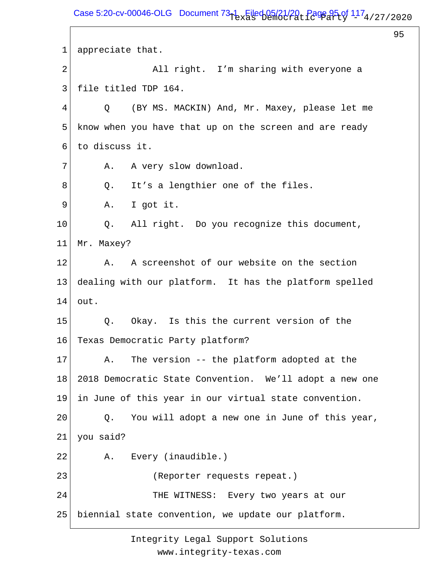95

1 2 3 4 5 6 7 8 9 10 11 12 13 14 15 16 17 18 19 20 21 22 23 24 25 appreciate that. All right. I'm sharing with everyone a file titled TDP 164. Q (BY MS. MACKIN) And, Mr. Maxey, please let me know when you have that up on the screen and are ready to discuss it. A. A very slow download. Q. It's a lengthier one of the files. A. I got it. Q. All right. Do you recognize this document, Mr. Maxey? A. A screenshot of our website on the section dealing with our platform. It has the platform spelled out. Q. Okay. Is this the current version of the Texas Democratic Party platform? A. The version -- the platform adopted at the 2018 Democratic State Convention. We'll adopt a new one in June of this year in our virtual state convention. Q. You will adopt a new one in June of this year, you said? A. Every (inaudible.) (Reporter requests repeat.) THE WITNESS: Every two years at our biennial state convention, we update our platform.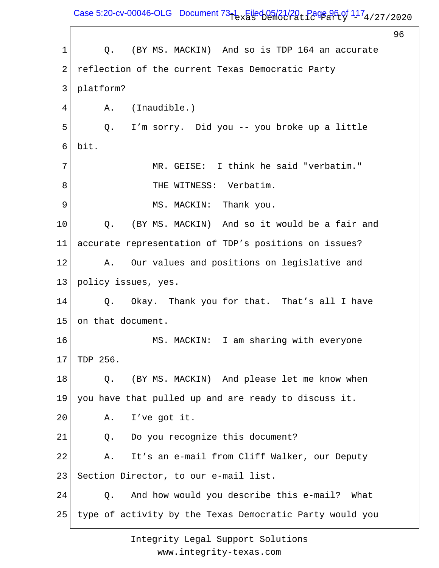Case 5:20-cv-00046-OLG Document  $73-1$  Filed 05/21/20, Page 96 of  $117_4$ /27/2020

96 1 2 3 4 5 6 7 8 9 10 11 12 13 14 15 16 17 18 19 20 21 22 23 24 25 Q. (BY MS. MACKIN) And so is TDP 164 an accurate reflection of the current Texas Democratic Party platform? A. (Inaudible.) Q. I'm sorry. Did you -- you broke up a little bit. MR. GEISE: I think he said "verbatim." THE WITNESS: Verbatim. MS. MACKIN: Thank you. Q. (BY MS. MACKIN) And so it would be a fair and accurate representation of TDP's positions on issues? A. Our values and positions on legislative and policy issues, yes. Q. Okay. Thank you for that. That's all I have on that document. MS. MACKIN: I am sharing with everyone TDP 256. Q. (BY MS. MACKIN) And please let me know when you have that pulled up and are ready to discuss it. A. I've got it. Q. Do you recognize this document? A. It's an e-mail from Cliff Walker, our Deputy Section Director, to our e-mail list. Q. And how would you describe this e-mail? What type of activity by the Texas Democratic Party would you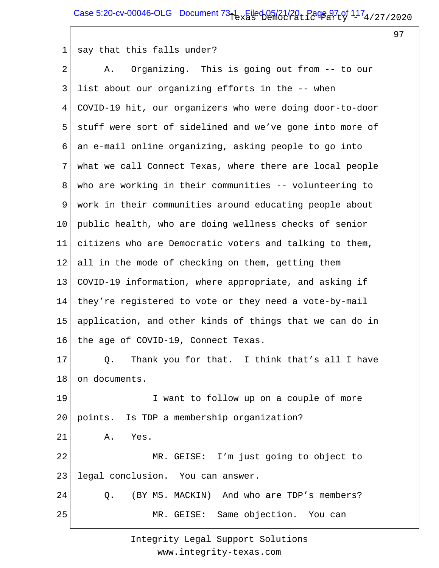97

#### 1 say that this falls under?

2 3 4 5 6 7 8 9 10 11 12 13 14 15 16 17 18 19 20 21 22 23 24 25 A. Organizing. This is going out from -- to our list about our organizing efforts in the -- when COVID-19 hit, our organizers who were doing door-to-door stuff were sort of sidelined and we've gone into more of an e-mail online organizing, asking people to go into what we call Connect Texas, where there are local people who are working in their communities -- volunteering to work in their communities around educating people about public health, who are doing wellness checks of senior citizens who are Democratic voters and talking to them, all in the mode of checking on them, getting them COVID-19 information, where appropriate, and asking if they're registered to vote or they need a vote-by-mail application, and other kinds of things that we can do in the age of COVID-19, Connect Texas. Q. Thank you for that. I think that's all I have on documents. I want to follow up on a couple of more points. Is TDP a membership organization? A. Yes. MR. GEISE: I'm just going to object to legal conclusion. You can answer. Q. (BY MS. MACKIN) And who are TDP's members? MR. GEISE: Same objection. You can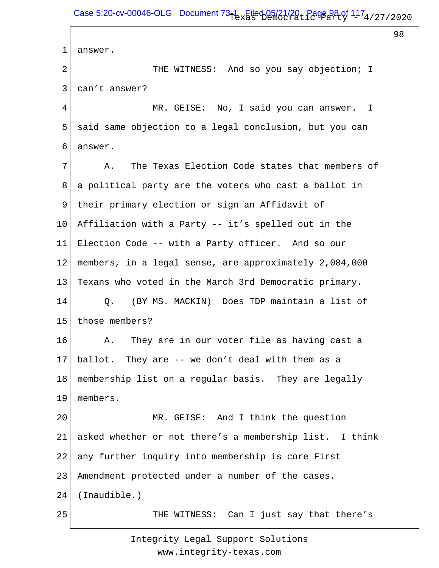1 2 3 4 5 6 7 8 9 10 11 12 13 14 15 16 17 18 19 20 21 22 23 24 25 answer. THE WITNESS: And so you say objection; I can't answer? MR. GEISE: No, I said you can answer. I said same objection to a legal conclusion, but you can answer. A. The Texas Election Code states that members of a political party are the voters who cast a ballot in their primary election or sign an Affidavit of Affiliation with a Party -- it's spelled out in the Election Code -- with a Party officer. And so our members, in a legal sense, are approximately 2,084,000 Texans who voted in the March 3rd Democratic primary. Q. (BY MS. MACKIN) Does TDP maintain a list of those members? A. They are in our voter file as having cast a ballot. They are -- we don't deal with them as a membership list on a regular basis. They are legally members. MR. GEISE: And I think the question asked whether or not there's a membership list. I think any further inquiry into membership is core First Amendment protected under a number of the cases. (Inaudible.) THE WITNESS: Can I just say that there's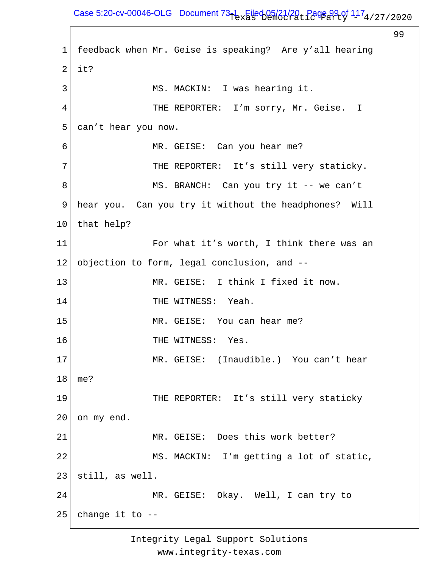Case 5:20-cv-00046-OLG Document  $73-1$  Filed 05/21/20, Page 99 of  $117_4$ /27/2020

99 1 2 3 4 5 6 7 8 9 10 11 12 13 14 15 16 17 18 19 20 21 22 23 24 25 feedback when Mr. Geise is speaking? Are y'all hearing it? MS. MACKIN: I was hearing it. THE REPORTER: I'm sorry, Mr. Geise. I can't hear you now. MR. GEISE: Can you hear me? THE REPORTER: It's still very staticky. MS. BRANCH: Can you try it -- we can't hear you. Can you try it without the headphones? Will that help? For what it's worth, I think there was an objection to form, legal conclusion, and -- MR. GEISE: I think I fixed it now. THE WITNESS: Yeah. MR. GEISE: You can hear me? THE WITNESS: Yes. MR. GEISE: (Inaudible.) You can't hear me? THE REPORTER: It's still very staticky on my end. MR. GEISE: Does this work better? MS. MACKIN: I'm getting a lot of static, still, as well. MR. GEISE: Okay. Well, I can try to change it to --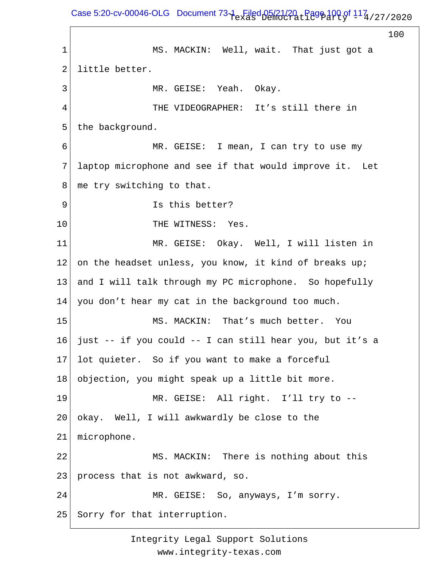Case 5:20-cv-00046-OLG Document  $73-1$  Filed 05/21/20  $_{\rm L}$  Page 100 of  $117_{\rm 4/27/2020}$ 

100 1 2 3 4 5 6 7 8 9 10 11 12 13 14 15 16 17 18 19 20 21 22 23 24 25 MS. MACKIN: Well, wait. That just got a little better. MR. GEISE: Yeah. Okay. THE VIDEOGRAPHER: It's still there in the background. MR. GEISE: I mean, I can try to use my laptop microphone and see if that would improve it. Let me try switching to that. Is this better? THE WITNESS: Yes. MR. GEISE: Okay. Well, I will listen in on the headset unless, you know, it kind of breaks up; and I will talk through my PC microphone. So hopefully you don't hear my cat in the background too much. MS. MACKIN: That's much better. You just -- if you could -- I can still hear you, but it's a lot quieter. So if you want to make a forceful objection, you might speak up a little bit more. MR. GEISE: All right. I'll try to - okay. Well, I will awkwardly be close to the microphone. MS. MACKIN: There is nothing about this process that is not awkward, so. MR. GEISE: So, anyways, I'm sorry. Sorry for that interruption.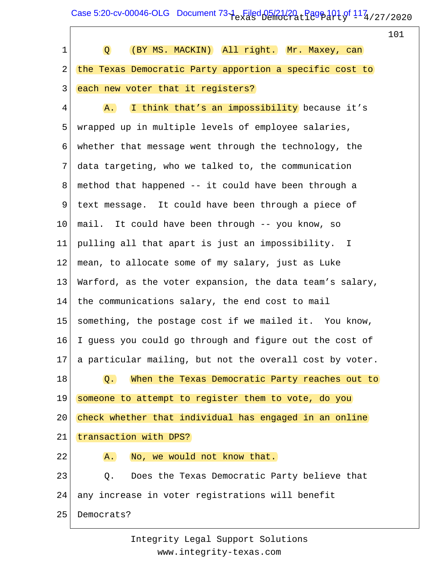Case 5:20-cv-00046-OLG Document  $73-1$  Filed 05/21/20  $_{\rm L}$  Page 101 of  $117_{\rm 4/27/2020}$ 

 $\Gamma$ 

|             |                                                          | 101 |
|-------------|----------------------------------------------------------|-----|
| $\mathbf 1$ | (BY MS. MACKIN) All right. Mr. Maxey, can<br>Q           |     |
| 2           | the Texas Democratic Party apportion a specific cost to  |     |
| 3           | each new voter that it registers?                        |     |
| 4           | I think that's an impossibility because it's<br>A.       |     |
| 5           | wrapped up in multiple levels of employee salaries,      |     |
| 6           | whether that message went through the technology, the    |     |
| 7           | data targeting, who we talked to, the communication      |     |
| 8           | method that happened -- it could have been through a     |     |
| 9           | text message. It could have been through a piece of      |     |
| $10 \,$     | mail. It could have been through -- you know, so         |     |
| 11          | pulling all that apart is just an impossibility. I       |     |
| 12          | mean, to allocate some of my salary, just as Luke        |     |
| 13          | Warford, as the voter expansion, the data team's salary, |     |
| 14          | the communications salary, the end cost to mail          |     |
| 15          | something, the postage cost if we mailed it. You know,   |     |
| 16          | I quess you could go through and figure out the cost of  |     |
| 17          | a particular mailing, but not the overall cost by voter. |     |
| 18          | When the Texas Democratic Party reaches out to<br>Q.     |     |
| 19          | someone to attempt to register them to vote, do you      |     |
| 20          | check whether that individual has engaged in an online   |     |
| 21          | transaction with DPS?                                    |     |
| 22          | No, we would not know that.<br>A.                        |     |
| 23          | Does the Texas Democratic Party believe that<br>Q.       |     |
| 24          | any increase in voter registrations will benefit         |     |
| 25          | Democrats?                                               |     |
|             |                                                          |     |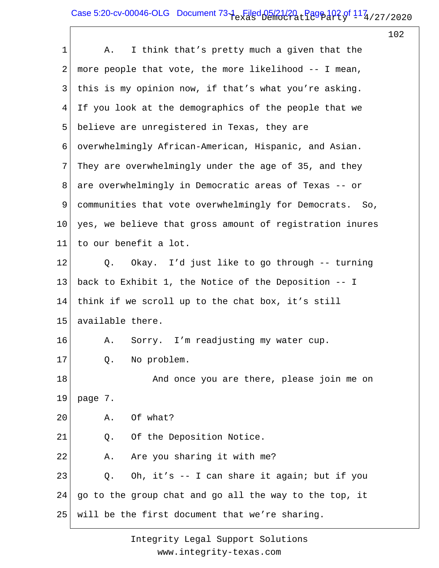## Case 5:20-cv-00046-OLG Document  $73-1$  Filed 05/21/20  $_{\rm L}$  Page 102 of  $117_{\rm 4/27/2020}$

102

| 1  | I think that's pretty much a given that the<br>Α.        |
|----|----------------------------------------------------------|
| 2  | more people that vote, the more likelihood -- I mean,    |
| 3  | this is my opinion now, if that's what you're asking.    |
| 4  | If you look at the demographics of the people that we    |
| 5  | believe are unregistered in Texas, they are              |
| 6  | overwhelmingly African-American, Hispanic, and Asian.    |
| 7  | They are overwhelmingly under the age of 35, and they    |
| 8  | are overwhelmingly in Democratic areas of Texas -- or    |
| 9  | communities that vote overwhelmingly for Democrats. So,  |
| 10 | yes, we believe that gross amount of registration inures |
| 11 | to our benefit a lot.                                    |
| 12 | Okay. I'd just like to go through -- turning<br>Q.       |
| 13 | back to Exhibit 1, the Notice of the Deposition -- I     |
| 14 | think if we scroll up to the chat box, it's still        |
| 15 | available there.                                         |
| 16 | Sorry. I'm readjusting my water cup.<br>Α.               |
| 17 | Q. No problem.                                           |
| 18 | And once you are there, please join me on                |
| 19 | page 7.                                                  |
| 20 | Of what?<br>Α.                                           |
| 21 | Of the Deposition Notice.<br>Q.                          |
| 22 | Are you sharing it with me?<br>Α.                        |
| 23 | Oh, it's -- I can share it again; but if you<br>Q.       |
| 24 | go to the group chat and go all the way to the top, it   |
| 25 | will be the first document that we're sharing.           |
|    |                                                          |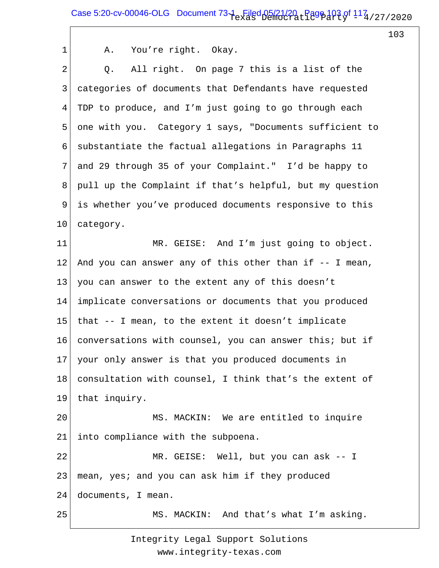1 2 3 4 5 6 7 8 9 10 11 12 13 14 15 16 17 18 19 20 21 22 23 24 25 A. You're right. Okay. Q. All right. On page 7 this is a list of the categories of documents that Defendants have requested TDP to produce, and I'm just going to go through each one with you. Category 1 says, "Documents sufficient to substantiate the factual allegations in Paragraphs 11 and 29 through 35 of your Complaint." I'd be happy to pull up the Complaint if that's helpful, but my question is whether you've produced documents responsive to this category. MR. GEISE: And I'm just going to object. And you can answer any of this other than if  $-$ - I mean, you can answer to the extent any of this doesn't implicate conversations or documents that you produced that -- I mean, to the extent it doesn't implicate conversations with counsel, you can answer this; but if your only answer is that you produced documents in consultation with counsel, I think that's the extent of that inquiry. MS. MACKIN: We are entitled to inquire into compliance with the subpoena. MR. GEISE: Well, but you can ask -- I mean, yes; and you can ask him if they produced documents, I mean. MS. MACKIN: And that's what I'm asking.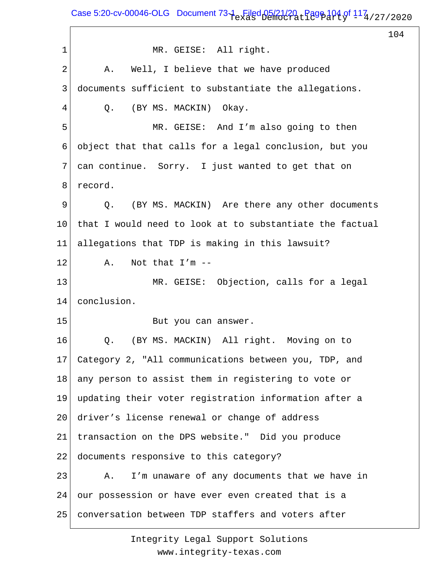Case 5:20-cv-00046-OLG Document  $73-1$  Filed 05/21/20  $_{\rm L}$  Page 104 of  $114$  / 27 / 2020

104

1 2 3 4 5 6 7 8 9 10 11 12 13 14 15 16 17 18 19 20 21 22 23 24 25 MR. GEISE: All right. A. Well, I believe that we have produced documents sufficient to substantiate the allegations. Q. (BY MS. MACKIN) Okay. MR. GEISE: And I'm also going to then object that that calls for a legal conclusion, but you can continue. Sorry. I just wanted to get that on record. Q. (BY MS. MACKIN) Are there any other documents that I would need to look at to substantiate the factual allegations that TDP is making in this lawsuit? A. Not that I'm -- MR. GEISE: Objection, calls for a legal conclusion. But you can answer. Q. (BY MS. MACKIN) All right. Moving on to Category 2, "All communications between you, TDP, and any person to assist them in registering to vote or updating their voter registration information after a driver's license renewal or change of address transaction on the DPS website." Did you produce documents responsive to this category? A. I'm unaware of any documents that we have in our possession or have ever even created that is a conversation between TDP staffers and voters after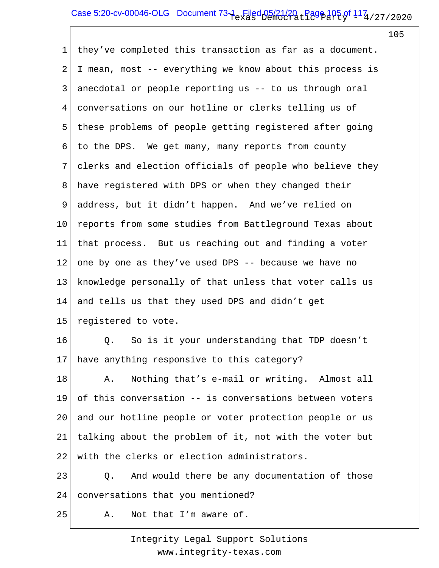# Case 5:20-cv-00046-OLG Document  $73-1$  Filed 05/21/20  $_{\rm L}$  Page 105 of  $117_{\rm 4/27/2020}$

105

1 2 3 4 5 6 7 8 9 10 11 12 13 14 15 16 17 18 19 20 21 22 23 24 they've completed this transaction as far as a document. I mean, most -- everything we know about this process is anecdotal or people reporting us -- to us through oral conversations on our hotline or clerks telling us of these problems of people getting registered after going to the DPS. We get many, many reports from county clerks and election officials of people who believe they have registered with DPS or when they changed their address, but it didn't happen. And we've relied on reports from some studies from Battleground Texas about that process. But us reaching out and finding a voter one by one as they've used DPS -- because we have no knowledge personally of that unless that voter calls us and tells us that they used DPS and didn't get registered to vote. Q. So is it your understanding that TDP doesn't have anything responsive to this category? A. Nothing that's e-mail or writing. Almost all of this conversation -- is conversations between voters and our hotline people or voter protection people or us talking about the problem of it, not with the voter but with the clerks or election administrators. Q. And would there be any documentation of those conversations that you mentioned?

25 A. Not that I'm aware of.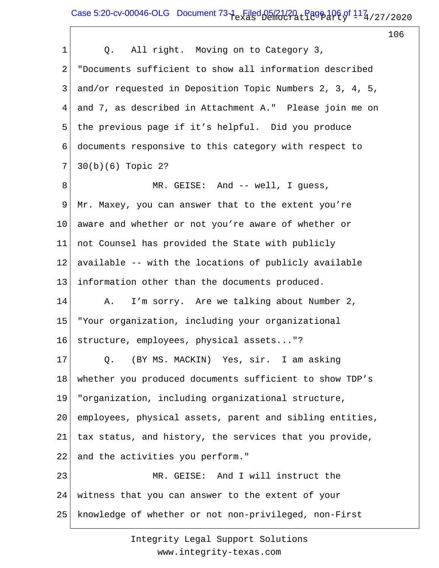Case 5:20-cv-00046-OLG Document  $73-1$  Filed 05/21/20  $_{\rm L}$  Page 106 of  $117_{\rm 4/27/2020}$ 

106

| $\mathbf 1$     | Q. All right. Moving on to Category 3,                   |
|-----------------|----------------------------------------------------------|
| 2               | "Documents sufficient to show all information described  |
| 3               | and/or requested in Deposition Topic Numbers 2, 3, 4, 5, |
| 4               | and 7, as described in Attachment A." Please join me on  |
| 5               | the previous page if it's helpful. Did you produce       |
| 6               | documents responsive to this category with respect to    |
| 7               | $30(b)(6)$ Topic 2?                                      |
| 8               | MR. GEISE: And -- well, I guess,                         |
| 9               | Mr. Maxey, you can answer that to the extent you're      |
| 10              | aware and whether or not you're aware of whether or      |
| 11              | not Counsel has provided the State with publicly         |
| 12              | available -- with the locations of publicly available    |
| 13              | information other than the documents produced.           |
| 14              | I'm sorry. Are we talking about Number 2,<br>Α.          |
| 15              | "Your organization, including your organizational        |
| 16              | structure, employees, physical assets"?                  |
| 17 <sub>2</sub> | Q. (BY MS. MACKIN) Yes, sir. I am asking                 |
| 18              | whether you produced documents sufficient to show TDP's  |
| 19              | "organization, including organizational structure,       |
| 20              | employees, physical assets, parent and sibling entities, |
| 21              | tax status, and history, the services that you provide,  |
| 22              | and the activities you perform."                         |
| 23              | MR. GEISE: And I will instruct the                       |
| 24              | witness that you can answer to the extent of your        |
| 25              | knowledge of whether or not non-privileged, non-First    |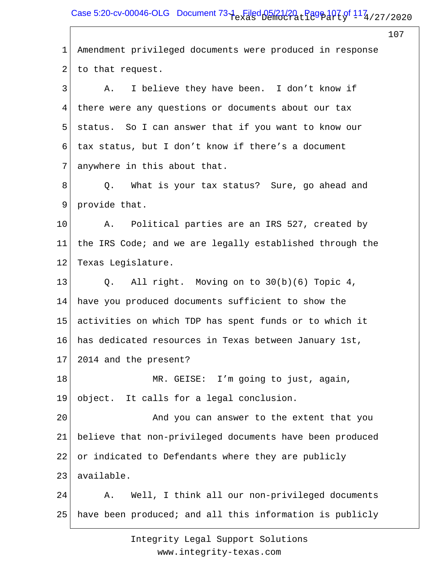Case 5:20-cv-00046-OLG Document  $73-1$  Filed 05/21/20  $_{\rm L}$  Page 107 of  $117_{\rm 4/27/2020}$ 

107 1 2 3 4 5 6 7 8 9 10 11 12 13 14 15 16 17 18 19 20 21 22 23 24 25 Amendment privileged documents were produced in response to that request. A. I believe they have been. I don't know if there were any questions or documents about our tax status. So I can answer that if you want to know our tax status, but I don't know if there's a document anywhere in this about that. Q. What is your tax status? Sure, go ahead and provide that. A. Political parties are an IRS 527, created by the IRS Code; and we are legally established through the Texas Legislature. Q. All right. Moving on to 30(b)(6) Topic 4, have you produced documents sufficient to show the activities on which TDP has spent funds or to which it has dedicated resources in Texas between January 1st, 2014 and the present? MR. GEISE: I'm going to just, again, object. It calls for a legal conclusion. And you can answer to the extent that you believe that non-privileged documents have been produced or indicated to Defendants where they are publicly available. A. Well, I think all our non-privileged documents have been produced; and all this information is publicly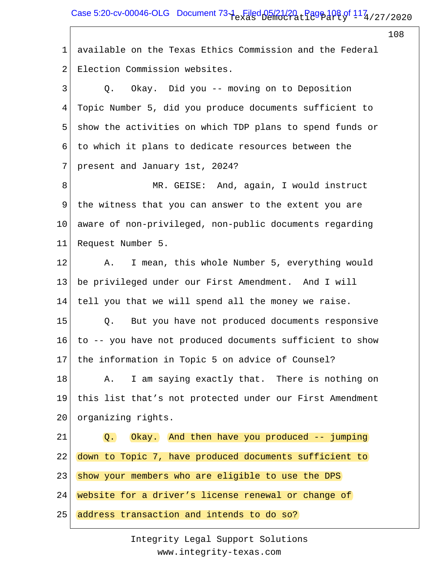1 2 available on the Texas Ethics Commission and the Federal Election Commission websites.

3 4 5 6 7 8 9 10 Q. Okay. Did you -- moving on to Deposition Topic Number 5, did you produce documents sufficient to show the activities on which TDP plans to spend funds or to which it plans to dedicate resources between the present and January 1st, 2024? MR. GEISE: And, again, I would instruct the witness that you can answer to the extent you are aware of non-privileged, non-public documents regarding

11 Request Number 5.

12 13 14 15 16 17 18 19 A. I mean, this whole Number 5, everything would be privileged under our First Amendment. And I will tell you that we will spend all the money we raise. Q. But you have not produced documents responsive to -- you have not produced documents sufficient to show the information in Topic 5 on advice of Counsel? A. I am saying exactly that. There is nothing on this list that's not protected under our First Amendment

20 organizing rights.

21 22 23 24 Q. Okay. And then have you produced -- jumping down to Topic 7, have produced documents sufficient to show your members who are eligible to use the DPS website for a driver's license renewal or change of

25 address transaction and intends to do so?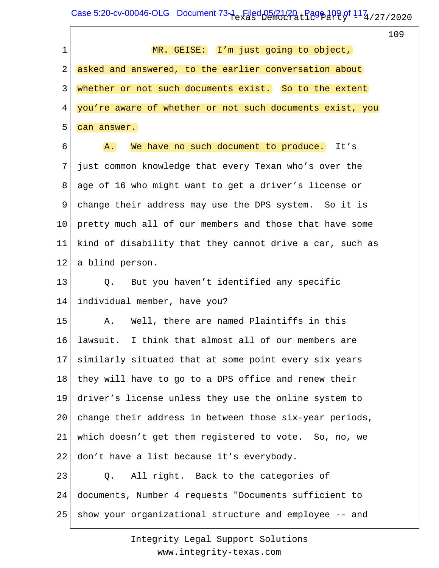$\text{Case } 5:20\text{-cv-00046-OLG}$  Document  $73\text{-}1\text{-}$  Filed  $05/21/20$   $\text{-}$  Page  $109$  of  $117_4$  / 27 / 2020

 $\sqrt{ }$ 

|             |                                                          | 109 |
|-------------|----------------------------------------------------------|-----|
| $\mathbf 1$ | MR. GEISE: I'm just going to object,                     |     |
| 2           | asked and answered, to the earlier conversation about    |     |
| 3           | whether or not such documents exist. So to the extent    |     |
| 4           | you're aware of whether or not such documents exist, you |     |
| 5           | can answer.                                              |     |
| 6           | We have no such document to produce. It's<br>A.          |     |
| 7           | just common knowledge that every Texan who's over the    |     |
| 8           | age of 16 who might want to get a driver's license or    |     |
| 9           | change their address may use the DPS system. So it is    |     |
| 10          | pretty much all of our members and those that have some  |     |
| 11          | kind of disability that they cannot drive a car, such as |     |
| 12          | a blind person.                                          |     |
| 13          | But you haven't identified any specific<br>Q.            |     |
| 14          | individual member, have you?                             |     |
| 15          | Well, there are named Plaintiffs in this<br>Α.           |     |
| 16          | lawsuit. I think that almost all of our members are      |     |
| 17          | similarly situated that at some point every six years    |     |
| 18          | they will have to go to a DPS office and renew their     |     |
| 19          | driver's license unless they use the online system to    |     |
| 20          | change their address in between those six-year periods,  |     |
| 21          | which doesn't get them registered to vote. So, no, we    |     |
| 22          | don't have a list because it's everybody.                |     |
| 23          | All right. Back to the categories of<br>Q.               |     |
| 24          | documents, Number 4 requests "Documents sufficient to    |     |
| 25          | show your organizational structure and employee -- and   |     |
|             |                                                          |     |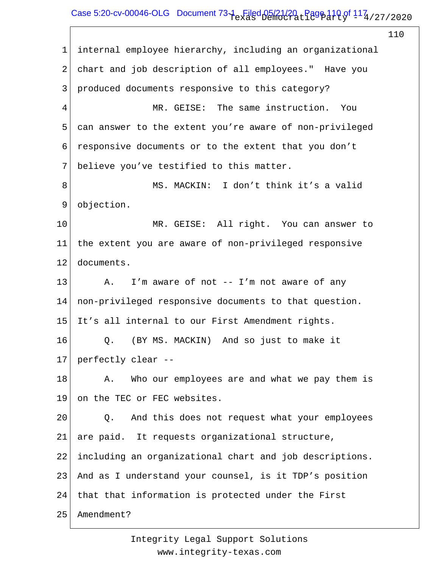# Case 5:20-cv-00046-OLG Document  $73-1$  Filed 05/21/20  $_{\rm L}$  Page 110 of 11 $^{7}_{\rm 4}$  / 27 / 2020

110

1 2 3 4 5 6 7 8 9 10 11 12 13 14 15 16 17 18 19 20 21 22 23 24 25 internal employee hierarchy, including an organizational chart and job description of all employees." Have you produced documents responsive to this category? MR. GEISE: The same instruction. You can answer to the extent you're aware of non-privileged responsive documents or to the extent that you don't believe you've testified to this matter. MS. MACKIN: I don't think it's a valid objection. MR. GEISE: All right. You can answer to the extent you are aware of non-privileged responsive documents. A. I'm aware of not -- I'm not aware of any non-privileged responsive documents to that question. It's all internal to our First Amendment rights. Q. (BY MS. MACKIN) And so just to make it perfectly clear -- A. Who our employees are and what we pay them is on the TEC or FEC websites. Q. And this does not request what your employees are paid. It requests organizational structure, including an organizational chart and job descriptions. And as I understand your counsel, is it TDP's position that that information is protected under the First Amendment?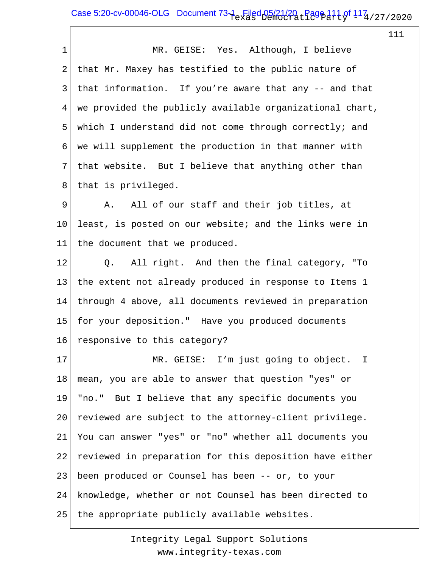| $\mathbf 1$ | MR. GEISE: Yes. Although, I believe                      |
|-------------|----------------------------------------------------------|
| 2           | that Mr. Maxey has testified to the public nature of     |
| 3           | that information. If you're aware that any -- and that   |
| 4           | we provided the publicly available organizational chart, |
| 5           | which I understand did not come through correctly; and   |
| 6           | we will supplement the production in that manner with    |
| 7           | that website. But I believe that anything other than     |
| 8           | that is privileged.                                      |
| 9           | All of our staff and their job titles, at<br>Α.          |
| 10          | least, is posted on our website; and the links were in   |
| 11          | the document that we produced.                           |
| 12          | Q. All right. And then the final category, "To           |
| 13          | the extent not already produced in response to Items 1   |
| 14          | through 4 above, all documents reviewed in preparation   |
| 15          | for your deposition." Have you produced documents        |
| 16          | responsive to this category?                             |
| 17          | GEISE: I'm just going to object. I<br>MR.                |
| 18          | mean, you are able to answer that question "yes" or      |
| 19          | "no." But I believe that any specific documents you      |
| 20          | reviewed are subject to the attorney-client privilege.   |
| 21          | You can answer "yes" or "no" whether all documents you   |
| 22          | reviewed in preparation for this deposition have either  |
| 23          | been produced or Counsel has been -- or, to your         |
| 24          | knowledge, whether or not Counsel has been directed to   |
| 25          | the appropriate publicly available websites.             |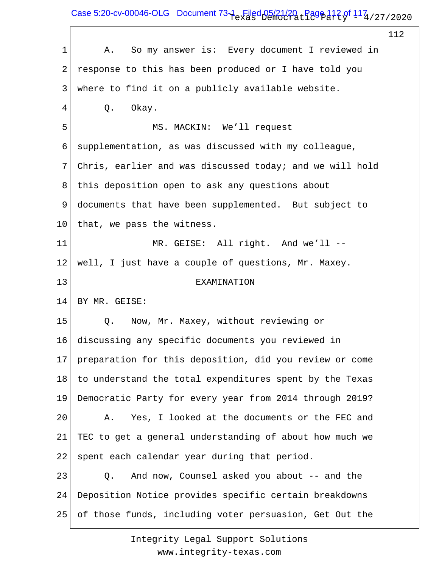Case 5:20-cv-00046-OLG Document  $73-1$  Filed 05/21/20  $_{\rm L}$  Page 112 of  $117_4$  / 27 / 2020

 $\overline{\Gamma}$ 

|             |                                                          | 112 |
|-------------|----------------------------------------------------------|-----|
| $\mathbf 1$ | So my answer is: Every document I reviewed in<br>Α.      |     |
| 2           | response to this has been produced or I have told you    |     |
| 3           | where to find it on a publicly available website.        |     |
| 4           | Okay.<br>Q.                                              |     |
| 5           | MS. MACKIN: We'll request                                |     |
| 6           | supplementation, as was discussed with my colleague,     |     |
| 7           | Chris, earlier and was discussed today; and we will hold |     |
| 8           | this deposition open to ask any questions about          |     |
| 9           | documents that have been supplemented. But subject to    |     |
| 10          | that, we pass the witness.                               |     |
| 11          | MR. GEISE: All right. And we'll --                       |     |
| 12          | well, I just have a couple of questions, Mr. Maxey.      |     |
| 13          | EXAMINATION                                              |     |
| 14          | BY MR. GEISE:                                            |     |
| 15          | Now, Mr. Maxey, without reviewing or<br>Q.               |     |
| 16          | discussing any specific documents you reviewed in        |     |
| 17          | preparation for this deposition, did you review or come  |     |
| 18          | to understand the total expenditures spent by the Texas  |     |
| 19          | Democratic Party for every year from 2014 through 2019?  |     |
| 20          | Yes, I looked at the documents or the FEC and<br>Α.      |     |
| 21          | TEC to get a general understanding of about how much we  |     |
| 22          | spent each calendar year during that period.             |     |
| 23          | And now, Counsel asked you about -- and the<br>Q.        |     |
| 24          | Deposition Notice provides specific certain breakdowns   |     |
| 25          | of those funds, including voter persuasion, Get Out the  |     |
|             |                                                          |     |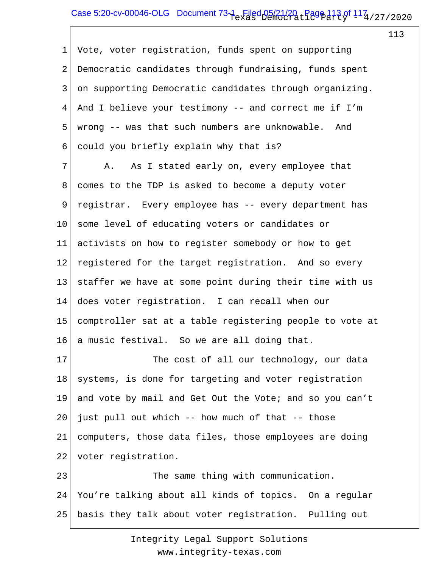## Case 5:20-cv-00046-OLG Document  $73-1$  Filed 05/21/20  $_{\rm L}$  Page 113 of  $117_{\rm 4/27/2020}$

113

1 2 3 4 5 6 Vote, voter registration, funds spent on supporting Democratic candidates through fundraising, funds spent on supporting Democratic candidates through organizing. And I believe your testimony -- and correct me if I'm wrong -- was that such numbers are unknowable. And could you briefly explain why that is?

7 8 9 10 11 12 13 14 15 16 A. As I stated early on, every employee that comes to the TDP is asked to become a deputy voter registrar. Every employee has -- every department has some level of educating voters or candidates or activists on how to register somebody or how to get registered for the target registration. And so every staffer we have at some point during their time with us does voter registration. I can recall when our comptroller sat at a table registering people to vote at a music festival. So we are all doing that.

17 18 19 20 21 22 23 The cost of all our technology, our data systems, is done for targeting and voter registration and vote by mail and Get Out the Vote; and so you can't just pull out which -- how much of that -- those computers, those data files, those employees are doing voter registration. The same thing with communication.

24 25 You're talking about all kinds of topics. On a regular basis they talk about voter registration. Pulling out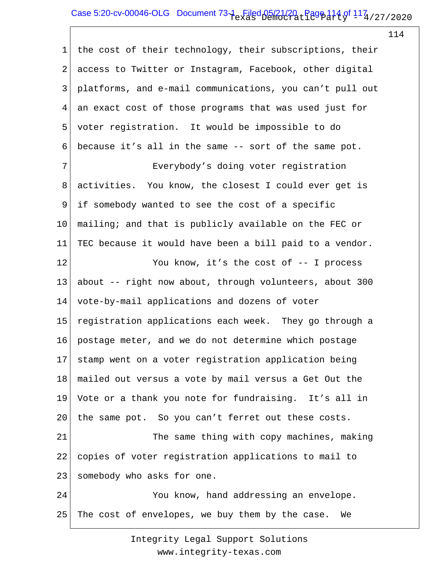### Case 5:20-cv-00046-OLG Document  $73-1$  Filed 05/21/20  $_{\rm L}$  Page 114 of  $114$  / 27/2020

114

1 2 3 4 5 6 7 8 9 10 11 12 13 14 15 16 17 18 19 20 21 22 23 24 25 the cost of their technology, their subscriptions, their access to Twitter or Instagram, Facebook, other digital platforms, and e-mail communications, you can't pull out an exact cost of those programs that was used just for voter registration. It would be impossible to do because it's all in the same -- sort of the same pot. Everybody's doing voter registration activities. You know, the closest I could ever get is if somebody wanted to see the cost of a specific mailing; and that is publicly available on the FEC or TEC because it would have been a bill paid to a vendor. You know, it's the cost of -- I process about -- right now about, through volunteers, about 300 vote-by-mail applications and dozens of voter registration applications each week. They go through a postage meter, and we do not determine which postage stamp went on a voter registration application being mailed out versus a vote by mail versus a Get Out the Vote or a thank you note for fundraising. It's all in the same pot. So you can't ferret out these costs. The same thing with copy machines, making copies of voter registration applications to mail to somebody who asks for one. You know, hand addressing an envelope. The cost of envelopes, we buy them by the case. We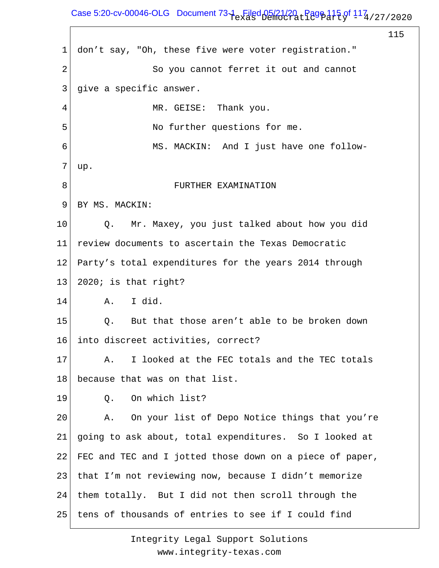## Case 5:20-cv-00046-OLG Document  $73-1$  Filed 05/21/20  $_{\rm L}$  Page 115 of  $117_{\rm 4/27/2020}$

115

1 2 3 4 5 6 7 8 9 10 11 12 13 14 15 16 17 18 19 20 21 22 23 24 25 don't say, "Oh, these five were voter registration." So you cannot ferret it out and cannot give a specific answer. MR. GEISE: Thank you. No further questions for me. MS. MACKIN: And I just have one followup. FURTHER EXAMINATION BY MS. MACKIN: Q. Mr. Maxey, you just talked about how you did review documents to ascertain the Texas Democratic Party's total expenditures for the years 2014 through 2020; is that right? A. I did. Q. But that those aren't able to be broken down into discreet activities, correct? A. I looked at the FEC totals and the TEC totals because that was on that list. Q. On which list? A. On your list of Depo Notice things that you're going to ask about, total expenditures. So I looked at FEC and TEC and I jotted those down on a piece of paper, that I'm not reviewing now, because I didn't memorize them totally. But I did not then scroll through the tens of thousands of entries to see if I could find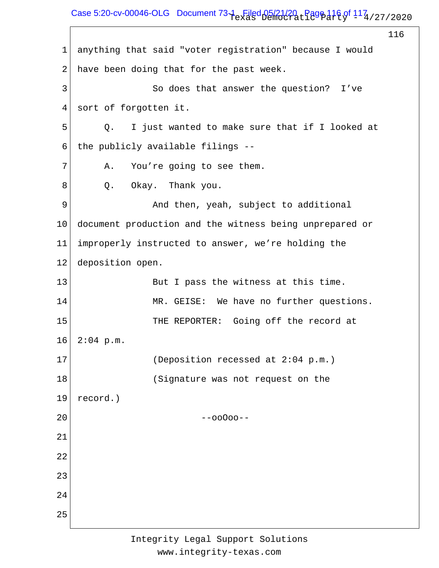Case 5:20-cv-00046-OLG Document  $73-1$  Filed 05/21/20  $_{\rm L}$  Page 116 of 117  $_{\rm 4/27/2020}$ 

116 1 2 3 4 5 6 7 8 9 10 11 12 13 14 15 16 17 18 19 20 21 22 23 24 25 anything that said "voter registration" because I would have been doing that for the past week. So does that answer the question? I've sort of forgotten it. Q. I just wanted to make sure that if I looked at the publicly available filings -- A. You're going to see them. Q. Okay. Thank you. And then, yeah, subject to additional document production and the witness being unprepared or improperly instructed to answer, we're holding the deposition open. But I pass the witness at this time. MR. GEISE: We have no further questions. THE REPORTER: Going off the record at  $2:04$  p.m. (Deposition recessed at 2:04 p.m.) (Signature was not request on the record.) --ooOoo--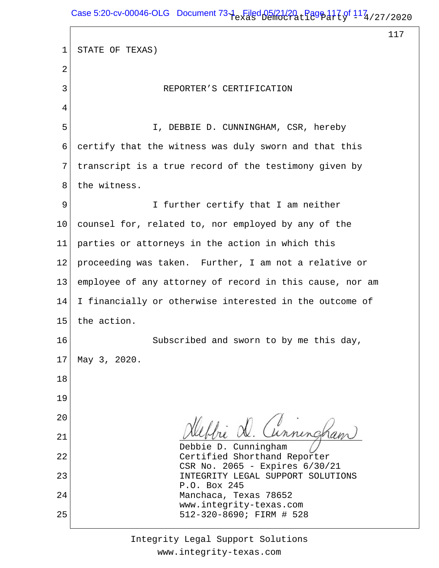Case 5:20-cv-00046-OLG Document  $73-1$  Filed 05/21/20  $_{\rm L}$  Page 117 of  $117_4$  / 27 / 2020

 $\Gamma$ 

117

| $\mathbf 1$ | STATE OF TEXAS)                                                |
|-------------|----------------------------------------------------------------|
| 2           |                                                                |
| 3           | REPORTER'S CERTIFICATION                                       |
| 4           |                                                                |
| 5           | I, DEBBIE D. CUNNINGHAM, CSR, hereby                           |
| 6           | certify that the witness was duly sworn and that this          |
| 7           | transcript is a true record of the testimony given by          |
| 8           | the witness.                                                   |
| 9           | I further certify that I am neither                            |
| 10          | counsel for, related to, nor employed by any of the            |
| 11          | parties or attorneys in the action in which this               |
| 12          | proceeding was taken. Further, I am not a relative or          |
| 13          | employee of any attorney of record in this cause, nor am       |
| 14          | I financially or otherwise interested in the outcome of        |
| 15          | the action.                                                    |
| 16          | Subscribed and sworn to by me this day,                        |
| 17          | May 3, 2020.                                                   |
| 18          |                                                                |
| 19          |                                                                |
| 20          | Hebbie D. Cunningham                                           |
| 21          | Debbie D. Cunningham                                           |
| 22          | Certified Shorthand Reporter<br>CSR No. 2065 - Expires 6/30/21 |
| 23          | INTEGRITY LEGAL SUPPORT SOLUTIONS<br>P.O. Box 245              |
| 24          | Manchaca, Texas 78652<br>www.integrity-texas.com               |
| 25          | 512-320-8690; FIRM # 528                                       |
|             |                                                                |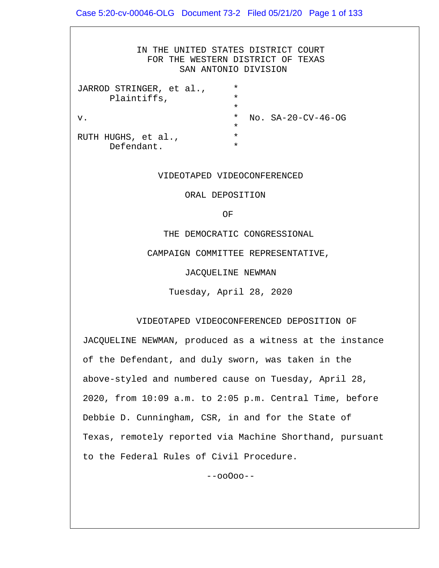IN THE UNITED STATES DISTRICT COURT FOR THE WESTERN DISTRICT OF TEXAS SAN ANTONIO DIVISION JARROD STRINGER, et al., \* Plaintiffs,  $\star$ v. \* No. SA-20-CV-46-OG  $\star$ RUTH HUGHS, et al., Defendant. \*

#### VIDEOTAPED VIDEOCONFERENCED

ORAL DEPOSITION

**OF** STREET IN THE STREET IS NOT THE STREET IN THE STREET IS NOT THE STREET IN THE STREET IS NOT THE STREET IN THE STREET IS NOT THE STREET IN THE STREET IS NOT THE STREET IN THE STREET IS NOT THE STREET IN THE STREET IS N

THE DEMOCRATIC CONGRESSIONAL

CAMPAIGN COMMITTEE REPRESENTATIVE,

JACQUELINE NEWMAN

Tuesday, April 28, 2020

#### VIDEOTAPED VIDEOCONFERENCED DEPOSITION OF

 JACQUELINE NEWMAN, produced as a witness at the instance of the Defendant, and duly sworn, was taken in the above-styled and numbered cause on Tuesday, April 28, 2020, from 10:09 a.m. to 2:05 p.m. Central Time, before Debbie D. Cunningham, CSR, in and for the State of Texas, remotely reported via Machine Shorthand, pursuant to the Federal Rules of Civil Procedure.

--ooOoo--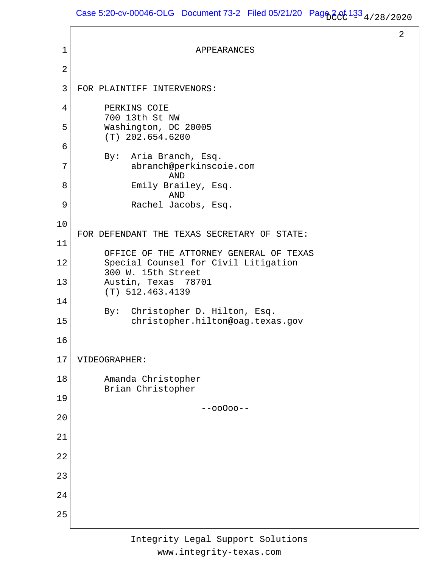Case 5:20-cv-00046-OLG Document 73-2 Filed 05/21/20 Page 2 of  $133_{\frac{4}{28}/28/2020}$ 

```
2
 1
 2
 3
 4
 5
 6
 7
 8
 9
10
11
12
13
14
15
16
17
18
19
20
21
22
23
24
25
                             APPEARANCES
    FOR PLAINTIFF INTERVENORS:
          PERKINS COIE
          700 13th St NW
          Washington, DC 20005
          (T) 202.654.6200
          By: Aria Branch, Esq.
                abranch@perkinscoie.com
                       AND
                Emily Brailey, Esq.
                       AND
                Rachel Jacobs, Esq.
    FOR DEFENDANT THE TEXAS SECRETARY OF STATE:
          OFFICE OF THE ATTORNEY GENERAL OF TEXAS
          Special Counsel for Civil Litigation
          300 W. 15th Street
          Austin, Texas 78701
          (T) 512.463.4139
          By: Christopher D. Hilton, Esq.
                christopher.hilton@oag.texas.gov
    VIDEOGRAPHER:
          Amanda Christopher
          Brian Christopher
                              --ooOoo--
```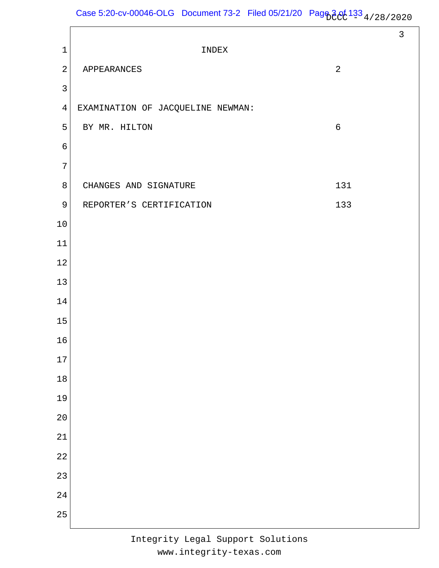Case 5:20-cv-00046-OLG Document 73-2 Filed 05/21/20 Page  $3e^{(133)}$  4/28/2020

|                 |                                   |                | $\mathfrak{Z}$ |
|-----------------|-----------------------------------|----------------|----------------|
| $\mathbf 1$     | INDEX                             |                |                |
| $\sqrt{2}$      | APPEARANCES                       | $\overline{2}$ |                |
| $\mathbf{3}$    |                                   |                |                |
| $\overline{4}$  | EXAMINATION OF JACQUELINE NEWMAN: |                |                |
| 5               | BY MR. HILTON                     | $\sqrt{6}$     |                |
| $\epsilon$      |                                   |                |                |
| $\overline{7}$  |                                   |                |                |
| $\,8\,$         | CHANGES AND SIGNATURE             | 131            |                |
| $\mathsf 9$     | REPORTER'S CERTIFICATION          | 133            |                |
| $10\,$          |                                   |                |                |
| $11\,$          |                                   |                |                |
| 12              |                                   |                |                |
| $13$            |                                   |                |                |
| 14              |                                   |                |                |
| $15$            |                                   |                |                |
| $16\,$          |                                   |                |                |
| 17              |                                   |                |                |
| $18\,$          |                                   |                |                |
| 19              |                                   |                |                |
| 20              |                                   |                |                |
| 21              |                                   |                |                |
| $\overline{22}$ |                                   |                |                |
| 23              |                                   |                |                |
| 24              |                                   |                |                |
| 25              |                                   |                |                |
|                 |                                   |                |                |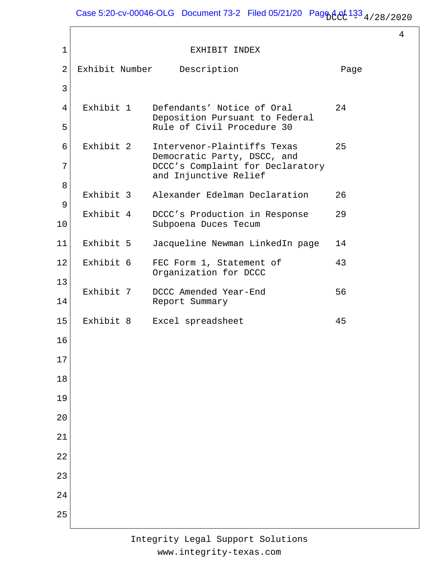Case 5:20-cv-00046-OLG Document 73-2 Filed 05/21/20  $\text{Page}^{4}$   $94/33$   $4/28/2020$ 

4

| $\mathbf 1$ |                | EXHIBIT INDEX                                                |      |
|-------------|----------------|--------------------------------------------------------------|------|
| 2           | Exhibit Number | Description                                                  | Page |
| 3           |                |                                                              |      |
| 4           | Exhibit 1      | Defendants' Notice of Oral                                   | 24   |
| 5           |                | Deposition Pursuant to Federal<br>Rule of Civil Procedure 30 |      |
| 6           | Exhibit 2      | Intervenor-Plaintiffs Texas<br>Democratic Party, DSCC, and   | 25   |
| 7           |                | DCCC's Complaint for Declaratory<br>and Injunctive Relief    |      |
| 8           |                |                                                              |      |
| 9           | Exhibit 3      | Alexander Edelman Declaration                                | 26   |
| 10          | Exhibit 4      | DCCC's Production in Response<br>Subpoena Duces Tecum        | 29   |
| 11          | Exhibit 5      | Jacqueline Newman LinkedIn page                              | 14   |
| 12          | Exhibit 6      | FEC Form 1, Statement of<br>Organization for DCCC            | 43   |
| 13<br>14    | Exhibit 7      | DCCC Amended Year-End<br>Report Summary                      | 56   |
| 15          | Exhibit 8      | Excel spreadsheet                                            | 45   |
| 16          |                |                                                              |      |
| 17          |                |                                                              |      |
| 18          |                |                                                              |      |
| 19          |                |                                                              |      |
| 20          |                |                                                              |      |
| 21          |                |                                                              |      |
| 22          |                |                                                              |      |
| 23          |                |                                                              |      |
| 24          |                |                                                              |      |
| 25          |                |                                                              |      |
|             |                |                                                              |      |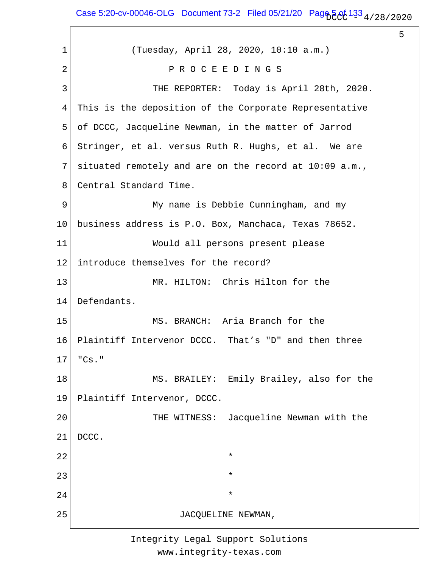Case 5:20-cv-00046-OLG Document 73-2 Filed 05/21/20 Pag $66/133/4/28/2020$ 

5

1 2 3 4 5 6 7 8 9 10 11 12 13 14 15 16 17 18 19 20 21 22 23 24 25 (Tuesday, April 28, 2020, 10:10 a.m.) P R O C E E D I N G S THE REPORTER: Today is April 28th, 2020. This is the deposition of the Corporate Representative of DCCC, Jacqueline Newman, in the matter of Jarrod Stringer, et al. versus Ruth R. Hughs, et al. We are situated remotely and are on the record at 10:09 a.m., Central Standard Time. My name is Debbie Cunningham, and my business address is P.O. Box, Manchaca, Texas 78652. Would all persons present please introduce themselves for the record? MR. HILTON: Chris Hilton for the Defendants. MS. BRANCH: Aria Branch for the Plaintiff Intervenor DCCC. That's "D" and then three "Cs." MS. BRAILEY: Emily Brailey, also for the Plaintiff Intervenor, DCCC. THE WITNESS: Jacqueline Newman with the DCCC.  $\star$  $\star$  $\star$ JACQUELINE NEWMAN,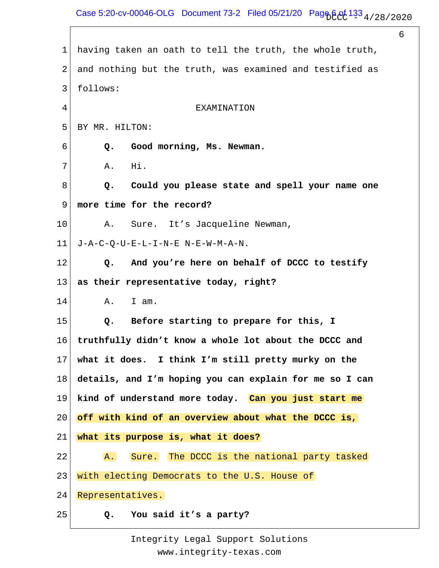Case 5:20-cv-00046-OLG Document 73-2 Filed 05/21/20 Page  $605/133/4/28/2020$ 

6 1 2 3 4 5 6 7 8 9 10 11 12 13 14 15 16 17 18 19 20 21 22 23 24 25 having taken an oath to tell the truth, the whole truth, and nothing but the truth, was examined and testified as follows: **EXAMINATION** BY MR. HILTON:  **Q. Good morning, Ms. Newman.** A. Hi.  **Q. Could you please state and spell your name one more time for the record?** A. Sure. It's Jacqueline Newman, J-A-C-Q-U-E-L-I-N-E N-E-W-M-A-N.  **Q. And you're here on behalf of DCCC to testify as their representative today, right?** A. I am.  **Q. Before starting to prepare for this, I truthfully didn't know a whole lot about the DCCC and what it does. I think I'm still pretty murky on the details, and I'm hoping you can explain for me so I can kind of understand more today. Can you just start me off with kind of an overview about what the DCCC is, what its purpose is, what it does?** A. Sure. The DCCC is the national party tasked with electing Democrats to the U.S. House of Representatives.  **Q. You said it's a party?**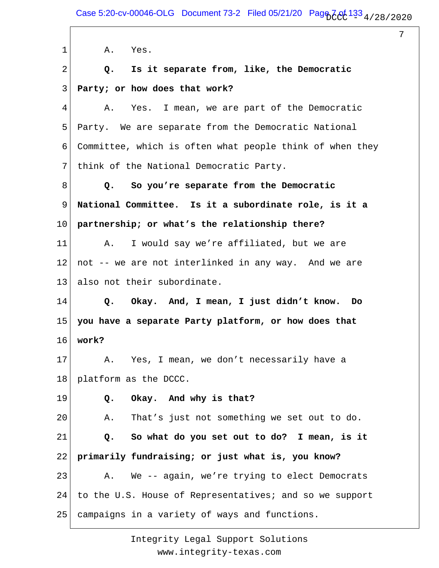1 2 3 4 5 6 7 8 9 10 11 12 13 14 15 16 17 18 19 20 21 22 23 24 25 A. Yes.  **Q. Is it separate from, like, the Democratic Party; or how does that work?** A. Yes. I mean, we are part of the Democratic Party. We are separate from the Democratic National Committee, which is often what people think of when they think of the National Democratic Party.  **Q. So you're separate from the Democratic National Committee. Is it a subordinate role, is it a partnership; or what's the relationship there?** A. I would say we're affiliated, but we are not -- we are not interlinked in any way. And we are also not their subordinate.  **Q. Okay. And, I mean, I just didn't know. Do you have a separate Party platform, or how does that work?** A. Yes, I mean, we don't necessarily have a platform as the DCCC.  **Q. Okay. And why is that?** A. That's just not something we set out to do.  **Q. So what do you set out to do? I mean, is it primarily fundraising; or just what is, you know?** A. We -- again, we're trying to elect Democrats to the U.S. House of Representatives; and so we support campaigns in a variety of ways and functions.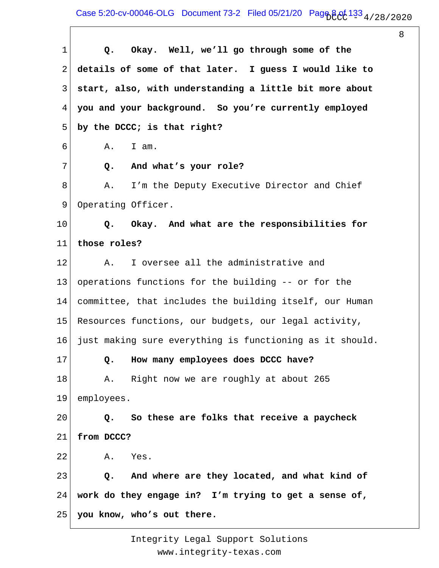Case 5:20-cv-00046-OLG Document 73-2 Filed 05/21/20 Page 8 of  $133_{\frac{4}{28}/28/2020}$ 

8

1 2 3 4 5 6 7 8 9 10 11 12 13 14 15 16 17 18 19 20 21 22 23 24 25  **Q. Okay. Well, we'll go through some of the details of some of that later. I guess I would like to start, also, with understanding a little bit more about you and your background. So you're currently employed by the DCCC; is that right?** A. I am.  **Q. And what's your role?** A. I'm the Deputy Executive Director and Chief Operating Officer.  **Q. Okay. And what are the responsibilities for those roles?** A. I oversee all the administrative and operations functions for the building -- or for the committee, that includes the building itself, our Human Resources functions, our budgets, our legal activity, just making sure everything is functioning as it should.  **Q. How many employees does DCCC have?** A. Right now we are roughly at about 265 employees.  **Q. So these are folks that receive a paycheck from DCCC?** A. Yes.  **Q. And where are they located, and what kind of work do they engage in? I'm trying to get a sense of, you know, who's out there.**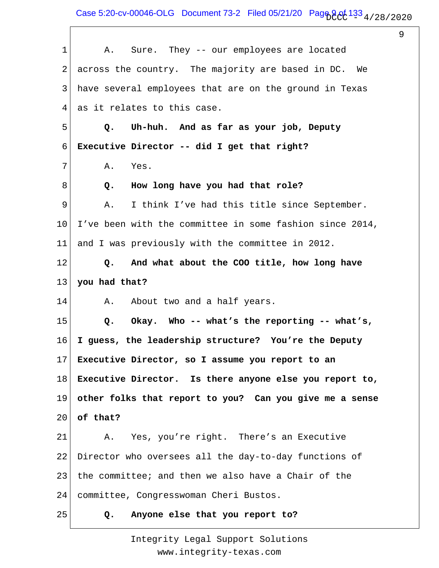Case 5:20-cv-00046-OLG Document 73-2 Filed 05/21/20 Page 9 of  $133_{\frac{4}{28}/28/2020}$ 

9

1 2 3 4 5 6 7 8 9 10 11 12 13 14 15 16 17 18 19 20 21 22 23 24 25 A. Sure. They -- our employees are located across the country. The majority are based in DC. We have several employees that are on the ground in Texas as it relates to this case.  **Q. Uh-huh. And as far as your job, Deputy Executive Director -- did I get that right?** A. Yes.  **Q. How long have you had that role?** A. I think I've had this title since September. I've been with the committee in some fashion since 2014, and I was previously with the committee in 2012.  **Q. And what about the COO title, how long have you had that?** A. About two and a half years.  **Q. Okay. Who -- what's the reporting -- what's, I guess, the leadership structure? You're the Deputy Executive Director, so I assume you report to an Executive Director. Is there anyone else you report to, other folks that report to you? Can you give me a sense of that?** A. Yes, you're right. There's an Executive Director who oversees all the day-to-day functions of the committee; and then we also have a Chair of the committee, Congresswoman Cheri Bustos.  **Q. Anyone else that you report to?**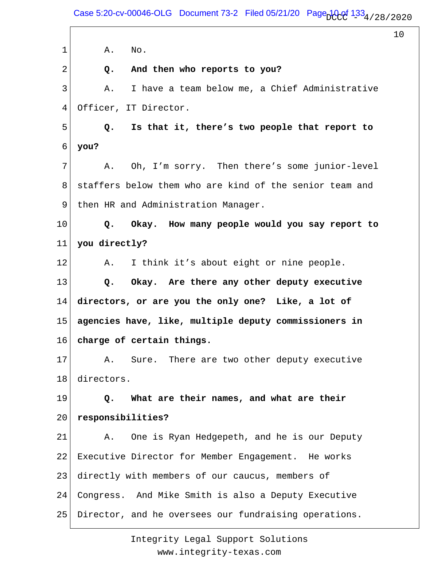Case 5:20-cv-00046-OLG Document 73-2 Filed 05/21/20 Page  $100^{4}$  133 $_4$  / 28 / 2020

10

1 2 3 4 5 6 7 8 9 10 11 12 13 14 15 16 17 18 19 20 21 22 23 24 25 A. No.  **Q. And then who reports to you?** A. I have a team below me, a Chief Administrative Officer, IT Director.  **Q. Is that it, there's two people that report to you?** A. Oh, I'm sorry. Then there's some junior-level staffers below them who are kind of the senior team and then HR and Administration Manager.  **Q. Okay. How many people would you say report to you directly?** A. I think it's about eight or nine people.  **Q. Okay. Are there any other deputy executive directors, or are you the only one? Like, a lot of agencies have, like, multiple deputy commissioners in charge of certain things.** A. Sure. There are two other deputy executive directors.  **Q. What are their names, and what are their responsibilities?** A. One is Ryan Hedgepeth, and he is our Deputy Executive Director for Member Engagement. He works directly with members of our caucus, members of Congress. And Mike Smith is also a Deputy Executive Director, and he oversees our fundraising operations.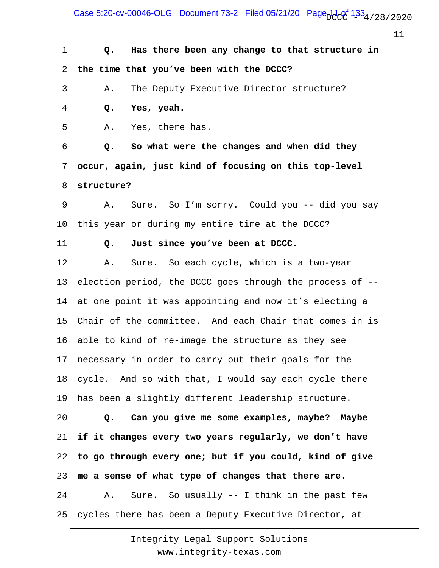Case 5:20-cv-00046-OLG Document 73-2 Filed 05/21/20 Page  $1.33_{4/28/2020}$ 

11 1 2 3 4 5 6 7 8 9 10 11 12 13 14 15 16 17 18 19 20 21 22 23 24 25  **Q. Has there been any change to that structure in the time that you've been with the DCCC?** A. The Deputy Executive Director structure?  **Q. Yes, yeah.** A. Yes, there has.  **Q. So what were the changes and when did they occur, again, just kind of focusing on this top-level structure?** A. Sure. So I'm sorry. Could you -- did you say this year or during my entire time at the DCCC?  **Q. Just since you've been at DCCC.** A. Sure. So each cycle, which is a two-year election period, the DCCC goes through the process of - at one point it was appointing and now it's electing a Chair of the committee. And each Chair that comes in is able to kind of re-image the structure as they see necessary in order to carry out their goals for the cycle. And so with that, I would say each cycle there has been a slightly different leadership structure.  **Q. Can you give me some examples, maybe? Maybe if it changes every two years regularly, we don't have to go through every one; but if you could, kind of give me a sense of what type of changes that there are.** A. Sure. So usually -- I think in the past few cycles there has been a Deputy Executive Director, at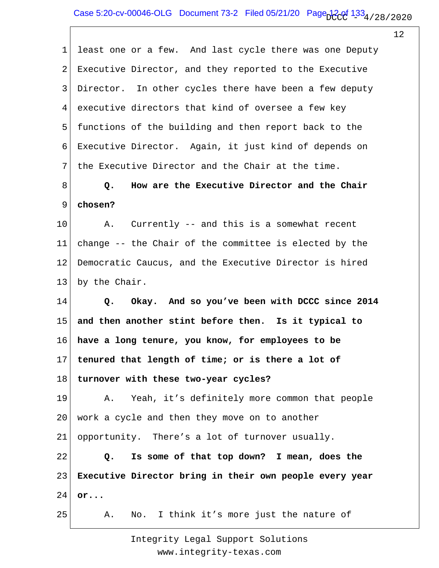1 2 3 4 5 6 7 8 9 10 11 12 13 14 15 16 17 18 19 20 21 22 23 24 25 least one or a few. And last cycle there was one Deputy Executive Director, and they reported to the Executive Director. In other cycles there have been a few deputy executive directors that kind of oversee a few key functions of the building and then report back to the Executive Director. Again, it just kind of depends on the Executive Director and the Chair at the time.  **Q. How are the Executive Director and the Chair chosen?** A. Currently -- and this is a somewhat recent change -- the Chair of the committee is elected by the Democratic Caucus, and the Executive Director is hired by the Chair.  **Q. Okay. And so you've been with DCCC since 2014 and then another stint before then. Is it typical to have a long tenure, you know, for employees to be tenured that length of time; or is there a lot of turnover with these two-year cycles?** A. Yeah, it's definitely more common that people work a cycle and then they move on to another opportunity. There's a lot of turnover usually.  **Q. Is some of that top down? I mean, does the Executive Director bring in their own people every year or...** A. No. I think it's more just the nature of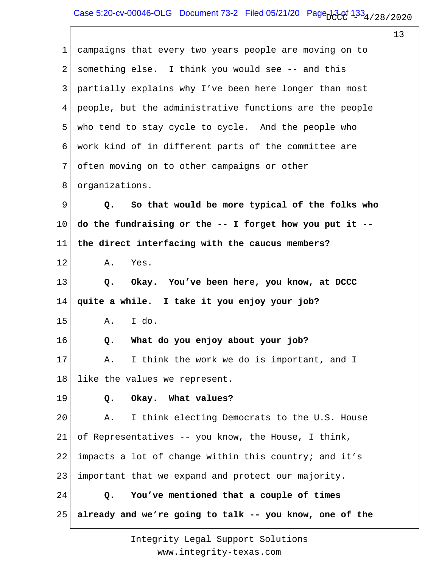| $\mathbf 1$ | campaigns that every two years people are moving on to  |
|-------------|---------------------------------------------------------|
| 2           | something else. I think you would see -- and this       |
| 3           | partially explains why I've been here longer than most  |
| 4           | people, but the administrative functions are the people |
| 5           | who tend to stay cycle to cycle. And the people who     |
| 6           | work kind of in different parts of the committee are    |
| 7           | often moving on to other campaigns or other             |
| 8           | organizations.                                          |
| 9           | So that would be more typical of the folks who<br>Q.    |
| 10          | do the fundraising or the -- I forget how you put it -- |
| 11          | the direct interfacing with the caucus members?         |
| 12          | Yes.<br>Α.                                              |
| 13          | Okay. You've been here, you know, at DCCC<br>Q.         |
| 14          | quite a while. I take it you enjoy your job?            |
| 15          | I do.<br>A.                                             |
| 16          | What do you enjoy about your job?<br>Q.                 |
| 17          | A. I think the work we do is important, and I           |
| 18          | like the values we represent.                           |
| 19          | Okay. What values?<br>$Q$ .                             |
| 20          | I think electing Democrats to the U.S. House<br>Α.      |
| 21          | of Representatives -- you know, the House, I think,     |
| 22          | impacts a lot of change within this country; and it's   |
| 23          | important that we expand and protect our majority.      |
| 24          | You've mentioned that a couple of times<br>Q.           |
| 25          | already and we're going to talk -- you know, one of the |
|             |                                                         |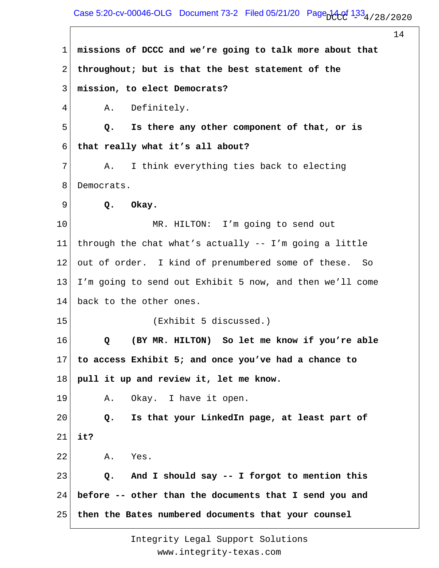#### Case 5:20-cv-00046-OLG Document 73-2 Filed 05/21/20 Page  $14.01$   $133<sub>4/28/2020</sub>$

14 1 2 3 4 5 6 7 8 9 10 11 12 13 14 15 16 17 18 19 20 21 22 23 24 25 **missions of DCCC and we're going to talk more about that throughout; but is that the best statement of the mission, to elect Democrats?** A. Definitely.  **Q. Is there any other component of that, or is that really what it's all about?** A. I think everything ties back to electing Democrats.  **Q. Okay.** MR. HILTON: I'm going to send out through the chat what's actually -- I'm going a little out of order. I kind of prenumbered some of these. So I'm going to send out Exhibit 5 now, and then we'll come back to the other ones. (Exhibit 5 discussed.)  **Q (BY MR. HILTON) So let me know if you're able to access Exhibit 5; and once you've had a chance to pull it up and review it, let me know.** A. Okay. I have it open.  **Q. Is that your LinkedIn page, at least part of it?** A. Yes.  **Q. And I should say -- I forgot to mention this before -- other than the documents that I send you and then the Bates numbered documents that your counsel**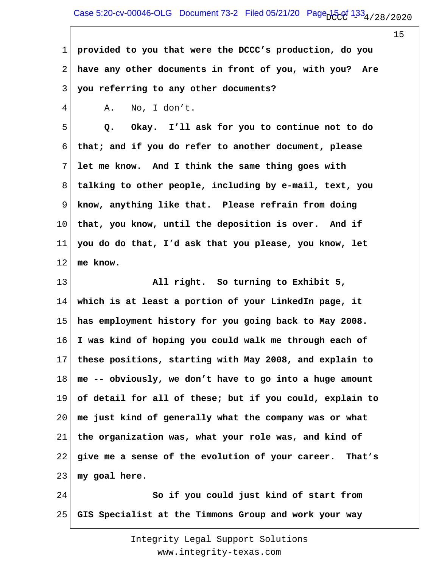1 2 3 **provided to you that were the DCCC's production, do you have any other documents in front of you, with you? Are you referring to any other documents?**

A. No, I don't.

4

5 6 7 8 9 10 11 12  **Q. Okay. I'll ask for you to continue not to do that; and if you do refer to another document, please let me know. And I think the same thing goes with talking to other people, including by e-mail, text, you know, anything like that. Please refrain from doing that, you know, until the deposition is over. And if you do do that, I'd ask that you please, you know, let me know.**

13 14 15 16 17 18 19 20 21 22 23  **All right. So turning to Exhibit 5, which is at least a portion of your LinkedIn page, it has employment history for you going back to May 2008. I was kind of hoping you could walk me through each of these positions, starting with May 2008, and explain to me -- obviously, we don't have to go into a huge amount of detail for all of these; but if you could, explain to me just kind of generally what the company was or what the organization was, what your role was, and kind of give me a sense of the evolution of your career. That's my goal here.**

24 25  **So if you could just kind of start from GIS Specialist at the Timmons Group and work your way**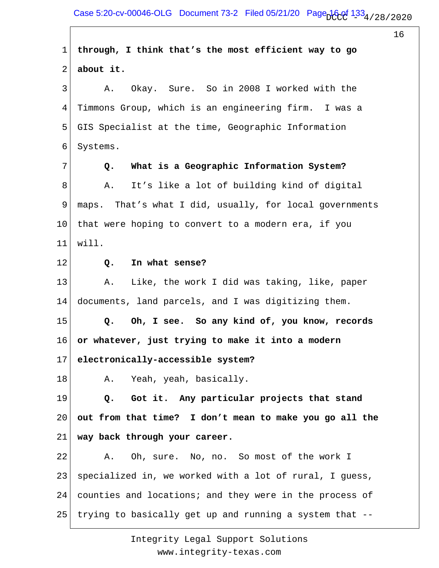1 2 3 4 5 6 7 8 9 10 11 12 13 14 15 16 17 18 19 20 21 22 23 24 25 **through, I think that's the most efficient way to go about it.** A. Okay. Sure. So in 2008 I worked with the Timmons Group, which is an engineering firm. I was a GIS Specialist at the time, Geographic Information Systems.  **Q. What is a Geographic Information System?** A. It's like a lot of building kind of digital maps. That's what I did, usually, for local governments that were hoping to convert to a modern era, if you will.  **Q. In what sense?** A. Like, the work I did was taking, like, paper documents, land parcels, and I was digitizing them.  **Q. Oh, I see. So any kind of, you know, records or whatever, just trying to make it into a modern electronically-accessible system?** A. Yeah, yeah, basically.  **Q. Got it. Any particular projects that stand out from that time? I don't mean to make you go all the way back through your career.** A. Oh, sure. No, no. So most of the work I specialized in, we worked with a lot of rural, I guess, counties and locations; and they were in the process of trying to basically get up and running a system that --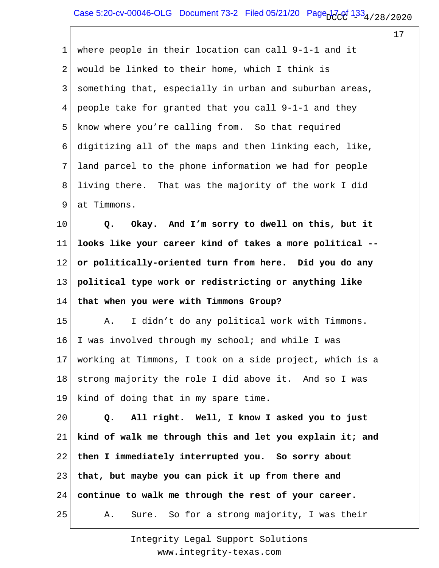1 2 3 4 5 6 7 8 9 where people in their location can call 9-1-1 and it would be linked to their home, which I think is something that, especially in urban and suburban areas, people take for granted that you call 9-1-1 and they know where you're calling from. So that required digitizing all of the maps and then linking each, like, land parcel to the phone information we had for people living there. That was the majority of the work I did at Timmons.

10 11 12 13 14  **Q. Okay. And I'm sorry to dwell on this, but it looks like your career kind of takes a more political - or politically-oriented turn from here. Did you do any political type work or redistricting or anything like that when you were with Timmons Group?**

15 16 17 18 19 A. I didn't do any political work with Timmons. I was involved through my school; and while I was working at Timmons, I took on a side project, which is a strong majority the role I did above it. And so I was kind of doing that in my spare time.

20 21 22 23 24 25  **Q. All right. Well, I know I asked you to just kind of walk me through this and let you explain it; and then I immediately interrupted you. So sorry about that, but maybe you can pick it up from there and continue to walk me through the rest of your career.** A. Sure. So for a strong majority, I was their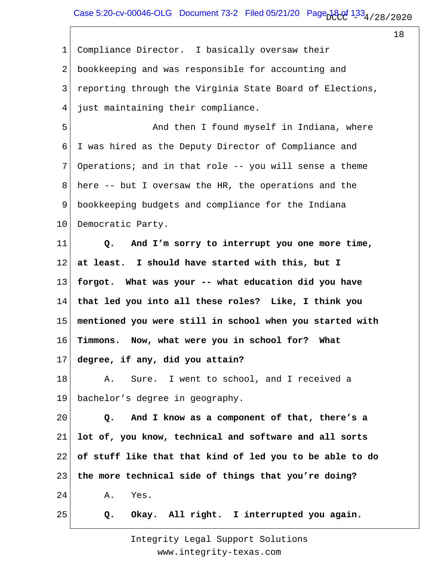18

2 3 4 5 6 7 8 9 10 11 12 13 14 15 16 17 18 19 20 21 22 23 24 25 Compliance Director. I basically oversaw their bookkeeping and was responsible for accounting and reporting through the Virginia State Board of Elections, just maintaining their compliance. And then I found myself in Indiana, where I was hired as the Deputy Director of Compliance and Operations; and in that role -- you will sense a theme here -- but I oversaw the HR, the operations and the bookkeeping budgets and compliance for the Indiana Democratic Party.  **Q. And I'm sorry to interrupt you one more time, at least. I should have started with this, but I forgot. What was your -- what education did you have that led you into all these roles? Like, I think you mentioned you were still in school when you started with Timmons. Now, what were you in school for? What degree, if any, did you attain?** A. Sure. I went to school, and I received a bachelor's degree in geography.  **Q. And I know as a component of that, there's a lot of, you know, technical and software and all sorts of stuff like that that kind of led you to be able to do the more technical side of things that you're doing?** A. Yes.  **Q. Okay. All right. I interrupted you again.**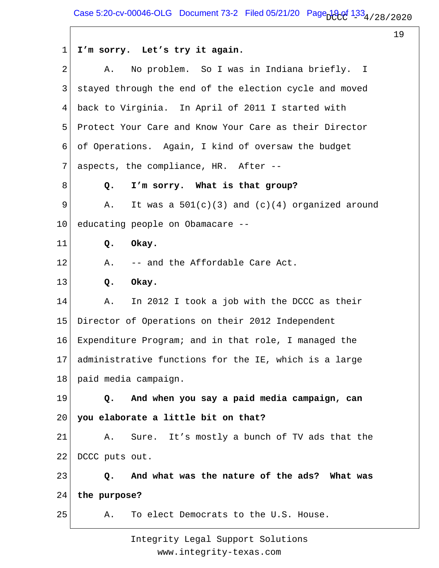1 2 3 4 5 6 7 8 9 10 11 12 13 14 15 16 17 18 19 20 21 22 23 24 25 **I'm sorry. Let's try it again.** A. No problem. So I was in Indiana briefly. I stayed through the end of the election cycle and moved back to Virginia. In April of 2011 I started with Protect Your Care and Know Your Care as their Director of Operations. Again, I kind of oversaw the budget aspects, the compliance, HR. After --  **Q. I'm sorry. What is that group?** A. It was a  $501(c)(3)$  and  $(c)(4)$  organized around educating people on Obamacare --  **Q. Okay.** A. -- and the Affordable Care Act.  **Q. Okay.** A. In 2012 I took a job with the DCCC as their Director of Operations on their 2012 Independent Expenditure Program; and in that role, I managed the administrative functions for the IE, which is a large paid media campaign.  **Q. And when you say a paid media campaign, can you elaborate a little bit on that?** A. Sure. It's mostly a bunch of TV ads that the DCCC puts out.  **Q. And what was the nature of the ads? What was the purpose?** A. To elect Democrats to the U.S. House.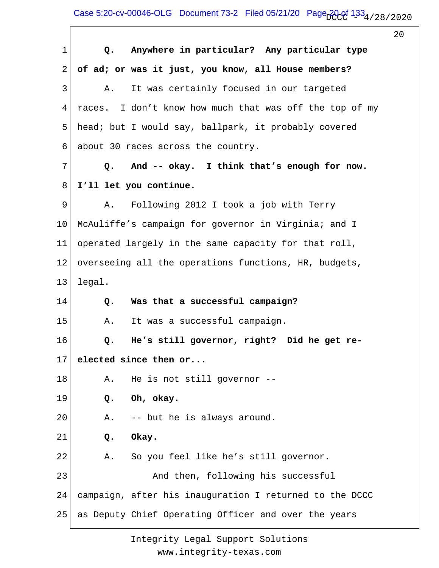| $\mathbf{1}$    | Anywhere in particular? Any particular type<br>$Q_{\bullet}$ |
|-----------------|--------------------------------------------------------------|
| $\overline{2}$  | of ad; or was it just, you know, all House members?          |
| 3               | It was certainly focused in our targeted<br>Α.               |
| 4               | races. I don't know how much that was off the top of my      |
| 5               | head; but I would say, ballpark, it probably covered         |
| 6               | about 30 races across the country.                           |
| 7               | And -- okay. I think that's enough for now.<br>$Q_{\bullet}$ |
| 8               | I'll let you continue.                                       |
| 9               | A. Following 2012 I took a job with Terry                    |
| 10 <sub>1</sub> | McAuliffe's campaign for governor in Virginia; and I         |
| 11 <sub>1</sub> | operated largely in the same capacity for that roll,         |
| 12              | overseeing all the operations functions, HR, budgets,        |
| 13              | legal.                                                       |
| 14              | Was that a successful campaign?<br>Q.                        |
| 15              | It was a successful campaign.<br>Α.                          |
| 16              | He's still governor, right? Did he get re-<br>$Q$ .          |
| 17              | elected since then or                                        |
| 18              | He is not still governor --<br>Α.                            |
| 19              | Oh, okay.<br>Q.                                              |
| 20              | -- but he is always around.<br>Α.                            |
| 21              | Okay.<br>Q.                                                  |
| 22              | So you feel like he's still governor.<br>Α.                  |
| 23              | And then, following his successful                           |
| 24              | campaign, after his inauguration I returned to the DCCC      |
| 25              | as Deputy Chief Operating Officer and over the years         |
|                 |                                                              |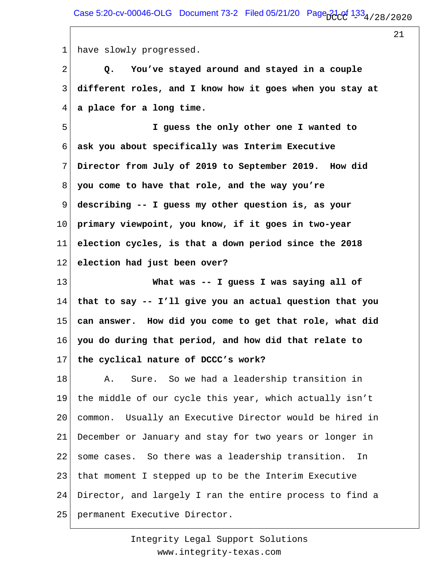1 have slowly progressed.

2 3 4  **Q. You've stayed around and stayed in a couple different roles, and I know how it goes when you stay at a place for a long time.**

5 6 7 8 9 10 11 12  **I guess the only other one I wanted to ask you about specifically was Interim Executive Director from July of 2019 to September 2019. How did you come to have that role, and the way you're describing -- I guess my other question is, as your primary viewpoint, you know, if it goes in two-year election cycles, is that a down period since the 2018 election had just been over?**

13 14 15 16 17  **What was -- I guess I was saying all of that to say -- I'll give you an actual question that you can answer. How did you come to get that role, what did you do during that period, and how did that relate to the cyclical nature of DCCC's work?**

18 19 20 21 22 23 24 25 A. Sure. So we had a leadership transition in the middle of our cycle this year, which actually isn't common. Usually an Executive Director would be hired in December or January and stay for two years or longer in some cases. So there was a leadership transition. In that moment I stepped up to be the Interim Executive Director, and largely I ran the entire process to find a permanent Executive Director.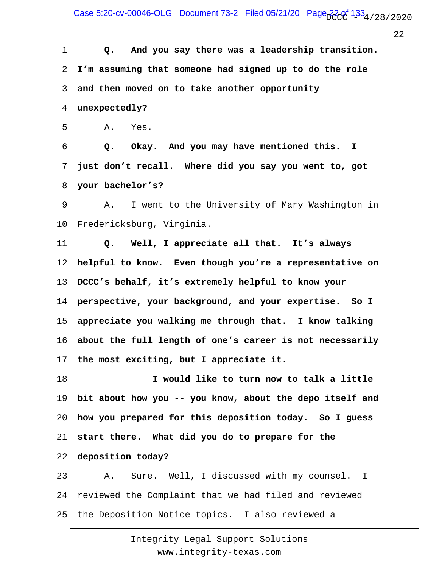Case 5:20-cv-00046-OLG Document 73-2 Filed 05/21/20 Page  $22$  of  $133_4$  / 28 / 2020

22 1 2 3 4 5 6 7 8 9 10 11 12 13 14 15 16 17 18 19 20 21 22 23 24 25  **Q. And you say there was a leadership transition. I'm assuming that someone had signed up to do the role and then moved on to take another opportunity unexpectedly?** A. Yes.  **Q. Okay. And you may have mentioned this. I just don't recall. Where did you say you went to, got your bachelor's?** A. I went to the University of Mary Washington in Fredericksburg, Virginia.  **Q. Well, I appreciate all that. It's always helpful to know. Even though you're a representative on DCCC's behalf, it's extremely helpful to know your perspective, your background, and your expertise. So I appreciate you walking me through that. I know talking about the full length of one's career is not necessarily the most exciting, but I appreciate it. I would like to turn now to talk a little bit about how you -- you know, about the depo itself and how you prepared for this deposition today. So I guess start there. What did you do to prepare for the deposition today?** A. Sure. Well, I discussed with my counsel. I reviewed the Complaint that we had filed and reviewed the Deposition Notice topics. I also reviewed a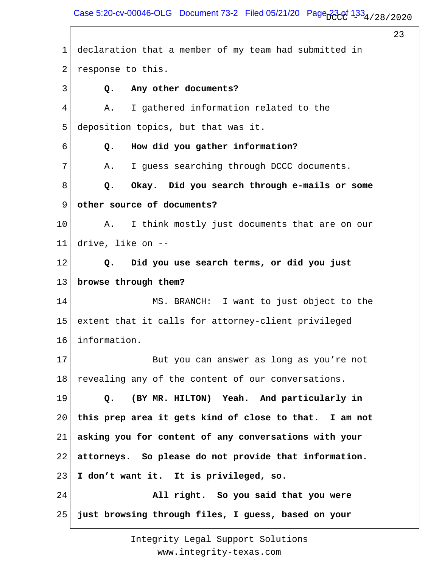Case 5:20-cv-00046-OLG Document 73-2 Filed 05/21/20 Page  $334/28/28/2020$ 

23

1 2 3 4 5 6 7 8 9 10 11 12 13 14 15 16 17 18 19 20 21 22 23 24 25 declaration that a member of my team had submitted in response to this.  **Q. Any other documents?** A. I gathered information related to the deposition topics, but that was it.  **Q. How did you gather information?** A. I guess searching through DCCC documents.  **Q. Okay. Did you search through e-mails or some other source of documents?** A. I think mostly just documents that are on our drive, like on --  **Q. Did you use search terms, or did you just browse through them?** MS. BRANCH: I want to just object to the extent that it calls for attorney-client privileged information. But you can answer as long as you're not revealing any of the content of our conversations.  **Q. (BY MR. HILTON) Yeah. And particularly in this prep area it gets kind of close to that. I am not asking you for content of any conversations with your attorneys. So please do not provide that information. I don't want it. It is privileged, so. All right. So you said that you were just browsing through files, I guess, based on your**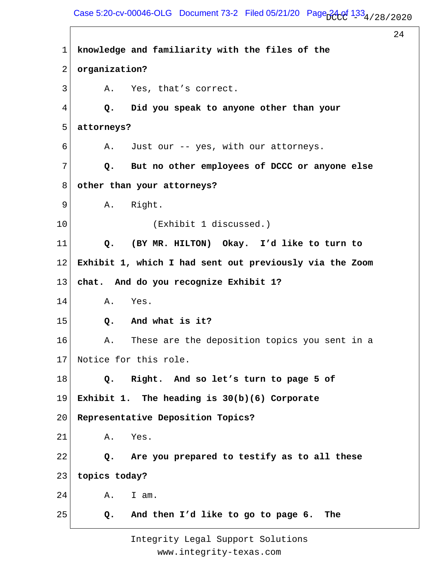Case 5:20-cv-00046-OLG Document 73-2 Filed 05/21/20 Page  $24.01$   $1.33$   $4/28/2020$ 

24

1 2 3 4 5 6 7 8 9 10 11 12 13 14 15 16 17 18 19 20 21 22 23 24 25 **knowledge and familiarity with the files of the organization?** A. Yes, that's correct.  **Q. Did you speak to anyone other than your attorneys?** A. Just our -- yes, with our attorneys.  **Q. But no other employees of DCCC or anyone else other than your attorneys?** A. Right. (Exhibit 1 discussed.)  **Q. (BY MR. HILTON) Okay. I'd like to turn to Exhibit 1, which I had sent out previously via the Zoom chat. And do you recognize Exhibit 1?** A. Yes.  **Q. And what is it?** A. These are the deposition topics you sent in a Notice for this role.  **Q. Right. And so let's turn to page 5 of Exhibit 1. The heading is 30(b)(6) Corporate Representative Deposition Topics?** A. Yes.  **Q. Are you prepared to testify as to all these topics today?** A. I am.  **Q. And then I'd like to go to page 6. The**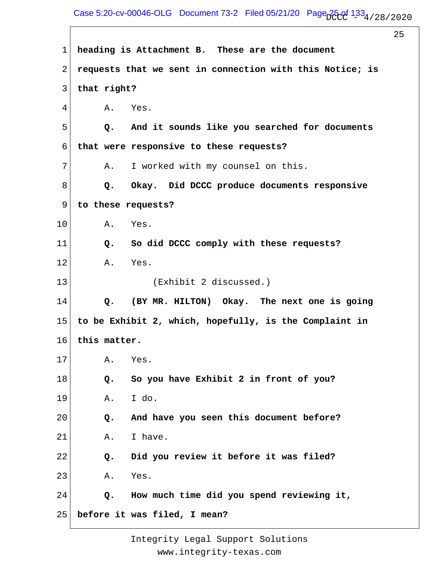Case 5:20-cv-00046-OLG Document 73-2 Filed 05/21/20 Page  $25.01$   $1.33_4$  / 28 / 2020

25

1 2 3 4 5 6 7 8 9 10 11 12 13 14 15 16 17 18 19 20 21 22 23 24 25 **heading is Attachment B. These are the document requests that we sent in connection with this Notice; is that right?** A. Yes.  **Q. And it sounds like you searched for documents that were responsive to these requests?** A. I worked with my counsel on this.  **Q. Okay. Did DCCC produce documents responsive to these requests?** A. Yes.  **Q. So did DCCC comply with these requests?** A. Yes. (Exhibit 2 discussed.)  **Q. (BY MR. HILTON) Okay. The next one is going to be Exhibit 2, which, hopefully, is the Complaint in this matter.** A. Yes.  **Q. So you have Exhibit 2 in front of you?** A. I do.  **Q. And have you seen this document before?** A. I have.  **Q. Did you review it before it was filed?** A. Yes.  **Q. How much time did you spend reviewing it, before it was filed, I mean?**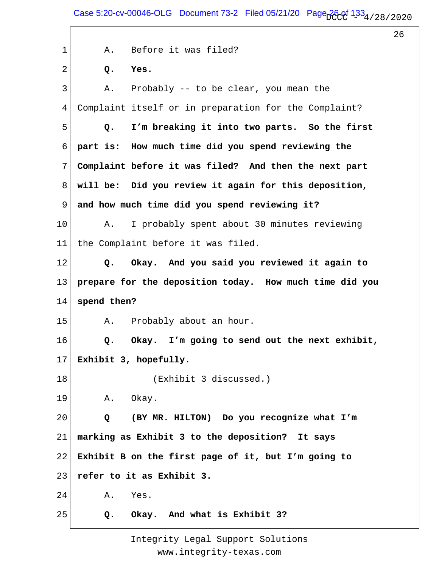Case 5:20-cv-00046-OLG Document 73-2 Filed 05/21/20 Page  $26.01$   $1.33$   $4/28/2020$ 

26

1 2 3 4 5 6 7 8 9 10 11 12 13 14 15 16 17 18 19 20 21 22 23 24 25 A. Before it was filed?  **Q. Yes.** A. Probably -- to be clear, you mean the Complaint itself or in preparation for the Complaint?  **Q. I'm breaking it into two parts. So the first part is: How much time did you spend reviewing the Complaint before it was filed? And then the next part will be: Did you review it again for this deposition, and how much time did you spend reviewing it?** A. I probably spent about 30 minutes reviewing the Complaint before it was filed.  **Q. Okay. And you said you reviewed it again to prepare for the deposition today. How much time did you spend then?** A. Probably about an hour.  **Q. Okay. I'm going to send out the next exhibit, Exhibit 3, hopefully.** (Exhibit 3 discussed.) A. Okay.  **Q (BY MR. HILTON) Do you recognize what I'm marking as Exhibit 3 to the deposition? It says Exhibit B on the first page of it, but I'm going to refer to it as Exhibit 3.** A. Yes.  **Q. Okay. And what is Exhibit 3?**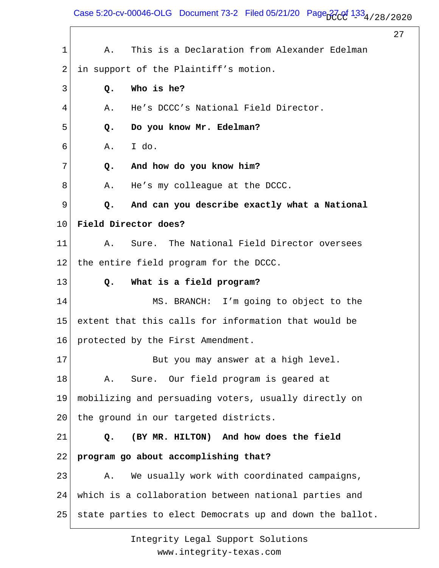Case 5:20-cv-00046-OLG Document 73-2 Filed 05/21/20 Page  $\frac{27}{133}$  / 28 / 2020

27 1 2 3 4 5 6 7 8 9 10 11 12 13 14 15 16 17 18 19 20 21 22 23 24 25 A. This is a Declaration from Alexander Edelman in support of the Plaintiff's motion.  **Q. Who is he?** A. He's DCCC's National Field Director.  **Q. Do you know Mr. Edelman?** A. I do.  **Q. And how do you know him?** A. He's my colleague at the DCCC.  **Q. And can you describe exactly what a National Field Director does?** A. Sure. The National Field Director oversees the entire field program for the DCCC.  **Q. What is a field program?** MS. BRANCH: I'm going to object to the extent that this calls for information that would be protected by the First Amendment. But you may answer at a high level. A. Sure. Our field program is geared at mobilizing and persuading voters, usually directly on the ground in our targeted districts.  **Q. (BY MR. HILTON) And how does the field program go about accomplishing that?** A. We usually work with coordinated campaigns, which is a collaboration between national parties and state parties to elect Democrats up and down the ballot.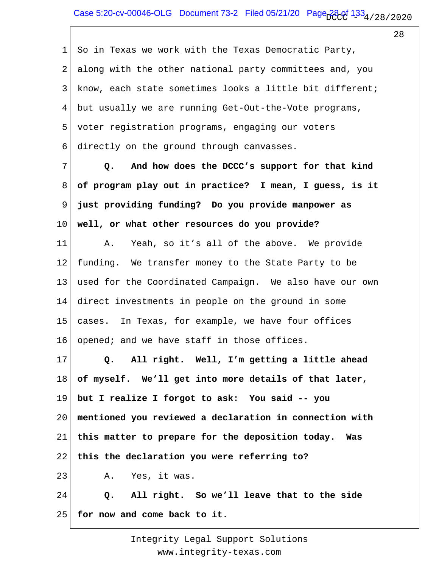1 2 3 4 5 6 So in Texas we work with the Texas Democratic Party, along with the other national party committees and, you know, each state sometimes looks a little bit different; but usually we are running Get-Out-the-Vote programs, voter registration programs, engaging our voters directly on the ground through canvasses.

7 8 9 10  **Q. And how does the DCCC's support for that kind of program play out in practice? I mean, I guess, is it just providing funding? Do you provide manpower as well, or what other resources do you provide?**

11 12 13 14 15 16 A. Yeah, so it's all of the above. We provide funding. We transfer money to the State Party to be used for the Coordinated Campaign. We also have our own direct investments in people on the ground in some cases. In Texas, for example, we have four offices opened; and we have staff in those offices.

17 18 19 20 21 22 23 24  **Q. All right. Well, I'm getting a little ahead of myself. We'll get into more details of that later, but I realize I forgot to ask: You said -- you mentioned you reviewed a declaration in connection with this matter to prepare for the deposition today. Was this the declaration you were referring to?** A. Yes, it was.  **Q. All right. So we'll leave that to the side**

25 **for now and come back to it.**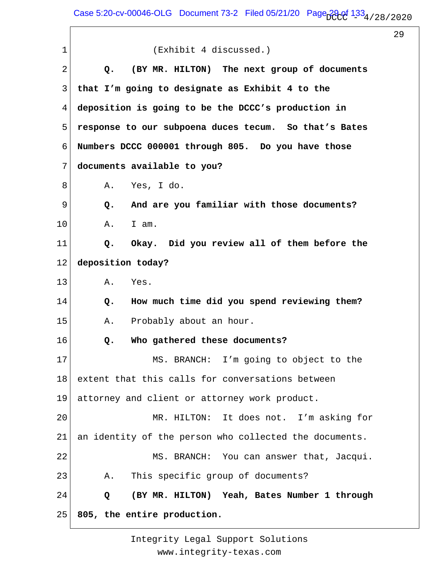$\sqrt{ }$ 

29

| 1  | (Exhibit 4 discussed.)                                 |
|----|--------------------------------------------------------|
| 2  | (BY MR. HILTON) The next group of documents<br>Q.      |
| 3  | that I'm going to designate as Exhibit 4 to the        |
| 4  | deposition is going to be the DCCC's production in     |
| 5  | response to our subpoena duces tecum. So that's Bates  |
| 6  | Numbers DCCC 000001 through 805. Do you have those     |
| 7  | documents available to you?                            |
| 8  | A. Yes, I do.                                          |
| 9  | And are you familiar with those documents?<br>Q.       |
| 10 | I am.<br>Α.                                            |
| 11 | Okay. Did you review all of them before the<br>$Q$ .   |
| 12 | deposition today?                                      |
| 13 | Α.<br>Yes.                                             |
| 14 | How much time did you spend reviewing them?<br>Q.      |
| 15 | Probably about an hour.<br>Α.                          |
| 16 | Who gathered these documents?<br>Q.                    |
| 17 | MS. BRANCH: I'm going to object to the                 |
| 18 | extent that this calls for conversations between       |
| 19 | attorney and client or attorney work product.          |
| 20 | MR. HILTON: It does not. I'm asking for                |
| 21 | an identity of the person who collected the documents. |
| 22 | MS. BRANCH: You can answer that, Jacqui.               |
| 23 | This specific group of documents?<br>Α.                |
| 24 | (BY MR. HILTON) Yeah, Bates Number 1 through<br>Q      |
| 25 | 805, the entire production.                            |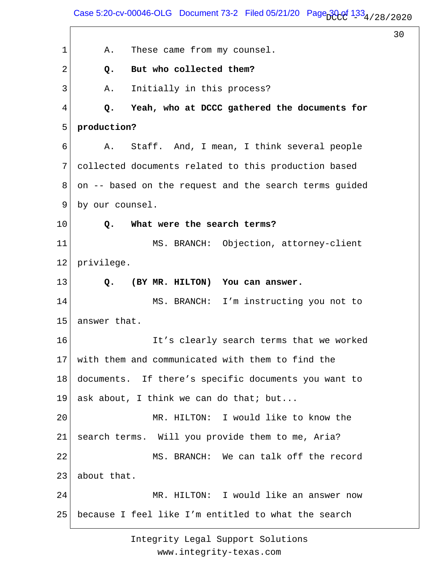Case 5:20-cv-00046-OLG Document 73-2 Filed 05/21/20 Page  $30.01$   $1.33$   $4/28/2020$ 

30

1 2 3 4 5 6 7 8 9 10 11 12 13 14 15 16 17 18 19 20 21 22 23 24 25 A. These came from my counsel.  **Q. But who collected them?** A. Initially in this process?  **Q. Yeah, who at DCCC gathered the documents for production?** A. Staff. And, I mean, I think several people collected documents related to this production based on -- based on the request and the search terms guided by our counsel.  **Q. What were the search terms?** MS. BRANCH: Objection, attorney-client privilege.  **Q. (BY MR. HILTON) You can answer.** MS. BRANCH: I'm instructing you not to answer that. It's clearly search terms that we worked with them and communicated with them to find the documents. If there's specific documents you want to ask about, I think we can do that; but... MR. HILTON: I would like to know the search terms. Will you provide them to me, Aria? MS. BRANCH: We can talk off the record about that. MR. HILTON: I would like an answer now because I feel like I'm entitled to what the search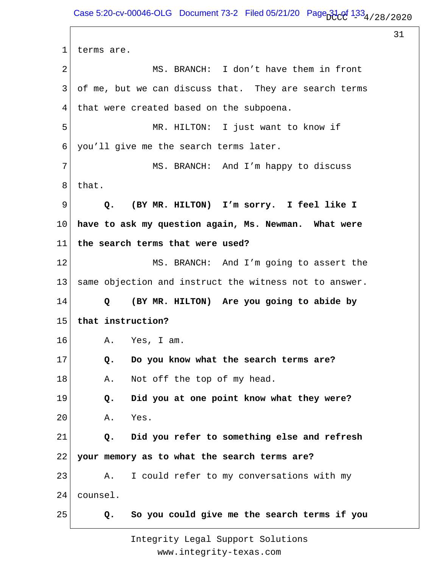1 2 3 4 5 6 7 8 9 10 11 12 13 14 15 16 17 18 19 20 21 22 23 24 25 terms are. MS. BRANCH: I don't have them in front of me, but we can discuss that. They are search terms that were created based on the subpoena. MR. HILTON: I just want to know if you'll give me the search terms later. MS. BRANCH: And I'm happy to discuss that.  **Q. (BY MR. HILTON) I'm sorry. I feel like I have to ask my question again, Ms. Newman. What were the search terms that were used?** MS. BRANCH: And I'm going to assert the same objection and instruct the witness not to answer.  **Q (BY MR. HILTON) Are you going to abide by that instruction?** A. Yes, I am.  **Q. Do you know what the search terms are?** A. Not off the top of my head.  **Q. Did you at one point know what they were?** A. Yes.  **Q. Did you refer to something else and refresh your memory as to what the search terms are?** A. I could refer to my conversations with my counsel.  **Q. So you could give me the search terms if you**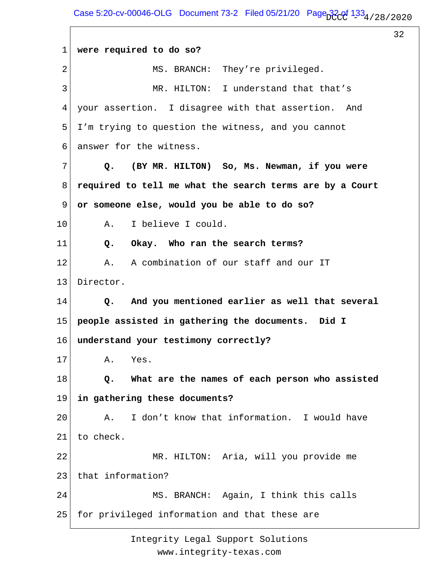$\sqrt{ }$ 

32

| $\mathbf{1}$ | were required to do so?                                         |
|--------------|-----------------------------------------------------------------|
| 2            | MS. BRANCH: They're privileged.                                 |
| 3            | MR. HILTON: I understand that that's                            |
| 4            | your assertion. I disagree with that assertion. And             |
| 5            | I'm trying to question the witness, and you cannot              |
| 6            | answer for the witness.                                         |
| 7            | (BY MR. HILTON) So, Ms. Newman, if you were<br>Q.               |
| 8            | required to tell me what the search terms are by a Court        |
| 9            | or someone else, would you be able to do so?                    |
| 10           | I believe I could.<br>Α.                                        |
| 11           | Okay. Who ran the search terms?<br>Q.                           |
| 12           | A combination of our staff and our IT<br>Α.                     |
| 13           | Director.                                                       |
| 14           | And you mentioned earlier as well that several<br>$Q_{\bullet}$ |
| 15           | people assisted in gathering the documents. Did I               |
| 16           | understand your testimony correctly?                            |
| 17           | Yes.<br>Α.                                                      |
| 18           | What are the names of each person who assisted<br>Q.            |
| 19           | in gathering these documents?                                   |
| 20           | I don't know that information. I would have<br>Α.               |
| 21           | to check.                                                       |
| 22           | MR. HILTON: Aria, will you provide me                           |
| 23           | that information?                                               |
| 24           | MS. BRANCH: Again, I think this calls                           |
| 25           | for privileged information and that these are                   |
|              |                                                                 |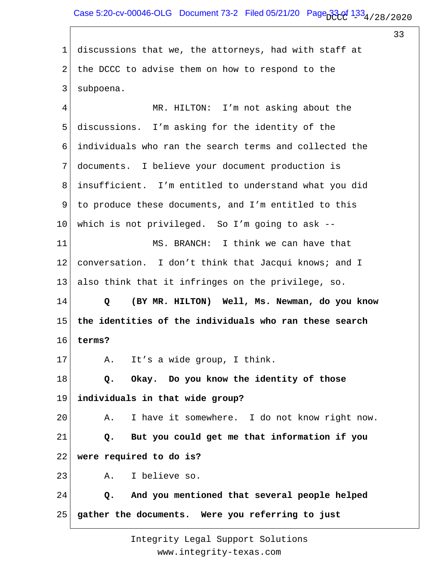1 2 3 discussions that we, the attorneys, had with staff at the DCCC to advise them on how to respond to the subpoena.

4 5 6 7 8 9 10 11 12 13 14 15 16 17 18 19 20 21 22 23 24 25 MR. HILTON: I'm not asking about the discussions. I'm asking for the identity of the individuals who ran the search terms and collected the documents. I believe your document production is insufficient. I'm entitled to understand what you did to produce these documents, and I'm entitled to this which is not privileged. So I'm going to ask -- MS. BRANCH: I think we can have that conversation. I don't think that Jacqui knows; and I also think that it infringes on the privilege, so.  **Q (BY MR. HILTON) Well, Ms. Newman, do you know the identities of the individuals who ran these search terms?** A. It's a wide group, I think.  **Q. Okay. Do you know the identity of those individuals in that wide group?** A. I have it somewhere. I do not know right now.  **Q. But you could get me that information if you were required to do is?** A. I believe so.  **Q. And you mentioned that several people helped gather the documents. Were you referring to just**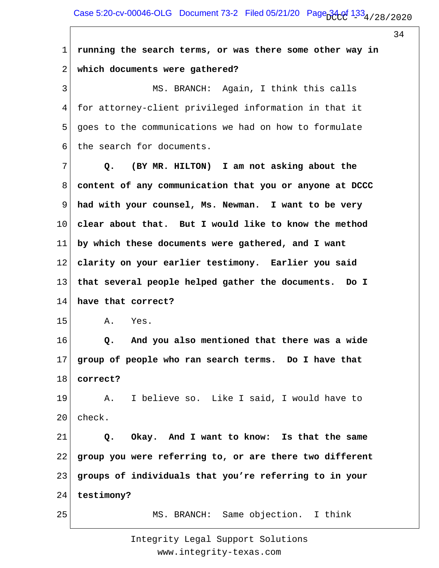| $\mathbf 1$ | running the search terms, or was there some other way in |
|-------------|----------------------------------------------------------|
| 2           | which documents were gathered?                           |
| 3           | MS. BRANCH: Again, I think this calls                    |
| 4           | for attorney-client privileged information in that it    |
| 5           | goes to the communications we had on how to formulate    |
| 6           | the search for documents.                                |
| 7           | (BY MR. HILTON) I am not asking about the<br>Q.          |
| 8           | content of any communication that you or anyone at DCCC  |
| 9           | had with your counsel, Ms. Newman. I want to be very     |
| 10          | clear about that. But I would like to know the method    |
| 11          | by which these documents were gathered, and I want       |
| 12          | clarity on your earlier testimony. Earlier you said      |
| 13          | that several people helped gather the documents. Do I    |
| 14          | have that correct?                                       |
| 15          | Yes.<br>Α.                                               |
| 16          | And you also mentioned that there was a wide<br>Q.       |
| 17          | group of people who ran search terms. Do I have that     |
| 18          | correct?                                                 |
| 19          | I believe so. Like I said, I would have to<br>Α.         |
| 20          | check.                                                   |
| 21          | Okay. And I want to know: Is that the same<br>Q.         |
| 22          | group you were referring to, or are there two different  |
| 23          | groups of individuals that you're referring to in your   |
| 24          | testimony?                                               |
| 25          | MS. BRANCH: Same objection. I think                      |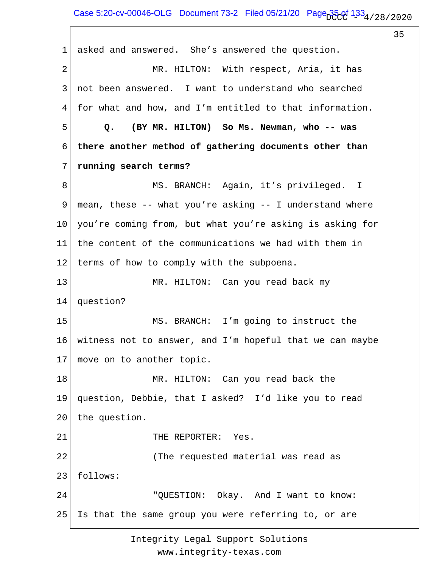1 2 3 4 5 6 7 8 9 10 11 12 13 14 15 16 17 18 19 20 21 22 23 24 25 asked and answered. She's answered the question. MR. HILTON: With respect, Aria, it has not been answered. I want to understand who searched for what and how, and I'm entitled to that information.  **Q. (BY MR. HILTON) So Ms. Newman, who -- was there another method of gathering documents other than running search terms?** MS. BRANCH: Again, it's privileged. I mean, these -- what you're asking -- I understand where you're coming from, but what you're asking is asking for the content of the communications we had with them in terms of how to comply with the subpoena. MR. HILTON: Can you read back my question? MS. BRANCH: I'm going to instruct the witness not to answer, and I'm hopeful that we can maybe move on to another topic. MR. HILTON: Can you read back the question, Debbie, that I asked? I'd like you to read the question. THE REPORTER: Yes. (The requested material was read as follows: "QUESTION: Okay. And I want to know: Is that the same group you were referring to, or are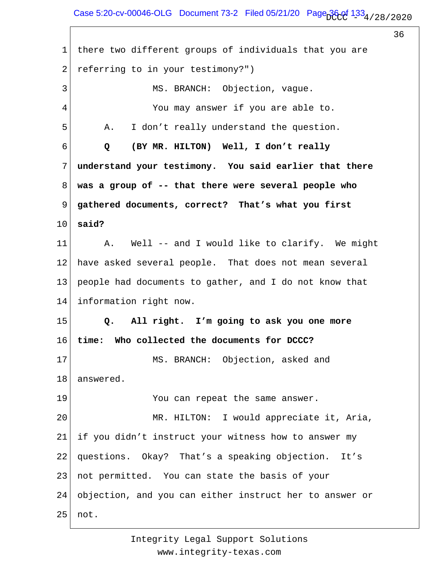## Case 5:20-cv-00046-OLG Document 73-2 Filed 05/21/20 Page  $36.01$   $1.33$   $4/28/2020$

36 1 2 3 4 5 6 7 8 9 10 11 12 13 14 15 16 17 18 19 20 21 22 23 24 25 there two different groups of individuals that you are referring to in your testimony?") MS. BRANCH: Objection, vague. You may answer if you are able to. A. I don't really understand the question.  **Q (BY MR. HILTON) Well, I don't really understand your testimony. You said earlier that there was a group of -- that there were several people who gathered documents, correct? That's what you first said?** A. Well -- and I would like to clarify. We might have asked several people. That does not mean several people had documents to gather, and I do not know that information right now.  **Q. All right. I'm going to ask you one more time: Who collected the documents for DCCC?** MS. BRANCH: Objection, asked and answered. You can repeat the same answer. MR. HILTON: I would appreciate it, Aria, if you didn't instruct your witness how to answer my questions. Okay? That's a speaking objection. It's not permitted. You can state the basis of your objection, and you can either instruct her to answer or not.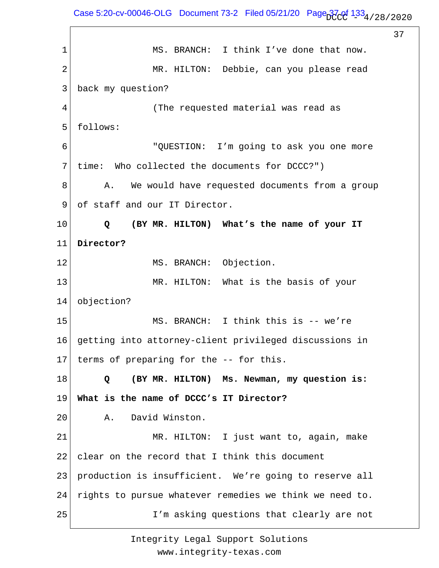Case 5:20-cv-00046-OLG Document 73-2 Filed 05/21/20 Page  $37$  of  $133_4$  / 28 / 2020

37 1 2 3 4 5 6 7 8 9 10 11 12 13 14 15 16 17 18 19 20 21 22 23 24 25 MS. BRANCH: I think I've done that now. MR. HILTON: Debbie, can you please read back my question? (The requested material was read as follows: "QUESTION: I'm going to ask you one more time: Who collected the documents for DCCC?") A. We would have requested documents from a group of staff and our IT Director.  **Q (BY MR. HILTON) What's the name of your IT Director?** MS. BRANCH: Objection. MR. HILTON: What is the basis of your objection? MS. BRANCH: I think this is -- we're getting into attorney-client privileged discussions in terms of preparing for the -- for this.  **Q (BY MR. HILTON) Ms. Newman, my question is: What is the name of DCCC's IT Director?** A. David Winston. MR. HILTON: I just want to, again, make clear on the record that I think this document production is insufficient. We're going to reserve all rights to pursue whatever remedies we think we need to. I'm asking questions that clearly are not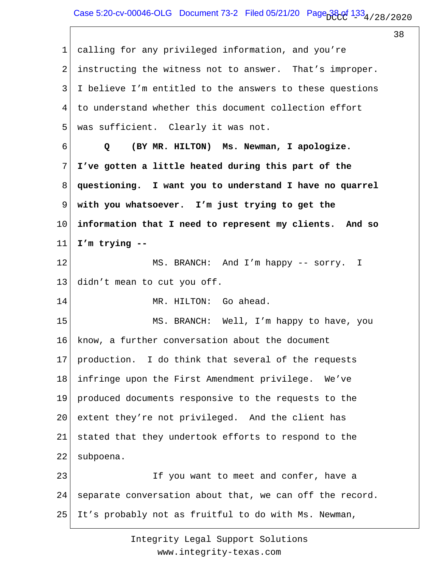1 2 3 4 5 6 7 8 9 10 11 12 13 14 15 16 17 18 19 20 21 22 23 24 25 calling for any privileged information, and you're instructing the witness not to answer. That's improper. I believe I'm entitled to the answers to these questions to understand whether this document collection effort was sufficient. Clearly it was not.  **Q (BY MR. HILTON) Ms. Newman, I apologize. I've gotten a little heated during this part of the questioning. I want you to understand I have no quarrel with you whatsoever. I'm just trying to get the information that I need to represent my clients. And so I'm trying --** MS. BRANCH: And I'm happy -- sorry. I didn't mean to cut you off. MR. HILTON: Go ahead. MS. BRANCH: Well, I'm happy to have, you know, a further conversation about the document production. I do think that several of the requests infringe upon the First Amendment privilege. We've produced documents responsive to the requests to the extent they're not privileged. And the client has stated that they undertook efforts to respond to the subpoena. If you want to meet and confer, have a separate conversation about that, we can off the record. It's probably not as fruitful to do with Ms. Newman,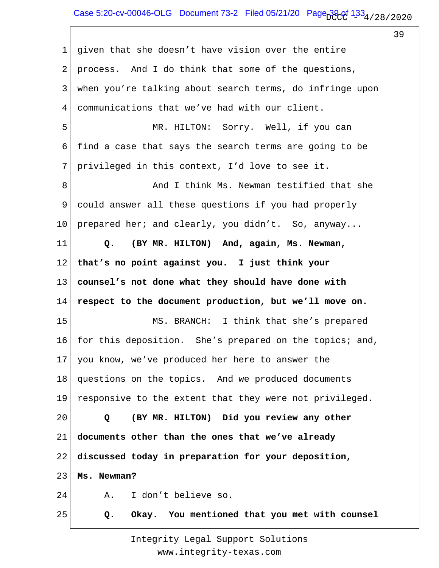1 2 3 4 5 6 7 8 9 10 11 12 13 14 15 16 17 18 19 20 21 22 23 24 25 given that she doesn't have vision over the entire process. And I do think that some of the questions, when you're talking about search terms, do infringe upon communications that we've had with our client. MR. HILTON: Sorry. Well, if you can find a case that says the search terms are going to be privileged in this context, I'd love to see it. And I think Ms. Newman testified that she could answer all these questions if you had properly prepared her; and clearly, you didn't. So, anyway...  **Q. (BY MR. HILTON) And, again, Ms. Newman, that's no point against you. I just think your counsel's not done what they should have done with respect to the document production, but we'll move on.** MS. BRANCH: I think that she's prepared for this deposition. She's prepared on the topics; and, you know, we've produced her here to answer the questions on the topics. And we produced documents responsive to the extent that they were not privileged.  **Q (BY MR. HILTON) Did you review any other documents other than the ones that we've already discussed today in preparation for your deposition, Ms. Newman?** A. I don't believe so.  **Q. Okay. You mentioned that you met with counsel**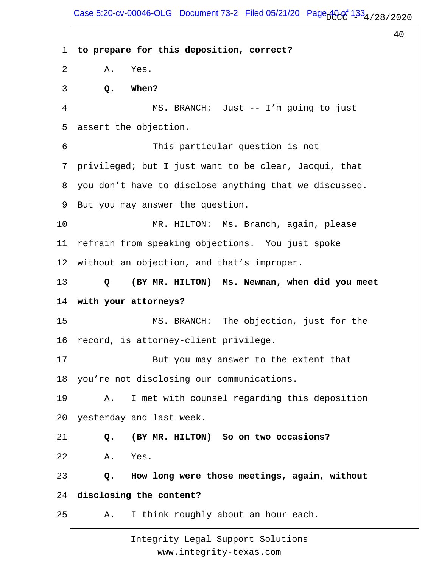Case 5:20-cv-00046-OLG Document 73-2 Filed 05/21/20 Page  $A0c0$   $133<sub>4/28/2020</sub>$ 

 $40$ 

1 2 3 4 5 6 7 8 9 10 11 12 13 14 15 16 17 18 19 20 21 22 23 24 25 **to prepare for this deposition, correct?** A. Yes.  **Q. When?** MS. BRANCH: Just -- I'm going to just assert the objection. This particular question is not privileged; but I just want to be clear, Jacqui, that you don't have to disclose anything that we discussed. But you may answer the question. MR. HILTON: Ms. Branch, again, please refrain from speaking objections. You just spoke without an objection, and that's improper.  **Q (BY MR. HILTON) Ms. Newman, when did you meet with your attorneys?** MS. BRANCH: The objection, just for the record, is attorney-client privilege. But you may answer to the extent that you're not disclosing our communications. A. I met with counsel regarding this deposition yesterday and last week.  **Q. (BY MR. HILTON) So on two occasions?** A. Yes.  **Q. How long were those meetings, again, without disclosing the content?** A. I think roughly about an hour each.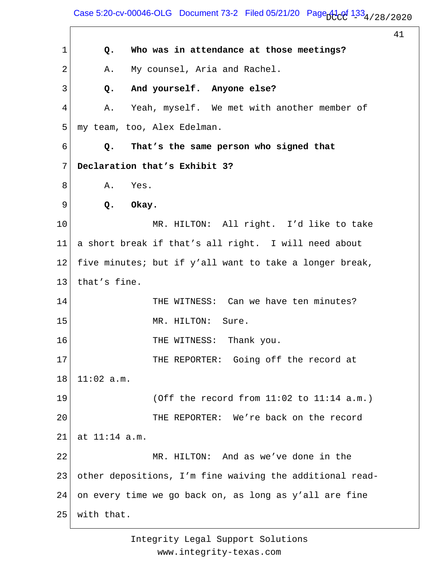## Case 5:20-cv-00046-OLG Document 73-2 Filed 05/21/20 Page  $A1_{\rm c}$ df 133 $_4$  / 28 / 2020

41

1 2 3 4 5 6 7 8 9 10 11 12 13 14 15 16 17 18 19 20 21 22 23 24 25  **Q. Who was in attendance at those meetings?** A. My counsel, Aria and Rachel.  **Q. And yourself. Anyone else?** A. Yeah, myself. We met with another member of my team, too, Alex Edelman.  **Q. That's the same person who signed that Declaration that's Exhibit 3?** A. Yes.  **Q. Okay.** MR. HILTON: All right. I'd like to take a short break if that's all right. I will need about five minutes; but if y'all want to take a longer break, that's fine. THE WITNESS: Can we have ten minutes? MR. HILTON: Sure. THE WITNESS: Thank you. THE REPORTER: Going off the record at 11:02 a.m. (Off the record from 11:02 to 11:14 a.m.) THE REPORTER: We're back on the record at 11:14 a.m. MR. HILTON: And as we've done in the other depositions, I'm fine waiving the additional readon every time we go back on, as long as y'all are fine with that.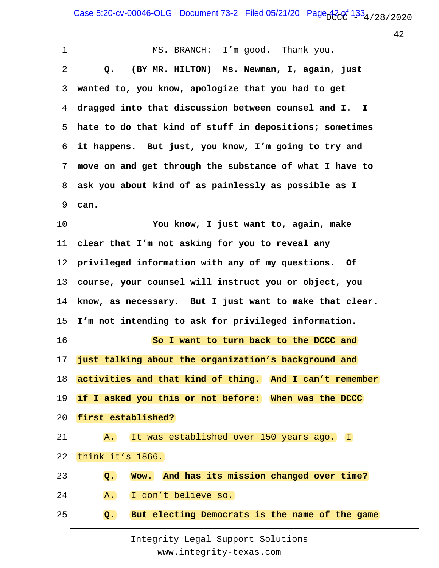| $\mathbf{1}$    | MS. BRANCH: I'm good. Thank you.                                    |
|-----------------|---------------------------------------------------------------------|
| 2               | (BY MR. HILTON) Ms. Newman, I, again, just<br>Q.                    |
| 3               | wanted to, you know, apologize that you had to get                  |
| 4               | dragged into that discussion between counsel and I.<br>$\mathbf{I}$ |
| 5               | hate to do that kind of stuff in depositions; sometimes             |
| 6               | it happens. But just, you know, I'm going to try and                |
| 7               | move on and get through the substance of what I have to             |
| 8               | ask you about kind of as painlessly as possible as I                |
| 9               | can.                                                                |
| 10              | You know, I just want to, again, make                               |
| 11              | clear that I'm not asking for you to reveal any                     |
| 12              | privileged information with any of my questions. Of                 |
| 13              | course, your counsel will instruct you or object, you               |
| 14              | know, as necessary. But I just want to make that clear.             |
| 15 <sub>2</sub> | I'm not intending to ask for privileged information.                |
| 16              | So I want to turn back to the DCCC and                              |
| 17              | just talking about the organization's background and                |
| 18              | activities and that kind of thing. And I can't remember             |
| 19              | if I asked you this or not before: When was the DCCC                |
| 20              | first established?                                                  |
| 21              | A. It was established over 150 years ago. I                         |
| 22              | think it's 1866.                                                    |
| 23              | Wow. And has its mission changed over time?<br>Q.                   |
| 24              | A. I don't believe so.                                              |
| 25              | But electing Democrats is the name of the game<br>$Q_{\bullet}$     |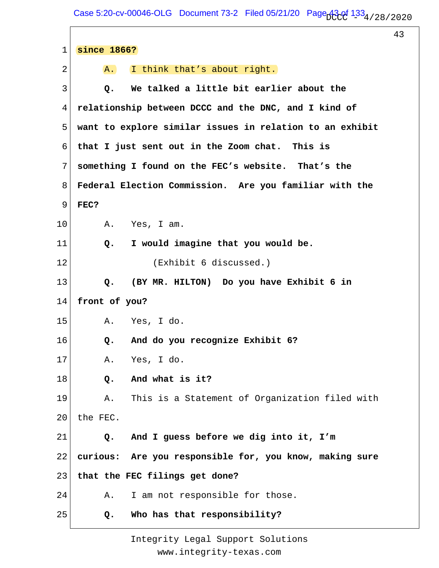$\Gamma$ 

43

| $\mathbf 1$ | since 1866?                                              |
|-------------|----------------------------------------------------------|
| 2           | I think that's about right.<br>A.                        |
| 3           | We talked a little bit earlier about the<br>Q.           |
| 4           | relationship between DCCC and the DNC, and I kind of     |
| 5           | want to explore similar issues in relation to an exhibit |
| 6           | that I just sent out in the Zoom chat. This is           |
| 7           | something I found on the FEC's website. That's the       |
| 8           | Federal Election Commission. Are you familiar with the   |
| 9           | FEC?                                                     |
| 10          | Yes, I am.<br>Α.                                         |
| 11          | I would imagine that you would be.<br>Q <sub>o</sub>     |
| 12          | (Exhibit 6 discussed.)                                   |
| 13          | (BY MR. HILTON) Do you have Exhibit 6 in<br>Q.           |
| 14          | front of you?                                            |
| 15          | A. Yes, I do.                                            |
| 16          | And do you recognize Exhibit 6?<br>Q.                    |
| 17          | Yes, I do.<br>Α.                                         |
| 18          | And what is it?<br>Q.                                    |
| 19          | This is a Statement of Organization filed with<br>Α.     |
| 20          | the FEC.                                                 |
| 21          | And I guess before we dig into it, I'm<br>Q.             |
| 22          | curious: Are you responsible for, you know, making sure  |
| 23          | that the FEC filings get done?                           |
| 24          | I am not responsible for those.<br>Α.                    |
| 25          | Who has that responsibility?<br>Q.                       |
|             |                                                          |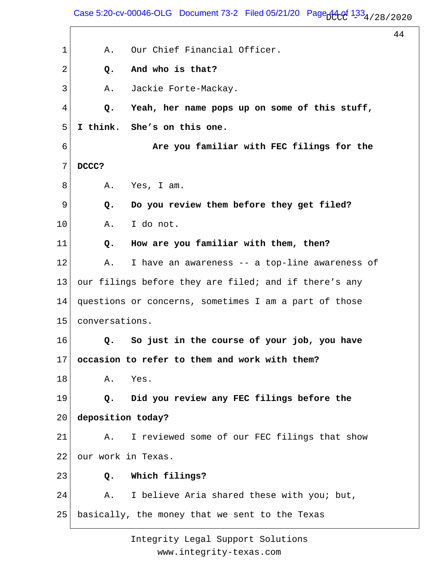Case 5:20-cv-00046-OLG Document 73-2 Filed 05/21/20 Page  $A4.01$   $133_4$  / 28 / 2020

44

1 2 3 4 5 6 7 8 9 10 11 12 13 14 15 16 17 18 19 20 21 22 23 24 25 A. Our Chief Financial Officer.  **Q. And who is that?** A. Jackie Forte-Mackay.  **Q. Yeah, her name pops up on some of this stuff, I think. She's on this one. Are you familiar with FEC filings for the DCCC?** A. Yes, I am.  **Q. Do you review them before they get filed?** A. I do not.  **Q. How are you familiar with them, then?** A. I have an awareness -- a top-line awareness of our filings before they are filed; and if there's any questions or concerns, sometimes I am a part of those conversations.  **Q. So just in the course of your job, you have occasion to refer to them and work with them?** A. Yes.  **Q. Did you review any FEC filings before the deposition today?** A. I reviewed some of our FEC filings that show our work in Texas.  **Q. Which filings?** A. I believe Aria shared these with you; but, basically, the money that we sent to the Texas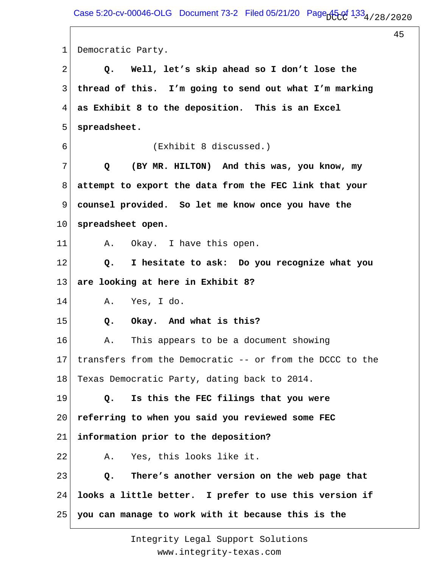1 2 3 4 5 6 7 8 9 10 11 12 13 14 15 16 17 18 19 20 21 22 23 24 25 Democratic Party.  **Q. Well, let's skip ahead so I don't lose the thread of this. I'm going to send out what I'm marking as Exhibit 8 to the deposition. This is an Excel spreadsheet.** (Exhibit 8 discussed.)  **Q (BY MR. HILTON) And this was, you know, my attempt to export the data from the FEC link that your counsel provided. So let me know once you have the spreadsheet open.** A. Okay. I have this open.  **Q. I hesitate to ask: Do you recognize what you are looking at here in Exhibit 8?** A. Yes, I do.  **Q. Okay. And what is this?** A. This appears to be a document showing transfers from the Democratic -- or from the DCCC to the Texas Democratic Party, dating back to 2014.  **Q. Is this the FEC filings that you were referring to when you said you reviewed some FEC information prior to the deposition?** A. Yes, this looks like it.  **Q. There's another version on the web page that looks a little better. I prefer to use this version if you can manage to work with it because this is the**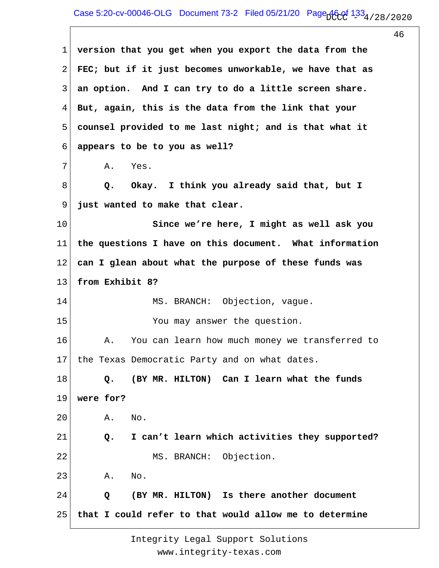| 1               | version that you get when you export the data from the  |
|-----------------|---------------------------------------------------------|
| $\overline{2}$  | FEC; but if it just becomes unworkable, we have that as |
| 3               | an option. And I can try to do a little screen share.   |
| 4               | But, again, this is the data from the link that your    |
| 5               | counsel provided to me last night; and is that what it  |
| 6               | appears to be to you as well?                           |
| 7               | Yes.<br>Α.                                              |
| 8               | Okay. I think you already said that, but I<br>Q.        |
| 9               | just wanted to make that clear.                         |
| 10              | Since we're here, I might as well ask you               |
| 11              | the questions I have on this document. What information |
| 12 <sub>1</sub> | can I glean about what the purpose of these funds was   |
| 13              | from Exhibit 8?                                         |
| 14              | MS. BRANCH: Objection, vague.                           |
| 15              | You may answer the question.                            |
| 16              | You can learn how much money we transferred to<br>Α.    |
|                 | 17 the Texas Democratic Party and on what dates.        |
| 18              | (BY MR. HILTON) Can I learn what the funds<br>Q.        |
| 19              | were for?                                               |
| 20              | No.<br>Α.                                               |
| 21              | I can't learn which activities they supported?<br>Q.    |
| 22              | MS. BRANCH: Objection.                                  |
| 23              | Α.<br>No.                                               |
| 24              | (BY MR. HILTON) Is there another document<br>Q          |
| 25              | that I could refer to that would allow me to determine  |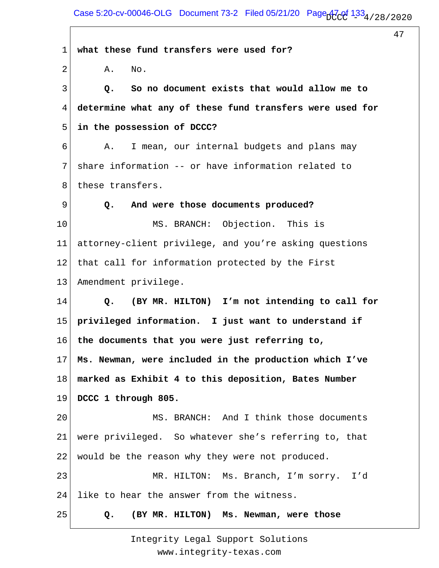| $\mathbf 1$  | what these fund transfers were used for?                        |
|--------------|-----------------------------------------------------------------|
| $\mathbf{2}$ | No.<br>Α.                                                       |
| 3            | So no document exists that would allow me to<br>Q.              |
| 4            | determine what any of these fund transfers were used for        |
| 5            | in the possession of DCCC?                                      |
| 6            | I mean, our internal budgets and plans may<br>Α.                |
| 7            | share information -- or have information related to             |
| 8            | these transfers.                                                |
| 9            | And were those documents produced?<br>Q.                        |
| 10           | MS. BRANCH: Objection. This is                                  |
| 11           | attorney-client privilege, and you're asking questions          |
| 12           | that call for information protected by the First                |
| 13           | Amendment privilege.                                            |
| 14           | (BY MR. HILTON) I'm not intending to call for<br>Q <sub>o</sub> |
| 15           | privileged information. I just want to understand if            |
| 16           | the documents that you were just referring to,                  |
| 17           | Ms. Newman, were included in the production which I've          |
| 18           | marked as Exhibit 4 to this deposition, Bates Number            |
| 19           | DCCC 1 through 805.                                             |
| 20           | MS. BRANCH: And I think those documents                         |
| 21           | were privileged. So whatever she's referring to, that           |
| 22           | would be the reason why they were not produced.                 |
| 23           | MR. HILTON: Ms. Branch, I'm sorry.<br>I'd                       |
| 24           | like to hear the answer from the witness.                       |
| 25           | (BY MR. HILTON) Ms. Newman, were those<br>Q.                    |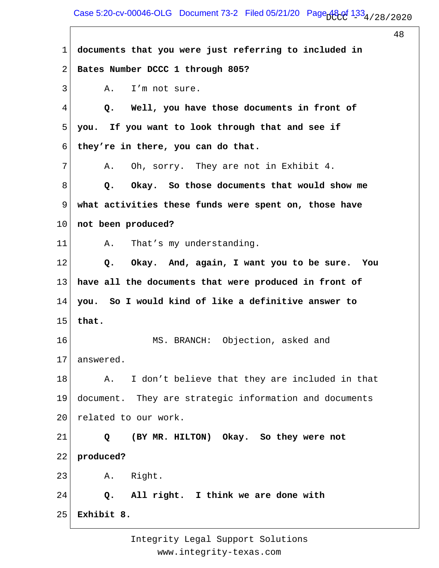Case 5:20-cv-00046-OLG Document 73-2 Filed 05/21/20 Page  $A\&04/28/2020$ 

48

1 2 3 4 5 6 7 8 9 10 11 12 13 14 15 16 17 18 19 20 21 22 23 24 25 **documents that you were just referring to included in Bates Number DCCC 1 through 805?** A. I'm not sure.  **Q. Well, you have those documents in front of you. If you want to look through that and see if they're in there, you can do that.** A. Oh, sorry. They are not in Exhibit 4.  **Q. Okay. So those documents that would show me what activities these funds were spent on, those have not been produced?** A. That's my understanding.  **Q. Okay. And, again, I want you to be sure. You have all the documents that were produced in front of you. So I would kind of like a definitive answer to that.** MS. BRANCH: Objection, asked and answered. A. I don't believe that they are included in that document. They are strategic information and documents related to our work.  **Q (BY MR. HILTON) Okay. So they were not produced?** A. Right.  **Q. All right. I think we are done with Exhibit 8.**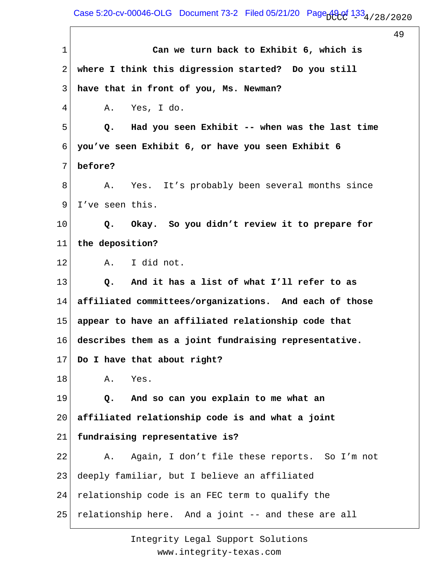Case 5:20-cv-00046-OLG Document 73-2 Filed 05/21/20 Page  $A9c0f$   $133<sub>4/28/2020</sub>$ 

49

1 2 3 4 5 6 7 8 9 10 11 12 13 14 15 16 17 18 19 20 21 22 23 24 25  **Can we turn back to Exhibit 6, which is where I think this digression started? Do you still have that in front of you, Ms. Newman?** A. Yes, I do.  **Q. Had you seen Exhibit -- when was the last time you've seen Exhibit 6, or have you seen Exhibit 6 before?** A. Yes. It's probably been several months since I've seen this.  **Q. Okay. So you didn't review it to prepare for the deposition?** A. I did not.  **Q. And it has a list of what I'll refer to as affiliated committees/organizations. And each of those appear to have an affiliated relationship code that describes them as a joint fundraising representative. Do I have that about right?** A. Yes.  **Q. And so can you explain to me what an affiliated relationship code is and what a joint fundraising representative is?** A. Again, I don't file these reports. So I'm not deeply familiar, but I believe an affiliated relationship code is an FEC term to qualify the relationship here. And a joint -- and these are all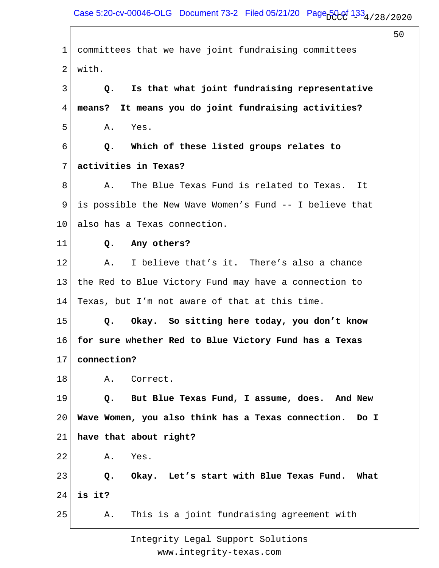| $\mathbf 1$    | committees that we have joint fundraising committees       |
|----------------|------------------------------------------------------------|
| $\overline{2}$ | with.                                                      |
| 3              | Is that what joint fundraising representative<br>Q.        |
| 4              | It means you do joint fundraising activities?<br>means?    |
| 5              | Α.<br>Yes.                                                 |
| 6              | Which of these listed groups relates to<br>Q.              |
| 7              | activities in Texas?                                       |
| 8              | The Blue Texas Fund is related to Texas.<br>Α.<br>It       |
| 9              | is possible the New Wave Women's Fund -- I believe that    |
| 10             | also has a Texas connection.                               |
| 11             | Any others?<br>$Q_{\bullet}$                               |
| 12             | I believe that's it. There's also a chance<br>Α.           |
| 13             | the Red to Blue Victory Fund may have a connection to      |
| 14             | Texas, but I'm not aware of that at this time.             |
| 15             | Okay. So sitting here today, you don't know<br>Q.          |
| 16             | for sure whether Red to Blue Victory Fund has a Texas      |
| 17             | connection?                                                |
| 18             | Correct.<br>Α.                                             |
| 19             | But Blue Texas Fund, I assume, does. And New<br>Q.         |
| 20             | Wave Women, you also think has a Texas connection.<br>Do I |
| 21             | have that about right?                                     |
| 22             | Α.<br>Yes.                                                 |
| 23             | Q. Okay. Let's start with Blue Texas Fund. What            |
| 24             | is it?                                                     |
| 25             | This is a joint fundraising agreement with<br>Α.           |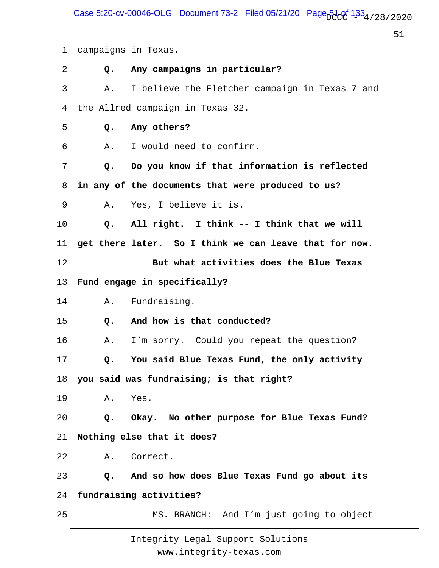Case 5:20-cv-00046-OLG Document 73-2 Filed 05/21/20 Page  $51$  of  $133_4$  / 28 / 2020

51

1 2 3 4 5 6 7 8 9 10 11 12 13 14 15 16 17 18 19 20 21 22 23 24 25 campaigns in Texas.  **Q. Any campaigns in particular?** A. I believe the Fletcher campaign in Texas 7 and the Allred campaign in Texas 32.  **Q. Any others?** A. I would need to confirm.  **Q. Do you know if that information is reflected in any of the documents that were produced to us?** A. Yes, I believe it is.  **Q. All right. I think -- I think that we will get there later. So I think we can leave that for now. But what activities does the Blue Texas Fund engage in specifically?** A. Fundraising.  **Q. And how is that conducted?** A. I'm sorry. Could you repeat the question?  **Q. You said Blue Texas Fund, the only activity you said was fundraising; is that right?** A. Yes.  **Q. Okay. No other purpose for Blue Texas Fund? Nothing else that it does?** A. Correct.  **Q. And so how does Blue Texas Fund go about its fundraising activities?** MS. BRANCH: And I'm just going to object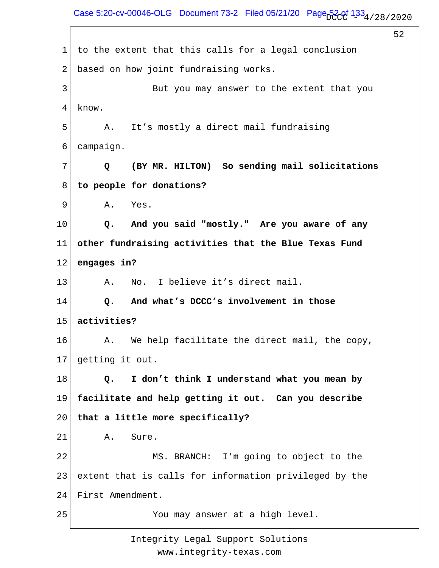Case 5:20-cv-00046-OLG Document 73-2 Filed 05/21/20 Page  $520f$   $133_4/28/2020$ 

52

1 2 3 4 5 6 7 8 9 10 11 12 13 14 15 16 17 18 19 20 21 22 23 24 25 to the extent that this calls for a legal conclusion based on how joint fundraising works. But you may answer to the extent that you know. A. It's mostly a direct mail fundraising campaign.  **Q (BY MR. HILTON) So sending mail solicitations to people for donations?** A. Yes.  **Q. And you said "mostly." Are you aware of any other fundraising activities that the Blue Texas Fund engages in?** A. No. I believe it's direct mail.  **Q. And what's DCCC's involvement in those activities?** A. We help facilitate the direct mail, the copy, getting it out.  **Q. I don't think I understand what you mean by facilitate and help getting it out. Can you describe that a little more specifically?** A. Sure. MS. BRANCH: I'm going to object to the extent that is calls for information privileged by the First Amendment. You may answer at a high level.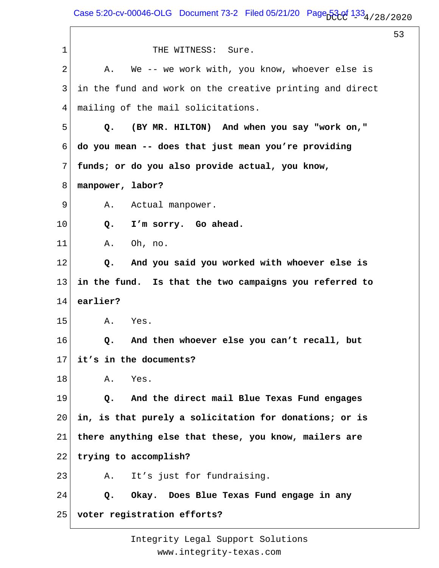1 2 3 4 5 6 7 8 9 10 11 12 13 14 15 16 17 18 19 20 21 22 23 24 25 THE WITNESS: Sure. A. We -- we work with, you know, whoever else is in the fund and work on the creative printing and direct mailing of the mail solicitations.  **Q. (BY MR. HILTON) And when you say "work on," do you mean -- does that just mean you're providing funds; or do you also provide actual, you know, manpower, labor?** A. Actual manpower.  **Q. I'm sorry. Go ahead.** A. Oh, no.  **Q. And you said you worked with whoever else is in the fund. Is that the two campaigns you referred to earlier?** A. Yes.  **Q. And then whoever else you can't recall, but it's in the documents?** A. Yes.  **Q. And the direct mail Blue Texas Fund engages in, is that purely a solicitation for donations; or is there anything else that these, you know, mailers are trying to accomplish?** A. It's just for fundraising.  **Q. Okay. Does Blue Texas Fund engage in any voter registration efforts?**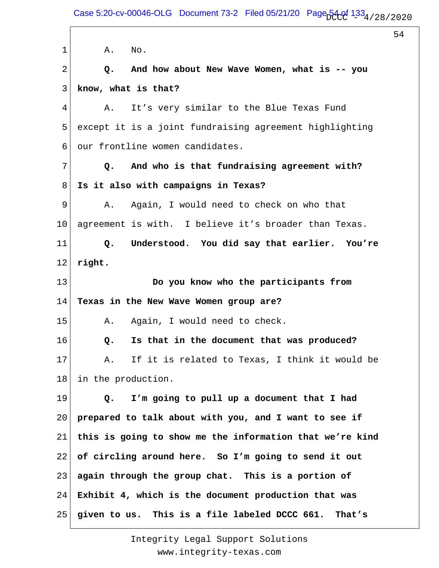Case 5:20-cv-00046-OLG Document 73-2 Filed 05/21/20 Page  $54.01$   $133_4$  / 28 / 2020

54

1 2 3 4 5 6 7 8 9 10 11 12 13 14 15 16 17 18 19 20 21 22 23 24 25 A. No.  **Q. And how about New Wave Women, what is -- you know, what is that?** A. It's very similar to the Blue Texas Fund except it is a joint fundraising agreement highlighting our frontline women candidates.  **Q. And who is that fundraising agreement with? Is it also with campaigns in Texas?** A. Again, I would need to check on who that agreement is with. I believe it's broader than Texas.  **Q. Understood. You did say that earlier. You're right. Do you know who the participants from Texas in the New Wave Women group are?** A. Again, I would need to check.  **Q. Is that in the document that was produced?** A. If it is related to Texas, I think it would be in the production.  **Q. I'm going to pull up a document that I had prepared to talk about with you, and I want to see if this is going to show me the information that we're kind of circling around here. So I'm going to send it out again through the group chat. This is a portion of Exhibit 4, which is the document production that was given to us. This is a file labeled DCCC 661. That's**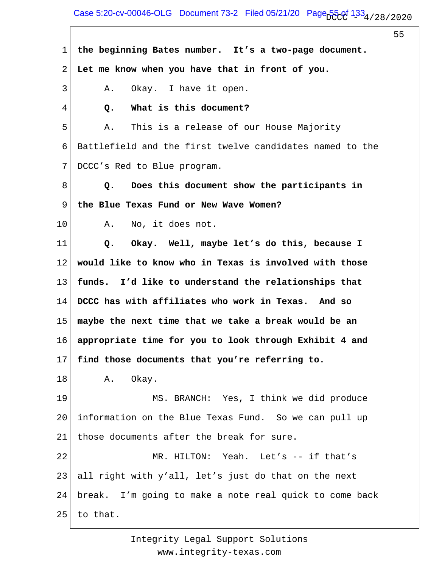## Case 5:20-cv-00046-OLG Document 73-2 Filed 05/21/20 Page  $55.0f$   $1.33_4$  / 28 / 2020

55

1 2 3 4 5 6 7 8 9 10 11 12 13 14 15 16 17 18 19 20 21 22 23 24 25 **the beginning Bates number. It's a two-page document. Let me know when you have that in front of you.** A. Okay. I have it open.  **Q. What is this document?** A. This is a release of our House Majority Battlefield and the first twelve candidates named to the DCCC's Red to Blue program.  **Q. Does this document show the participants in the Blue Texas Fund or New Wave Women?** A. No, it does not.  **Q. Okay. Well, maybe let's do this, because I would like to know who in Texas is involved with those funds. I'd like to understand the relationships that DCCC has with affiliates who work in Texas. And so maybe the next time that we take a break would be an appropriate time for you to look through Exhibit 4 and find those documents that you're referring to.** A. Okay. MS. BRANCH: Yes, I think we did produce information on the Blue Texas Fund. So we can pull up those documents after the break for sure. MR. HILTON: Yeah. Let's -- if that's all right with y'all, let's just do that on the next break. I'm going to make a note real quick to come back to that.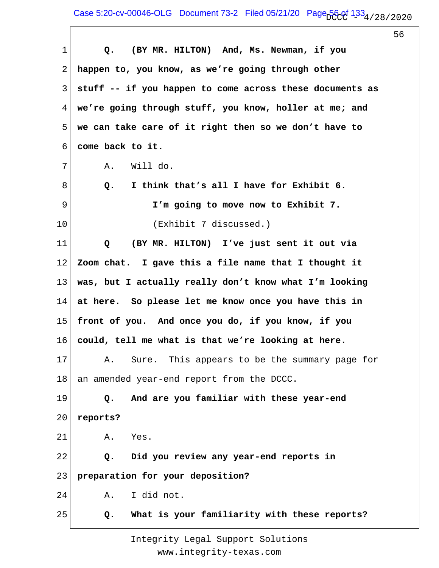| $\mathbf 1$ | (BY MR. HILTON) And, Ms. Newman, if you<br>Q.            |
|-------------|----------------------------------------------------------|
| 2           | happen to, you know, as we're going through other        |
| 3           | stuff -- if you happen to come across these documents as |
| 4           | we're going through stuff, you know, holler at me; and   |
| 5           | we can take care of it right then so we don't have to    |
| 6           | come back to it.                                         |
| 7           | Will do.<br>Α.                                           |
| 8           | I think that's all I have for Exhibit 6.<br>Q.           |
| 9           | I'm going to move now to Exhibit 7.                      |
| 10          | (Exhibit 7 discussed.)                                   |
| 11          | (BY MR. HILTON) I've just sent it out via<br>Q           |
| 12          | Zoom chat. I gave this a file name that I thought it     |
| 13          | was, but I actually really don't know what I'm looking   |
| 14          | at here. So please let me know once you have this in     |
| 15          | front of you. And once you do, if you know, if you       |
| 16          | could, tell me what is that we're looking at here.       |
| 17          | Sure. This appears to be the summary page for<br>Α.      |
| 18          | an amended year-end report from the DCCC.                |
| 19          | And are you familiar with these year-end<br>Q.           |
| 20          | reports?                                                 |
| 21          | Yes.<br>Α.                                               |
| 22          | Did you review any year-end reports in<br>Q.             |
| 23          | preparation for your deposition?                         |
| 24          | I did not.<br>Α.                                         |
| 25          | What is your familiarity with these reports?<br>Q.       |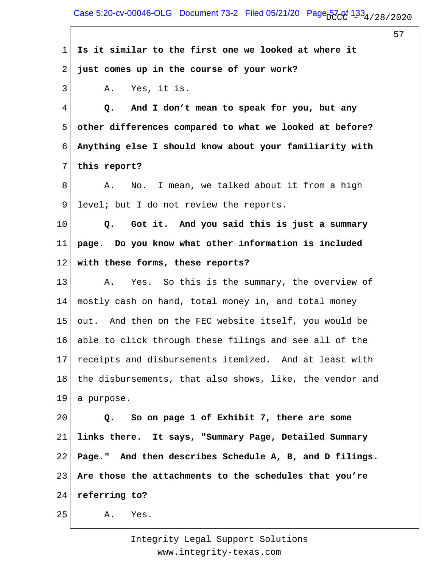1 2 3 4 5 6 7 8 9 10 11 12 13 14 15 16 17 18 19 20 21 22 23 24 25 **Is it similar to the first one we looked at where it just comes up in the course of your work?** A. Yes, it is.  **Q. And I don't mean to speak for you, but any other differences compared to what we looked at before? Anything else I should know about your familiarity with this report?** A. No. I mean, we talked about it from a high level; but I do not review the reports.  **Q. Got it. And you said this is just a summary page. Do you know what other information is included with these forms, these reports?** A. Yes. So this is the summary, the overview of mostly cash on hand, total money in, and total money out. And then on the FEC website itself, you would be able to click through these filings and see all of the receipts and disbursements itemized. And at least with the disbursements, that also shows, like, the vendor and a purpose.  **Q. So on page 1 of Exhibit 7, there are some links there. It says, "Summary Page, Detailed Summary Page." And then describes Schedule A, B, and D filings. Are those the attachments to the schedules that you're referring to?** A. Yes.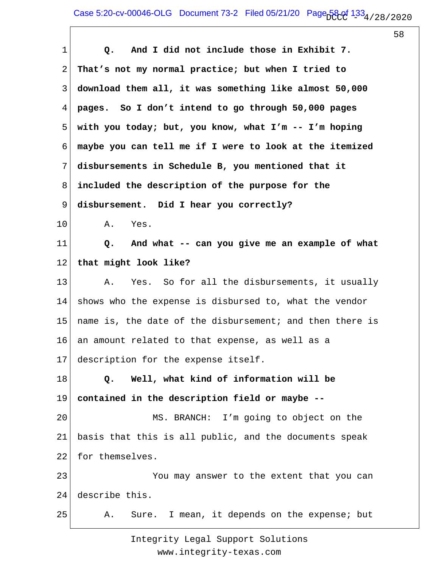1 2 3 4 5 6 7 8 9 10 11 12 13 14 15 16 17 18 19 20 21 22 23 24 25  **Q. And I did not include those in Exhibit 7. That's not my normal practice; but when I tried to download them all, it was something like almost 50,000 pages. So I don't intend to go through 50,000 pages with you today; but, you know, what I'm -- I'm hoping maybe you can tell me if I were to look at the itemized disbursements in Schedule B, you mentioned that it included the description of the purpose for the disbursement. Did I hear you correctly?** A. Yes.  **Q. And what -- can you give me an example of what that might look like?** A. Yes. So for all the disbursements, it usually shows who the expense is disbursed to, what the vendor name is, the date of the disbursement; and then there is an amount related to that expense, as well as a description for the expense itself.  **Q. Well, what kind of information will be contained in the description field or maybe --** MS. BRANCH: I'm going to object on the basis that this is all public, and the documents speak for themselves. You may answer to the extent that you can describe this. A. Sure. I mean, it depends on the expense; but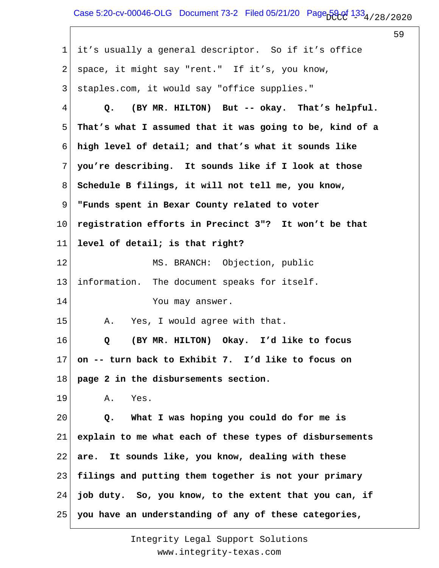## Case 5:20-cv-00046-OLG Document 73-2 Filed 05/21/20 Page  $59.01$   $1.33_4$  / 28 / 2020

 $\overline{\Gamma}$ 

|                |                                                          | 59 |
|----------------|----------------------------------------------------------|----|
| $\mathbf 1$    | it's usually a general descriptor. So if it's office     |    |
| $\overline{2}$ | space, it might say "rent." If it's, you know,           |    |
| 3              | staples.com, it would say "office supplies."             |    |
| 4              | (BY MR. HILTON) But -- okay. That's helpful.<br>Q.       |    |
| 5              | That's what I assumed that it was going to be, kind of a |    |
| 6              | high level of detail; and that's what it sounds like     |    |
| 7              | you're describing. It sounds like if I look at those     |    |
| 8              | Schedule B filings, it will not tell me, you know,       |    |
| 9              | "Funds spent in Bexar County related to voter            |    |
| 10             | registration efforts in Precinct 3"? It won't be that    |    |
| 11             | level of detail; is that right?                          |    |
| 12             | MS. BRANCH: Objection, public                            |    |
| 13             | information. The document speaks for itself.             |    |
| 14             | You may answer.                                          |    |
| 15             | Yes, I would agree with that.<br>Α.                      |    |
| 16             | (BY MR. HILTON) Okay. I'd like to focus<br>Q             |    |
| 17             | on -- turn back to Exhibit 7. I'd like to focus on       |    |
| 18             | page 2 in the disbursements section.                     |    |
| 19             | Α.<br>Yes.                                               |    |
| 20             | What I was hoping you could do for me is<br>Q.           |    |
| 21             | explain to me what each of these types of disbursements  |    |
| 22             | It sounds like, you know, dealing with these<br>are.     |    |
| 23             | filings and putting them together is not your primary    |    |
| 24             | job duty. So, you know, to the extent that you can, if   |    |
| 25             | you have an understanding of any of these categories,    |    |
|                |                                                          |    |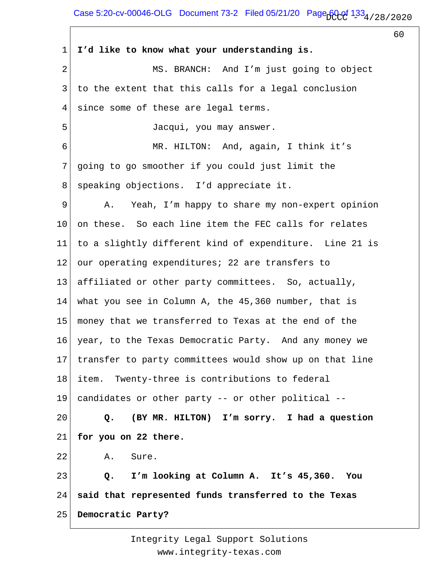1 2 3 4 5 6 7 8 9 10 11 12 13 14 15 16 17 18 19 20 21 22 23 24 25 **I'd like to know what your understanding is.** MS. BRANCH: And I'm just going to object to the extent that this calls for a legal conclusion since some of these are legal terms. Jacqui, you may answer. MR. HILTON: And, again, I think it's going to go smoother if you could just limit the speaking objections. I'd appreciate it. A. Yeah, I'm happy to share my non-expert opinion on these. So each line item the FEC calls for relates to a slightly different kind of expenditure. Line 21 is our operating expenditures; 22 are transfers to affiliated or other party committees. So, actually, what you see in Column A, the 45,360 number, that is money that we transferred to Texas at the end of the year, to the Texas Democratic Party. And any money we transfer to party committees would show up on that line item. Twenty-three is contributions to federal candidates or other party -- or other political --  **Q. (BY MR. HILTON) I'm sorry. I had a question for you on 22 there.** A. Sure.  **Q. I'm looking at Column A. It's 45,360. You said that represented funds transferred to the Texas Democratic Party?**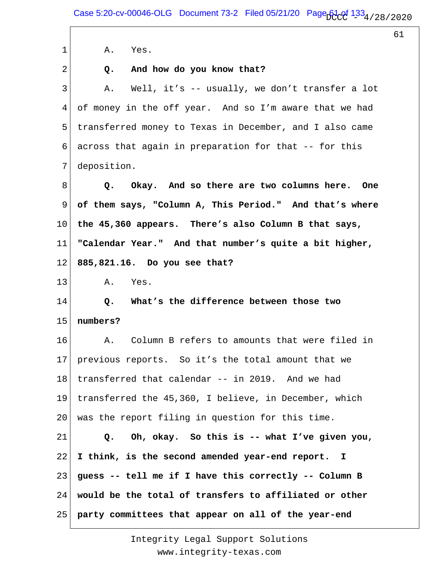1 2 3 4 5 6 7 8 9 10 11 12 13 14 15 16 17 18 19 20 21 22 23 24 25 A. Yes.  **Q. And how do you know that?** A. Well, it's -- usually, we don't transfer a lot of money in the off year. And so I'm aware that we had transferred money to Texas in December, and I also came across that again in preparation for that -- for this deposition.  **Q. Okay. And so there are two columns here. One of them says, "Column A, This Period." And that's where the 45,360 appears. There's also Column B that says, "Calendar Year." And that number's quite a bit higher, 885,821.16. Do you see that?** A. Yes.  **Q. What's the difference between those two numbers?** A. Column B refers to amounts that were filed in previous reports. So it's the total amount that we transferred that calendar -- in 2019. And we had transferred the 45,360, I believe, in December, which was the report filing in question for this time.  **Q. Oh, okay. So this is -- what I've given you, I think, is the second amended year-end report. I guess -- tell me if I have this correctly -- Column B would be the total of transfers to affiliated or other party committees that appear on all of the year-end**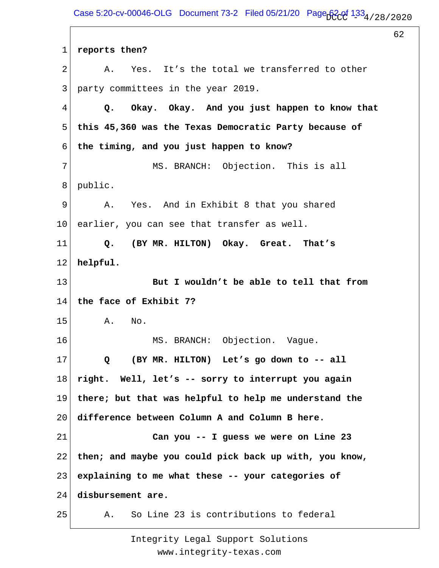Case 5:20-cv-00046-OLG Document 73-2 Filed 05/21/20 Page  $620f$   $133_4/28/2020$ 

62 1 2 3 4 5 6 7 8 9 10 11 12 13 14 15 16 17 18 19 20 21 22 23 24 25 **reports then?** A. Yes. It's the total we transferred to other party committees in the year 2019.  **Q. Okay. Okay. And you just happen to know that this 45,360 was the Texas Democratic Party because of the timing, and you just happen to know?** MS. BRANCH: Objection. This is all public. A. Yes. And in Exhibit 8 that you shared earlier, you can see that transfer as well.  **Q. (BY MR. HILTON) Okay. Great. That's helpful. But I wouldn't be able to tell that from the face of Exhibit 7?** A. No. MS. BRANCH: Objection. Vague.  **Q (BY MR. HILTON) Let's go down to -- all right. Well, let's -- sorry to interrupt you again there; but that was helpful to help me understand the difference between Column A and Column B here. Can you -- I guess we were on Line 23 then; and maybe you could pick back up with, you know, explaining to me what these -- your categories of disbursement are.** A. So Line 23 is contributions to federal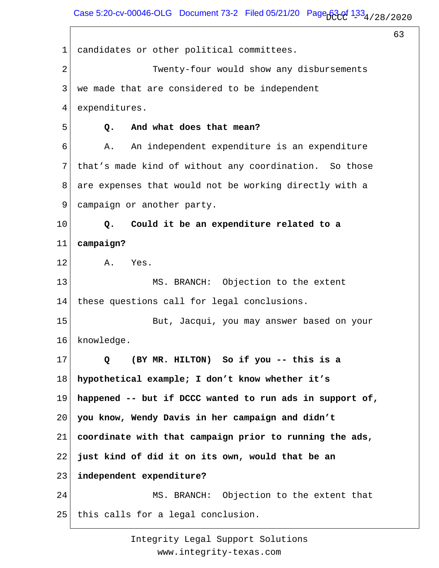Case 5:20-cv-00046-OLG Document 73-2 Filed 05/21/20 Page  $63.01$  133 $_4$  / 28 / 2020

63 1 2 3 4 5 6 7 8 9 10 11 12 13 14 15 16 17 18 19 20 21 22 23 24 25 candidates or other political committees. Twenty-four would show any disbursements we made that are considered to be independent expenditures.  **Q. And what does that mean?** A. An independent expenditure is an expenditure that's made kind of without any coordination. So those are expenses that would not be working directly with a campaign or another party.  **Q. Could it be an expenditure related to a campaign?** A. Yes. MS. BRANCH: Objection to the extent these questions call for legal conclusions. But, Jacqui, you may answer based on your knowledge.  **Q (BY MR. HILTON) So if you -- this is a hypothetical example; I don't know whether it's happened -- but if DCCC wanted to run ads in support of, you know, Wendy Davis in her campaign and didn't coordinate with that campaign prior to running the ads, just kind of did it on its own, would that be an independent expenditure?** MS. BRANCH: Objection to the extent that this calls for a legal conclusion.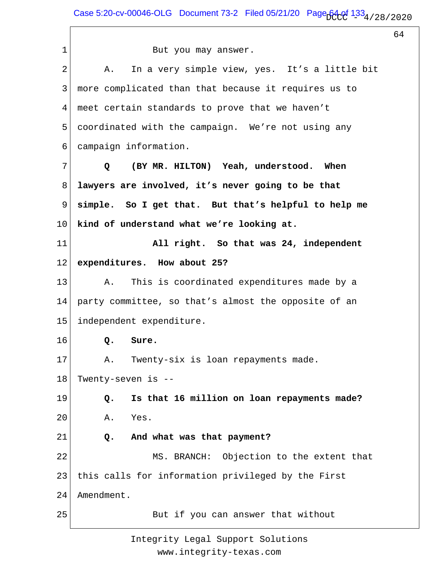1 2 3 4 5 6 7 8 9 10 11 12 13 14 15 16 17 18 19 20 21 22 23 24 25 But you may answer. A. In a very simple view, yes. It's a little bit more complicated than that because it requires us to meet certain standards to prove that we haven't coordinated with the campaign. We're not using any campaign information.  **Q (BY MR. HILTON) Yeah, understood. When lawyers are involved, it's never going to be that simple. So I get that. But that's helpful to help me kind of understand what we're looking at. All right. So that was 24, independent expenditures. How about 25?** A. This is coordinated expenditures made by a party committee, so that's almost the opposite of an independent expenditure.  **Q. Sure.** A. Twenty-six is loan repayments made. Twenty-seven is --  **Q. Is that 16 million on loan repayments made?** A. Yes.  **Q. And what was that payment?** MS. BRANCH: Objection to the extent that this calls for information privileged by the First Amendment. But if you can answer that without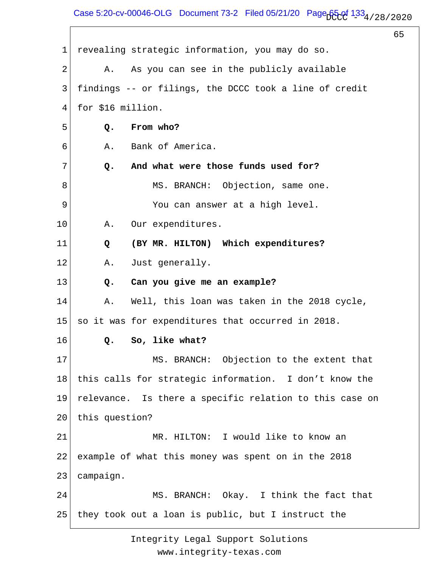Case 5:20-cv-00046-OLG Document 73-2 Filed 05/21/20 Page  $65.01$   $1.33_4$  / 28 / 2020

65

1 2 3 4 5 6 7 8 9 10 11 12 13 14 15 16 17 18 19 20 21 22 23 24 25 revealing strategic information, you may do so. A. As you can see in the publicly available findings -- or filings, the DCCC took a line of credit for \$16 million.  **Q. From who?** A. Bank of America.  **Q. And what were those funds used for?** MS. BRANCH: Objection, same one. You can answer at a high level. A. Our expenditures.  **Q (BY MR. HILTON) Which expenditures?** A. Just generally.  **Q. Can you give me an example?** A. Well, this loan was taken in the 2018 cycle, so it was for expenditures that occurred in 2018.  **Q. So, like what?** MS. BRANCH: Objection to the extent that this calls for strategic information. I don't know the relevance. Is there a specific relation to this case on this question? MR. HILTON: I would like to know an example of what this money was spent on in the 2018 campaign. MS. BRANCH: Okay. I think the fact that they took out a loan is public, but I instruct the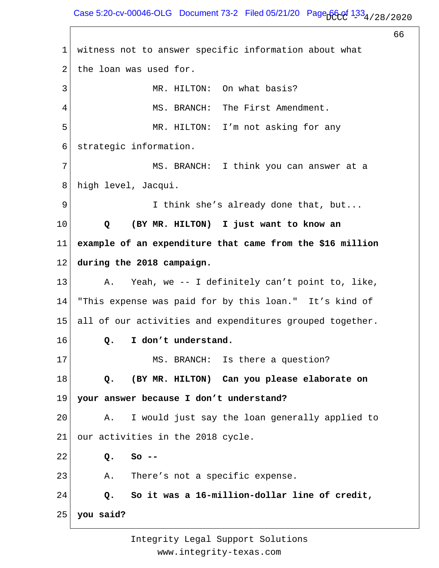Case 5:20-cv-00046-OLG Document 73-2 Filed 05/21/20 Page  $660f$  133 $_4$  / 28 / 2020

66

1 2 3 4 5 6 7 8 9 10 11 12 13 14 15 16 17 18 19 20 21 22 23 24 25 witness not to answer specific information about what the loan was used for. MR. HILTON: On what basis? MS. BRANCH: The First Amendment. MR. HILTON: I'm not asking for any strategic information. MS. BRANCH: I think you can answer at a high level, Jacqui. I think she's already done that, but...  **Q (BY MR. HILTON) I just want to know an example of an expenditure that came from the \$16 million during the 2018 campaign.** A. Yeah, we -- I definitely can't point to, like, "This expense was paid for by this loan." It's kind of all of our activities and expenditures grouped together.  **Q. I don't understand.** MS. BRANCH: Is there a question?  **Q. (BY MR. HILTON) Can you please elaborate on your answer because I don't understand?** A. I would just say the loan generally applied to our activities in the 2018 cycle.  **Q. So --** A. There's not a specific expense.  **Q. So it was a 16-million-dollar line of credit, you said?**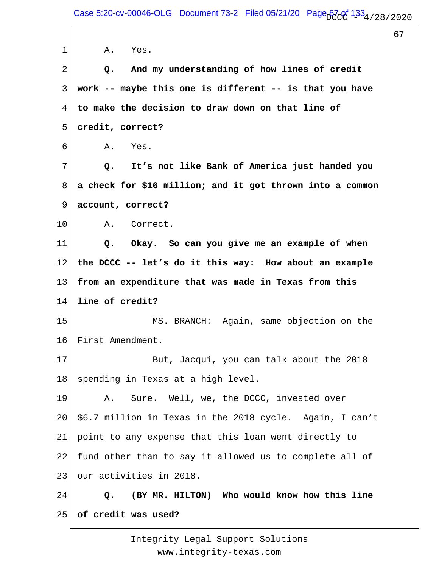| 1              | Yes.<br>Α.                                                |
|----------------|-----------------------------------------------------------|
| $\overline{2}$ | And my understanding of how lines of credit<br>Q.         |
| 3              | work -- maybe this one is different -- is that you have   |
| 4              | to make the decision to draw down on that line of         |
| 5              | credit, correct?                                          |
| 6              | Α.<br>Yes.                                                |
| 7              | It's not like Bank of America just handed you<br>Q.       |
| 8              | a check for \$16 million; and it got thrown into a common |
| 9              | account, correct?                                         |
| 10             | A. Correct.                                               |
| 11             | Okay. So can you give me an example of when<br>Q.         |
| 12             | the DCCC -- let's do it this way: How about an example    |
| 13             | from an expenditure that was made in Texas from this      |
| 14             | line of credit?                                           |
| 15             | MS. BRANCH: Again, same objection on the                  |
| 16             | First Amendment.                                          |
| 17             | But, Jacqui, you can talk about the 2018                  |
| 18             | spending in Texas at a high level.                        |
| 19             | Sure. Well, we, the DCCC, invested over<br>Α.             |
| 20             | \$6.7 million in Texas in the 2018 cycle. Again, I can't  |
| 21             | point to any expense that this loan went directly to      |
| 22             | fund other than to say it allowed us to complete all of   |
| 23             | our activities in 2018.                                   |
| 24             | (BY MR. HILTON) Who would know how this line<br>Q.        |
| 25             | of credit was used?                                       |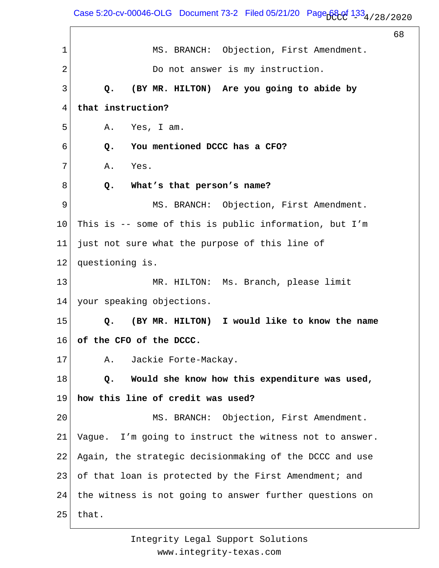Case 5:20-cv-00046-OLG Document 73-2 Filed 05/21/20 Page  $68.01$  133 $_4$  / 28 / 2020

68 1 2 3 4 5 6 7 8 9 10 11 12 13 14 15 16 17 18 19 20 21 22 23 24 25 MS. BRANCH: Objection, First Amendment. Do not answer is my instruction.  **Q. (BY MR. HILTON) Are you going to abide by that instruction?** A. Yes, I am.  **Q. You mentioned DCCC has a CFO?** A. Yes.  **Q. What's that person's name?** MS. BRANCH: Objection, First Amendment. This is -- some of this is public information, but I'm just not sure what the purpose of this line of questioning is. MR. HILTON: Ms. Branch, please limit your speaking objections.  **Q. (BY MR. HILTON) I would like to know the name of the CFO of the DCCC.** A. Jackie Forte-Mackay.  **Q. Would she know how this expenditure was used, how this line of credit was used?** MS. BRANCH: Objection, First Amendment. Vague. I'm going to instruct the witness not to answer. Again, the strategic decisionmaking of the DCCC and use of that loan is protected by the First Amendment; and the witness is not going to answer further questions on that.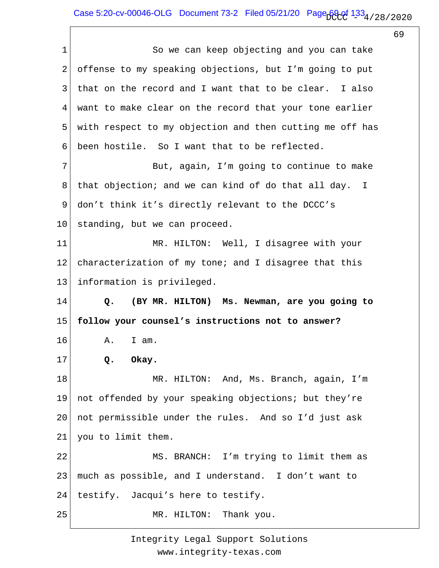1 2 3 4 5 6 7 8 9 10 11 12 13 14 15 16 17 18 19 20 21 22 23 24 25 So we can keep objecting and you can take offense to my speaking objections, but I'm going to put that on the record and I want that to be clear. I also want to make clear on the record that your tone earlier with respect to my objection and then cutting me off has been hostile. So I want that to be reflected. But, again, I'm going to continue to make that objection; and we can kind of do that all day. I don't think it's directly relevant to the DCCC's standing, but we can proceed. MR. HILTON: Well, I disagree with your characterization of my tone; and I disagree that this information is privileged.  **Q. (BY MR. HILTON) Ms. Newman, are you going to follow your counsel's instructions not to answer?** A. I am.  **Q. Okay.** MR. HILTON: And, Ms. Branch, again, I'm not offended by your speaking objections; but they're not permissible under the rules. And so I'd just ask you to limit them. MS. BRANCH: I'm trying to limit them as much as possible, and I understand. I don't want to testify. Jacqui's here to testify. MR. HILTON: Thank you.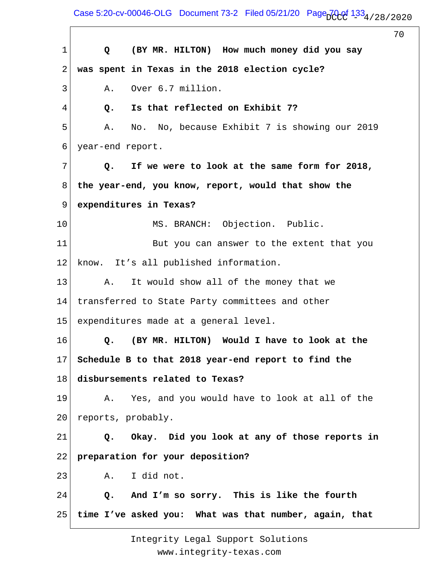Case 5:20-cv-00046-OLG Document 73-2 Filed 05/21/20 Page  $70.01$   $1.33$   $4/28/2020$ 

70 1 2 3 4 5 6 7 8 9 10 11 12 13 14 15 16 17 18 19 20 21 22 23 24 25  **Q (BY MR. HILTON) How much money did you say was spent in Texas in the 2018 election cycle?** A. Over 6.7 million.  **Q. Is that reflected on Exhibit 7?** A. No. No, because Exhibit 7 is showing our 2019 year-end report.  **Q. If we were to look at the same form for 2018, the year-end, you know, report, would that show the expenditures in Texas?** MS. BRANCH: Objection. Public. But you can answer to the extent that you know. It's all published information. A. It would show all of the money that we transferred to State Party committees and other expenditures made at a general level.  **Q. (BY MR. HILTON) Would I have to look at the Schedule B to that 2018 year-end report to find the disbursements related to Texas?** A. Yes, and you would have to look at all of the reports, probably.  **Q. Okay. Did you look at any of those reports in preparation for your deposition?** A. I did not.  **Q. And I'm so sorry. This is like the fourth time I've asked you: What was that number, again, that**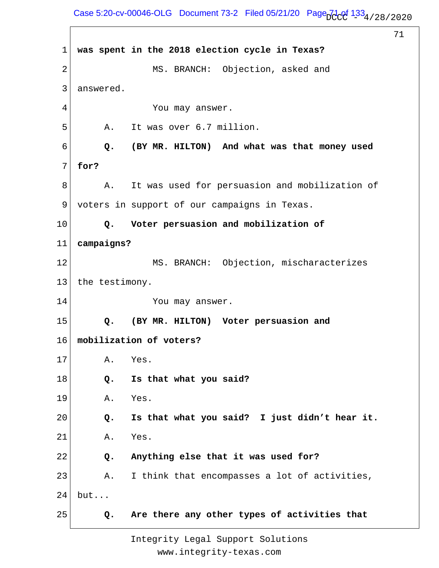## Case 5:20-cv-00046-OLG Document 73-2 Filed 05/21/20 Page  $7\frac{1}{2}$   $2\frac{1}{2}$   $4/28/2020$

71

1 2 3 4 5 6 7 8 9 10 11 12 13 14 15 16 17 18 19 20 21 22 23 24 25 **was spent in the 2018 election cycle in Texas?** MS. BRANCH: Objection, asked and answered. You may answer. A. It was over 6.7 million.  **Q. (BY MR. HILTON) And what was that money used for?** A. It was used for persuasion and mobilization of voters in support of our campaigns in Texas.  **Q. Voter persuasion and mobilization of campaigns?** MS. BRANCH: Objection, mischaracterizes the testimony. You may answer.  **Q. (BY MR. HILTON) Voter persuasion and mobilization of voters?** A. Yes.  **Q. Is that what you said?** A. Yes.  **Q. Is that what you said? I just didn't hear it.** A. Yes.  **Q. Anything else that it was used for?** A. I think that encompasses a lot of activities, but...  **Q. Are there any other types of activities that**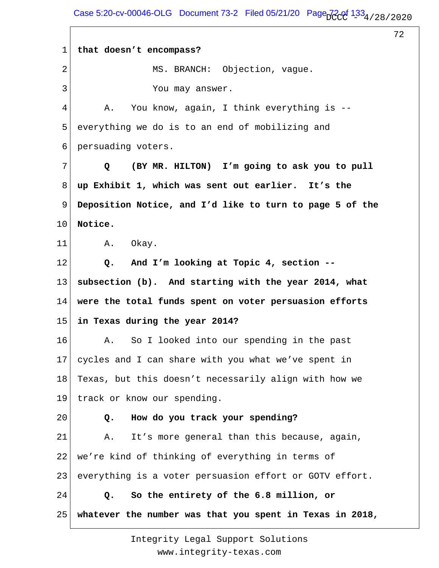Case 5:20-cv-00046-OLG Document 73-2 Filed 05/21/20 Page  $720f$   $133_4/28/2020$ 

72

1 2 3 4 5 6 7 8 9 10 11 12 13 14 15 16 17 18 19 20 21 22 23 24 25 **that doesn't encompass?** MS. BRANCH: Objection, vague. You may answer. A. You know, again, I think everything is - everything we do is to an end of mobilizing and persuading voters.  **Q (BY MR. HILTON) I'm going to ask you to pull up Exhibit 1, which was sent out earlier. It's the Deposition Notice, and I'd like to turn to page 5 of the Notice.** A. Okay.  **Q. And I'm looking at Topic 4, section - subsection (b). And starting with the year 2014, what were the total funds spent on voter persuasion efforts in Texas during the year 2014?** A. So I looked into our spending in the past cycles and I can share with you what we've spent in Texas, but this doesn't necessarily align with how we track or know our spending.  **Q. How do you track your spending?** A. It's more general than this because, again, we're kind of thinking of everything in terms of everything is a voter persuasion effort or GOTV effort.  **Q. So the entirety of the 6.8 million, or whatever the number was that you spent in Texas in 2018,**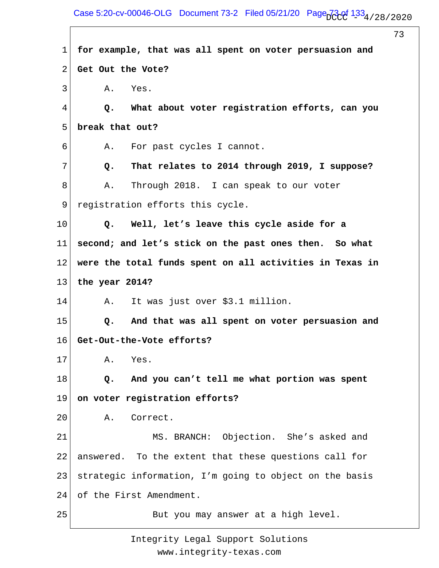Case 5:20-cv-00046-OLG Document 73-2 Filed 05/21/20 Page  $73.0^{11.33}$ 4/28/2020

 $\Gamma$ 

|             |                                                           | 73 |
|-------------|-----------------------------------------------------------|----|
| $\mathbf 1$ | for example, that was all spent on voter persuasion and   |    |
| 2           | Get Out the Vote?                                         |    |
| 3           | Α.<br>Yes.                                                |    |
| 4           | What about voter registration efforts, can you<br>Q.      |    |
| 5           | break that out?                                           |    |
| 6           | For past cycles I cannot.<br>Α.                           |    |
| 7           | That relates to 2014 through 2019, I suppose?<br>Q.       |    |
| 8           | Through 2018. I can speak to our voter<br>Α.              |    |
| 9           | registration efforts this cycle.                          |    |
| 10          | Well, let's leave this cycle aside for a<br>$Q_{\bullet}$ |    |
| 11          | second; and let's stick on the past ones then. So what    |    |
| 12          | were the total funds spent on all activities in Texas in  |    |
| 13          | the year 2014?                                            |    |
| 14          | It was just over \$3.1 million.<br>Α.                     |    |
| 15          | And that was all spent on voter persuasion and<br>Q.      |    |
| 16          | Get-Out-the-Vote efforts?                                 |    |
| 17          | Α.<br>Yes.                                                |    |
| 18          | And you can't tell me what portion was spent<br>Q.        |    |
| 19          | on voter registration efforts?                            |    |
| 20          | Correct.<br>Α.                                            |    |
| 21          | MS. BRANCH: Objection. She's asked and                    |    |
| 22          | answered. To the extent that these questions call for     |    |
| 23          | strategic information, I'm going to object on the basis   |    |
| 24          | of the First Amendment.                                   |    |
| 25          | But you may answer at a high level.                       |    |
|             |                                                           |    |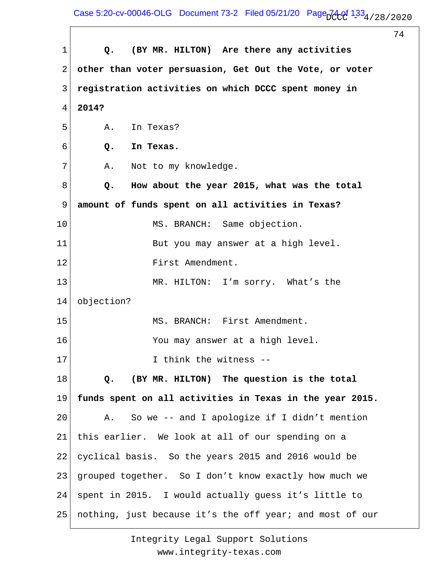Case 5:20-cv-00046-OLG Document 73-2 Filed 05/21/20 Page  $74.01$   $1.33$   $4/28/2020$ 

 $\sqrt{ }$ 

|             | 74                                                       |
|-------------|----------------------------------------------------------|
| $\mathbf 1$ | (BY MR. HILTON) Are there any activities<br>Q.           |
| 2           | other than voter persuasion, Get Out the Vote, or voter  |
| 3           | registration activities on which DCCC spent money in     |
| 4           | 2014?                                                    |
| 5           | Α.<br>In Texas?                                          |
| 6           | In Texas.<br>Q.                                          |
| 7           | Not to my knowledge.<br>Α.                               |
| 8           | How about the year 2015, what was the total<br>Q.        |
| 9           | amount of funds spent on all activities in Texas?        |
| 10          | MS. BRANCH: Same objection.                              |
| 11          | But you may answer at a high level.                      |
| 12          | First Amendment.                                         |
| 13          | MR. HILTON: I'm sorry. What's the                        |
| 14          | objection?                                               |
| 15          | MS. BRANCH: First Amendment.                             |
| 16          | You may answer at a high level.                          |
| 17          | I think the witness --                                   |
| 18          | (BY MR. HILTON) The question is the total<br>Q.          |
| 19          | funds spent on all activities in Texas in the year 2015. |
| 20          | So we -- and I apologize if I didn't mention<br>Α.       |
| 21          | this earlier. We look at all of our spending on a        |
| 22          | cyclical basis. So the years 2015 and 2016 would be      |
| 23          | grouped together. So I don't know exactly how much we    |
| 24          | spent in 2015. I would actually guess it's little to     |
| 25          | nothing, just because it's the off year; and most of our |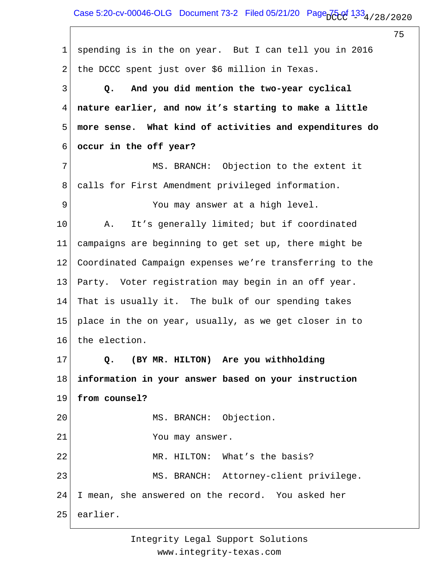1 2 3 4 5 6 7 8 9 10 11 12 13 14 15 16 17 18 19 20 21 22 23 24 25 spending is in the on year. But I can tell you in 2016 the DCCC spent just over \$6 million in Texas.  **Q. And you did mention the two-year cyclical nature earlier, and now it's starting to make a little more sense. What kind of activities and expenditures do occur in the off year?** MS. BRANCH: Objection to the extent it calls for First Amendment privileged information. You may answer at a high level. A. It's generally limited; but if coordinated campaigns are beginning to get set up, there might be Coordinated Campaign expenses we're transferring to the Party. Voter registration may begin in an off year. That is usually it. The bulk of our spending takes place in the on year, usually, as we get closer in to the election.  **Q. (BY MR. HILTON) Are you withholding information in your answer based on your instruction from counsel?** MS. BRANCH: Objection. You may answer. MR. HILTON: What's the basis? MS. BRANCH: Attorney-client privilege. I mean, she answered on the record. You asked her earlier.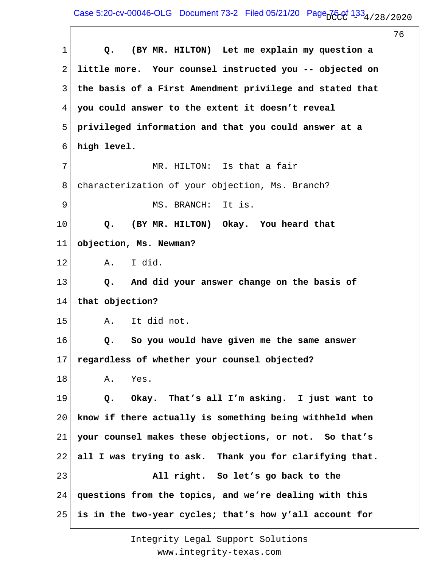|    | 76                                                       |
|----|----------------------------------------------------------|
| 1  | (BY MR. HILTON) Let me explain my question a<br>Q.       |
| 2  | little more. Your counsel instructed you -- objected on  |
| 3  | the basis of a First Amendment privilege and stated that |
| 4  | you could answer to the extent it doesn't reveal         |
| 5  | privileged information and that you could answer at a    |
| 6  | high level.                                              |
| 7  | MR. HILTON: Is that a fair                               |
| 8  | characterization of your objection, Ms. Branch?          |
| 9  | MS. BRANCH:<br>It is.                                    |
| 10 | (BY MR. HILTON) Okay. You heard that<br>$Q$ .            |
| 11 | objection, Ms. Newman?                                   |
| 12 | I did.<br>A.                                             |
| 13 | And did your answer change on the basis of<br>Q.         |
| 14 | that objection?                                          |
| 15 | It did not.<br>Α.                                        |
| 16 | So you would have given me the same answer<br>Q.         |
| 17 | regardless of whether your counsel objected?             |
| 18 | Yes.<br>Α.                                               |
| 19 | Okay. That's all I'm asking. I just want to<br>Q.        |
| 20 | know if there actually is something being withheld when  |
| 21 | your counsel makes these objections, or not. So that's   |
| 22 | all I was trying to ask. Thank you for clarifying that.  |
| 23 | All right. So let's go back to the                       |
| 24 | questions from the topics, and we're dealing with this   |
| 25 | is in the two-year cycles; that's how y'all account for  |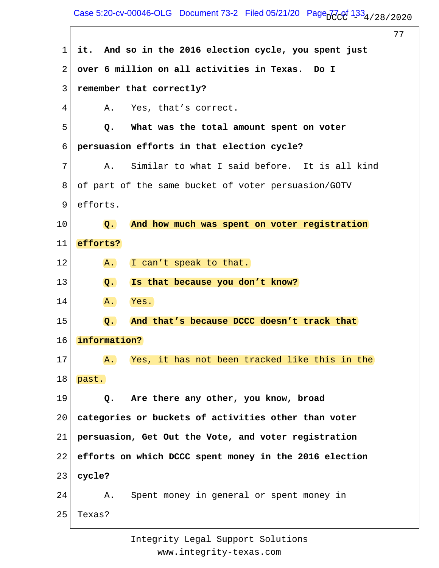## Case 5:20-cv-00046-OLG Document 73-2 Filed 05/21/20 Page  $77.091$   $1.33$   $4/28/2020$

77 1 2 3 4 5 6 7 8 9 10 11 12 13 14 15 16 17 18 19 20 21 22 23 24 25 **it. And so in the 2016 election cycle, you spent just over 6 million on all activities in Texas. Do I remember that correctly?** A. Yes, that's correct.  **Q. What was the total amount spent on voter persuasion efforts in that election cycle?** A. Similar to what I said before. It is all kind of part of the same bucket of voter persuasion/GOTV efforts.  **Q. And how much was spent on voter registration efforts?** A. I can't speak to that.  **Q. Is that because you don't know?** A. Yes.  **Q. And that's because DCCC doesn't track that information?** A. Yes, it has not been tracked like this in the past.  **Q. Are there any other, you know, broad categories or buckets of activities other than voter persuasion, Get Out the Vote, and voter registration efforts on which DCCC spent money in the 2016 election cycle?** A. Spent money in general or spent money in Texas?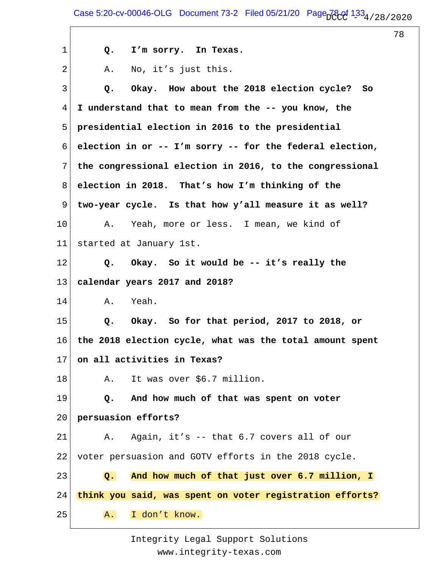1 2 3 4 5 6 7 8 9 10 11 12 13 14 15 16 17 18 19 20 21 22 23 24 25  **Q. I'm sorry. In Texas.** A. No, it's just this.  **Q. Okay. How about the 2018 election cycle? So I understand that to mean from the -- you know, the presidential election in 2016 to the presidential election in or -- I'm sorry -- for the federal election, the congressional election in 2016, to the congressional election in 2018. That's how I'm thinking of the two-year cycle. Is that how y'all measure it as well?** A. Yeah, more or less. I mean, we kind of started at January 1st.  **Q. Okay. So it would be -- it's really the calendar years 2017 and 2018?** A. Yeah.  **Q. Okay. So for that period, 2017 to 2018, or the 2018 election cycle, what was the total amount spent on all activities in Texas?** A. It was over \$6.7 million.  **Q. And how much of that was spent on voter persuasion efforts?** A. Again, it's -- that 6.7 covers all of our voter persuasion and GOTV efforts in the 2018 cycle.  **Q. And how much of that just over 6.7 million, I think you said, was spent on voter registration efforts?** A. I don't know.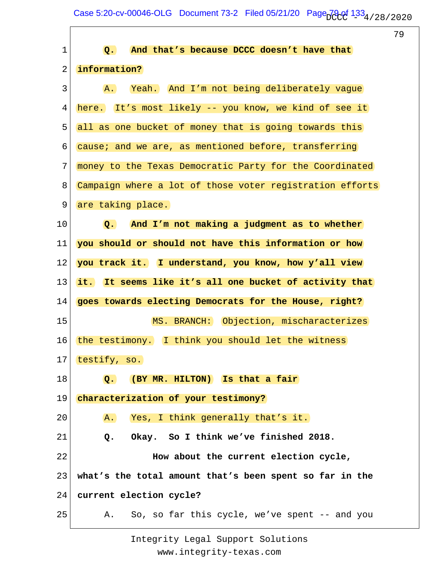Case 5:20-cv-00046-OLG Document 73-2 Filed 05/21/20 Page  $79.01$   $1.33$   $4/28/2020$ 

 $\sqrt{ }$ 

|                |                                                               | 79 |
|----------------|---------------------------------------------------------------|----|
| 1              | And that's because DCCC doesn't have that<br>$\overline{Q}$ . |    |
| $\overline{2}$ | information?                                                  |    |
| 3              | Yeah. And I'm not being deliberately vague<br>A.              |    |
| 4              | here. It's most likely -- you know, we kind of see it         |    |
| 5              | all as one bucket of money that is going towards this         |    |
| 6              | cause; and we are, as mentioned before, transferring          |    |
| 7              | money to the Texas Democratic Party for the Coordinated       |    |
| 8              | Campaign where a lot of those voter registration efforts      |    |
| 9              | are taking place.                                             |    |
| 10             | And I'm not making a judgment as to whether<br>$Q_{\bullet}$  |    |
| 11             | you should or should not have this information or how         |    |
| 12             | you track it. I understand, you know, how y'all view          |    |
| 13             | it. It seems like it's all one bucket of activity that        |    |
| 14             | goes towards electing Democrats for the House, right?         |    |
| 15             | MS. BRANCH: Objection, mischaracterizes                       |    |
| 16             | the testimony. I think you should let the witness             |    |
| 17             | testify, so.                                                  |    |
| 18             | (BY MR. HILTON) Is that a fair<br>$Q_{\bullet}$               |    |
| 19             | characterization of your testimony?                           |    |
| 20             | Yes, I think generally that's it.<br>A.                       |    |
| 21             | Okay. So I think we've finished 2018.<br>Q.                   |    |
| 22             | How about the current election cycle,                         |    |
| 23             | what's the total amount that's been spent so far in the       |    |
| 24             | current election cycle?                                       |    |
| 25             | So, so far this cycle, we've spent -- and you<br>A.           |    |
|                |                                                               |    |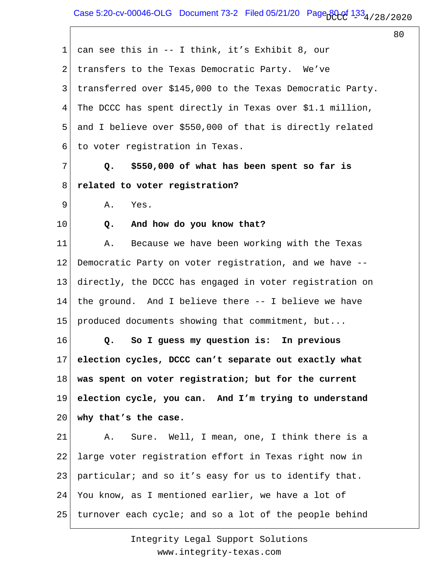Case 5:20-cv-00046-OLG Document 73-2 Filed 05/21/20 Page  $B_0Q$   $1.33<sub>4/28/2020</sub>$ 

80

1 2 3 4 5 6 7 8 9 10 11 12 13 14 15 16 17 18 19 20 21 22 23 24 25 can see this in -- I think, it's Exhibit 8, our transfers to the Texas Democratic Party. We've transferred over \$145,000 to the Texas Democratic Party. The DCCC has spent directly in Texas over \$1.1 million, and I believe over \$550,000 of that is directly related to voter registration in Texas.  **Q. \$550,000 of what has been spent so far is related to voter registration?** A. Yes.  **Q. And how do you know that?** A. Because we have been working with the Texas Democratic Party on voter registration, and we have - directly, the DCCC has engaged in voter registration on the ground. And I believe there -- I believe we have produced documents showing that commitment, but...  **Q. So I guess my question is: In previous election cycles, DCCC can't separate out exactly what was spent on voter registration; but for the current election cycle, you can. And I'm trying to understand why that's the case.** A. Sure. Well, I mean, one, I think there is a large voter registration effort in Texas right now in particular; and so it's easy for us to identify that. You know, as I mentioned earlier, we have a lot of turnover each cycle; and so a lot of the people behind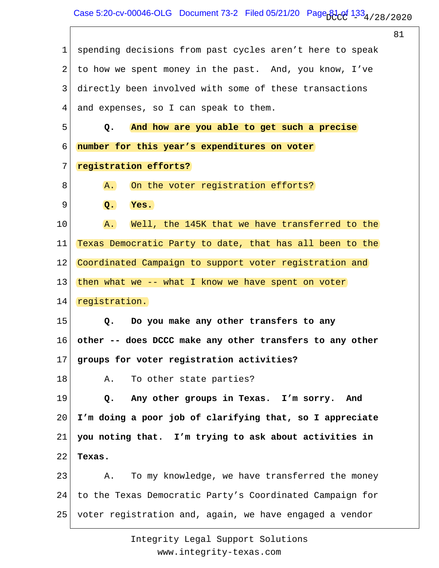$\overline{\Gamma}$ 

|    |                                                             | 81 |
|----|-------------------------------------------------------------|----|
| 1  | spending decisions from past cycles aren't here to speak    |    |
| 2  | to how we spent money in the past. And, you know, I've      |    |
| 3  | directly been involved with some of these transactions      |    |
| 4  | and expenses, so I can speak to them.                       |    |
| 5  | And how are you able to get such a precise<br>$Q_{\bullet}$ |    |
| 6  | number for this year's expenditures on voter                |    |
| 7  | registration efforts?                                       |    |
| 8  | On the voter registration efforts?<br>A.                    |    |
| 9  | Q.<br>Yes.                                                  |    |
| 10 | Well, the 145K that we have transferred to the<br>A.        |    |
| 11 | Texas Democratic Party to date, that has all been to the    |    |
| 12 | Coordinated Campaign to support voter registration and      |    |
| 13 | then what we -- what I know we have spent on voter          |    |
| 14 | registration.                                               |    |
| 15 | $Q_{\bullet}$<br>Do you make any other transfers to any     |    |
| 16 | other -- does DCCC make any other transfers to any other    |    |
| 17 | groups for voter registration activities?                   |    |
| 18 | To other state parties?<br>Α.                               |    |
| 19 | Any other groups in Texas. I'm sorry. And<br>Q.             |    |
| 20 | I'm doing a poor job of clarifying that, so I appreciate    |    |
| 21 | you noting that. I'm trying to ask about activities in      |    |
| 22 | Texas.                                                      |    |
| 23 | To my knowledge, we have transferred the money<br>Α.        |    |
| 24 | to the Texas Democratic Party's Coordinated Campaign for    |    |
| 25 | voter registration and, again, we have engaged a vendor     |    |
|    |                                                             |    |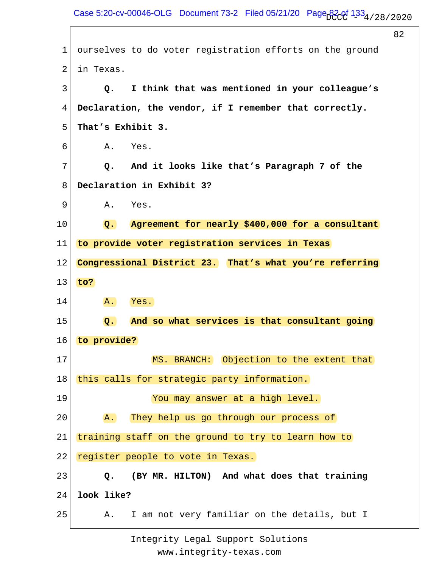82 1 2 3 4 5 6 7 8 9 10 11 12 13 14 15 16 17 18 19 20 21 22 23 24 25 ourselves to do voter registration efforts on the ground in Texas.  **Q. I think that was mentioned in your colleague's Declaration, the vendor, if I remember that correctly. That's Exhibit 3.** A. Yes.  **Q. And it looks like that's Paragraph 7 of the Declaration in Exhibit 3?** A. Yes.  **Q. Agreement for nearly \$400,000 for a consultant to provide voter registration services in Texas Congressional District 23. That's what you're referring to?** A. Yes.  **Q. And so what services is that consultant going to provide?** MS. BRANCH: Objection to the extent that this calls for strategic party information. You may answer at a high level. A. They help us go through our process of training staff on the ground to try to learn how to register people to vote in Texas.  **Q. (BY MR. HILTON) And what does that training look like?** A. I am not very familiar on the details, but I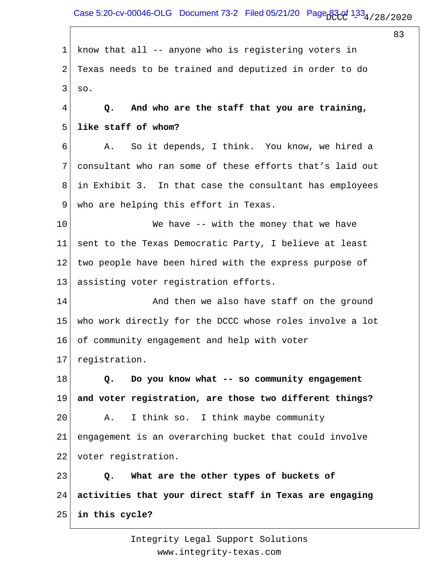Case 5:20-cv-00046-OLG Document 73-2 Filed 05/21/20 Page  $334/28/28/2020$ 

83

1 2 3 4 5 6 7 8 9 10 11 12 13 14 15 16 17 18 19 20 21 22 23 24 25 know that all -- anyone who is registering voters in Texas needs to be trained and deputized in order to do so.  **Q. And who are the staff that you are training, like staff of whom?** A. So it depends, I think. You know, we hired a consultant who ran some of these efforts that's laid out in Exhibit 3. In that case the consultant has employees who are helping this effort in Texas. We have -- with the money that we have sent to the Texas Democratic Party, I believe at least two people have been hired with the express purpose of assisting voter registration efforts. And then we also have staff on the ground who work directly for the DCCC whose roles involve a lot of community engagement and help with voter registration.  **Q. Do you know what -- so community engagement and voter registration, are those two different things?** A. I think so. I think maybe community engagement is an overarching bucket that could involve voter registration.  **Q. What are the other types of buckets of activities that your direct staff in Texas are engaging in this cycle?**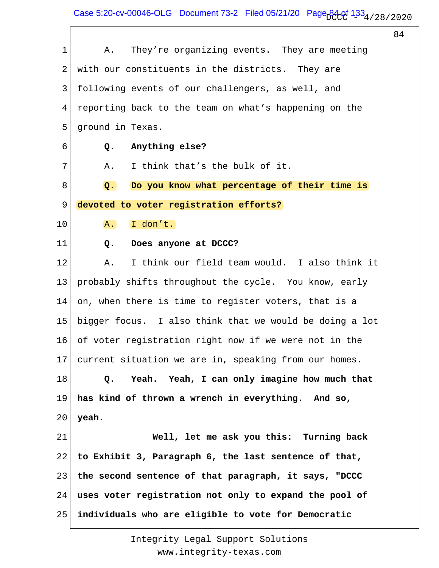Case 5:20-cv-00046-OLG Document 73-2 Filed 05/21/20 Page  $34/133/4/28/2020$ 

 $\sqrt{ }$ 

|             |                                                            | 84 |
|-------------|------------------------------------------------------------|----|
| $\mathbf 1$ | They're organizing events. They are meeting<br>Α.          |    |
| 2           | with our constituents in the districts. They are           |    |
| 3           | following events of our challengers, as well, and          |    |
| 4           | reporting back to the team on what's happening on the      |    |
| 5           | ground in Texas.                                           |    |
| 6           | Anything else?<br>Q.                                       |    |
| 7           | I think that's the bulk of it.<br>Α.                       |    |
| 8           | Do you know what percentage of their time is<br>$\Omega$ . |    |
| 9           | devoted to voter registration efforts?                     |    |
| 10          | I don't.<br>A.                                             |    |
| 11          | Does anyone at DCCC?<br>Q.                                 |    |
| 12          | I think our field team would. I also think it<br>Α.        |    |
| 13          | probably shifts throughout the cycle. You know, early      |    |
| 14          | on, when there is time to register voters, that is a       |    |
| 15          | bigger focus. I also think that we would be doing a lot    |    |
| 16          | of voter registration right now if we were not in the      |    |
| 17          | current situation we are in, speaking from our homes.      |    |
| 18          | Yeah. Yeah, I can only imagine how much that<br>Q.         |    |
| 19          | has kind of thrown a wrench in everything. And so,         |    |
| 20          | yeah.                                                      |    |
| 21          | Well, let me ask you this: Turning back                    |    |
| 22          | to Exhibit 3, Paragraph 6, the last sentence of that,      |    |
| 23          | the second sentence of that paragraph, it says, "DCCC      |    |
| 24          | uses voter registration not only to expand the pool of     |    |
| 25          | individuals who are eligible to vote for Democratic        |    |
|             |                                                            |    |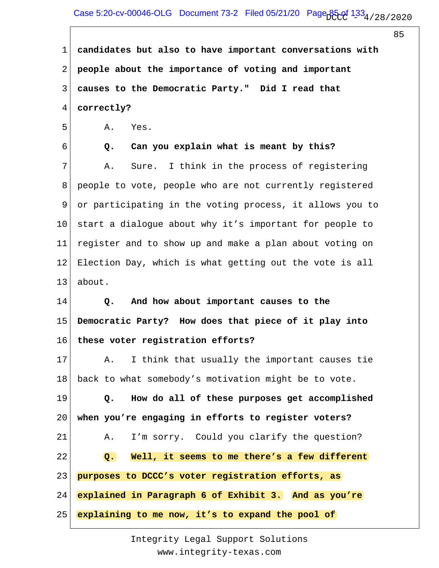1 2 3 4 **candidates but also to have important conversations with people about the importance of voting and important causes to the Democratic Party." Did I read that correctly?**

5 A. Yes.

6 7 8 9 10 11 12 13  **Q. Can you explain what is meant by this?** A. Sure. I think in the process of registering people to vote, people who are not currently registered or participating in the voting process, it allows you to start a dialogue about why it's important for people to register and to show up and make a plan about voting on Election Day, which is what getting out the vote is all about.

14 15 16  **Q. And how about important causes to the Democratic Party? How does that piece of it play into these voter registration efforts?**

17 18 A. I think that usually the important causes tie back to what somebody's motivation might be to vote.

19 20 21 22 23 24 25  **Q. How do all of these purposes get accomplished when you're engaging in efforts to register voters?** A. I'm sorry. Could you clarify the question?  **Q. Well, it seems to me there's a few different purposes to DCCC's voter registration efforts, as explained in Paragraph 6 of Exhibit 3. And as you're explaining to me now, it's to expand the pool of**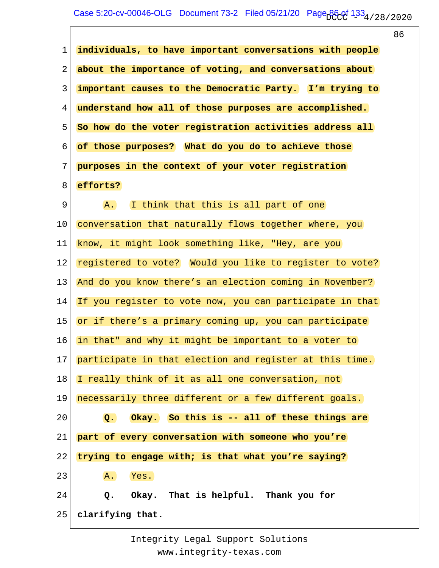| individuals, to have important conversations with people<br>$\mathbf{1}$<br>about the importance of voting, and conversations about<br>2<br>important causes to the Democratic Party. I'm trying to<br>3<br>4<br>understand how all of those purposes are accomplished.<br>5<br>So how do the voter registration activities address all<br>6<br>of those purposes? What do you do to achieve those<br>7<br>purposes in the context of your voter registration<br>efforts?<br>8<br>$\mathsf 9$<br>I think that this is all part of one<br>A.<br>10<br>conversation that naturally flows together where, you<br>know, it might look something like, "Hey, are you<br>11<br>registered to vote? Would you like to register to vote?<br>12<br>And do you know there's an election coming in November?<br>13<br>If you register to vote now, you can participate in that<br>14<br>15<br>or if there's a primary coming up, you can participate<br>in that" and why it might be important to a voter to<br>16<br>17<br>participate in that election and register at this time.<br>I really think of it as all one conversation, not<br>18<br>necessarily three different or a few different goals.<br>19<br>Okay. So this is -- all of these things are<br>20<br>$Q_{\bullet}$<br>21<br>part of every conversation with someone who you're<br>22<br>trying to engage with; is that what you're saying?<br>23<br>Yes.<br>A.<br>24<br>Okay. That is helpful. Thank you for<br>Q.<br>25<br>clarifying that. |  | 86 |
|----------------------------------------------------------------------------------------------------------------------------------------------------------------------------------------------------------------------------------------------------------------------------------------------------------------------------------------------------------------------------------------------------------------------------------------------------------------------------------------------------------------------------------------------------------------------------------------------------------------------------------------------------------------------------------------------------------------------------------------------------------------------------------------------------------------------------------------------------------------------------------------------------------------------------------------------------------------------------------------------------------------------------------------------------------------------------------------------------------------------------------------------------------------------------------------------------------------------------------------------------------------------------------------------------------------------------------------------------------------------------------------------------------------------------------------------------------------------------------------------------|--|----|
|                                                                                                                                                                                                                                                                                                                                                                                                                                                                                                                                                                                                                                                                                                                                                                                                                                                                                                                                                                                                                                                                                                                                                                                                                                                                                                                                                                                                                                                                                                    |  |    |
|                                                                                                                                                                                                                                                                                                                                                                                                                                                                                                                                                                                                                                                                                                                                                                                                                                                                                                                                                                                                                                                                                                                                                                                                                                                                                                                                                                                                                                                                                                    |  |    |
|                                                                                                                                                                                                                                                                                                                                                                                                                                                                                                                                                                                                                                                                                                                                                                                                                                                                                                                                                                                                                                                                                                                                                                                                                                                                                                                                                                                                                                                                                                    |  |    |
|                                                                                                                                                                                                                                                                                                                                                                                                                                                                                                                                                                                                                                                                                                                                                                                                                                                                                                                                                                                                                                                                                                                                                                                                                                                                                                                                                                                                                                                                                                    |  |    |
|                                                                                                                                                                                                                                                                                                                                                                                                                                                                                                                                                                                                                                                                                                                                                                                                                                                                                                                                                                                                                                                                                                                                                                                                                                                                                                                                                                                                                                                                                                    |  |    |
|                                                                                                                                                                                                                                                                                                                                                                                                                                                                                                                                                                                                                                                                                                                                                                                                                                                                                                                                                                                                                                                                                                                                                                                                                                                                                                                                                                                                                                                                                                    |  |    |
|                                                                                                                                                                                                                                                                                                                                                                                                                                                                                                                                                                                                                                                                                                                                                                                                                                                                                                                                                                                                                                                                                                                                                                                                                                                                                                                                                                                                                                                                                                    |  |    |
|                                                                                                                                                                                                                                                                                                                                                                                                                                                                                                                                                                                                                                                                                                                                                                                                                                                                                                                                                                                                                                                                                                                                                                                                                                                                                                                                                                                                                                                                                                    |  |    |
|                                                                                                                                                                                                                                                                                                                                                                                                                                                                                                                                                                                                                                                                                                                                                                                                                                                                                                                                                                                                                                                                                                                                                                                                                                                                                                                                                                                                                                                                                                    |  |    |
|                                                                                                                                                                                                                                                                                                                                                                                                                                                                                                                                                                                                                                                                                                                                                                                                                                                                                                                                                                                                                                                                                                                                                                                                                                                                                                                                                                                                                                                                                                    |  |    |
|                                                                                                                                                                                                                                                                                                                                                                                                                                                                                                                                                                                                                                                                                                                                                                                                                                                                                                                                                                                                                                                                                                                                                                                                                                                                                                                                                                                                                                                                                                    |  |    |
|                                                                                                                                                                                                                                                                                                                                                                                                                                                                                                                                                                                                                                                                                                                                                                                                                                                                                                                                                                                                                                                                                                                                                                                                                                                                                                                                                                                                                                                                                                    |  |    |
|                                                                                                                                                                                                                                                                                                                                                                                                                                                                                                                                                                                                                                                                                                                                                                                                                                                                                                                                                                                                                                                                                                                                                                                                                                                                                                                                                                                                                                                                                                    |  |    |
|                                                                                                                                                                                                                                                                                                                                                                                                                                                                                                                                                                                                                                                                                                                                                                                                                                                                                                                                                                                                                                                                                                                                                                                                                                                                                                                                                                                                                                                                                                    |  |    |
|                                                                                                                                                                                                                                                                                                                                                                                                                                                                                                                                                                                                                                                                                                                                                                                                                                                                                                                                                                                                                                                                                                                                                                                                                                                                                                                                                                                                                                                                                                    |  |    |
|                                                                                                                                                                                                                                                                                                                                                                                                                                                                                                                                                                                                                                                                                                                                                                                                                                                                                                                                                                                                                                                                                                                                                                                                                                                                                                                                                                                                                                                                                                    |  |    |
|                                                                                                                                                                                                                                                                                                                                                                                                                                                                                                                                                                                                                                                                                                                                                                                                                                                                                                                                                                                                                                                                                                                                                                                                                                                                                                                                                                                                                                                                                                    |  |    |
|                                                                                                                                                                                                                                                                                                                                                                                                                                                                                                                                                                                                                                                                                                                                                                                                                                                                                                                                                                                                                                                                                                                                                                                                                                                                                                                                                                                                                                                                                                    |  |    |
|                                                                                                                                                                                                                                                                                                                                                                                                                                                                                                                                                                                                                                                                                                                                                                                                                                                                                                                                                                                                                                                                                                                                                                                                                                                                                                                                                                                                                                                                                                    |  |    |
|                                                                                                                                                                                                                                                                                                                                                                                                                                                                                                                                                                                                                                                                                                                                                                                                                                                                                                                                                                                                                                                                                                                                                                                                                                                                                                                                                                                                                                                                                                    |  |    |
|                                                                                                                                                                                                                                                                                                                                                                                                                                                                                                                                                                                                                                                                                                                                                                                                                                                                                                                                                                                                                                                                                                                                                                                                                                                                                                                                                                                                                                                                                                    |  |    |
|                                                                                                                                                                                                                                                                                                                                                                                                                                                                                                                                                                                                                                                                                                                                                                                                                                                                                                                                                                                                                                                                                                                                                                                                                                                                                                                                                                                                                                                                                                    |  |    |
|                                                                                                                                                                                                                                                                                                                                                                                                                                                                                                                                                                                                                                                                                                                                                                                                                                                                                                                                                                                                                                                                                                                                                                                                                                                                                                                                                                                                                                                                                                    |  |    |
|                                                                                                                                                                                                                                                                                                                                                                                                                                                                                                                                                                                                                                                                                                                                                                                                                                                                                                                                                                                                                                                                                                                                                                                                                                                                                                                                                                                                                                                                                                    |  |    |
|                                                                                                                                                                                                                                                                                                                                                                                                                                                                                                                                                                                                                                                                                                                                                                                                                                                                                                                                                                                                                                                                                                                                                                                                                                                                                                                                                                                                                                                                                                    |  |    |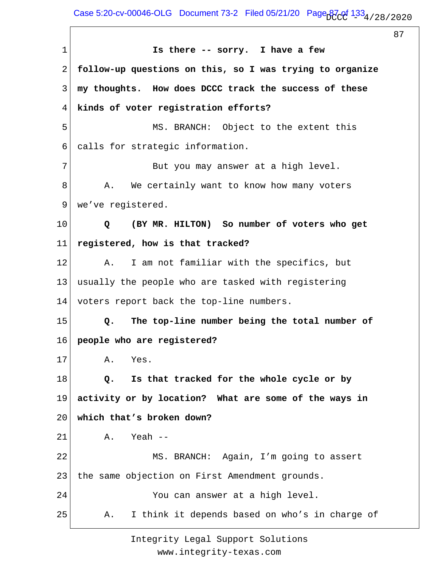Case 5:20-cv-00046-OLG Document 73-2 Filed 05/21/20 Page  $\frac{133}{133}$  / 28 / 2020

87

1 2 3 4 5 6 7 8 9 10 11 12 13 14 15 16 17 18 19 20 21 22 23 24 25  **Is there -- sorry. I have a few follow-up questions on this, so I was trying to organize my thoughts. How does DCCC track the success of these kinds of voter registration efforts?** MS. BRANCH: Object to the extent this calls for strategic information. But you may answer at a high level. A. We certainly want to know how many voters we've registered.  **Q (BY MR. HILTON) So number of voters who get registered, how is that tracked?** A. I am not familiar with the specifics, but usually the people who are tasked with registering voters report back the top-line numbers.  **Q. The top-line number being the total number of people who are registered?** A. Yes.  **Q. Is that tracked for the whole cycle or by activity or by location? What are some of the ways in which that's broken down?** A. Yeah -- MS. BRANCH: Again, I'm going to assert the same objection on First Amendment grounds. You can answer at a high level. A. I think it depends based on who's in charge of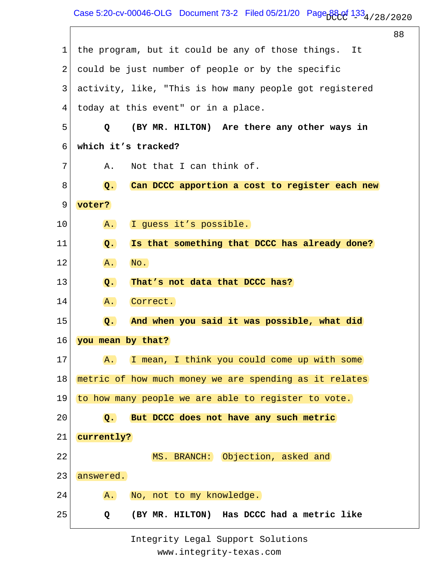1 2 3 4 5 6 7 8 9 10 11 12 13 14 15 16 17 18 19 20 21 22 23 24 25 the program, but it could be any of those things. It could be just number of people or by the specific activity, like, "This is how many people got registered today at this event" or in a place.  **Q (BY MR. HILTON) Are there any other ways in which it's tracked?** A. Not that I can think of.  **Q. Can DCCC apportion a cost to register each new voter?** A. I guess it's possible.  **Q. Is that something that DCCC has already done?** A. No.  **Q. That's not data that DCCC has?** A. Correct.  **Q. And when you said it was possible, what did you mean by that?** A. I mean, I think you could come up with some metric of how much money we are spending as it relates to how many people we are able to register to vote.  **Q. But DCCC does not have any such metric currently?** MS. BRANCH: Objection, asked and answered. A. No, not to my knowledge.  **Q (BY MR. HILTON) Has DCCC had a metric like**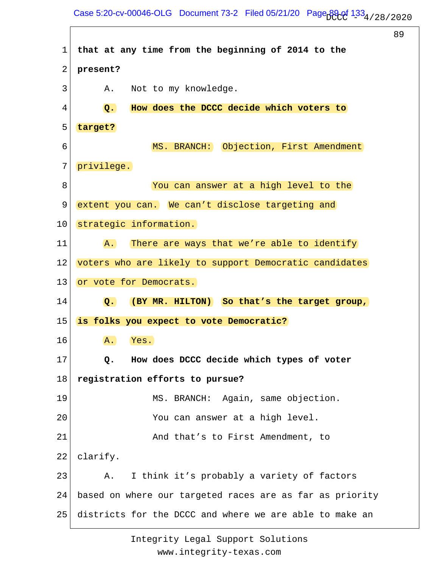## Case 5:20-cv-00046-OLG Document 73-2 Filed 05/21/20 Page  $B_0^2$ of  $133_4/28/2020$

89

1 2 3 4 5 6 7 8 9 10 11 12 13 14 15 16 17 18 19 20 21 22 23 24 25 **that at any time from the beginning of 2014 to the present?** A. Not to my knowledge.  **Q. How does the DCCC decide which voters to target?** MS. BRANCH: Objection, First Amendment privilege. You can answer at a high level to the extent you can. We can't disclose targeting and strategic information. A. There are ways that we're able to identify voters who are likely to support Democratic candidates or vote for Democrats.  **Q. (BY MR. HILTON) So that's the target group, is folks you expect to vote Democratic?** A. Yes.  **Q. How does DCCC decide which types of voter registration efforts to pursue?** MS. BRANCH: Again, same objection. You can answer at a high level. And that's to First Amendment, to clarify. A. I think it's probably a variety of factors based on where our targeted races are as far as priority districts for the DCCC and where we are able to make an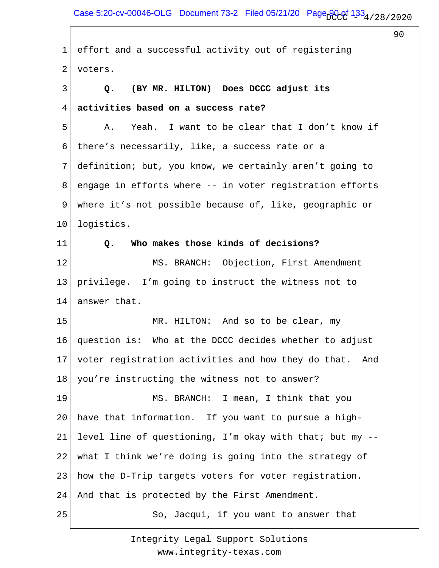Case 5:20-cv-00046-OLG Document 73-2 Filed 05/21/20 Page  $90.01$   $1.33$   $4/28/2020$ 

90 1 2 3 4 5 6 7 8 9 10 11 12 13 14 15 16 17 18 19 20 21 22 23 24 25 effort and a successful activity out of registering voters.  **Q. (BY MR. HILTON) Does DCCC adjust its activities based on a success rate?** A. Yeah. I want to be clear that I don't know if there's necessarily, like, a success rate or a definition; but, you know, we certainly aren't going to engage in efforts where -- in voter registration efforts where it's not possible because of, like, geographic or logistics.  **Q. Who makes those kinds of decisions?** MS. BRANCH: Objection, First Amendment privilege. I'm going to instruct the witness not to answer that. MR. HILTON: And so to be clear, my question is: Who at the DCCC decides whether to adjust voter registration activities and how they do that. And you're instructing the witness not to answer? MS. BRANCH: I mean, I think that you have that information. If you want to pursue a highlevel line of questioning, I'm okay with that; but my - what I think we're doing is going into the strategy of how the D-Trip targets voters for voter registration. And that is protected by the First Amendment. So, Jacqui, if you want to answer that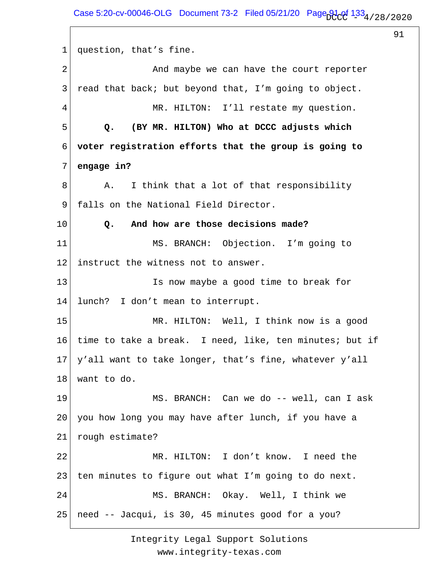1 2 3 4 5 6 7 8 9 10 11 12 13 14 15 16 17 18 19 20 21 22 23 24 25 question, that's fine. And maybe we can have the court reporter read that back; but beyond that, I'm going to object. MR. HILTON: I'll restate my question.  **Q. (BY MR. HILTON) Who at DCCC adjusts which voter registration efforts that the group is going to engage in?** A. I think that a lot of that responsibility falls on the National Field Director.  **Q. And how are those decisions made?** MS. BRANCH: Objection. I'm going to instruct the witness not to answer. Is now maybe a good time to break for lunch? I don't mean to interrupt. MR. HILTON: Well, I think now is a good time to take a break. I need, like, ten minutes; but if y'all want to take longer, that's fine, whatever y'all want to do. MS. BRANCH: Can we do -- well, can I ask you how long you may have after lunch, if you have a rough estimate? MR. HILTON: I don't know. I need the ten minutes to figure out what I'm going to do next. MS. BRANCH: Okay. Well, I think we need -- Jacqui, is 30, 45 minutes good for a you?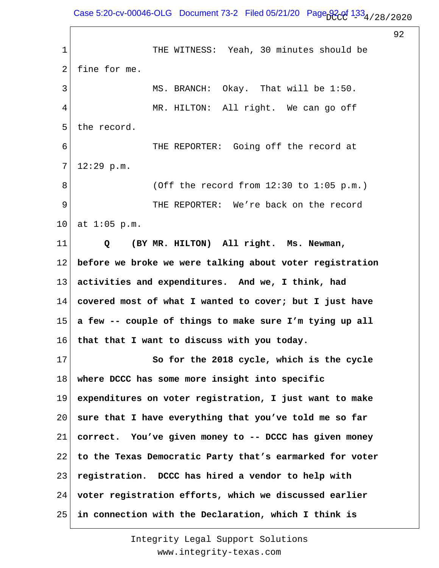Case 5:20-cv-00046-OLG Document 73-2 Filed 05/21/20 Page  $92.01$   $1.33$   $4/28/2020$ 

92

1 2 3 4 5 6 7 8 9 10 11 12 13 14 15 16 17 18 19 20 21 22 23 24 25 THE WITNESS: Yeah, 30 minutes should be fine for me. MS. BRANCH: Okay. That will be 1:50. MR. HILTON: All right. We can go off the record. THE REPORTER: Going off the record at 12:29 p.m. (Off the record from 12:30 to 1:05 p.m.) THE REPORTER: We're back on the record at 1:05 p.m.  **Q (BY MR. HILTON) All right. Ms. Newman, before we broke we were talking about voter registration activities and expenditures. And we, I think, had covered most of what I wanted to cover; but I just have a few -- couple of things to make sure I'm tying up all that that I want to discuss with you today. So for the 2018 cycle, which is the cycle where DCCC has some more insight into specific expenditures on voter registration, I just want to make sure that I have everything that you've told me so far correct. You've given money to -- DCCC has given money to the Texas Democratic Party that's earmarked for voter registration. DCCC has hired a vendor to help with voter registration efforts, which we discussed earlier in connection with the Declaration, which I think is**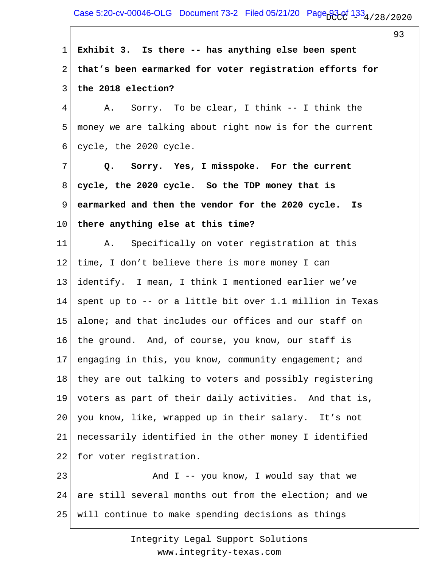## Case 5:20-cv-00046-OLG Document 73-2 Filed 05/21/20 Page  $93.01$   $1.33$   $4/28/2020$

93

1 2 3 4 5 6 7 8 9 10 11 12 13 14 15 16 17 18 19 20 21 22 23 24 25 **Exhibit 3. Is there -- has anything else been spent that's been earmarked for voter registration efforts for the 2018 election?** A. Sorry. To be clear, I think -- I think the money we are talking about right now is for the current cycle, the 2020 cycle.  **Q. Sorry. Yes, I misspoke. For the current cycle, the 2020 cycle. So the TDP money that is earmarked and then the vendor for the 2020 cycle. Is there anything else at this time?** A. Specifically on voter registration at this time, I don't believe there is more money I can identify. I mean, I think I mentioned earlier we've spent up to -- or a little bit over 1.1 million in Texas alone; and that includes our offices and our staff on the ground. And, of course, you know, our staff is engaging in this, you know, community engagement; and they are out talking to voters and possibly registering voters as part of their daily activities. And that is, you know, like, wrapped up in their salary. It's not necessarily identified in the other money I identified for voter registration. And  $I$  -- you know, I would say that we are still several months out from the election; and we will continue to make spending decisions as things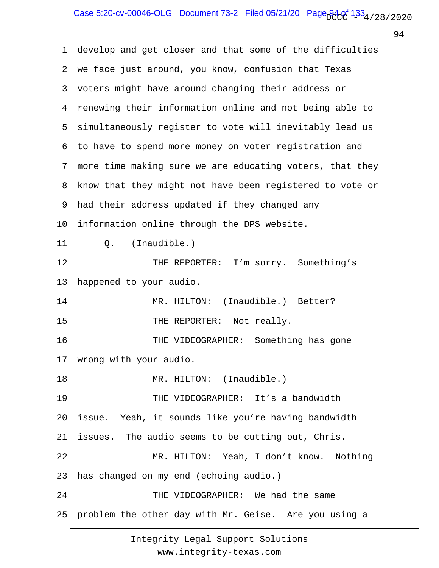1 2 3 4 5 6 7 8 9 10 11 12 13 14 15 16 17 18 19 20 21 22 23 24 25 develop and get closer and that some of the difficulties we face just around, you know, confusion that Texas voters might have around changing their address or renewing their information online and not being able to simultaneously register to vote will inevitably lead us to have to spend more money on voter registration and more time making sure we are educating voters, that they know that they might not have been registered to vote or had their address updated if they changed any information online through the DPS website. Q. (Inaudible.) THE REPORTER: I'm sorry. Something's happened to your audio. MR. HILTON: (Inaudible.) Better? THE REPORTER: Not really. THE VIDEOGRAPHER: Something has gone wrong with your audio. MR. HILTON: (Inaudible.) THE VIDEOGRAPHER: It's a bandwidth issue. Yeah, it sounds like you're having bandwidth issues. The audio seems to be cutting out, Chris. MR. HILTON: Yeah, I don't know. Nothing has changed on my end (echoing audio.) THE VIDEOGRAPHER: We had the same problem the other day with Mr. Geise. Are you using a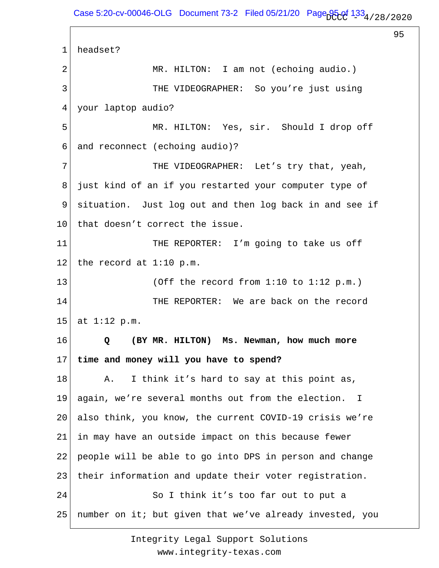1 2 3 4 5 6 7 8 9 10 11 12 13 14 15 16 17 18 19 20 21 22 23 24 25 headset? MR. HILTON: I am not (echoing audio.) THE VIDEOGRAPHER: So you're just using your laptop audio? MR. HILTON: Yes, sir. Should I drop off and reconnect (echoing audio)? THE VIDEOGRAPHER: Let's try that, yeah, just kind of an if you restarted your computer type of situation. Just log out and then log back in and see if that doesn't correct the issue. THE REPORTER: I'm going to take us off the record at 1:10 p.m. (Off the record from 1:10 to 1:12 p.m.) THE REPORTER: We are back on the record at 1:12 p.m.  **Q (BY MR. HILTON) Ms. Newman, how much more time and money will you have to spend?** A. I think it's hard to say at this point as, again, we're several months out from the election. I also think, you know, the current COVID-19 crisis we're in may have an outside impact on this because fewer people will be able to go into DPS in person and change their information and update their voter registration. So I think it's too far out to put a number on it; but given that we've already invested, you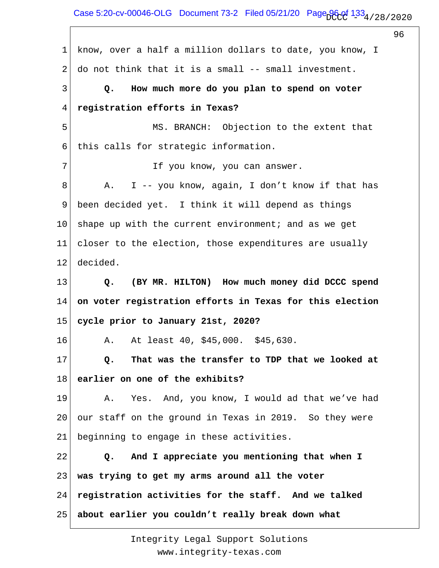Case 5:20-cv-00046-OLG Document 73-2 Filed 05/21/20 Page  $96.01_{1334/28/2020}$ 

96

1 2 3 4 5 6 7 8 9 10 11 12 13 14 15 16 17 18 19 20 21 22 23 24 25 know, over a half a million dollars to date, you know, I do not think that it is a small -- small investment.  **Q. How much more do you plan to spend on voter registration efforts in Texas?** MS. BRANCH: Objection to the extent that this calls for strategic information. If you know, you can answer. A. I -- you know, again, I don't know if that has been decided yet. I think it will depend as things shape up with the current environment; and as we get closer to the election, those expenditures are usually decided.  **Q. (BY MR. HILTON) How much money did DCCC spend on voter registration efforts in Texas for this election cycle prior to January 21st, 2020?** A. At least 40, \$45,000. \$45,630.  **Q. That was the transfer to TDP that we looked at earlier on one of the exhibits?** A. Yes. And, you know, I would ad that we've had our staff on the ground in Texas in 2019. So they were beginning to engage in these activities.  **Q. And I appreciate you mentioning that when I was trying to get my arms around all the voter registration activities for the staff. And we talked about earlier you couldn't really break down what**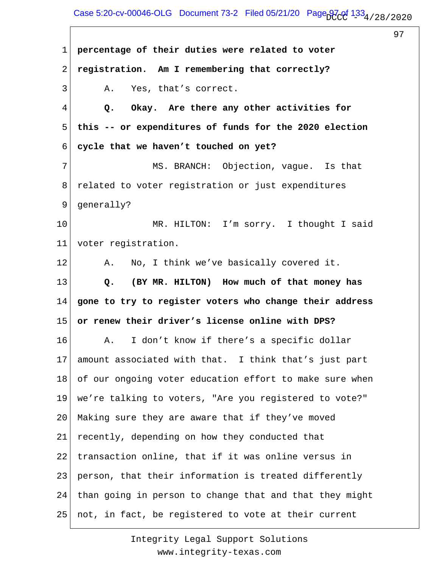## Case 5:20-cv-00046-OLG Document 73-2 Filed 05/21/20 Page  $97.091$   $1.33$   $4/28/2020$

97

1 2 3 4 5 6 7 8 9 10 11 12 13 14 15 16 17 18 19 20 21 22 23 24 25 **percentage of their duties were related to voter registration. Am I remembering that correctly?** A. Yes, that's correct.  **Q. Okay. Are there any other activities for this -- or expenditures of funds for the 2020 election cycle that we haven't touched on yet?** MS. BRANCH: Objection, vague. Is that related to voter registration or just expenditures generally? MR. HILTON: I'm sorry. I thought I said voter registration. A. No, I think we've basically covered it.  **Q. (BY MR. HILTON) How much of that money has gone to try to register voters who change their address or renew their driver's license online with DPS?** A. I don't know if there's a specific dollar amount associated with that. I think that's just part of our ongoing voter education effort to make sure when we're talking to voters, "Are you registered to vote?" Making sure they are aware that if they've moved recently, depending on how they conducted that transaction online, that if it was online versus in person, that their information is treated differently than going in person to change that and that they might not, in fact, be registered to vote at their current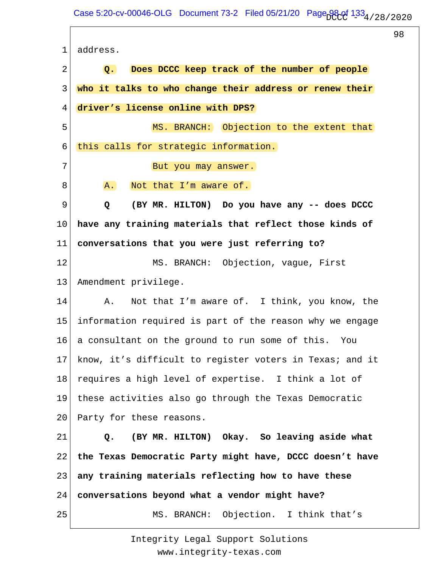1 2 3 4 5 6 7 8 9 10 11 12 13 14 15 16 17 18 19 20 21 22 23 24 25 address.  **Q. Does DCCC keep track of the number of people who it talks to who change their address or renew their driver's license online with DPS?** MS. BRANCH: Objection to the extent that this calls for strategic information. But you may answer. A. Not that I'm aware of.  **Q (BY MR. HILTON) Do you have any -- does DCCC have any training materials that reflect those kinds of conversations that you were just referring to?** MS. BRANCH: Objection, vague, First Amendment privilege. A. Not that I'm aware of. I think, you know, the information required is part of the reason why we engage a consultant on the ground to run some of this. You know, it's difficult to register voters in Texas; and it requires a high level of expertise. I think a lot of these activities also go through the Texas Democratic Party for these reasons.  **Q. (BY MR. HILTON) Okay. So leaving aside what the Texas Democratic Party might have, DCCC doesn't have any training materials reflecting how to have these conversations beyond what a vendor might have?** MS. BRANCH: Objection. I think that's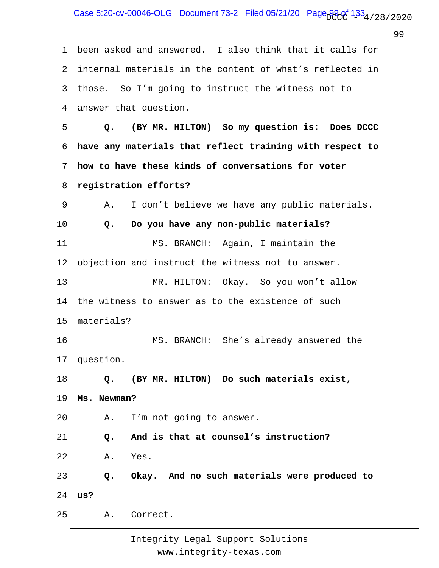Case 5:20-cv-00046-OLG Document 73-2 Filed 05/21/20 Page  $99.0f$   $1.33_4$  / 28 / 2020

 $\sqrt{ }$ 

|             |                                                           | 99 |
|-------------|-----------------------------------------------------------|----|
| $\mathbf 1$ | been asked and answered. I also think that it calls for   |    |
| 2           | internal materials in the content of what's reflected in  |    |
| 3           | those. So I'm going to instruct the witness not to        |    |
| 4           | answer that question.                                     |    |
| 5           | (BY MR. HILTON) So my question is: Does DCCC<br>Q.        |    |
| 6           | have any materials that reflect training with respect to  |    |
| 7           | how to have these kinds of conversations for voter        |    |
| 8           | registration efforts?                                     |    |
| 9           | I don't believe we have any public materials.<br>Α.       |    |
| 10          | Do you have any non-public materials?<br>Q.               |    |
| 11          | MS. BRANCH: Again, I maintain the                         |    |
| 12          | objection and instruct the witness not to answer.         |    |
| 13          | MR. HILTON: Okay. So you won't allow                      |    |
| 14          | the witness to answer as to the existence of such         |    |
| 15          | materials?                                                |    |
| 16          | MS. BRANCH: She's already answered the                    |    |
| 17          | question.                                                 |    |
| 18          | (BY MR. HILTON) Do such materials exist,<br>$Q_{\bullet}$ |    |
| 19          | Ms. Newman?                                               |    |
| 20          | I'm not going to answer.<br>Α.                            |    |
| 21          | And is that at counsel's instruction?<br>$Q$ .            |    |
| 22          | Yes.<br>Α.                                                |    |
| 23          | Okay. And no such materials were produced to<br>$Q$ .     |    |
| 24          | us?                                                       |    |
| 25          | Correct.<br>Α.                                            |    |
|             |                                                           |    |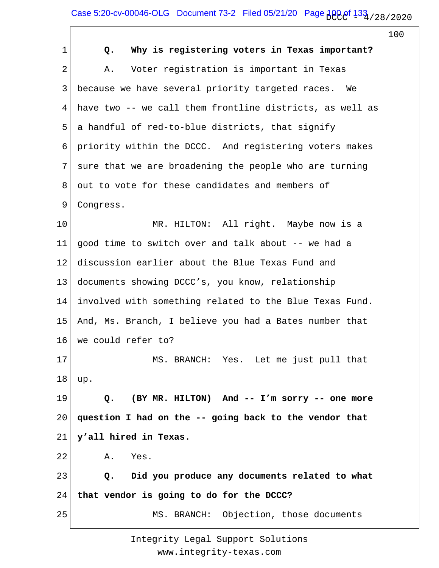## Case 5:20-cv-00046-OLG Document 73-2 Filed 05/21/20 Page  $1000$  of  $133$  / 28/2020

|                |                                                          | 100 |
|----------------|----------------------------------------------------------|-----|
| 1              | Why is registering voters in Texas important?<br>Q.      |     |
| $\overline{2}$ | Voter registration is important in Texas<br>Α.           |     |
| 3              | because we have several priority targeted races.<br>We   |     |
| 4              | have two -- we call them frontline districts, as well as |     |
| 5              | a handful of red-to-blue districts, that signify         |     |
| 6              | priority within the DCCC. And registering voters makes   |     |
| 7              | sure that we are broadening the people who are turning   |     |
| 8              | out to vote for these candidates and members of          |     |
| 9              | Congress.                                                |     |
| 10             | MR. HILTON: All right. Maybe now is a                    |     |
| 11             | good time to switch over and talk about -- we had a      |     |
| 12             | discussion earlier about the Blue Texas Fund and         |     |
| 13             | documents showing DCCC's, you know, relationship         |     |
| 14             | involved with something related to the Blue Texas Fund.  |     |
| 15             | And, Ms. Branch, I believe you had a Bates number that   |     |
| 16             | we could refer to?                                       |     |
| 17             | MS. BRANCH: Yes. Let me just pull that                   |     |
| 18             | up.                                                      |     |
| 19             | (BY MR. HILTON) And -- I'm sorry -- one more<br>Q.       |     |
| 20             | question I had on the -- going back to the vendor that   |     |
| 21             | y'all hired in Texas.                                    |     |
| 22             | Yes.<br>Α.                                               |     |
| 23             | Did you produce any documents related to what<br>Q.      |     |
| 24             | that vendor is going to do for the DCCC?                 |     |
| 25             | MS. BRANCH: Objection, those documents                   |     |
|                |                                                          |     |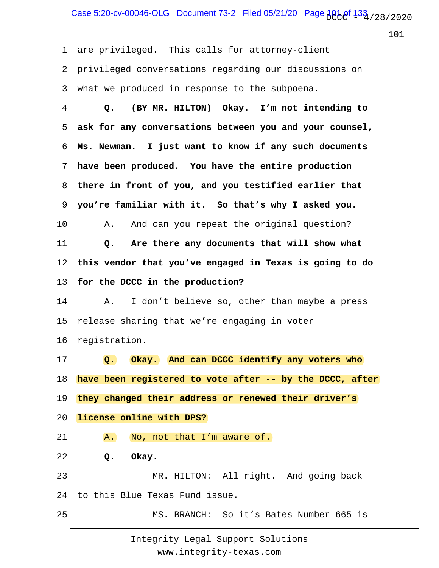1 2 3 4 5 6 7 8 9 10 11 12 13 14 15 16 17 18 19 20 21 22 23 24 25 are privileged. This calls for attorney-client privileged conversations regarding our discussions on what we produced in response to the subpoena.  **Q. (BY MR. HILTON) Okay. I'm not intending to ask for any conversations between you and your counsel, Ms. Newman. I just want to know if any such documents have been produced. You have the entire production there in front of you, and you testified earlier that you're familiar with it. So that's why I asked you.** A. And can you repeat the original question?  **Q. Are there any documents that will show what this vendor that you've engaged in Texas is going to do for the DCCC in the production?** A. I don't believe so, other than maybe a press release sharing that we're engaging in voter registration.  **Q. Okay. And can DCCC identify any voters who have been registered to vote after -- by the DCCC, after they changed their address or renewed their driver's license online with DPS?** A. No, not that I'm aware of.  **Q. Okay.** MR. HILTON: All right. And going back to this Blue Texas Fund issue. MS. BRANCH: So it's Bates Number 665 is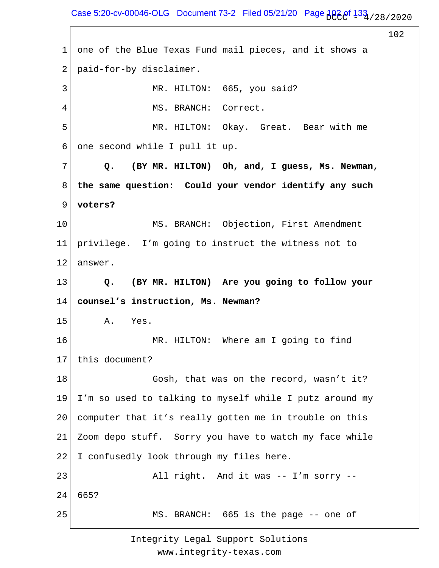Case 5:20-cv-00046-OLG Document 73-2 Filed 05/21/20 Page  $102e^{f}$   $133e^{f}$  / 28 / 2020

102 1 2 3 4 5 6 7 8 9 10 11 12 13 14 15 16 17 18 19 20 21 22 23 24 25 one of the Blue Texas Fund mail pieces, and it shows a paid-for-by disclaimer. MR. HILTON: 665, you said? MS. BRANCH: Correct. MR. HILTON: Okay. Great. Bear with me one second while I pull it up.  **Q. (BY MR. HILTON) Oh, and, I guess, Ms. Newman, the same question: Could your vendor identify any such voters?** MS. BRANCH: Objection, First Amendment privilege. I'm going to instruct the witness not to answer.  **Q. (BY MR. HILTON) Are you going to follow your counsel's instruction, Ms. Newman?** A. Yes. MR. HILTON: Where am I going to find this document? Gosh, that was on the record, wasn't it? I'm so used to talking to myself while I putz around my computer that it's really gotten me in trouble on this Zoom depo stuff. Sorry you have to watch my face while I confusedly look through my files here. All right. And it was -- I'm sorry -- 665? MS. BRANCH: 665 is the page -- one of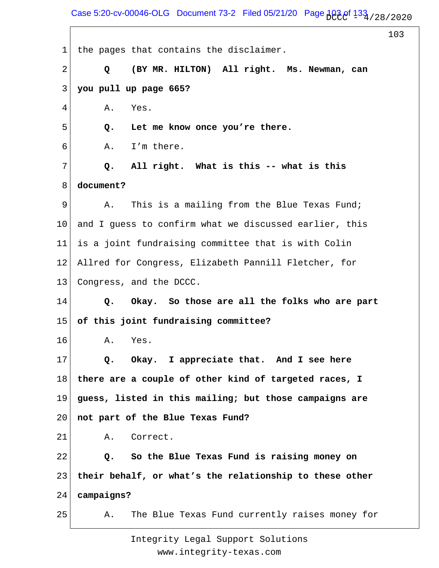Case 5:20-cv-00046-OLG Document 73-2 Filed 05/21/20 Page  $103e^{f}$   $133e^{f}$  / 28/2020

103 1 2 3 4 5 6 7 8 9 10 11 12 13 14 15 16 17 18 19 20 21 22 23 24 25 the pages that contains the disclaimer.  **Q (BY MR. HILTON) All right. Ms. Newman, can you pull up page 665?** A. Yes.  **Q. Let me know once you're there.** A. I'm there.  **Q. All right. What is this -- what is this document?** A. This is a mailing from the Blue Texas Fund; and I guess to confirm what we discussed earlier, this is a joint fundraising committee that is with Colin Allred for Congress, Elizabeth Pannill Fletcher, for Congress, and the DCCC.  **Q. Okay. So those are all the folks who are part of this joint fundraising committee?** A. Yes.  **Q. Okay. I appreciate that. And I see here there are a couple of other kind of targeted races, I guess, listed in this mailing; but those campaigns are not part of the Blue Texas Fund?** A. Correct.  **Q. So the Blue Texas Fund is raising money on their behalf, or what's the relationship to these other campaigns?** A. The Blue Texas Fund currently raises money for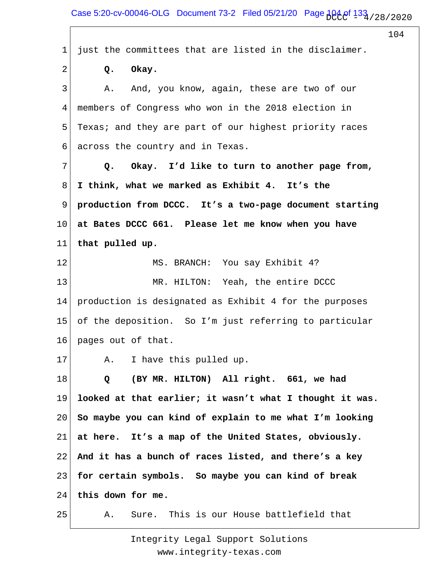Case 5:20-cv-00046-OLG Document 73-2 Filed 05/21/20 Page  $104.0$ f  $133.1/28/2020$ 

104 1 2 3 4 5 6 7 8 9 10 11 12 13 14 15 16 17 18 19 20 21 22 23 24 25 just the committees that are listed in the disclaimer.  **Q. Okay.** A. And, you know, again, these are two of our members of Congress who won in the 2018 election in Texas; and they are part of our highest priority races across the country and in Texas.  **Q. Okay. I'd like to turn to another page from, I think, what we marked as Exhibit 4. It's the production from DCCC. It's a two-page document starting at Bates DCCC 661. Please let me know when you have that pulled up.** MS. BRANCH: You say Exhibit 4? MR. HILTON: Yeah, the entire DCCC production is designated as Exhibit 4 for the purposes of the deposition. So I'm just referring to particular pages out of that. A. I have this pulled up.  **Q (BY MR. HILTON) All right. 661, we had looked at that earlier; it wasn't what I thought it was. So maybe you can kind of explain to me what I'm looking at here. It's a map of the United States, obviously. And it has a bunch of races listed, and there's a key for certain symbols. So maybe you can kind of break this down for me.** A. Sure. This is our House battlefield that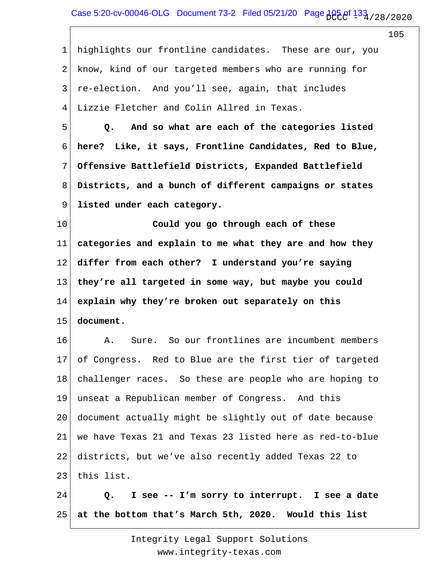1 2 3 4 5 6 7 8 9 10 11 12 13 14 15 16 17 18 19 20 21 22 23 24 highlights our frontline candidates. These are our, you know, kind of our targeted members who are running for re-election. And you'll see, again, that includes Lizzie Fletcher and Colin Allred in Texas.  **Q. And so what are each of the categories listed here? Like, it says, Frontline Candidates, Red to Blue, Offensive Battlefield Districts, Expanded Battlefield Districts, and a bunch of different campaigns or states listed under each category. Could you go through each of these categories and explain to me what they are and how they differ from each other? I understand you're saying they're all targeted in some way, but maybe you could explain why they're broken out separately on this document.** A. Sure. So our frontlines are incumbent members of Congress. Red to Blue are the first tier of targeted challenger races. So these are people who are hoping to unseat a Republican member of Congress. And this document actually might be slightly out of date because we have Texas 21 and Texas 23 listed here as red-to-blue districts, but we've also recently added Texas 22 to this list.  **Q. I see -- I'm sorry to interrupt. I see a date**

25 **at the bottom that's March 5th, 2020. Would this list**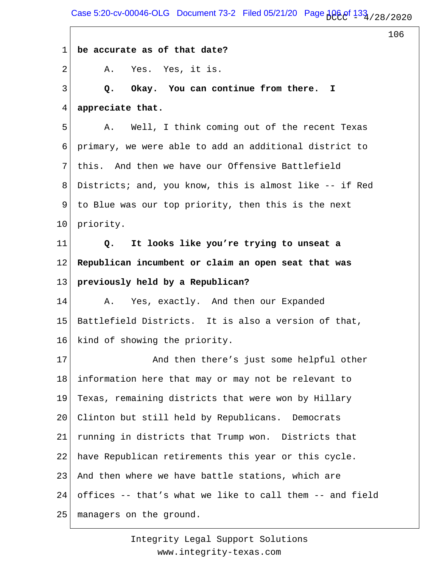Case 5:20-cv-00046-OLG Document 73-2 Filed 05/21/20 Page  $106.8$   $133.728/20.20$ 

106

1 2 3 4 5 6 7 8 9 10 11 12 13 14 15 16 17 18 19 20 21 22 23 24 25 **be accurate as of that date?** A. Yes. Yes, it is.  **Q. Okay. You can continue from there. I appreciate that.** A. Well, I think coming out of the recent Texas primary, we were able to add an additional district to this. And then we have our Offensive Battlefield Districts; and, you know, this is almost like -- if Red to Blue was our top priority, then this is the next priority.  **Q. It looks like you're trying to unseat a Republican incumbent or claim an open seat that was previously held by a Republican?** A. Yes, exactly. And then our Expanded Battlefield Districts. It is also a version of that, kind of showing the priority. And then there's just some helpful other information here that may or may not be relevant to Texas, remaining districts that were won by Hillary Clinton but still held by Republicans. Democrats running in districts that Trump won. Districts that have Republican retirements this year or this cycle. And then where we have battle stations, which are offices -- that's what we like to call them -- and field managers on the ground.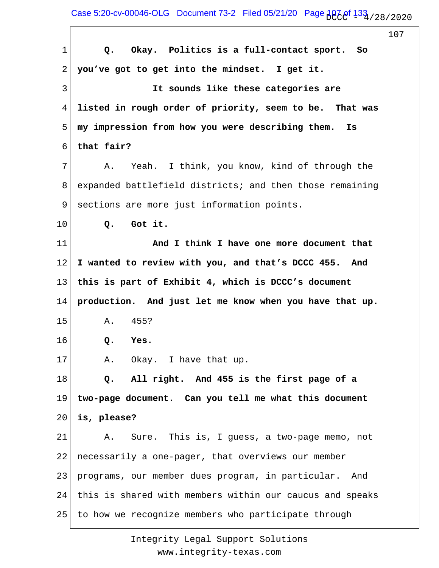Case 5:20-cv-00046-OLG Document 73-2 Filed 05/21/20 Page  $10^{7}$   $13^{3}$   $/$  28  $/$  20 20

|                |                                                          | 107 |
|----------------|----------------------------------------------------------|-----|
| $\mathbf 1$    | Okay. Politics is a full-contact sport.<br>So<br>Q.      |     |
| 2              | you've got to get into the mindset. I get it.            |     |
| $\mathfrak{Z}$ | It sounds like these categories are                      |     |
| 4              | listed in rough order of priority, seem to be. That was  |     |
| 5              | my impression from how you were describing them.<br>Is   |     |
| 6              | that fair?                                               |     |
| 7              | Yeah. I think, you know, kind of through the<br>Α.       |     |
| 8              | expanded battlefield districts; and then those remaining |     |
| 9              | sections are more just information points.               |     |
| 10             | Got it.<br>$Q$ .                                         |     |
| 11             | And I think I have one more document that                |     |
| 12             | I wanted to review with you, and that's DCCC 455. And    |     |
| 13             | this is part of Exhibit 4, which is DCCC's document      |     |
| 14             | production. And just let me know when you have that up.  |     |
| 15             | 455?<br>Α.                                               |     |
| 16             | Yes.<br>Q.                                               |     |
| 17             | A. Okay. I have that up.                                 |     |
| 18             | All right. And 455 is the first page of a<br>Q.          |     |
| 19             | two-page document. Can you tell me what this document    |     |
| 20             | is, please?                                              |     |
| 21             | Sure. This is, I guess, a two-page memo, not<br>Α.       |     |
| 22             | necessarily a one-pager, that overviews our member       |     |
| 23             | programs, our member dues program, in particular. And    |     |
| 24             | this is shared with members within our caucus and speaks |     |
| 25             | to how we recognize members who participate through      |     |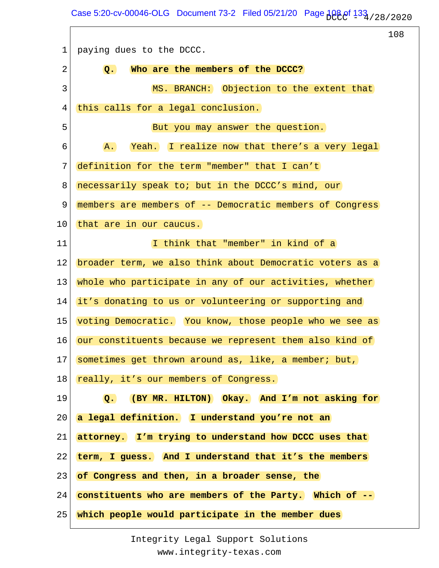Case 5:20-cv-00046-OLG Document 73-2 Filed 05/21/20 Page  $108.01$   $133.72$   $/28/20.20$ 

<u> 1980 - Johann Barbara, martxa a</u>

 $\Gamma$ 

|                                                               | 108                                                                                                                                                                                                                              |
|---------------------------------------------------------------|----------------------------------------------------------------------------------------------------------------------------------------------------------------------------------------------------------------------------------|
| paying dues to the DCCC.                                      |                                                                                                                                                                                                                                  |
| Who are the members of the DCCC?<br>$Q_{\bullet}$             |                                                                                                                                                                                                                                  |
| MS. BRANCH: Objection to the extent that                      |                                                                                                                                                                                                                                  |
| this calls for a legal conclusion.                            |                                                                                                                                                                                                                                  |
| But you may answer the question.                              |                                                                                                                                                                                                                                  |
| A.                                                            |                                                                                                                                                                                                                                  |
| definition for the term "member" that I can't                 |                                                                                                                                                                                                                                  |
| necessarily speak to; but in the DCCC's mind, our             |                                                                                                                                                                                                                                  |
|                                                               |                                                                                                                                                                                                                                  |
| that are in our caucus.                                       |                                                                                                                                                                                                                                  |
| I think that "member" in kind of a                            |                                                                                                                                                                                                                                  |
|                                                               |                                                                                                                                                                                                                                  |
| whole who participate in any of our activities, whether       |                                                                                                                                                                                                                                  |
| it's donating to us or volunteering or supporting and         |                                                                                                                                                                                                                                  |
|                                                               |                                                                                                                                                                                                                                  |
| our constituents because we represent them also kind of       |                                                                                                                                                                                                                                  |
| 17<br>sometimes get thrown around as, like, a member; but,    |                                                                                                                                                                                                                                  |
| really, it's our members of Congress.                         |                                                                                                                                                                                                                                  |
| (BY MR. HILTON) Okay. And I'm not asking for<br>$Q_{\bullet}$ |                                                                                                                                                                                                                                  |
| a legal definition. I understand you're not an                |                                                                                                                                                                                                                                  |
| attorney. I'm trying to understand how DCCC uses that         |                                                                                                                                                                                                                                  |
| term, I guess. And I understand that it's the members         |                                                                                                                                                                                                                                  |
| of Congress and then, in a broader sense, the                 |                                                                                                                                                                                                                                  |
| constituents who are members of the Party. Which of --        |                                                                                                                                                                                                                                  |
| which people would participate in the member dues             |                                                                                                                                                                                                                                  |
|                                                               | Yeah. I realize now that there's a very legal<br>members are members of -- Democratic members of Congress<br>broader term, we also think about Democratic voters as a<br>voting Democratic. You know, those people who we see as |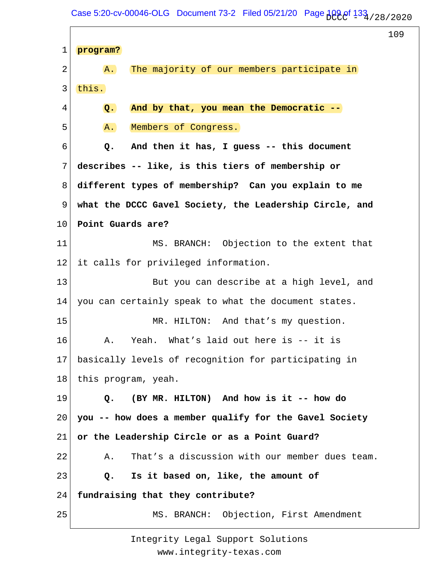Case 5:20-cv-00046-OLG Document 73-2 Filed 05/21/20 Page  $109.01$   $133$ <sub>1</sub>/28/2020

109 1 2 3 4 5 6 7 8 9 10 11 12 13 14 15 16 17 18 19 20 21 22 23 24 25 **program?** A. The majority of our members participate in this.  **Q. And by that, you mean the Democratic --** A. Members of Congress.  **Q. And then it has, I guess -- this document describes -- like, is this tiers of membership or different types of membership? Can you explain to me what the DCCC Gavel Society, the Leadership Circle, and Point Guards are?** MS. BRANCH: Objection to the extent that it calls for privileged information. But you can describe at a high level, and you can certainly speak to what the document states. MR. HILTON: And that's my question. A. Yeah. What's laid out here is -- it is basically levels of recognition for participating in this program, yeah.  **Q. (BY MR. HILTON) And how is it -- how do you -- how does a member qualify for the Gavel Society or the Leadership Circle or as a Point Guard?** A. That's a discussion with our member dues team.  **Q. Is it based on, like, the amount of fundraising that they contribute?** MS. BRANCH: Objection, First Amendment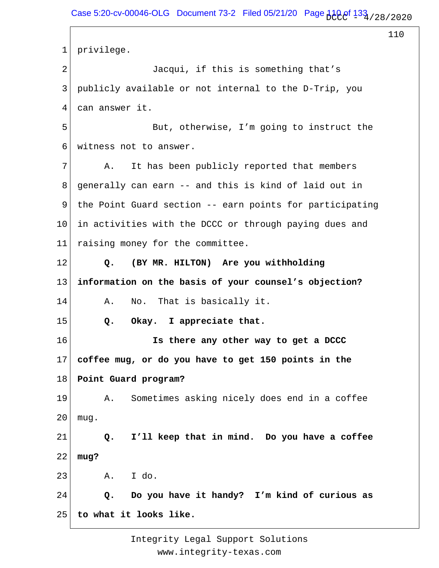1 2 3 4 5 6 7 8 9 10 11 12 13 14 15 16 17 18 19 20 21 22 23 24 25 privilege. Jacqui, if this is something that's publicly available or not internal to the D-Trip, you can answer it. But, otherwise, I'm going to instruct the witness not to answer. A. It has been publicly reported that members generally can earn -- and this is kind of laid out in the Point Guard section -- earn points for participating in activities with the DCCC or through paying dues and raising money for the committee.  **Q. (BY MR. HILTON) Are you withholding information on the basis of your counsel's objection?** A. No. That is basically it.  **Q. Okay. I appreciate that. Is there any other way to get a DCCC coffee mug, or do you have to get 150 points in the Point Guard program?** A. Sometimes asking nicely does end in a coffee mug.  **Q. I'll keep that in mind. Do you have a coffee mug?** A. I do.  **Q. Do you have it handy? I'm kind of curious as to what it looks like.**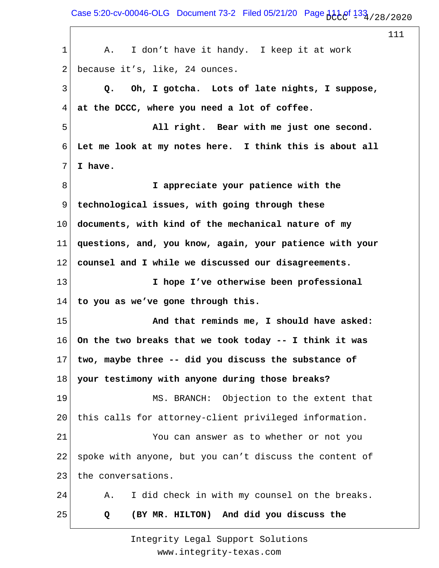Case 5:20-cv-00046-OLG Document 73-2 Filed 05/21/20 Page  $11.1$  of  $133$  / 28/2020

111 1 2 3 4 5 6 7 8 9 10 11 12 13 14 15 16 17 18 19 20 21 22 23 24 25 A. I don't have it handy. I keep it at work because it's, like, 24 ounces.  **Q. Oh, I gotcha. Lots of late nights, I suppose, at the DCCC, where you need a lot of coffee. All right. Bear with me just one second. Let me look at my notes here. I think this is about all I have. I appreciate your patience with the technological issues, with going through these documents, with kind of the mechanical nature of my questions, and, you know, again, your patience with your counsel and I while we discussed our disagreements. I hope I've otherwise been professional to you as we've gone through this. And that reminds me, I should have asked: On the two breaks that we took today -- I think it was two, maybe three -- did you discuss the substance of your testimony with anyone during those breaks?** MS. BRANCH: Objection to the extent that this calls for attorney-client privileged information. You can answer as to whether or not you spoke with anyone, but you can't discuss the content of the conversations. A. I did check in with my counsel on the breaks.  **Q (BY MR. HILTON) And did you discuss the**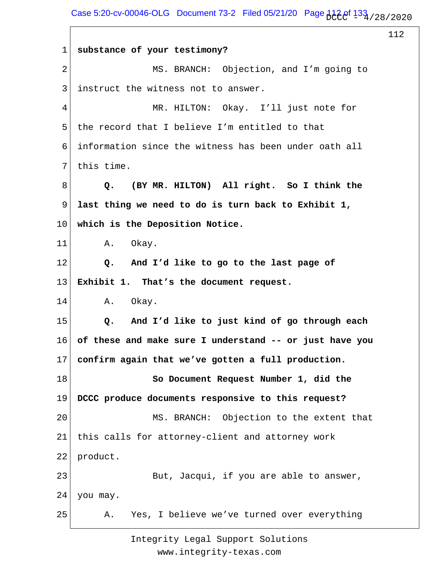Case 5:20-cv-00046-OLG Document 73-2 Filed 05/21/20 Page  $122e^{\frac{1}{13}}$  / 28 / 2020

|    |                                                               | 112 |
|----|---------------------------------------------------------------|-----|
| 1  | substance of your testimony?                                  |     |
| 2  | MS. BRANCH: Objection, and I'm going to                       |     |
| 3  | instruct the witness not to answer.                           |     |
| 4  | MR. HILTON: Okay. I'll just note for                          |     |
| 5  | the record that I believe I'm entitled to that                |     |
| 6  | information since the witness has been under oath all         |     |
| 7  | this time.                                                    |     |
| 8  | (BY MR. HILTON) All right. So I think the<br>Q.               |     |
| 9  | last thing we need to do is turn back to Exhibit 1,           |     |
| 10 | which is the Deposition Notice.                               |     |
| 11 | Okay.<br>Α.                                                   |     |
| 12 | And I'd like to go to the last page of<br>$Q_{\bullet}$       |     |
| 13 | Exhibit 1. That's the document request.                       |     |
| 14 | Α.<br>Okay.                                                   |     |
| 15 | And I'd like to just kind of go through each<br>$Q_{\bullet}$ |     |
| 16 | of these and make sure I understand -- or just have you       |     |
| 17 | confirm again that we've gotten a full production.            |     |
| 18 | So Document Request Number 1, did the                         |     |
| 19 | DCCC produce documents responsive to this request?            |     |
| 20 | MS. BRANCH: Objection to the extent that                      |     |
| 21 | this calls for attorney-client and attorney work              |     |
| 22 | product.                                                      |     |
| 23 | But, Jacqui, if you are able to answer,                       |     |
| 24 | you may.                                                      |     |
| 25 | Yes, I believe we've turned over everything<br>Α.             |     |
|    |                                                               |     |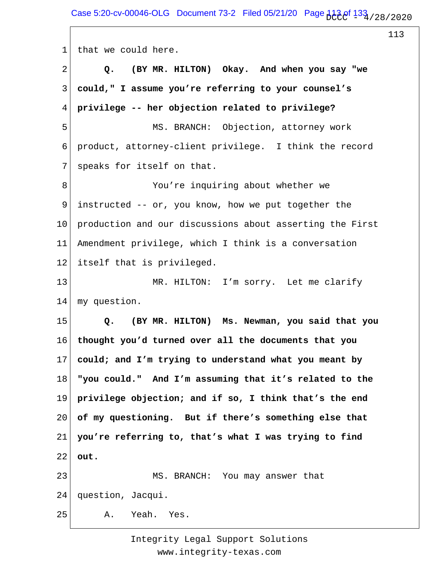Case 5:20-cv-00046-OLG Document 73-2 Filed 05/21/20 Page  $1139/28/28/2020$ 

113

1 2 3 4 5 6 7 8 9 10 11 12 13 14 15 16 17 18 19 20 21 22 23 24 25 that we could here.  **Q. (BY MR. HILTON) Okay. And when you say "we could," I assume you're referring to your counsel's privilege -- her objection related to privilege?** MS. BRANCH: Objection, attorney work product, attorney-client privilege. I think the record speaks for itself on that. You're inquiring about whether we instructed -- or, you know, how we put together the production and our discussions about asserting the First Amendment privilege, which I think is a conversation itself that is privileged. MR. HILTON: I'm sorry. Let me clarify my question.  **Q. (BY MR. HILTON) Ms. Newman, you said that you thought you'd turned over all the documents that you could; and I'm trying to understand what you meant by "you could." And I'm assuming that it's related to the privilege objection; and if so, I think that's the end of my questioning. But if there's something else that you're referring to, that's what I was trying to find out.** MS. BRANCH: You may answer that question, Jacqui. A. Yeah. Yes.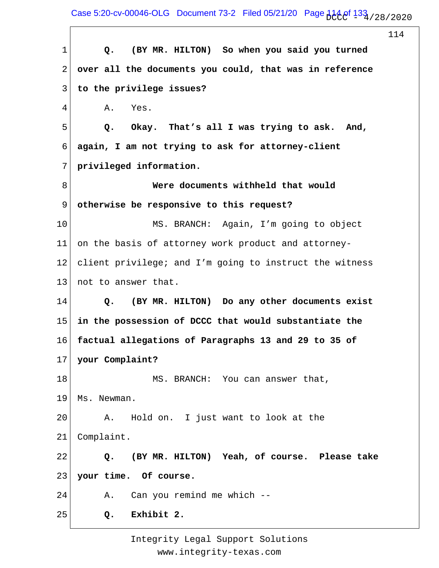Case 5:20-cv-00046-OLG Document 73-2 Filed 05/21/20 Page  $114.0$ f  $133.1/28/2020$ 

114 1 2 3 4 5 6 7 8 9 10 11 12 13 14 15 16 17 18 19 20 21 22 23 24 25  **Q. (BY MR. HILTON) So when you said you turned over all the documents you could, that was in reference to the privilege issues?** A. Yes.  **Q. Okay. That's all I was trying to ask. And, again, I am not trying to ask for attorney-client privileged information. Were documents withheld that would otherwise be responsive to this request?** MS. BRANCH: Again, I'm going to object on the basis of attorney work product and attorneyclient privilege; and I'm going to instruct the witness not to answer that.  **Q. (BY MR. HILTON) Do any other documents exist in the possession of DCCC that would substantiate the factual allegations of Paragraphs 13 and 29 to 35 of your Complaint?** MS. BRANCH: You can answer that, Ms. Newman. A. Hold on. I just want to look at the Complaint.  **Q. (BY MR. HILTON) Yeah, of course. Please take your time. Of course.** A. Can you remind me which --  **Q. Exhibit 2.**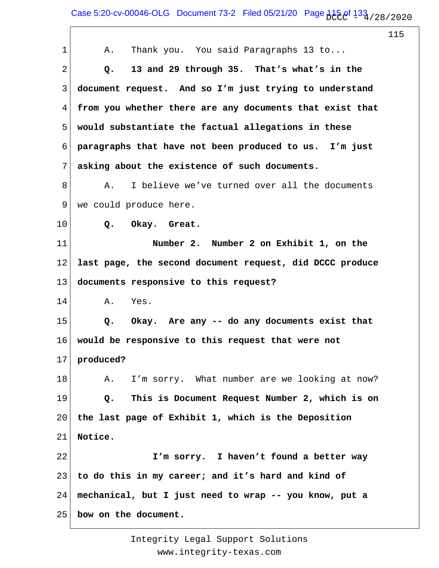Case 5:20-cv-00046-OLG Document 73-2 Filed 05/21/20 Page  $115.8$   $133.72$   $133.72$ 

115 1 2 3 4 5 6 7 8 9 10 11 12 13 14 15 16 17 18 19 20 21 22 23 24 25 A. Thank you. You said Paragraphs 13 to...  **Q. 13 and 29 through 35. That's what's in the document request. And so I'm just trying to understand from you whether there are any documents that exist that would substantiate the factual allegations in these paragraphs that have not been produced to us. I'm just asking about the existence of such documents.** A. I believe we've turned over all the documents we could produce here.  **Q. Okay. Great. Number 2. Number 2 on Exhibit 1, on the last page, the second document request, did DCCC produce documents responsive to this request?** A. Yes.  **Q. Okay. Are any -- do any documents exist that would be responsive to this request that were not produced?** A. I'm sorry. What number are we looking at now?  **Q. This is Document Request Number 2, which is on the last page of Exhibit 1, which is the Deposition Notice. I'm sorry. I haven't found a better way to do this in my career; and it's hard and kind of mechanical, but I just need to wrap -- you know, put a bow on the document.**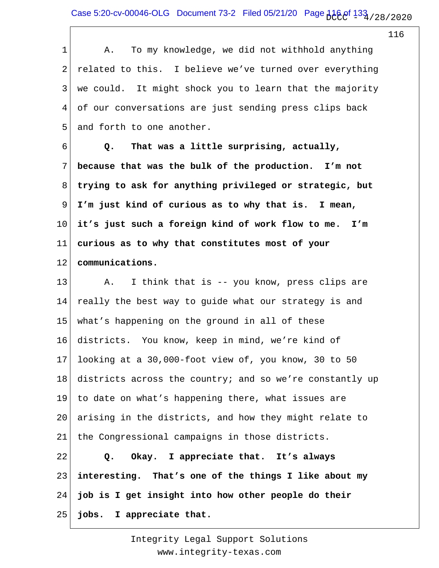Case 5:20-cv-00046-OLG Document 73-2 Filed 05/21/20 Page  $116.9f$   $133.72$  / 28 / 2020

116

1 2 3 4 5 6 7 8 9 10 11 12 13 14 15 16 17 18 19 20 21 22 23 24 25 A. To my knowledge, we did not withhold anything related to this. I believe we've turned over everything we could. It might shock you to learn that the majority of our conversations are just sending press clips back and forth to one another.  **Q. That was a little surprising, actually, because that was the bulk of the production. I'm not trying to ask for anything privileged or strategic, but I'm just kind of curious as to why that is. I mean, it's just such a foreign kind of work flow to me. I'm curious as to why that constitutes most of your communications.** A. I think that is -- you know, press clips are really the best way to guide what our strategy is and what's happening on the ground in all of these districts. You know, keep in mind, we're kind of looking at a 30,000-foot view of, you know, 30 to 50 districts across the country; and so we're constantly up to date on what's happening there, what issues are arising in the districts, and how they might relate to the Congressional campaigns in those districts.  **Q. Okay. I appreciate that. It's always interesting. That's one of the things I like about my job is I get insight into how other people do their jobs. I appreciate that.**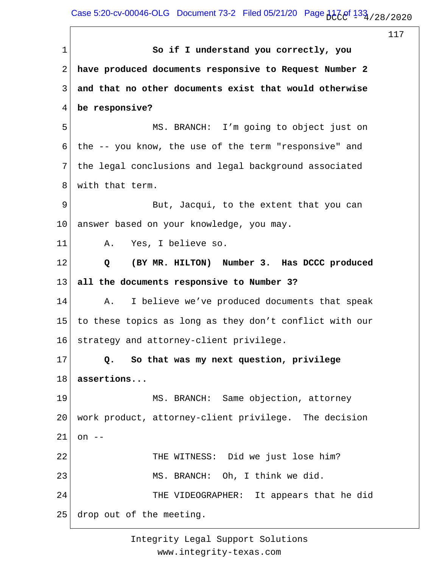Case 5:20-cv-00046-OLG Document 73-2 Filed 05/21/20 Page  $117.8/128/2020$ 

117

1 2 3 4 5 6 7 8 9 10 11 12 13 14 15 16 17 18 19 20 21 22 23 24 25  **So if I understand you correctly, you have produced documents responsive to Request Number 2 and that no other documents exist that would otherwise be responsive?** MS. BRANCH: I'm going to object just on the -- you know, the use of the term "responsive" and the legal conclusions and legal background associated with that term. But, Jacqui, to the extent that you can answer based on your knowledge, you may. A. Yes, I believe so.  **Q (BY MR. HILTON) Number 3. Has DCCC produced all the documents responsive to Number 3?** A. I believe we've produced documents that speak to these topics as long as they don't conflict with our strategy and attorney-client privilege.  **Q. So that was my next question, privilege assertions...** MS. BRANCH: Same objection, attorney work product, attorney-client privilege. The decision on  $--$  THE WITNESS: Did we just lose him? MS. BRANCH: Oh, I think we did. THE VIDEOGRAPHER: It appears that he did drop out of the meeting.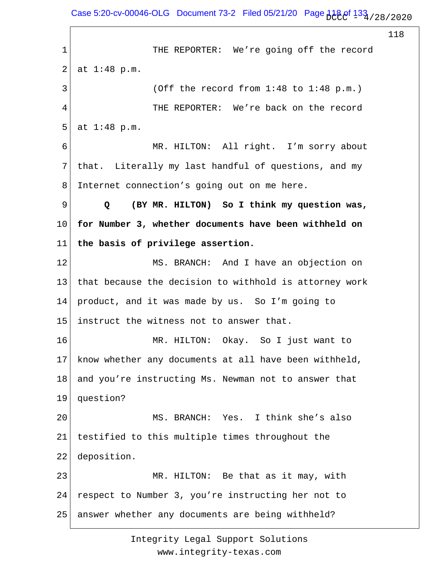Case 5:20-cv-00046-OLG Document 73-2 Filed 05/21/20 Page  $118.8/128$  / 28 / 2020

118

1 2 3 4 5 6 7 8 9 10 11 12 13 14 15 16 17 18 19 20 21 22 23 24 25 THE REPORTER: We're going off the record at 1:48 p.m. (Off the record from 1:48 to 1:48 p.m.) THE REPORTER: We're back on the record at 1:48 p.m. MR. HILTON: All right. I'm sorry about that. Literally my last handful of questions, and my Internet connection's going out on me here.  **Q (BY MR. HILTON) So I think my question was, for Number 3, whether documents have been withheld on the basis of privilege assertion.** MS. BRANCH: And I have an objection on that because the decision to withhold is attorney work product, and it was made by us. So I'm going to instruct the witness not to answer that. MR. HILTON: Okay. So I just want to know whether any documents at all have been withheld, and you're instructing Ms. Newman not to answer that question? MS. BRANCH: Yes. I think she's also testified to this multiple times throughout the deposition. MR. HILTON: Be that as it may, with respect to Number 3, you're instructing her not to answer whether any documents are being withheld?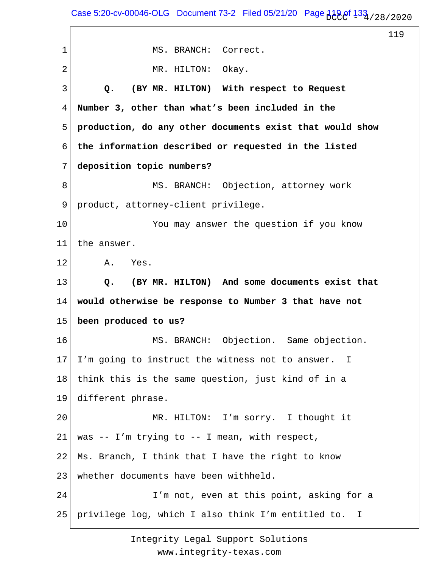Case 5:20-cv-00046-OLG Document 73-2 Filed 05/21/20 Page  $119.0$   $133$ <sub>1</sub>/28/2020

119 1 2 3 4 5 6 7 8 9 10 11 12 13 14 15 16 17 18 19 20 21 22 23 24 25 MS. BRANCH: Correct. MR. HILTON: Okay.  **Q. (BY MR. HILTON) With respect to Request Number 3, other than what's been included in the production, do any other documents exist that would show the information described or requested in the listed deposition topic numbers?** MS. BRANCH: Objection, attorney work product, attorney-client privilege. You may answer the question if you know the answer. A. Yes.  **Q. (BY MR. HILTON) And some documents exist that would otherwise be response to Number 3 that have not been produced to us?** MS. BRANCH: Objection. Same objection. I'm going to instruct the witness not to answer. I think this is the same question, just kind of in a different phrase. MR. HILTON: I'm sorry. I thought it was -- I'm trying to -- I mean, with respect, Ms. Branch, I think that I have the right to know whether documents have been withheld. I'm not, even at this point, asking for a privilege log, which I also think I'm entitled to. I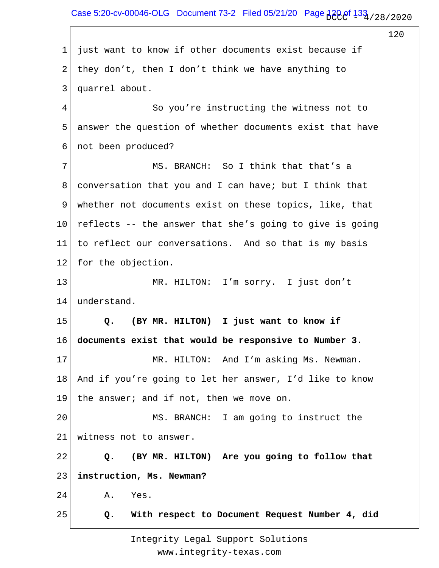Case 5:20-cv-00046-OLG Document 73-2 Filed 05/21/20 Page  $_{1}^{1}$ 20 of  $_{1}^{1}$ 33<sub>4</sub> / 28 / 20 20

120

1 2 3 4 5 6 7 8 9 10 11 12 13 14 15 16 17 18 19 20 21 22 23 24 25 just want to know if other documents exist because if they don't, then I don't think we have anything to quarrel about. So you're instructing the witness not to answer the question of whether documents exist that have not been produced? MS. BRANCH: So I think that that's a conversation that you and I can have; but I think that whether not documents exist on these topics, like, that reflects -- the answer that she's going to give is going to reflect our conversations. And so that is my basis for the objection. MR. HILTON: I'm sorry. I just don't understand.  **Q. (BY MR. HILTON) I just want to know if documents exist that would be responsive to Number 3.** MR. HILTON: And I'm asking Ms. Newman. And if you're going to let her answer, I'd like to know the answer; and if not, then we move on. MS. BRANCH: I am going to instruct the witness not to answer.  **Q. (BY MR. HILTON) Are you going to follow that instruction, Ms. Newman?** A. Yes.  **Q. With respect to Document Request Number 4, did**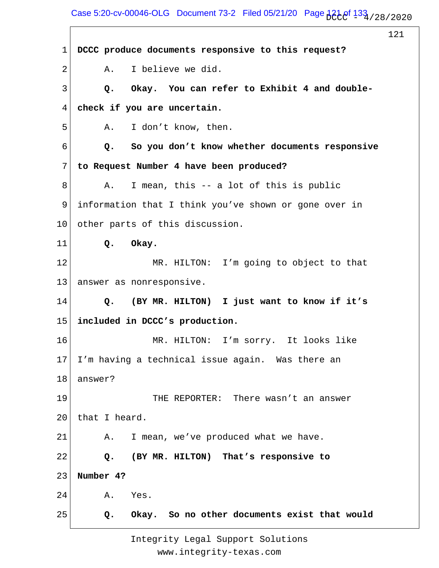Case 5:20-cv-00046-OLG Document 73-2 Filed 05/21/20 Page  $121$  of  $133$  / 28/2020

121 1 2 3 4 5 6 7 8 9 10 11 12 13 14 15 16 17 18 19 20 21 22 23 24 25 **DCCC produce documents responsive to this request?** A. I believe we did.  **Q. Okay. You can refer to Exhibit 4 and doublecheck if you are uncertain.** A. I don't know, then.  **Q. So you don't know whether documents responsive to Request Number 4 have been produced?** A. I mean, this -- a lot of this is public information that I think you've shown or gone over in other parts of this discussion.  **Q. Okay.** MR. HILTON: I'm going to object to that answer as nonresponsive.  **Q. (BY MR. HILTON) I just want to know if it's included in DCCC's production.** MR. HILTON: I'm sorry. It looks like I'm having a technical issue again. Was there an answer? THE REPORTER: There wasn't an answer that I heard. A. I mean, we've produced what we have.  **Q. (BY MR. HILTON) That's responsive to Number 4?** A. Yes.  **Q. Okay. So no other documents exist that would**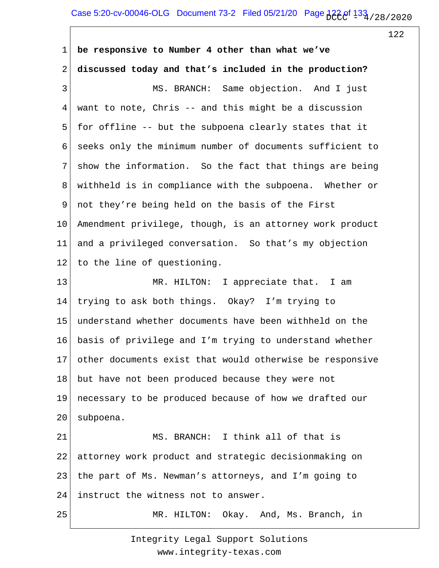1 2 3 4 5 6 7 8 9 10 11 12 13 14 15 16 17 18 19 20 21 22 23 24 25 **be responsive to Number 4 other than what we've discussed today and that's included in the production?** MS. BRANCH: Same objection. And I just want to note, Chris -- and this might be a discussion for offline -- but the subpoena clearly states that it seeks only the minimum number of documents sufficient to show the information. So the fact that things are being withheld is in compliance with the subpoena. Whether or not they're being held on the basis of the First Amendment privilege, though, is an attorney work product and a privileged conversation. So that's my objection to the line of questioning. MR. HILTON: I appreciate that. I am trying to ask both things. Okay? I'm trying to understand whether documents have been withheld on the basis of privilege and I'm trying to understand whether other documents exist that would otherwise be responsive but have not been produced because they were not necessary to be produced because of how we drafted our subpoena. MS. BRANCH: I think all of that is attorney work product and strategic decisionmaking on the part of Ms. Newman's attorneys, and I'm going to instruct the witness not to answer. MR. HILTON: Okay. And, Ms. Branch, in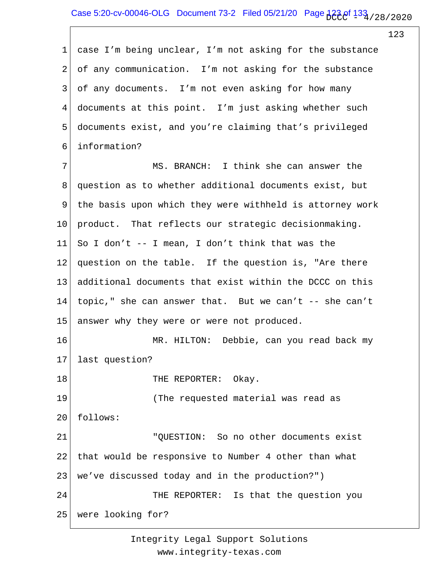1 2 3 4 5 6 7 8 9 10 11 12 13 14 15 16 17 18 19 20 21 22 23 24 25 case I'm being unclear, I'm not asking for the substance of any communication. I'm not asking for the substance of any documents. I'm not even asking for how many documents at this point. I'm just asking whether such documents exist, and you're claiming that's privileged information? MS. BRANCH: I think she can answer the question as to whether additional documents exist, but the basis upon which they were withheld is attorney work product. That reflects our strategic decisionmaking. So I don't -- I mean, I don't think that was the question on the table. If the question is, "Are there additional documents that exist within the DCCC on this topic," she can answer that. But we can't -- she can't answer why they were or were not produced. MR. HILTON: Debbie, can you read back my last question? THE REPORTER: Okay. (The requested material was read as follows: "QUESTION: So no other documents exist that would be responsive to Number 4 other than what we've discussed today and in the production?") THE REPORTER: Is that the question you were looking for?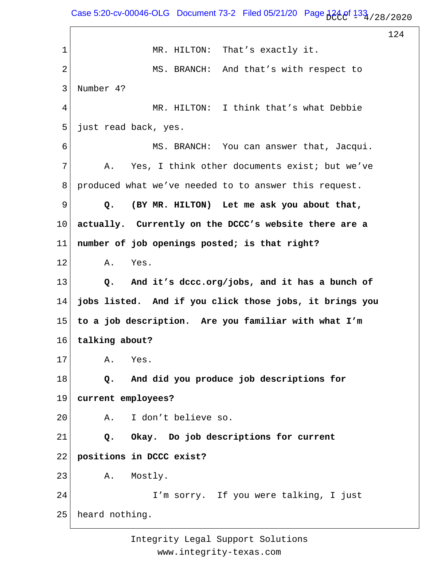Case 5:20-cv-00046-OLG Document 73-2 Filed 05/21/20 Page  $124.0$ f  $133.1/28$ /2020

124 1 2 3 4 5 6 7 8 9 10 11 12 13 14 15 16 17 18 19 20 21 22 23 24 25 MR. HILTON: That's exactly it. MS. BRANCH: And that's with respect to Number 4? MR. HILTON: I think that's what Debbie just read back, yes. MS. BRANCH: You can answer that, Jacqui. A. Yes, I think other documents exist; but we've produced what we've needed to to answer this request.  **Q. (BY MR. HILTON) Let me ask you about that, actually. Currently on the DCCC's website there are a number of job openings posted; is that right?** A. Yes.  **Q. And it's dccc.org/jobs, and it has a bunch of jobs listed. And if you click those jobs, it brings you to a job description. Are you familiar with what I'm talking about?** A. Yes.  **Q. And did you produce job descriptions for current employees?** A. I don't believe so.  **Q. Okay. Do job descriptions for current positions in DCCC exist?** A. Mostly. I'm sorry. If you were talking, I just heard nothing.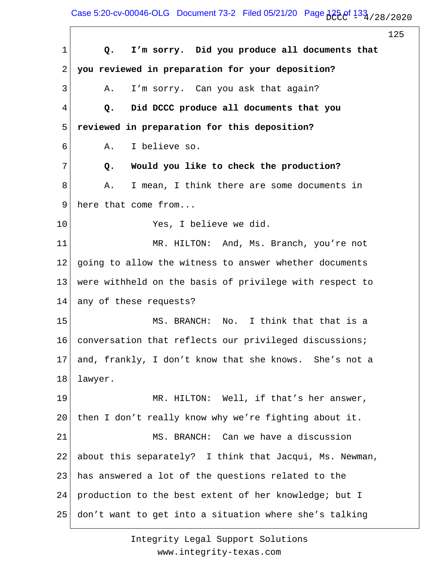Case 5:20-cv-00046-OLG Document 73-2 Filed 05/21/20 Page  $125.8/123.72020$ 

 $\Gamma$ 

|    |                                                         | 125 |
|----|---------------------------------------------------------|-----|
| 1  | I'm sorry. Did you produce all documents that<br>Q.     |     |
| 2  | you reviewed in preparation for your deposition?        |     |
| 3  | I'm sorry. Can you ask that again?<br>Α.                |     |
| 4  | Did DCCC produce all documents that you<br>Q.           |     |
| 5  | reviewed in preparation for this deposition?            |     |
| 6  | I believe so.<br>Α.                                     |     |
| 7  | Would you like to check the production?<br>Q.           |     |
| 8  | I mean, I think there are some documents in<br>Α.       |     |
| 9  | here that come from                                     |     |
| 10 | Yes, I believe we did.                                  |     |
| 11 | MR. HILTON: And, Ms. Branch, you're not                 |     |
| 12 | going to allow the witness to answer whether documents  |     |
| 13 | were withheld on the basis of privilege with respect to |     |
| 14 | any of these requests?                                  |     |
| 15 | MS. BRANCH: No. I think that that is a                  |     |
| 16 | conversation that reflects our privileged discussions;  |     |
| 17 | and, frankly, I don't know that she knows. She's not a  |     |
| 18 | lawyer.                                                 |     |
| 19 | MR. HILTON: Well, if that's her answer,                 |     |
| 20 | then I don't really know why we're fighting about it.   |     |
| 21 | MS. BRANCH: Can we have a discussion                    |     |
| 22 | about this separately? I think that Jacqui, Ms. Newman, |     |
| 23 | has answered a lot of the questions related to the      |     |
| 24 | production to the best extent of her knowledge; but I   |     |
| 25 | don't want to get into a situation where she's talking  |     |
|    |                                                         |     |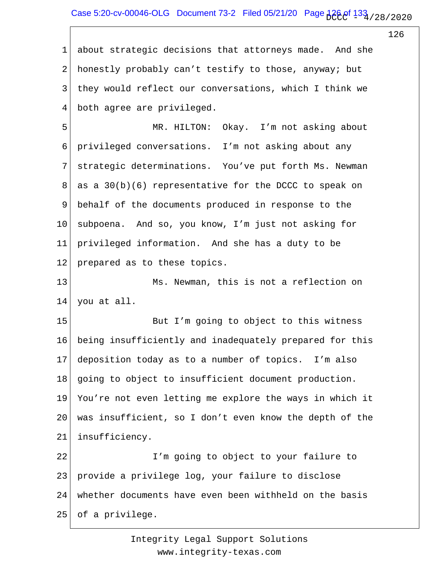1 2 3 4 about strategic decisions that attorneys made. And she honestly probably can't testify to those, anyway; but they would reflect our conversations, which I think we both agree are privileged.

5 6 7 8 9 10 11 12 MR. HILTON: Okay. I'm not asking about privileged conversations. I'm not asking about any strategic determinations. You've put forth Ms. Newman as a  $30(b)(6)$  representative for the DCCC to speak on behalf of the documents produced in response to the subpoena. And so, you know, I'm just not asking for privileged information. And she has a duty to be prepared as to these topics.

13 14 Ms. Newman, this is not a reflection on you at all.

15 16 17 18 19 20 21 But I'm going to object to this witness being insufficiently and inadequately prepared for this deposition today as to a number of topics. I'm also going to object to insufficient document production. You're not even letting me explore the ways in which it was insufficient, so I don't even know the depth of the insufficiency.

22 23 24 25 I'm going to object to your failure to provide a privilege log, your failure to disclose whether documents have even been withheld on the basis of a privilege.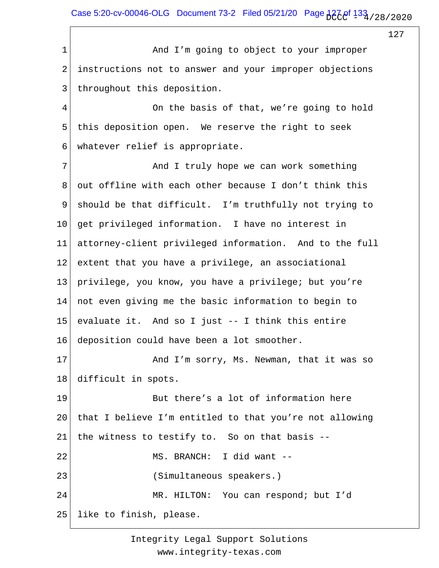Case 5:20-cv-00046-OLG Document 73-2 Filed 05/21/20 Page  $127.8/128$  / 28 / 2020

127

1 2 3 4 5 6 7 8 9 10 11 12 13 14 15 16 17 18 19 20 21 22 23 24 25 And I'm going to object to your improper instructions not to answer and your improper objections throughout this deposition. On the basis of that, we're going to hold this deposition open. We reserve the right to seek whatever relief is appropriate. And I truly hope we can work something out offline with each other because I don't think this should be that difficult. I'm truthfully not trying to get privileged information. I have no interest in attorney-client privileged information. And to the full extent that you have a privilege, an associational privilege, you know, you have a privilege; but you're not even giving me the basic information to begin to evaluate it. And so I just -- I think this entire deposition could have been a lot smoother. And I'm sorry, Ms. Newman, that it was so difficult in spots. But there's a lot of information here that I believe I'm entitled to that you're not allowing the witness to testify to. So on that basis -- MS. BRANCH: I did want -- (Simultaneous speakers.) MR. HILTON: You can respond; but I'd like to finish, please.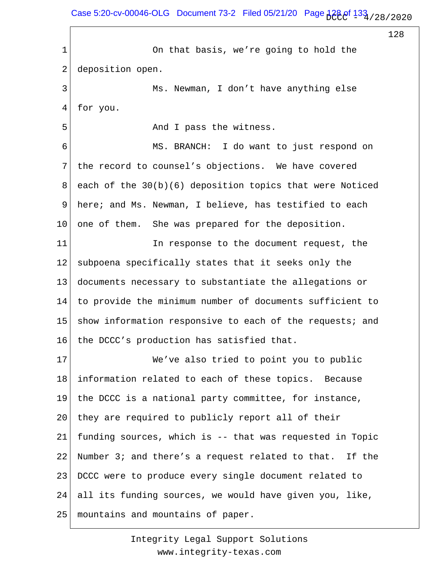Case 5:20-cv-00046-OLG Document 73-2 Filed 05/21/20 Page  $128.0$   $133.728$  / 28 / 2020

128

1 2 3 4 5 6 7 8 9 10 11 12 13 14 15 16 17 18 19 20 21 22 23 24 25 On that basis, we're going to hold the deposition open. Ms. Newman, I don't have anything else for you. And I pass the witness. MS. BRANCH: I do want to just respond on the record to counsel's objections. We have covered each of the 30(b)(6) deposition topics that were Noticed here; and Ms. Newman, I believe, has testified to each one of them. She was prepared for the deposition. In response to the document request, the subpoena specifically states that it seeks only the documents necessary to substantiate the allegations or to provide the minimum number of documents sufficient to show information responsive to each of the requests; and the DCCC's production has satisfied that. We've also tried to point you to public information related to each of these topics. Because the DCCC is a national party committee, for instance, they are required to publicly report all of their funding sources, which is -- that was requested in Topic Number 3; and there's a request related to that. If the DCCC were to produce every single document related to all its funding sources, we would have given you, like, mountains and mountains of paper.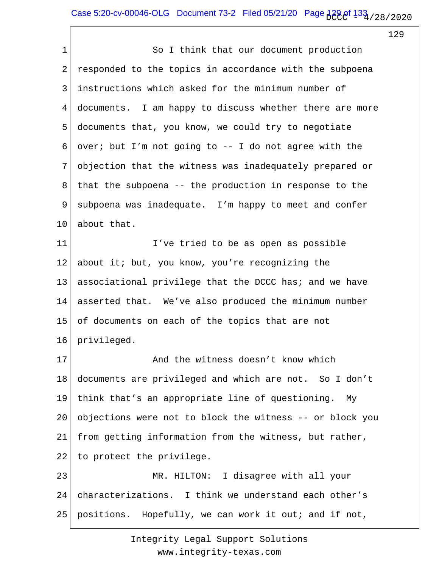1 2 3 4 5 6 7 8 9 10 11 12 13 14 15 16 17 18 19 20 21 22 23 24 25 So I think that our document production responded to the topics in accordance with the subpoena instructions which asked for the minimum number of documents. I am happy to discuss whether there are more documents that, you know, we could try to negotiate over; but I'm not going to -- I do not agree with the objection that the witness was inadequately prepared or that the subpoena -- the production in response to the subpoena was inadequate. I'm happy to meet and confer about that. I've tried to be as open as possible about it; but, you know, you're recognizing the associational privilege that the DCCC has; and we have asserted that. We've also produced the minimum number of documents on each of the topics that are not privileged. And the witness doesn't know which documents are privileged and which are not. So I don't think that's an appropriate line of questioning. My objections were not to block the witness -- or block you from getting information from the witness, but rather, to protect the privilege. MR. HILTON: I disagree with all your characterizations. I think we understand each other's positions. Hopefully, we can work it out; and if not,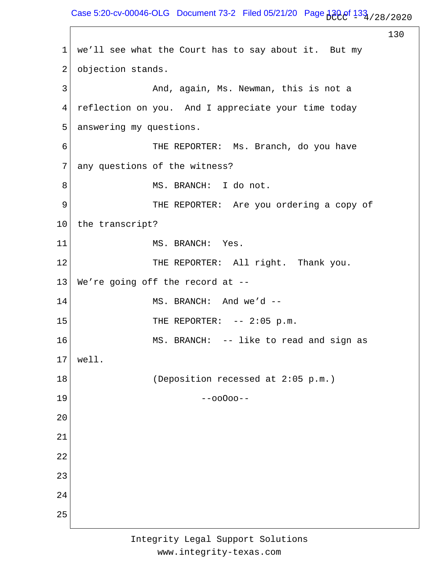Case 5:20-cv-00046-OLG Document 73-2 Filed 05/21/20 Page  $130e^{f}$   $133e^{f}$  / 28/2020

130 1 2 3 4 5 6 7 8 9 10 11 12 13 14 15 16 17 18 19 20 21 22 23 24 25 we'll see what the Court has to say about it. But my objection stands. And, again, Ms. Newman, this is not a reflection on you. And I appreciate your time today answering my questions. THE REPORTER: Ms. Branch, do you have any questions of the witness? MS. BRANCH: I do not. THE REPORTER: Are you ordering a copy of the transcript? MS. BRANCH: Yes. THE REPORTER: All right. Thank you. We're going off the record at -- MS. BRANCH: And we'd -- THE REPORTER: -- 2:05 p.m. MS. BRANCH: -- like to read and sign as well. (Deposition recessed at 2:05 p.m.) --ooOoo--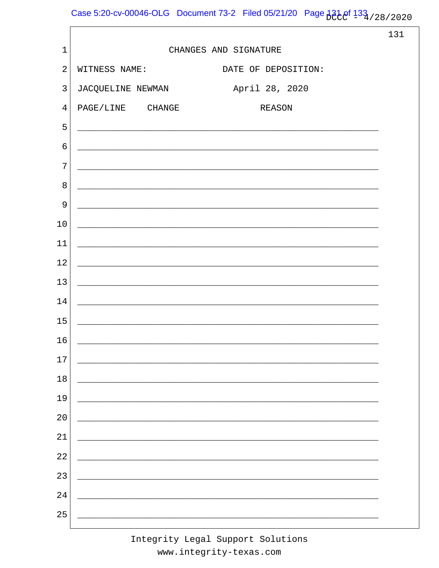Case 5:20-cv-00046-OLG Document 73-2 Filed 05/21/20 Page 131 of 133 / 28 / 2020

|                |                                                                                                                  | 131 |
|----------------|------------------------------------------------------------------------------------------------------------------|-----|
| $\mathbf{1}$   | CHANGES AND SIGNATURE                                                                                            |     |
| $\overline{2}$ | WITNESS NAME:<br>DATE OF DEPOSITION:                                                                             |     |
| 3              | April 28, 2020<br>JACQUELINE NEWMAN                                                                              |     |
| $\overline{4}$ | PAGE/LINE CHANGE<br><b>REASON</b>                                                                                |     |
| 5              | and the control of the control of the control of the control of the control of the control of the control of the |     |
| $\epsilon$     | ,我们也不能在这里的时候,我们也不能在这里的时候,我们也不能会在这里的时候,我们也不能会在这里的时候,我们也不能会在这里的时候,我们也不能会在这里的时候,我们也                                 |     |
| 7              |                                                                                                                  |     |
| 8              |                                                                                                                  |     |
| 9              | and the control of the control of the control of the control of the control of the control of the control of the |     |
| 10             | ,我们也不会有什么。""我们的人,我们也不会有什么?""我们的人,我们也不会有什么?""我们的人,我们也不会有什么?""我们的人,我们也不会有什么?""我们的人                                 |     |
| 11             |                                                                                                                  |     |
| 12             | and the control of the control of the control of the control of the control of the control of the control of the |     |
| 13             | and the control of the control of the control of the control of the control of the control of the control of the |     |
| 14             | and the control of the control of the control of the control of the control of the control of the control of the |     |
| 15             |                                                                                                                  |     |
| 16             | and the control of the control of the control of the control of the control of the control of the control of the |     |
| 17             |                                                                                                                  |     |
| $18\,$         |                                                                                                                  |     |
| 19             |                                                                                                                  |     |
| 20             |                                                                                                                  |     |
| 21             |                                                                                                                  |     |
| 22             |                                                                                                                  |     |
| 23             |                                                                                                                  |     |
| 24             |                                                                                                                  |     |
| 25             |                                                                                                                  |     |
|                |                                                                                                                  |     |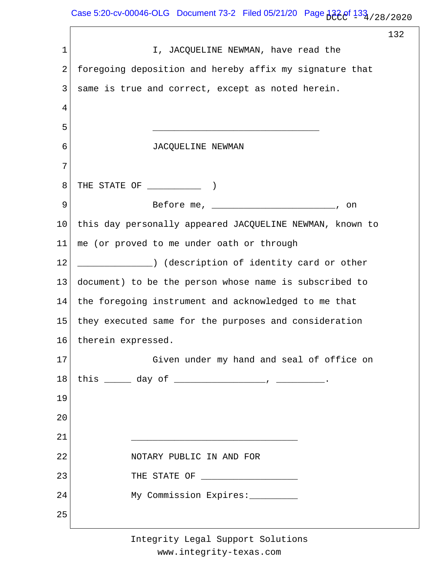Case 5:20-cv-00046-OLG Document 73-2 Filed 05/21/20 Page  $132e^{f}$   $133e^{f}$  / 28/2020

 $\Gamma$ 

|             |                                                          | 132 |
|-------------|----------------------------------------------------------|-----|
| $\mathbf 1$ | I, JACQUELINE NEWMAN, have read the                      |     |
| 2           | foregoing deposition and hereby affix my signature that  |     |
| 3           | same is true and correct, except as noted herein.        |     |
| 4           |                                                          |     |
| 5           |                                                          |     |
| 6           | JACQUELINE NEWMAN                                        |     |
| 7           |                                                          |     |
| 8           | THE STATE OF (1)                                         |     |
| 9           | Before me, $\frac{1}{1}$<br>on                           |     |
| 10          | this day personally appeared JACQUELINE NEWMAN, known to |     |
| 11          | me (or proved to me under oath or through                |     |
| 12          | (description of identity card or other) (()              |     |
| 13          | document) to be the person whose name is subscribed to   |     |
| 14          | the foregoing instrument and acknowledged to me that     |     |
| 15          | they executed same for the purposes and consideration    |     |
| 16          | therein expressed.                                       |     |
| 17          | Given under my hand and seal of office on                |     |
| 18          | this $\_\_\_$ day of $\_\_\_\_\_\_$ , $\_\_\_\_\_$       |     |
| 19          |                                                          |     |
| 20          |                                                          |     |
| 21          |                                                          |     |
| 22          | NOTARY PUBLIC IN AND FOR                                 |     |
| 23          | THE STATE OF ______________________                      |     |
| 24          | My Commission Expires:                                   |     |
| 25          |                                                          |     |
|             |                                                          |     |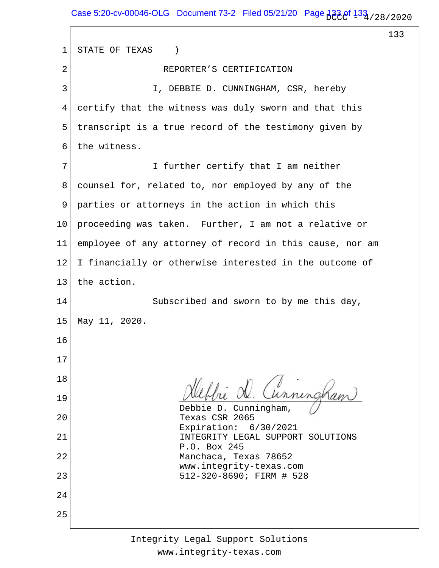$\sqrt{ }$ 

133

| 1  | STATE OF TEXAS<br>$\left( \right)$                       |
|----|----------------------------------------------------------|
| 2  | REPORTER'S CERTIFICATION                                 |
| 3  | I, DEBBIE D. CUNNINGHAM, CSR, hereby                     |
| 4  | certify that the witness was duly sworn and that this    |
| 5  | transcript is a true record of the testimony given by    |
| 6  | the witness.                                             |
| 7  | I further certify that I am neither                      |
| 8  | counsel for, related to, nor employed by any of the      |
| 9  | parties or attorneys in the action in which this         |
| 10 | proceeding was taken. Further, I am not a relative or    |
| 11 | employee of any attorney of record in this cause, nor am |
| 12 | I financially or otherwise interested in the outcome of  |
| 13 | the action.                                              |
| 14 | Subscribed and sworn to by me this day,                  |
| 15 | May 11, 2020.                                            |
| 16 |                                                          |
| 17 |                                                          |
| 18 | Hebbie D. Cunningham                                     |
| 19 | Debbie D. Cunningham,                                    |
| 20 | Texas CSR 2065<br>Expiration: 6/30/2021                  |
| 21 | INTEGRITY LEGAL SUPPORT SOLUTIONS<br>P.O. Box 245        |
| 22 | Manchaca, Texas 78652<br>www.integrity-texas.com         |
| 23 | 512-320-8690; FIRM # 528                                 |
| 24 |                                                          |
| 25 |                                                          |
|    |                                                          |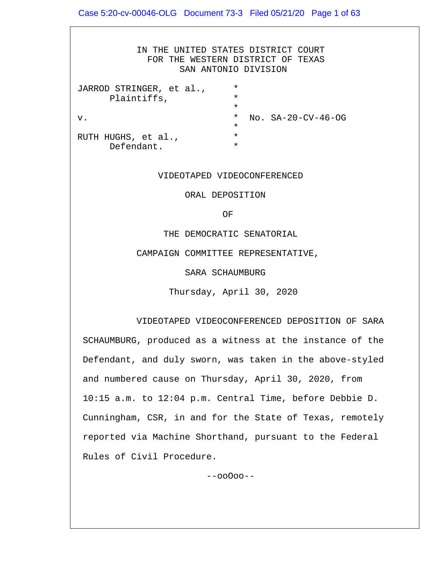IN THE UNITED STATES DISTRICT COURT FOR THE WESTERN DISTRICT OF TEXAS SAN ANTONIO DIVISION JARROD STRINGER, et al., \* Plaintiffs,  $\star$ v. \* No. SA-20-CV-46-OG  $\star$ RUTH HUGHS, et al., Defendant. \*

#### VIDEOTAPED VIDEOCONFERENCED

ORAL DEPOSITION

**OF** STREET IN THE STREET IS NOT THE STREET IN THE STREET IS NOT THE STREET IN THE STREET IS NOT THE STREET IN THE STREET IS NOT THE STREET IN THE STREET IS NOT THE STREET IN THE STREET IS NOT THE STREET IN THE STREET IS N

THE DEMOCRATIC SENATORIAL

CAMPAIGN COMMITTEE REPRESENTATIVE,

SARA SCHAUMBURG

Thursday, April 30, 2020

 VIDEOTAPED VIDEOCONFERENCED DEPOSITION OF SARA SCHAUMBURG, produced as a witness at the instance of the Defendant, and duly sworn, was taken in the above-styled and numbered cause on Thursday, April 30, 2020, from 10:15 a.m. to 12:04 p.m. Central Time, before Debbie D. Cunningham, CSR, in and for the State of Texas, remotely reported via Machine Shorthand, pursuant to the Federal Rules of Civil Procedure.

--ooOoo--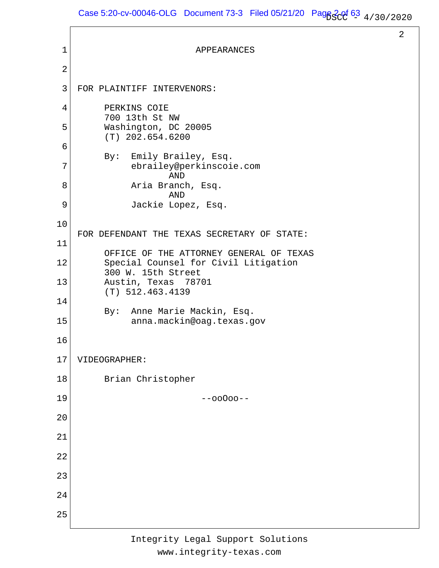```
1
 2
 3
 4
 5
 6
 7
 8
 9
10
11
12
13
14
15
16
17
18
19
20
21
22
23
24
25
                             APPEARANCES
    FOR PLAINTIFF INTERVENORS:
          PERKINS COIE
          700 13th St NW
          Washington, DC 20005
          (T) 202.654.6200
          By: Emily Brailey, Esq.
                ebrailey@perkinscoie.com
                       AND
                Aria Branch, Esq.
                       AND
                Jackie Lopez, Esq.
    FOR DEFENDANT THE TEXAS SECRETARY OF STATE:
          OFFICE OF THE ATTORNEY GENERAL OF TEXAS
          Special Counsel for Civil Litigation
          300 W. 15th Street
          Austin, Texas 78701
          (T) 512.463.4139
          By: Anne Marie Mackin, Esq.
                anna.mackin@oag.texas.gov
    VIDEOGRAPHER:
          Brian Christopher
                              --ooOoo--
```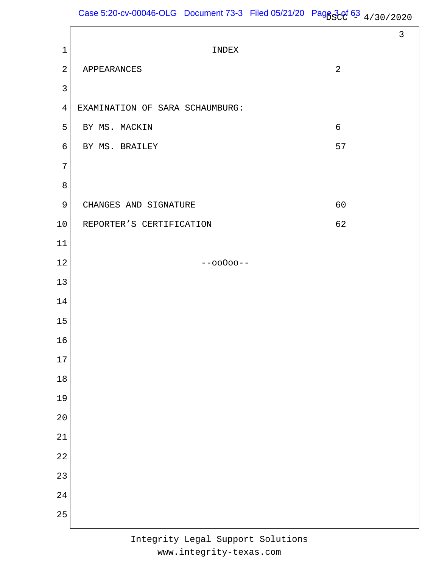|                |                                 |       | $\mathfrak{Z}$ |
|----------------|---------------------------------|-------|----------------|
| $\mathbf 1$    | INDEX                           |       |                |
| $\sqrt{2}$     | APPEARANCES                     | 2     |                |
| $\mathbf{3}$   |                                 |       |                |
| $\overline{4}$ | EXAMINATION OF SARA SCHAUMBURG: |       |                |
| 5              | BY MS. MACKIN                   | $6\,$ |                |
| 6              | BY MS. BRAILEY                  | 57    |                |
| 7              |                                 |       |                |
| $\,8\,$        |                                 |       |                |
| 9              | CHANGES AND SIGNATURE           | 60    |                |
| 10             | REPORTER'S CERTIFICATION        | 62    |                |
| $11\,$         |                                 |       |                |
| 12             | $--00000--$                     |       |                |
| 13             |                                 |       |                |
| 14             |                                 |       |                |
| 15             |                                 |       |                |
| 16             |                                 |       |                |
| $17$           |                                 |       |                |
| $18$           |                                 |       |                |
| 19             |                                 |       |                |
| 20             |                                 |       |                |
| 21             |                                 |       |                |
| 22             |                                 |       |                |
| 23             |                                 |       |                |
| 24             |                                 |       |                |
| 25             |                                 |       |                |
|                |                                 |       |                |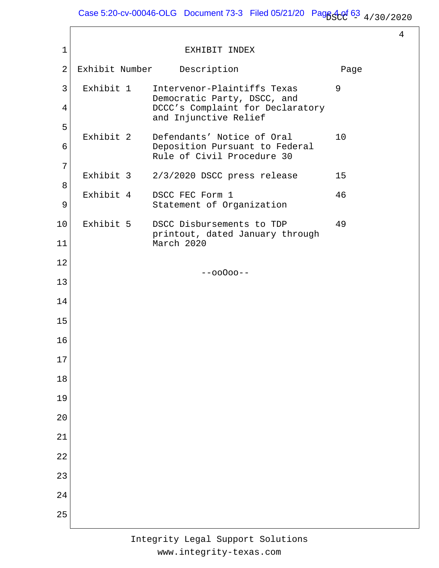Case 5:20-cv-00046-OLG Document 73-3 Filed 05/21/20 Pag $63_{4/30/2020}$ 

4

| $\mathbf 1$    |                | EXHIBIT INDEX                                                |      |
|----------------|----------------|--------------------------------------------------------------|------|
| $\overline{2}$ | Exhibit Number | Description                                                  | Page |
| 3              | Exhibit 1      | Intervenor-Plaintiffs Texas<br>Democratic Party, DSCC, and   | 9    |
| 4              |                | DCCC's Complaint for Declaratory<br>and Injunctive Relief    |      |
| 5              | Exhibit 2      | Defendants' Notice of Oral                                   | 10   |
| 6              |                | Deposition Pursuant to Federal<br>Rule of Civil Procedure 30 |      |
| 7              | Exhibit 3      | 2/3/2020 DSCC press release                                  | 15   |
| 8              | Exhibit 4      | DSCC FEC Form 1                                              | 46   |
| 9              |                | Statement of Organization                                    |      |
| 10             | Exhibit 5      | DSCC Disbursements to TDP<br>printout, dated January through | 49   |
| 11             |                | March 2020                                                   |      |
| 12             |                | $--00000--$                                                  |      |
| 13             |                |                                                              |      |
| 14             |                |                                                              |      |
| 15             |                |                                                              |      |
| 16             |                |                                                              |      |
| 17             |                |                                                              |      |
| 18             |                |                                                              |      |
| 19             |                |                                                              |      |
| 20             |                |                                                              |      |
| 21             |                |                                                              |      |
| 22             |                |                                                              |      |
| 23             |                |                                                              |      |
| 24             |                |                                                              |      |
| 25             |                |                                                              |      |
|                |                |                                                              |      |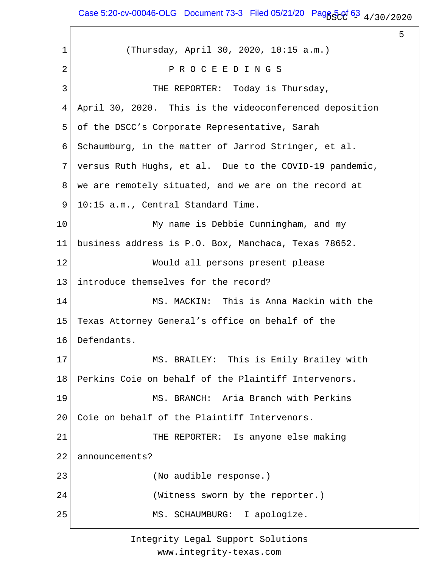Case 5:20-cv-00046-OLG Document 73-3 Filed 05/21/20 Page 5  $^{63}$  4/30/2020

5

1 2 3 4 5 6 7 8 9 10 11 12 13 14 15 16 17 18 19 20 21 22 23 24 25 (Thursday, April 30, 2020, 10:15 a.m.) P R O C E E D I N G S THE REPORTER: Today is Thursday, April 30, 2020. This is the videoconferenced deposition of the DSCC's Corporate Representative, Sarah Schaumburg, in the matter of Jarrod Stringer, et al. versus Ruth Hughs, et al. Due to the COVID-19 pandemic, we are remotely situated, and we are on the record at 10:15 a.m., Central Standard Time. My name is Debbie Cunningham, and my business address is P.O. Box, Manchaca, Texas 78652. Would all persons present please introduce themselves for the record? MS. MACKIN: This is Anna Mackin with the Texas Attorney General's office on behalf of the Defendants. MS. BRAILEY: This is Emily Brailey with Perkins Coie on behalf of the Plaintiff Intervenors. MS. BRANCH: Aria Branch with Perkins Coie on behalf of the Plaintiff Intervenors. THE REPORTER: Is anyone else making announcements? (No audible response.) (Witness sworn by the reporter.) MS. SCHAUMBURG: I apologize.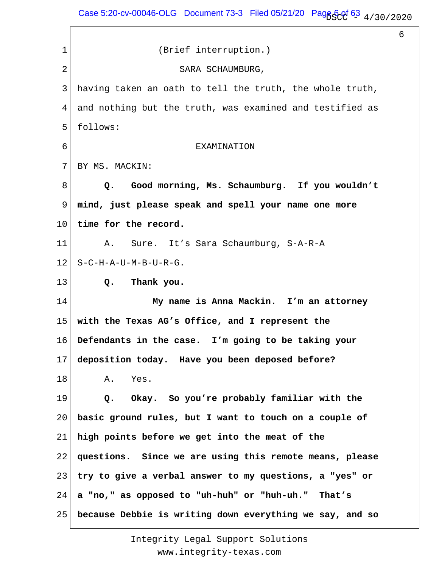Case 5:20-cv-00046-OLG Document 73-3 Filed 05/21/20 Page  $63\frac{1}{4/30/2020}$ 

6

1 2 3 4 5 6 7 8 9 10 11 12 13 14 15 16 17 18 19 20 21 22 23 24 25 (Brief interruption.) SARA SCHAUMBURG, having taken an oath to tell the truth, the whole truth, and nothing but the truth, was examined and testified as follows: EXAMINATION BY MS. MACKIN:  **Q. Good morning, Ms. Schaumburg. If you wouldn't mind, just please speak and spell your name one more time for the record.** A. Sure. It's Sara Schaumburg, S-A-R-A S-C-H-A-U-M-B-U-R-G.  **Q. Thank you. My name is Anna Mackin. I'm an attorney with the Texas AG's Office, and I represent the Defendants in the case. I'm going to be taking your deposition today. Have you been deposed before?** A. Yes.  **Q. Okay. So you're probably familiar with the basic ground rules, but I want to touch on a couple of high points before we get into the meat of the questions. Since we are using this remote means, please try to give a verbal answer to my questions, a "yes" or a "no," as opposed to "uh-huh" or "huh-uh." That's because Debbie is writing down everything we say, and so**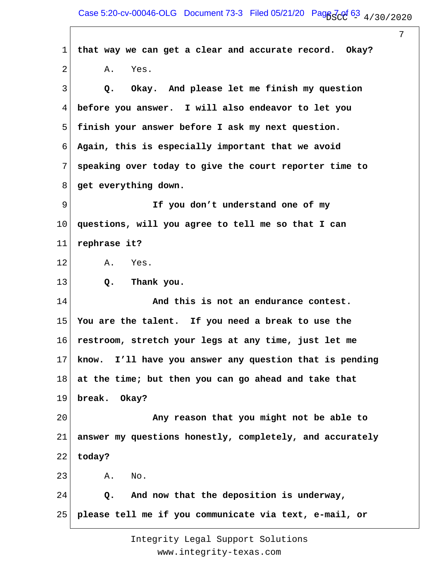1 2 3 4 5 6 7 8 9 10 11 12 13 14 15 16 17 18 19 20 21 22 23 24 25 **that way we can get a clear and accurate record. Okay?** A. Yes.  **Q. Okay. And please let me finish my question before you answer. I will also endeavor to let you finish your answer before I ask my next question. Again, this is especially important that we avoid speaking over today to give the court reporter time to get everything down. If you don't understand one of my questions, will you agree to tell me so that I can rephrase it?** A. Yes.  **Q. Thank you. And this is not an endurance contest. You are the talent. If you need a break to use the restroom, stretch your legs at any time, just let me know. I'll have you answer any question that is pending at the time; but then you can go ahead and take that break. Okay? Any reason that you might not be able to answer my questions honestly, completely, and accurately today?** A. No.  **Q. And now that the deposition is underway, please tell me if you communicate via text, e-mail, or**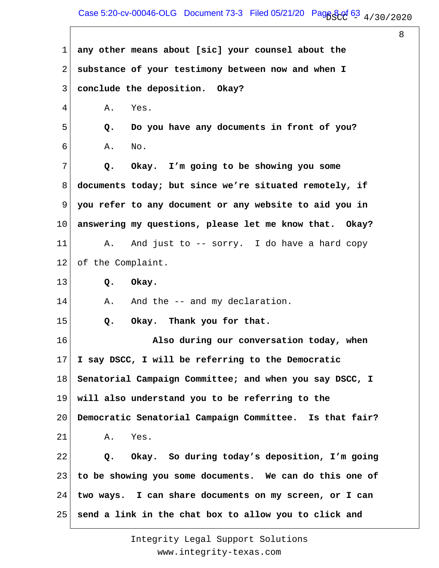## Case 5:20-cv-00046-OLG Document 73-3 Filed 05/21/20 Page 8 of 63  $_4$  / 30 / 2020

8

1 2 3 4 5 6 7 8 9 10 11 12 13 14 15 16 17 18 19 20 21 22 23 24 25 **any other means about [sic] your counsel about the substance of your testimony between now and when I conclude the deposition. Okay?** A. Yes.  **Q. Do you have any documents in front of you?** A. No.  **Q. Okay. I'm going to be showing you some documents today; but since we're situated remotely, if you refer to any document or any website to aid you in answering my questions, please let me know that. Okay?** A. And just to -- sorry. I do have a hard copy of the Complaint.  **Q. Okay.** A. And the -- and my declaration.  **Q. Okay. Thank you for that. Also during our conversation today, when I say DSCC, I will be referring to the Democratic Senatorial Campaign Committee; and when you say DSCC, I will also understand you to be referring to the Democratic Senatorial Campaign Committee. Is that fair?** A. Yes.  **Q. Okay. So during today's deposition, I'm going to be showing you some documents. We can do this one of two ways. I can share documents on my screen, or I can send a link in the chat box to allow you to click and**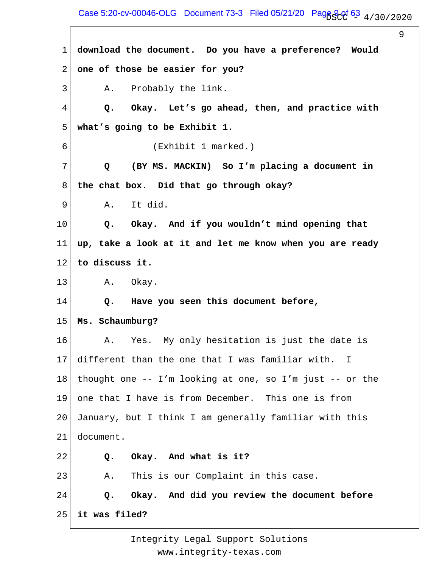## Case 5:20-cv-00046-OLG Document 73-3 Filed 05/21/20 Page 9 of 63  $_4$  / 30 / 2020

9

1 2 3 4 5 6 7 8 9 10 11 12 13 14 15 16 17 18 19 20 21 22 23 24 25 **download the document. Do you have a preference? Would one of those be easier for you?** A. Probably the link.  **Q. Okay. Let's go ahead, then, and practice with what's going to be Exhibit 1.** (Exhibit 1 marked.)  **Q (BY MS. MACKIN) So I'm placing a document in the chat box. Did that go through okay?** A. It did.  **Q. Okay. And if you wouldn't mind opening that up, take a look at it and let me know when you are ready to discuss it.** A. Okay.  **Q. Have you seen this document before, Ms. Schaumburg?** A. Yes. My only hesitation is just the date is different than the one that I was familiar with. I thought one -- I'm looking at one, so I'm just -- or the one that I have is from December. This one is from January, but I think I am generally familiar with this document.  **Q. Okay. And what is it?** A. This is our Complaint in this case.  **Q. Okay. And did you review the document before it was filed?**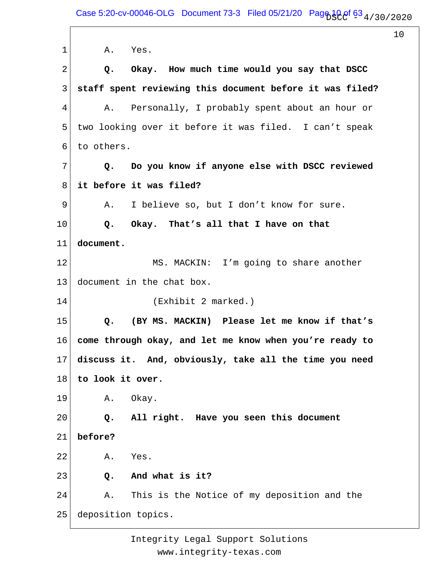1 2 3 4 5 6 7 8 9 10 11 12 13 14 15 16 17 18 19 20 21 22 23 24 25 A. Yes.  **Q. Okay. How much time would you say that DSCC staff spent reviewing this document before it was filed?** A. Personally, I probably spent about an hour or two looking over it before it was filed. I can't speak to others.  **Q. Do you know if anyone else with DSCC reviewed it before it was filed?** A. I believe so, but I don't know for sure.  **Q. Okay. That's all that I have on that document.** MS. MACKIN: I'm going to share another document in the chat box. (Exhibit 2 marked.)  **Q. (BY MS. MACKIN) Please let me know if that's come through okay, and let me know when you're ready to discuss it. And, obviously, take all the time you need to look it over.** A. Okay.  **Q. All right. Have you seen this document before?** A. Yes.  **Q. And what is it?** A. This is the Notice of my deposition and the deposition topics.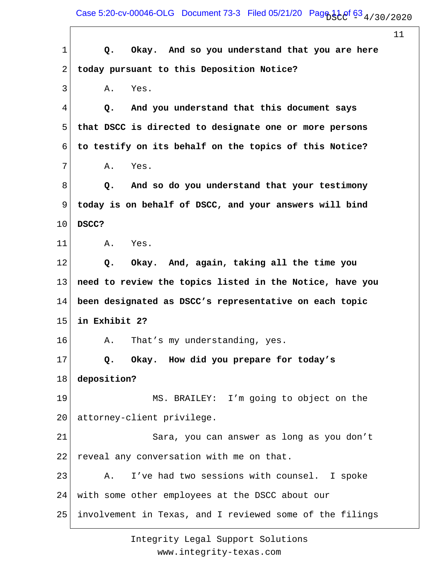Case 5:20-cv-00046-OLG Document 73-3 Filed 05/21/20 Page  $11.0$ f 63 $_4$ /30/2020

 $\overline{\phantom{a}}$ 

11

| $\mathbf 1$ | Okay. And so you understand that you are here<br>Q.      |
|-------------|----------------------------------------------------------|
| 2           | today pursuant to this Deposition Notice?                |
| 3           | Yes.<br>Α.                                               |
| 4           | And you understand that this document says<br>Q.         |
| 5           | that DSCC is directed to designate one or more persons   |
| 6           | to testify on its behalf on the topics of this Notice?   |
| 7           | Yes.<br>Α.                                               |
| 8           | And so do you understand that your testimony<br>Q.       |
| 9           | today is on behalf of DSCC, and your answers will bind   |
| 10          | DSCC?                                                    |
| 11          | Α.<br>Yes.                                               |
| 12          | Okay. And, again, taking all the time you<br>Q.          |
| 13          | need to review the topics listed in the Notice, have you |
| 14          | been designated as DSCC's representative on each topic   |
| 15          | in Exhibit 2?                                            |
| 16          | That's my understanding, yes.<br>Α.                      |
| 17          | Q.<br>Okay. How did you prepare for today's              |
| 18          | deposition?                                              |
| 19          | MS. BRAILEY: I'm going to object on the                  |
| 20          | attorney-client privilege.                               |
| 21          | Sara, you can answer as long as you don't                |
| 22          | reveal any conversation with me on that.                 |
| 23          | I've had two sessions with counsel.<br>I spoke<br>Α.     |
| 24          | with some other employees at the DSCC about our          |
| 25          | involvement in Texas, and I reviewed some of the filings |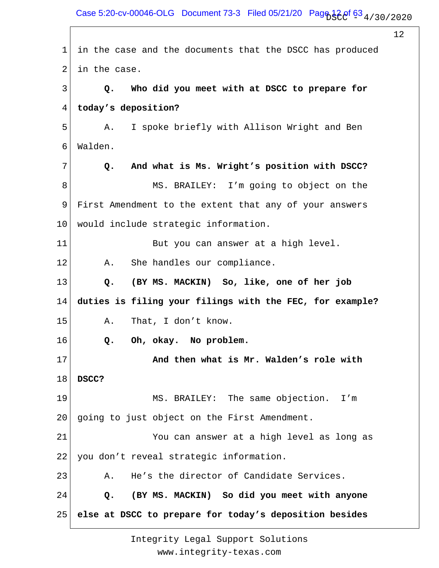Case 5:20-cv-00046-OLG Document 73-3 Filed 05/21/20 Page  $12e^{\frac{1}{12}}$   $6^{\frac{1}{3}}$  4/30/2020

12

1 2 3 4 5 6 7 8 9 10 11 12 13 14 15 16 17 18 19 20 21 22 23 24 25 in the case and the documents that the DSCC has produced in the case.  **Q. Who did you meet with at DSCC to prepare for today's deposition?** A. I spoke briefly with Allison Wright and Ben Walden.  **Q. And what is Ms. Wright's position with DSCC?** MS. BRAILEY: I'm going to object on the First Amendment to the extent that any of your answers would include strategic information. But you can answer at a high level. A. She handles our compliance.  **Q. (BY MS. MACKIN) So, like, one of her job duties is filing your filings with the FEC, for example?** A. That, I don't know.  **Q. Oh, okay. No problem. And then what is Mr. Walden's role with DSCC?** MS. BRAILEY: The same objection. I'm going to just object on the First Amendment. You can answer at a high level as long as you don't reveal strategic information. A. He's the director of Candidate Services.  **Q. (BY MS. MACKIN) So did you meet with anyone else at DSCC to prepare for today's deposition besides**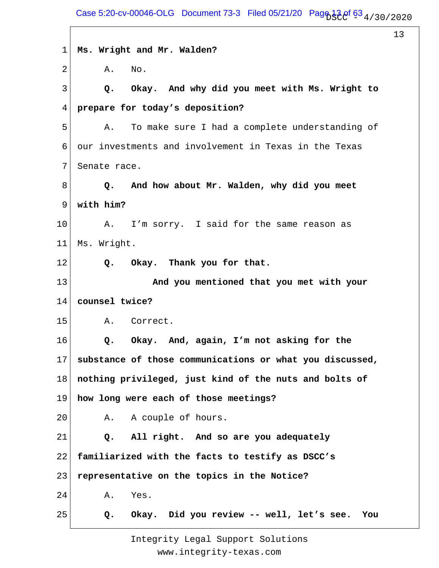1 2 3 4 5 6 7 8 9 10 11 12 13 14 15 16 17 18 19 20 21 22 23 24 25 **Ms. Wright and Mr. Walden?** A. No.  **Q. Okay. And why did you meet with Ms. Wright to prepare for today's deposition?** A. To make sure I had a complete understanding of our investments and involvement in Texas in the Texas Senate race.  **Q. And how about Mr. Walden, why did you meet with him?** A. I'm sorry. I said for the same reason as Ms. Wright.  **Q. Okay. Thank you for that. And you mentioned that you met with your counsel twice?** A. Correct.  **Q. Okay. And, again, I'm not asking for the substance of those communications or what you discussed, nothing privileged, just kind of the nuts and bolts of how long were each of those meetings?** A. A couple of hours.  **Q. All right. And so are you adequately familiarized with the facts to testify as DSCC's representative on the topics in the Notice?** A. Yes.  **Q. Okay. Did you review -- well, let's see. You**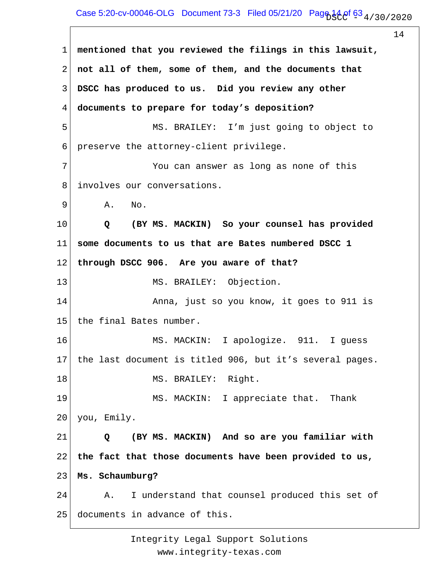# Case 5:20-cv-00046-OLG Document 73-3 Filed 05/21/20 Page  $14.0^{\circ}$  63  $_4$  / 30 / 20 20

14 1 2 3 4 5 6 7 8 9 10 11 12 13 14 15 16 17 18 19 20 21 22 23 24 25 **mentioned that you reviewed the filings in this lawsuit, not all of them, some of them, and the documents that DSCC has produced to us. Did you review any other documents to prepare for today's deposition?** MS. BRAILEY: I'm just going to object to preserve the attorney-client privilege. You can answer as long as none of this involves our conversations. A. No.  **Q (BY MS. MACKIN) So your counsel has provided some documents to us that are Bates numbered DSCC 1 through DSCC 906. Are you aware of that?** MS. BRAILEY: Objection. Anna, just so you know, it goes to 911 is the final Bates number. MS. MACKIN: I apologize. 911. I guess the last document is titled 906, but it's several pages. MS. BRAILEY: Right. MS. MACKIN: I appreciate that. Thank you, Emily.  **Q (BY MS. MACKIN) And so are you familiar with the fact that those documents have been provided to us, Ms. Schaumburg?** A. I understand that counsel produced this set of documents in advance of this.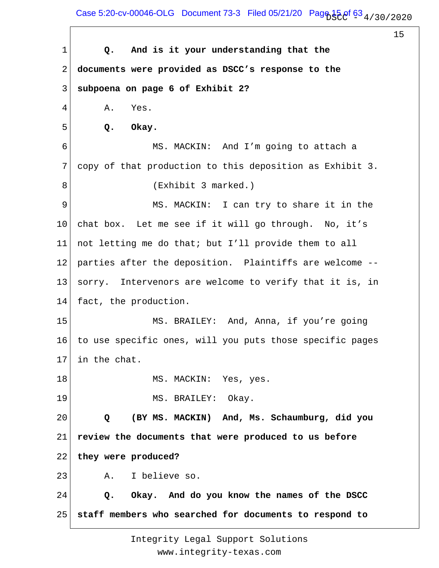Case 5:20-cv-00046-OLG Document 73-3 Filed 05/21/20 Page  $15.0f$  63  $_4$  / 30 / 20 20

15

1 2 3 4 5 6 7 8 9 10 11 12 13 14 15 16 17 18 19 20 21 22 23 24 25  **Q. And is it your understanding that the documents were provided as DSCC's response to the subpoena on page 6 of Exhibit 2?** A. Yes.  **Q. Okay.** MS. MACKIN: And I'm going to attach a copy of that production to this deposition as Exhibit 3. (Exhibit 3 marked.) MS. MACKIN: I can try to share it in the chat box. Let me see if it will go through. No, it's not letting me do that; but I'll provide them to all parties after the deposition. Plaintiffs are welcome - sorry. Intervenors are welcome to verify that it is, in fact, the production. MS. BRAILEY: And, Anna, if you're going to use specific ones, will you puts those specific pages in the chat. MS. MACKIN: Yes, yes. MS. BRAILEY: Okay.  **Q (BY MS. MACKIN) And, Ms. Schaumburg, did you review the documents that were produced to us before they were produced?** A. I believe so.  **Q. Okay. And do you know the names of the DSCC staff members who searched for documents to respond to**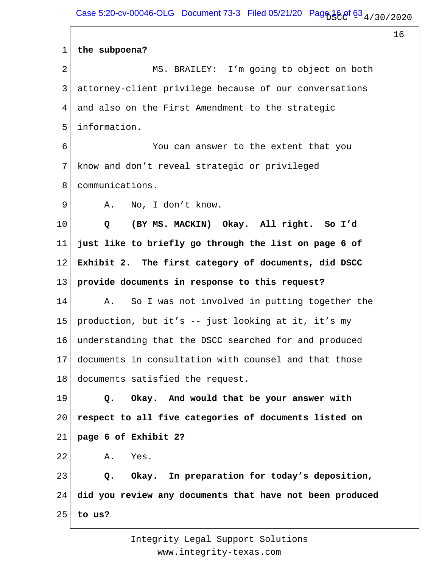1 2 3 4 5 6 7 8 9 10 11 12 13 14 15 16 17 18 19 20 21 22 23 24 25 **the subpoena?** MS. BRAILEY: I'm going to object on both attorney-client privilege because of our conversations and also on the First Amendment to the strategic information. You can answer to the extent that you know and don't reveal strategic or privileged communications. A. No, I don't know.  **Q (BY MS. MACKIN) Okay. All right. So I'd just like to briefly go through the list on page 6 of Exhibit 2. The first category of documents, did DSCC provide documents in response to this request?** A. So I was not involved in putting together the production, but it's -- just looking at it, it's my understanding that the DSCC searched for and produced documents in consultation with counsel and that those documents satisfied the request.  **Q. Okay. And would that be your answer with respect to all five categories of documents listed on page 6 of Exhibit 2?** A. Yes.  **Q. Okay. In preparation for today's deposition, did you review any documents that have not been produced to us?**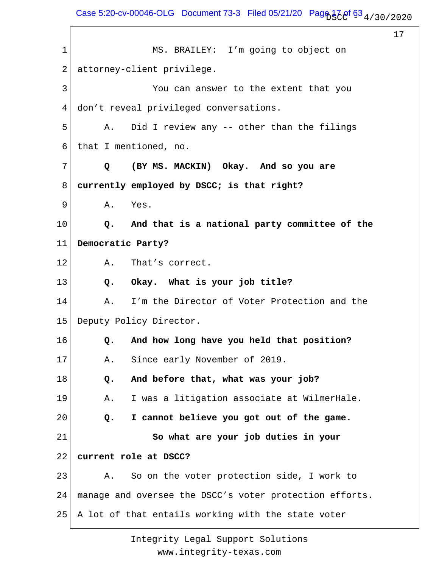Case 5:20-cv-00046-OLG Document 73-3 Filed 05/21/20 Page  $17.0$  f  $63.4/30/2020$ 

17

1 2 3 4 5 6 7 8 9 10 11 12 13 14 15 16 17 18 19 20 21 22 23 24 25 MS. BRAILEY: I'm going to object on attorney-client privilege. You can answer to the extent that you don't reveal privileged conversations. A. Did I review any -- other than the filings that I mentioned, no.  **Q (BY MS. MACKIN) Okay. And so you are currently employed by DSCC; is that right?** A. Yes.  **Q. And that is a national party committee of the Democratic Party?** A. That's correct.  **Q. Okay. What is your job title?** A. I'm the Director of Voter Protection and the Deputy Policy Director.  **Q. And how long have you held that position?** A. Since early November of 2019.  **Q. And before that, what was your job?** A. I was a litigation associate at WilmerHale.  **Q. I cannot believe you got out of the game. So what are your job duties in your current role at DSCC?** A. So on the voter protection side, I work to manage and oversee the DSCC's voter protection efforts. A lot of that entails working with the state voter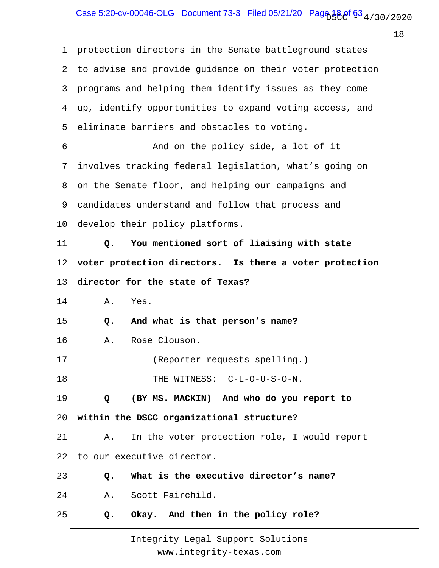| 1  | protection directors in the Senate battleground states   |
|----|----------------------------------------------------------|
| 2  | to advise and provide guidance on their voter protection |
| 3  | programs and helping them identify issues as they come   |
| 4  | up, identify opportunities to expand voting access, and  |
| 5  | eliminate barriers and obstacles to voting.              |
| 6  | And on the policy side, a lot of it                      |
| 7  | involves tracking federal legislation, what's going on   |
| 8  | on the Senate floor, and helping our campaigns and       |
| 9  | candidates understand and follow that process and        |
| 10 | develop their policy platforms.                          |
| 11 | You mentioned sort of liaising with state<br>$Q$ .       |
| 12 | voter protection directors. Is there a voter protection  |
| 13 | director for the state of Texas?                         |
| 14 | Yes.<br>Α.                                               |
| 15 | And what is that person's name?<br>Q.                    |
| 16 | Rose Clouson.<br>Α.                                      |
| 17 | (Reporter requests spelling.)                            |
| 18 | THE WITNESS: C-L-O-U-S-O-N.                              |
| 19 | (BY MS. MACKIN) And who do you report to<br>Q            |
| 20 | within the DSCC organizational structure?                |
| 21 | In the voter protection role, I would report<br>Α.       |
| 22 | to our executive director.                               |
| 23 | What is the executive director's name?<br>Q.             |
| 24 | Scott Fairchild.<br>Α.                                   |
| 25 | Okay. And then in the policy role?<br>Q.                 |
|    |                                                          |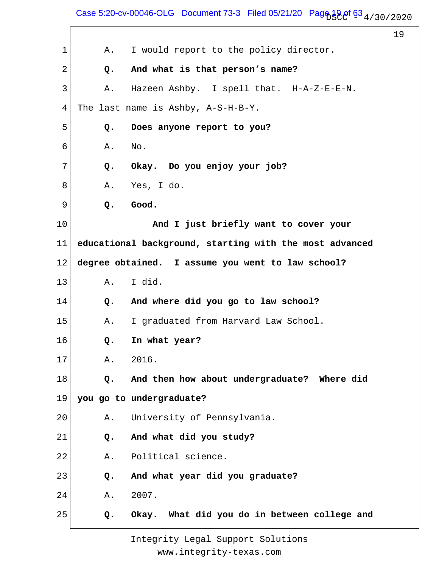Case 5:20-cv-00046-OLG Document 73-3 Filed 05/21/20 Page  $19.0$  f  $63.4/30/2020$ 

 $\mathsf{r}$ 

19

| $\mathbf 1$    | I would report to the policy director.<br>Α.            |  |
|----------------|---------------------------------------------------------|--|
| 2              | And what is that person's name?<br>Q.                   |  |
| $\mathfrak{Z}$ | Hazeen Ashby. I spell that. H-A-Z-E-E-N.<br>Α.          |  |
| 4              | The last name is Ashby, A-S-H-B-Y.                      |  |
| 5              | Does anyone report to you?<br>Q.                        |  |
| 6              | Α.<br>No.                                               |  |
| 7              | Okay. Do you enjoy your job?<br>Q.                      |  |
| 8              | Yes, I do.<br>Α.                                        |  |
| 9              | Good.<br>Q.                                             |  |
| 10             | And I just briefly want to cover your                   |  |
| 11             | educational background, starting with the most advanced |  |
| 12             | degree obtained. I assume you went to law school?       |  |
| 13             | I did.<br>Α.                                            |  |
| 14             | And where did you go to law school?<br>Q.               |  |
| 15             | I graduated from Harvard Law School.<br>Α.              |  |
| 16             | In what year?<br>Q.                                     |  |
| 17             | 2016.<br>Α.                                             |  |
| 18             | And then how about undergraduate? Where did<br>Q.       |  |
| 19             | you go to undergraduate?                                |  |
| 20             | University of Pennsylvania.<br>Α.                       |  |
| 21             | And what did you study?<br>Q.                           |  |
| 22             | Political science.<br>Α.                                |  |
| 23             | And what year did you graduate?<br>Q.                   |  |
| 24             | 2007.<br>Α.                                             |  |
| 25             | Okay. What did you do in between college and<br>Q.      |  |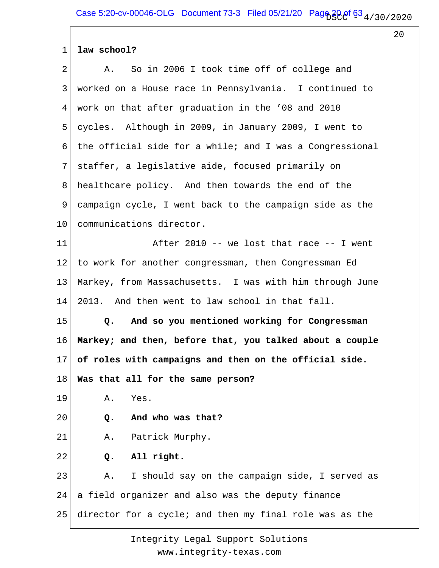#### 1 **law school?**

| $\overline{2}$  | So in 2006 I took time off of college and<br>Α.               |
|-----------------|---------------------------------------------------------------|
| 3               | worked on a House race in Pennsylvania. I continued to        |
| 4               | work on that after graduation in the '08 and 2010             |
| 5               | cycles. Although in 2009, in January 2009, I went to          |
| 6               | the official side for a while; and I was a Congressional      |
| 7               | staffer, a legislative aide, focused primarily on             |
| 8               | healthcare policy. And then towards the end of the            |
| 9               | campaign cycle, I went back to the campaign side as the       |
| 10              | communications director.                                      |
| 11              | After 2010 -- we lost that race -- I went                     |
| 12              | to work for another congressman, then Congressman Ed          |
| 13              | Markey, from Massachusetts. I was with him through June       |
| 14              | 2013. And then went to law school in that fall.               |
| 15              | And so you mentioned working for Congressman<br>$Q_{\bullet}$ |
| 16              | Markey; and then, before that, you talked about a couple      |
| 17 <sub>1</sub> | of roles with campaigns and then on the official side.        |
| 18              | Was that all for the same person?                             |
| 19              | Α.<br>Yes.                                                    |
| 20              | And who was that?<br>Q.                                       |
| 21              | Patrick Murphy.<br>Α.                                         |
| 22              | All right.<br>Q.                                              |
| 23              | I should say on the campaign side, I served as<br>Α.          |
|                 |                                                               |
| 24              | a field organizer and also was the deputy finance             |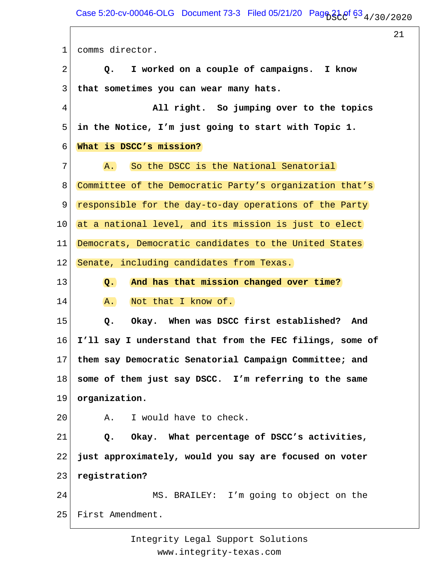1 2 3 4 5 6 7 8 9 10 11 12 13 14 15 16 17 18 19 20 21 22 23 24 25 comms director.  **Q. I worked on a couple of campaigns. I know that sometimes you can wear many hats. All right. So jumping over to the topics in the Notice, I'm just going to start with Topic 1. What is DSCC's mission?** A. So the DSCC is the National Senatorial Committee of the Democratic Party's organization that's responsible for the day-to-day operations of the Party at a national level, and its mission is just to elect Democrats, Democratic candidates to the United States Senate, including candidates from Texas.  **Q. And has that mission changed over time?** A. Not that I know of.  **Q. Okay. When was DSCC first established? And I'll say I understand that from the FEC filings, some of them say Democratic Senatorial Campaign Committee; and some of them just say DSCC. I'm referring to the same organization.** A. I would have to check.  **Q. Okay. What percentage of DSCC's activities, just approximately, would you say are focused on voter registration?** MS. BRAILEY: I'm going to object on the First Amendment.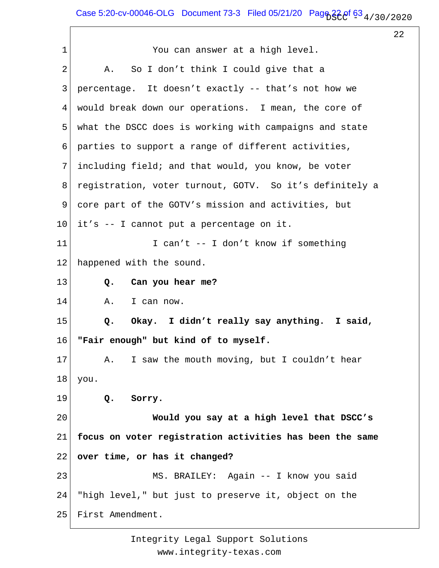# Case 5:20-cv-00046-OLG Document 73-3 Filed 05/21/20 Pag $63_{4/30/2020}$

22

1 2 3 4 5 6 7 8 9 10 11 12 13 14 15 16 17 18 19 20 21 22 23 24 25 You can answer at a high level. A. So I don't think I could give that a percentage. It doesn't exactly -- that's not how we would break down our operations. I mean, the core of what the DSCC does is working with campaigns and state parties to support a range of different activities, including field; and that would, you know, be voter registration, voter turnout, GOTV. So it's definitely a core part of the GOTV's mission and activities, but it's -- I cannot put a percentage on it. I can't -- I don't know if something happened with the sound.  **Q. Can you hear me?** A. I can now.  **Q. Okay. I didn't really say anything. I said, "Fair enough" but kind of to myself.** A. I saw the mouth moving, but I couldn't hear you.  **Q. Sorry. Would you say at a high level that DSCC's focus on voter registration activities has been the same over time, or has it changed?** MS. BRAILEY: Again -- I know you said "high level," but just to preserve it, object on the First Amendment.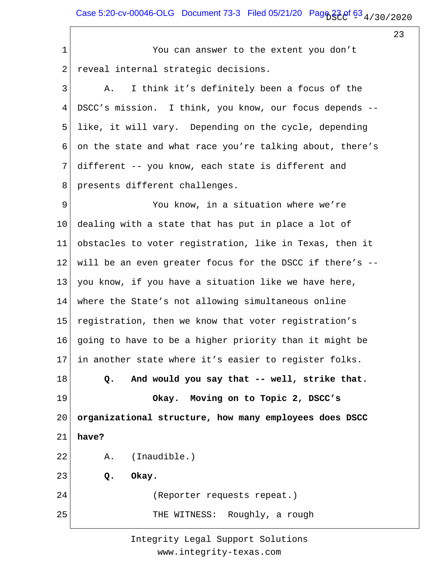Case 5:20-cv-00046-OLG Document 73-3 Filed 05/21/20 Page  $23e$ f 63  $_4$  / 30 / 20 20

23

1 2 3 4 5 6 7 8 9 10 11 12 13 14 15 16 17 18 19 20 21 22 23 24 25 You can answer to the extent you don't reveal internal strategic decisions. A. I think it's definitely been a focus of the DSCC's mission. I think, you know, our focus depends - like, it will vary. Depending on the cycle, depending on the state and what race you're talking about, there's different -- you know, each state is different and presents different challenges. You know, in a situation where we're dealing with a state that has put in place a lot of obstacles to voter registration, like in Texas, then it will be an even greater focus for the DSCC if there's - you know, if you have a situation like we have here, where the State's not allowing simultaneous online registration, then we know that voter registration's going to have to be a higher priority than it might be in another state where it's easier to register folks.  **Q. And would you say that -- well, strike that. Okay. Moving on to Topic 2, DSCC's organizational structure, how many employees does DSCC have?** A. (Inaudible.)  **Q. Okay.** (Reporter requests repeat.) THE WITNESS: Roughly, a rough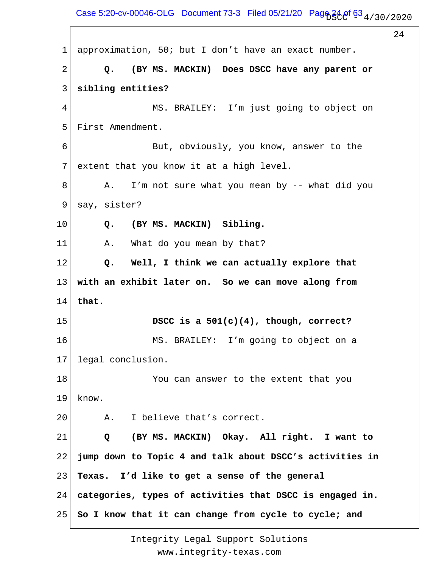Case 5:20-cv-00046-OLG Document 73-3 Filed 05/21/20 Pag $63_4$  of  $63_4$  / 30 / 2020

 $2.4$ 

1 2 3 4 5 6 7 8 9 10 11 12 13 14 15 16 17 18 19 20 21 22 23 24 25 approximation, 50; but I don't have an exact number.  **Q. (BY MS. MACKIN) Does DSCC have any parent or sibling entities?** MS. BRAILEY: I'm just going to object on First Amendment. But, obviously, you know, answer to the extent that you know it at a high level. A. I'm not sure what you mean by -- what did you say, sister?  **Q. (BY MS. MACKIN) Sibling.** A. What do you mean by that?  **Q. Well, I think we can actually explore that with an exhibit later on. So we can move along from that. DSCC is a 501(c)(4), though, correct?** MS. BRAILEY: I'm going to object on a legal conclusion. You can answer to the extent that you know. A. I believe that's correct.  **Q (BY MS. MACKIN) Okay. All right. I want to jump down to Topic 4 and talk about DSCC's activities in Texas. I'd like to get a sense of the general categories, types of activities that DSCC is engaged in. So I know that it can change from cycle to cycle; and**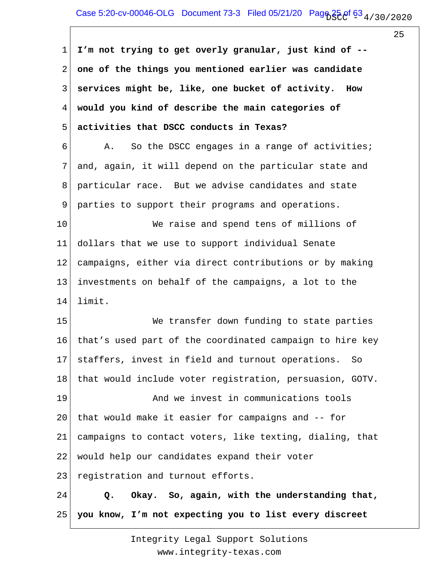1 2 3 4 5 6 7 8 9 10 11 12 13 14 15 16 17 18 19 20 21 22 23 24 25 **I'm not trying to get overly granular, just kind of - one of the things you mentioned earlier was candidate services might be, like, one bucket of activity. How would you kind of describe the main categories of activities that DSCC conducts in Texas?** A. So the DSCC engages in a range of activities; and, again, it will depend on the particular state and particular race. But we advise candidates and state parties to support their programs and operations. We raise and spend tens of millions of dollars that we use to support individual Senate campaigns, either via direct contributions or by making investments on behalf of the campaigns, a lot to the limit. We transfer down funding to state parties that's used part of the coordinated campaign to hire key staffers, invest in field and turnout operations. So that would include voter registration, persuasion, GOTV. And we invest in communications tools that would make it easier for campaigns and -- for campaigns to contact voters, like texting, dialing, that would help our candidates expand their voter registration and turnout efforts.  **Q. Okay. So, again, with the understanding that, you know, I'm not expecting you to list every discreet**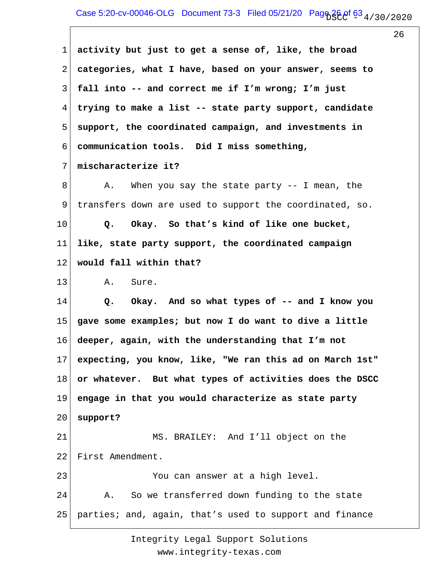1 2 3 4 5 6 7 8 9 10 11 12 13 14 15 16 17 18 19 20 21 22 23 24 25 **activity but just to get a sense of, like, the broad categories, what I have, based on your answer, seems to fall into -- and correct me if I'm wrong; I'm just trying to make a list -- state party support, candidate support, the coordinated campaign, and investments in communication tools. Did I miss something, mischaracterize it?** A. When you say the state party -- I mean, the transfers down are used to support the coordinated, so.  **Q. Okay. So that's kind of like one bucket, like, state party support, the coordinated campaign would fall within that?** A. Sure.  **Q. Okay. And so what types of -- and I know you gave some examples; but now I do want to dive a little deeper, again, with the understanding that I'm not expecting, you know, like, "We ran this ad on March 1st" or whatever. But what types of activities does the DSCC engage in that you would characterize as state party support?** MS. BRAILEY: And I'll object on the First Amendment. You can answer at a high level. A. So we transferred down funding to the state parties; and, again, that's used to support and finance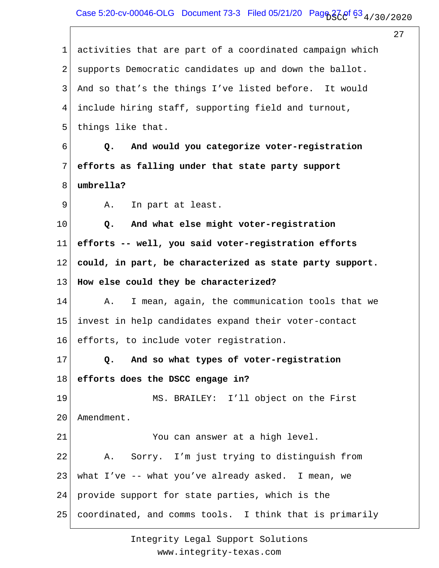27 1 2 3 4 5 6 7 8 9 10 11 12 13 14 15 16 17 18 19 20 21 22 23 24 25 activities that are part of a coordinated campaign which supports Democratic candidates up and down the ballot. And so that's the things I've listed before. It would include hiring staff, supporting field and turnout, things like that.  **Q. And would you categorize voter-registration efforts as falling under that state party support umbrella?** A. In part at least.  **Q. And what else might voter-registration efforts -- well, you said voter-registration efforts could, in part, be characterized as state party support. How else could they be characterized?** A. I mean, again, the communication tools that we invest in help candidates expand their voter-contact efforts, to include voter registration.  **Q. And so what types of voter-registration efforts does the DSCC engage in?** MS. BRAILEY: I'll object on the First Amendment. You can answer at a high level. A. Sorry. I'm just trying to distinguish from what I've -- what you've already asked. I mean, we provide support for state parties, which is the coordinated, and comms tools. I think that is primarily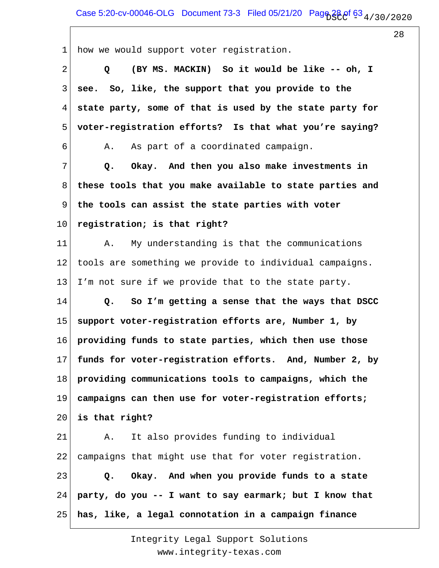1 2 3 4 5 6 7 8 9 10 11 12 13 14 15 16 17 18 19 20 21 22 23 24 25 how we would support voter registration.  **Q (BY MS. MACKIN) So it would be like -- oh, I see. So, like, the support that you provide to the state party, some of that is used by the state party for voter-registration efforts? Is that what you're saying?** A. As part of a coordinated campaign.  **Q. Okay. And then you also make investments in these tools that you make available to state parties and the tools can assist the state parties with voter registration; is that right?** A. My understanding is that the communications tools are something we provide to individual campaigns. I'm not sure if we provide that to the state party.  **Q. So I'm getting a sense that the ways that DSCC support voter-registration efforts are, Number 1, by providing funds to state parties, which then use those funds for voter-registration efforts. And, Number 2, by providing communications tools to campaigns, which the campaigns can then use for voter-registration efforts; is that right?** A. It also provides funding to individual campaigns that might use that for voter registration.  **Q. Okay. And when you provide funds to a state party, do you -- I want to say earmark; but I know that has, like, a legal connotation in a campaign finance**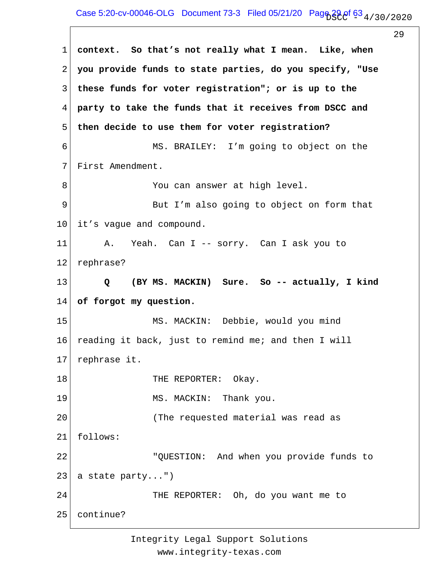## Case 5:20-cv-00046-OLG Document 73-3 Filed 05/21/20 Page  $29.0^{f}$  63  $_4$  / 30 / 20 20

29

1 2 3 4 5 6 7 8 9 10 11 12 13 14 15 16 17 18 19 20 21 22 23 24 25 **context. So that's not really what I mean. Like, when you provide funds to state parties, do you specify, "Use these funds for voter registration"; or is up to the party to take the funds that it receives from DSCC and then decide to use them for voter registration?** MS. BRAILEY: I'm going to object on the First Amendment. You can answer at high level. But I'm also going to object on form that it's vague and compound. A. Yeah. Can I -- sorry. Can I ask you to rephrase?  **Q (BY MS. MACKIN) Sure. So -- actually, I kind of forgot my question.** MS. MACKIN: Debbie, would you mind reading it back, just to remind me; and then I will rephrase it. THE REPORTER: Okay. MS. MACKIN: Thank you. (The requested material was read as follows: "QUESTION: And when you provide funds to a state party...") THE REPORTER: Oh, do you want me to continue?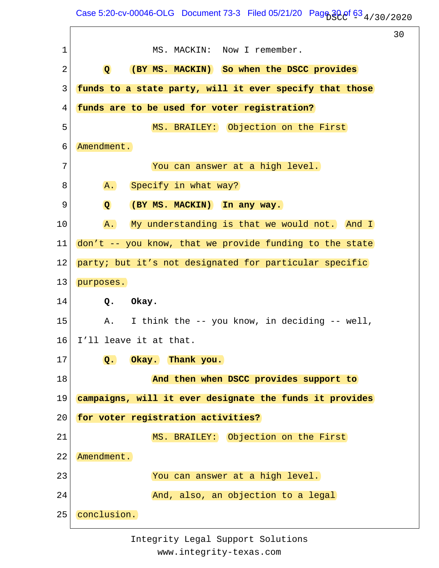Case 5:20-cv-00046-OLG Document 73-3 Filed 05/21/20 Page  $30e^f$  63  $_4$  / 30 / 2020

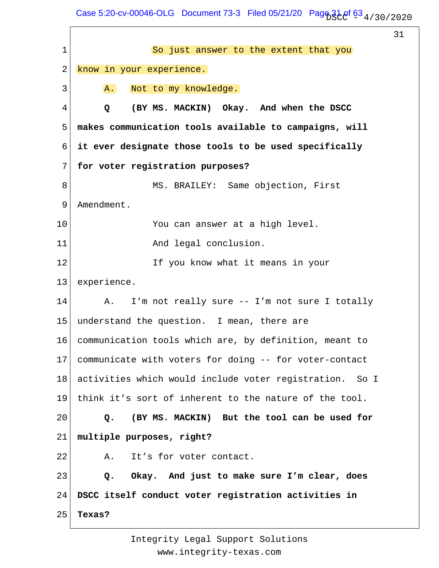Case 5:20-cv-00046-OLG Document 73-3 Filed 05/21/20 Page  $31e^f$  63  $_4$  / 30 / 2020

 $\mathbf{r}$ 

|    |                                                              | 31 |
|----|--------------------------------------------------------------|----|
| 1  | So just answer to the extent that you                        |    |
| 2  | know in your experience.                                     |    |
| 3  | Not to my knowledge.<br>A.                                   |    |
| 4  | (BY MS. MACKIN) Okay. And when the DSCC<br>Q                 |    |
| 5  | makes communication tools available to campaigns, will       |    |
| 6  | it ever designate those tools to be used specifically        |    |
| 7  | for voter registration purposes?                             |    |
| 8  | MS. BRAILEY: Same objection, First                           |    |
| 9  | Amendment.                                                   |    |
| 10 | You can answer at a high level.                              |    |
| 11 | And legal conclusion.                                        |    |
| 12 | If you know what it means in your                            |    |
| 13 | experience.                                                  |    |
| 14 | I'm not really sure -- I'm not sure I totally<br>Α.          |    |
| 15 | understand the question. I mean, there are                   |    |
| 16 | communication tools which are, by definition, meant to       |    |
| 17 | communicate with voters for doing -- for voter-contact       |    |
| 18 | activities which would include voter registration.<br>- So I |    |
| 19 | think it's sort of inherent to the nature of the tool.       |    |
| 20 | (BY MS. MACKIN) But the tool can be used for<br>Q.           |    |
| 21 | multiple purposes, right?                                    |    |
| 22 | It's for voter contact.<br>Α.                                |    |
| 23 | Okay. And just to make sure I'm clear, does<br>Q.            |    |
| 24 | DSCC itself conduct voter registration activities in         |    |
| 25 | Texas?                                                       |    |
|    |                                                              |    |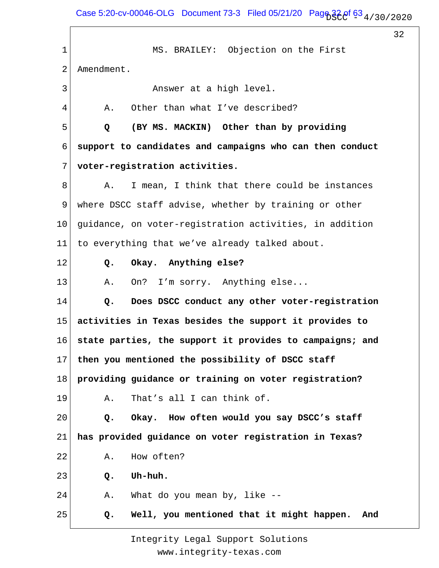Case 5:20-cv-00046-OLG Document 73-3 Filed 05/21/20 Pag $63\frac{1}{3}$  Of  $63\frac{4}{30}$  / 2020

32

1 2 3 4 5 6 7 8 9 10 11 12 13 14 15 16 17 18 19 20 21 22 23 24 25 MS. BRAILEY: Objection on the First Amendment. Answer at a high level. A. Other than what I've described?  **Q (BY MS. MACKIN) Other than by providing support to candidates and campaigns who can then conduct voter-registration activities.** A. I mean, I think that there could be instances where DSCC staff advise, whether by training or other guidance, on voter-registration activities, in addition to everything that we've already talked about.  **Q. Okay. Anything else?** A. On? I'm sorry. Anything else...  **Q. Does DSCC conduct any other voter-registration activities in Texas besides the support it provides to state parties, the support it provides to campaigns; and then you mentioned the possibility of DSCC staff providing guidance or training on voter registration?** A. That's all I can think of.  **Q. Okay. How often would you say DSCC's staff has provided guidance on voter registration in Texas?** A. How often?  **Q. Uh-huh.** A. What do you mean by, like --  **Q. Well, you mentioned that it might happen. And**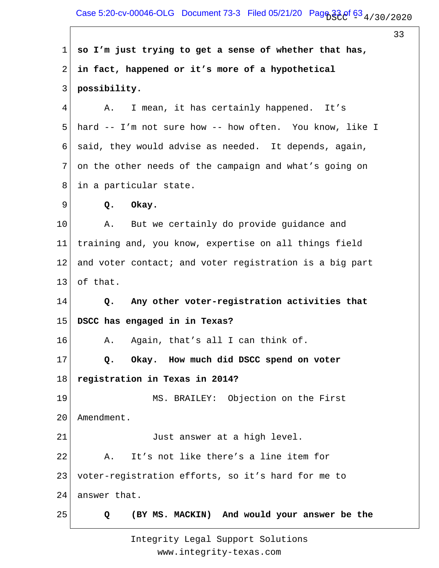Case 5:20-cv-00046-OLG Document 73-3 Filed 05/21/20 Page  $33.8^\circ$  63  $_4$  / 30 / 2020

33 1 2 3 4 5 6 7 8 9 10 11 12 13 14 15 16 17 18 19 20 21 22 23 24 25 **so I'm just trying to get a sense of whether that has, in fact, happened or it's more of a hypothetical possibility.** A. I mean, it has certainly happened. It's hard -- I'm not sure how -- how often. You know, like I said, they would advise as needed. It depends, again, on the other needs of the campaign and what's going on in a particular state.  **Q. Okay.** A. But we certainly do provide guidance and training and, you know, expertise on all things field and voter contact; and voter registration is a big part of that.  **Q. Any other voter-registration activities that DSCC has engaged in in Texas?** A. Again, that's all I can think of.  **Q. Okay. How much did DSCC spend on voter registration in Texas in 2014?** MS. BRAILEY: Objection on the First Amendment. Just answer at a high level. A. It's not like there's a line item for voter-registration efforts, so it's hard for me to answer that.  **Q (BY MS. MACKIN) And would your answer be the**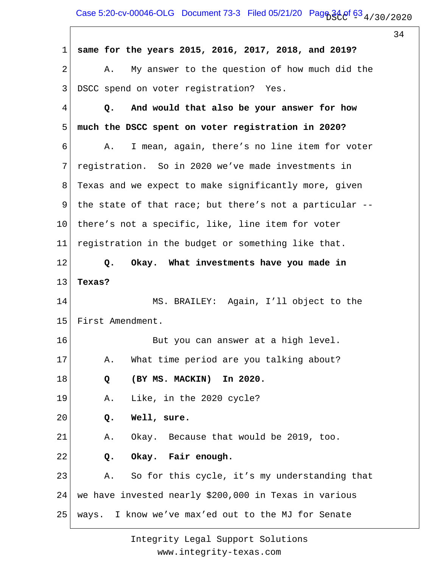Case 5:20-cv-00046-OLG Document 73-3 Filed 05/21/20 Pag $634.9f$   $63.4/30/2020$ 

34

1 2 3 4 5 6 7 8 9 10 11 12 13 14 15 16 17 18 19 20 21 22 23 24 25 **same for the years 2015, 2016, 2017, 2018, and 2019?** A. My answer to the question of how much did the DSCC spend on voter registration? Yes.  **Q. And would that also be your answer for how much the DSCC spent on voter registration in 2020?** A. I mean, again, there's no line item for voter registration. So in 2020 we've made investments in Texas and we expect to make significantly more, given the state of that race; but there's not a particular - there's not a specific, like, line item for voter registration in the budget or something like that.  **Q. Okay. What investments have you made in Texas?** MS. BRAILEY: Again, I'll object to the First Amendment. But you can answer at a high level. A. What time period are you talking about?  **Q (BY MS. MACKIN) In 2020.** A. Like, in the 2020 cycle?  **Q. Well, sure.** A. Okay. Because that would be 2019, too.  **Q. Okay. Fair enough.** A. So for this cycle, it's my understanding that we have invested nearly \$200,000 in Texas in various ways. I know we've max'ed out to the MJ for Senate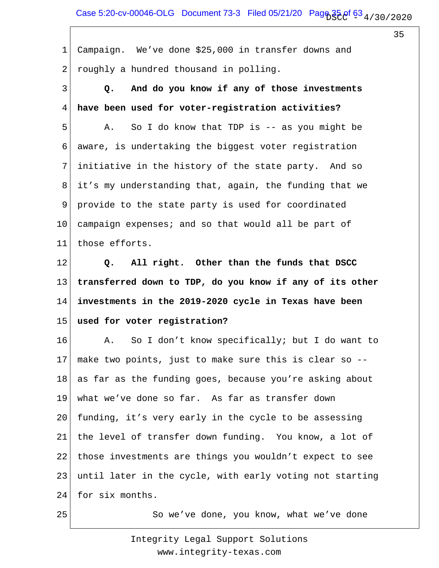Case 5:20-cv-00046-OLG Document 73-3 Filed 05/21/20 Page  $35.0^{f}$  63  $_4$  / 30 / 2020

35

1 2 Campaign. We've done \$25,000 in transfer downs and roughly a hundred thousand in polling.

3 4 5 6 7 8 9 10 11  **Q. And do you know if any of those investments have been used for voter-registration activities?** A. So I do know that TDP is -- as you might be aware, is undertaking the biggest voter registration initiative in the history of the state party. And so it's my understanding that, again, the funding that we provide to the state party is used for coordinated campaign expenses; and so that would all be part of those efforts.

12 13 14 15  **Q. All right. Other than the funds that DSCC transferred down to TDP, do you know if any of its other investments in the 2019-2020 cycle in Texas have been used for voter registration?**

16 17 18 19 20 21 22 23 24 A. So I don't know specifically; but I do want to make two points, just to make sure this is clear so - as far as the funding goes, because you're asking about what we've done so far. As far as transfer down funding, it's very early in the cycle to be assessing the level of transfer down funding. You know, a lot of those investments are things you wouldn't expect to see until later in the cycle, with early voting not starting for six months.

25

So we've done, you know, what we've done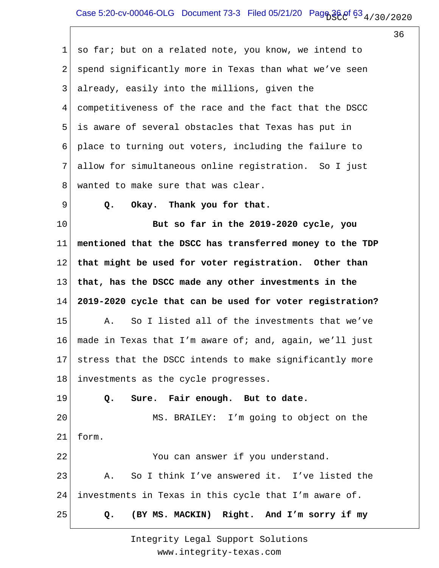1 2 3 4 5 6 7 8 9 10 11 12 13 14 15 16 17 18 19 20 21 22 23 24 25 so far; but on a related note, you know, we intend to spend significantly more in Texas than what we've seen already, easily into the millions, given the competitiveness of the race and the fact that the DSCC is aware of several obstacles that Texas has put in place to turning out voters, including the failure to allow for simultaneous online registration. So I just wanted to make sure that was clear.  **Q. Okay. Thank you for that. But so far in the 2019-2020 cycle, you mentioned that the DSCC has transferred money to the TDP that might be used for voter registration. Other than that, has the DSCC made any other investments in the 2019-2020 cycle that can be used for voter registration?** A. So I listed all of the investments that we've made in Texas that I'm aware of; and, again, we'll just stress that the DSCC intends to make significantly more investments as the cycle progresses.  **Q. Sure. Fair enough. But to date.** MS. BRAILEY: I'm going to object on the form. You can answer if you understand. A. So I think I've answered it. I've listed the investments in Texas in this cycle that I'm aware of.  **Q. (BY MS. MACKIN) Right. And I'm sorry if my**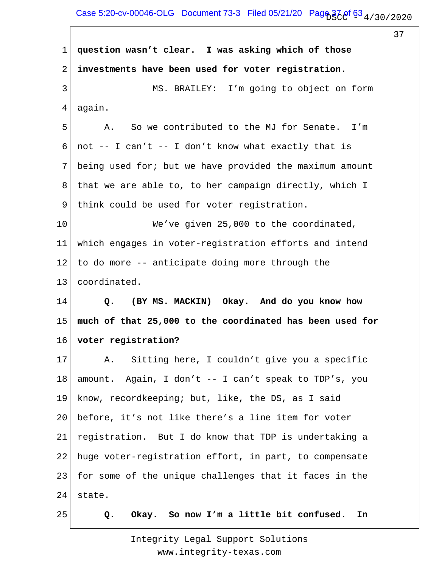## Case 5:20-cv-00046-OLG Document 73-3 Filed 05/21/20 Pag $63/20f$   $63/4/30/2020$

37

1 2 3 4 5 6 7 8 9 10 11 12 13 14 15 16 17 18 19 20 21 22 23 24 25 **question wasn't clear. I was asking which of those investments have been used for voter registration.** MS. BRAILEY: I'm going to object on form again. A. So we contributed to the MJ for Senate. I'm not -- I can't -- I don't know what exactly that is being used for; but we have provided the maximum amount that we are able to, to her campaign directly, which I think could be used for voter registration. We've given 25,000 to the coordinated, which engages in voter-registration efforts and intend to do more -- anticipate doing more through the coordinated.  **Q. (BY MS. MACKIN) Okay. And do you know how much of that 25,000 to the coordinated has been used for voter registration?** A. Sitting here, I couldn't give you a specific amount. Again, I don't -- I can't speak to TDP's, you know, recordkeeping; but, like, the DS, as I said before, it's not like there's a line item for voter registration. But I do know that TDP is undertaking a huge voter-registration effort, in part, to compensate for some of the unique challenges that it faces in the state.  **Q. Okay. So now I'm a little bit confused. In**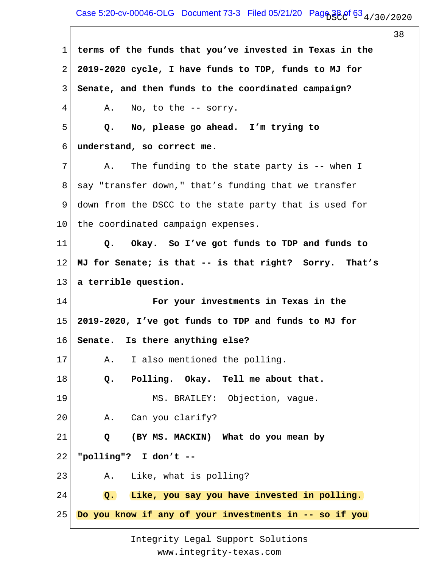Case 5:20-cv-00046-OLG Document 73-3 Filed 05/21/20 Page  $38.0^{\circ}$  63  $_4$  / 30 / 2020

38

1 2 3 4 5 6 7 8 9 10 11 12 13 14 15 16 17 18 19 20 21 22 23 24 25 **terms of the funds that you've invested in Texas in the 2019-2020 cycle, I have funds to TDP, funds to MJ for Senate, and then funds to the coordinated campaign?** A. No, to the -- sorry.  **Q. No, please go ahead. I'm trying to understand, so correct me.** A. The funding to the state party is -- when I say "transfer down," that's funding that we transfer down from the DSCC to the state party that is used for the coordinated campaign expenses.  **Q. Okay. So I've got funds to TDP and funds to MJ for Senate; is that -- is that right? Sorry. That's a terrible question. For your investments in Texas in the 2019-2020, I've got funds to TDP and funds to MJ for Senate. Is there anything else?** A. I also mentioned the polling.  **Q. Polling. Okay. Tell me about that.** MS. BRAILEY: Objection, vague. A. Can you clarify?  **Q (BY MS. MACKIN) What do you mean by "polling"? I don't --** A. Like, what is polling?  **Q. Like, you say you have invested in polling. Do you know if any of your investments in -- so if you**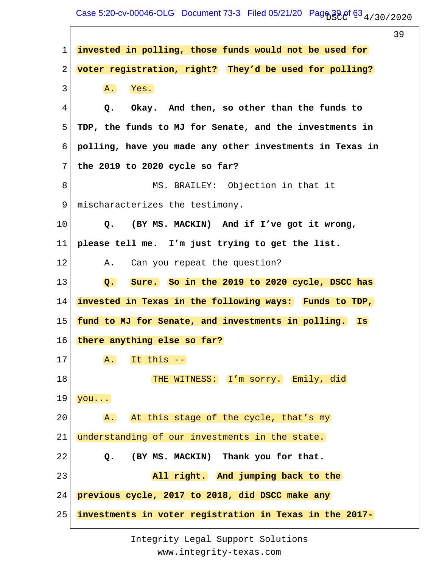Case 5:20-cv-00046-OLG Document 73-3 Filed 05/21/20 Page  $39.0f$  63  $_4$  / 30 / 20 20

39 1 2 3 4 5 6 7 8 9 10 11 12 13 14 15 16 17 18 19 20 21 22 23 24 25 **invested in polling, those funds would not be used for voter registration, right? They'd be used for polling?** A. Yes.  **Q. Okay. And then, so other than the funds to TDP, the funds to MJ for Senate, and the investments in polling, have you made any other investments in Texas in the 2019 to 2020 cycle so far?** MS. BRAILEY: Objection in that it mischaracterizes the testimony.  **Q. (BY MS. MACKIN) And if I've got it wrong, please tell me. I'm just trying to get the list.** A. Can you repeat the question?  **Q. Sure. So in the 2019 to 2020 cycle, DSCC has invested in Texas in the following ways: Funds to TDP, fund to MJ for Senate, and investments in polling. Is there anything else so far?** A. It this -- THE WITNESS: I'm sorry. Emily, did you... A. At this stage of the cycle, that's my understanding of our investments in the state.  **Q. (BY MS. MACKIN) Thank you for that. All right. And jumping back to the previous cycle, 2017 to 2018, did DSCC make any investments in voter registration in Texas in the 2017-**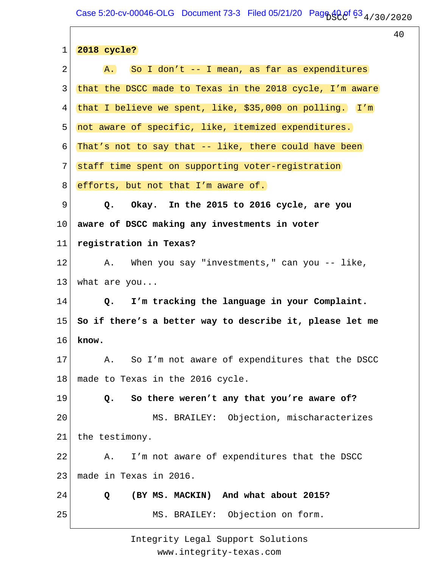Case 5:20-cv-00046-OLG Document 73-3 Filed 05/21/20 Page  $40.05\frac{4}{3}$  (30/2020

40

| $\mathbf 1$ | 2018 cycle?                                              |
|-------------|----------------------------------------------------------|
| 2           | A. So I don't -- I mean, as far as expenditures          |
| 3           | that the DSCC made to Texas in the 2018 cycle, I'm aware |
| 4           | that I believe we spent, like, \$35,000 on polling. I'm  |
| 5           | not aware of specific, like, itemized expenditures.      |
| 6           | That's not to say that -- like, there could have been    |
| 7           | staff time spent on supporting voter-registration        |
| 8           | efforts, but not that I'm aware of.                      |
| 9           | Q. Okay. In the 2015 to 2016 cycle, are you              |
| 10          | aware of DSCC making any investments in voter            |
| 11          | registration in Texas?                                   |
| 12          | A. When you say "investments," can you -- like,          |
| 13          | what are you                                             |
| 14          | Q. I'm tracking the language in your Complaint.          |
| 15          | So if there's a better way to describe it, please let me |
| 16          | know.                                                    |
| 17          | Α.<br>So I'm not aware of expenditures that the DSCC     |
| 18          | made to Texas in the 2016 cycle.                         |
| 19          | So there weren't any that you're aware of?<br>Q.         |
| 20          | MS. BRAILEY: Objection, mischaracterizes                 |
| 21          | the testimony.                                           |
| 22          | I'm not aware of expenditures that the DSCC<br>Α.        |
| 23          | made in Texas in 2016.                                   |
| 24          | (BY MS. MACKIN) And what about 2015?<br>Q                |
| 25          | MS. BRAILEY: Objection on form.                          |
|             |                                                          |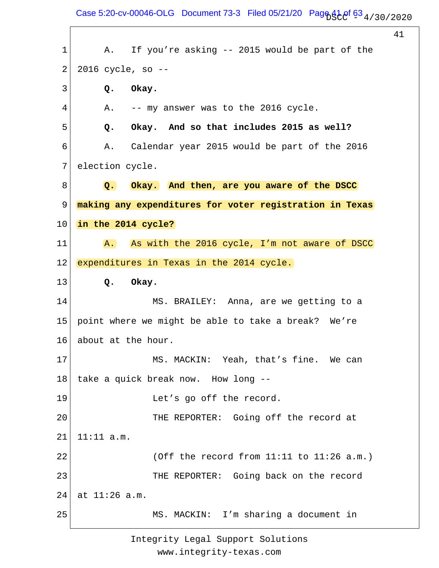Case 5:20-cv-00046-OLG Document 73-3 Filed 05/21/20 Page  $41.0$  f  $63.4$  / 30 / 20 20

41 1 2 3 4 5 6 7 8 9 10 11 12 13 14 15 16 17 18 19 20 21 22 23 24 25 A. If you're asking -- 2015 would be part of the 2016 cycle, so --  **Q. Okay.** A. -- my answer was to the 2016 cycle.  **Q. Okay. And so that includes 2015 as well?** A. Calendar year 2015 would be part of the 2016 election cycle.  **Q. Okay. And then, are you aware of the DSCC making any expenditures for voter registration in Texas in the 2014 cycle?** A. As with the 2016 cycle, I'm not aware of DSCC expenditures in Texas in the 2014 cycle.  **Q. Okay.** MS. BRAILEY: Anna, are we getting to a point where we might be able to take a break? We're about at the hour. MS. MACKIN: Yeah, that's fine. We can take a quick break now. How long -- Let's go off the record. THE REPORTER: Going off the record at 11:11 a.m. (Off the record from 11:11 to 11:26 a.m.) THE REPORTER: Going back on the record at 11:26 a.m. MS. MACKIN: I'm sharing a document in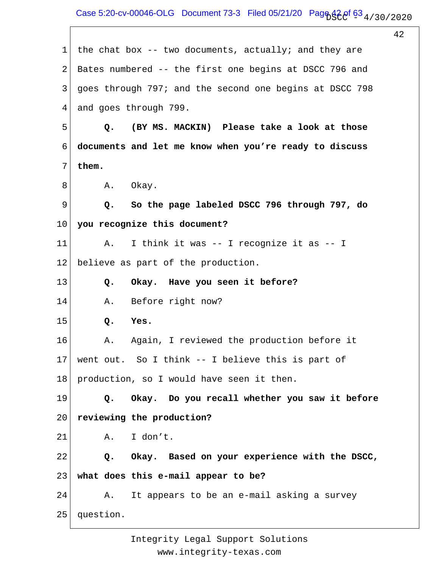Case 5:20-cv-00046-OLG Document 73-3 Filed 05/21/20 Page  $42e^f$  63  $_4$  / 30 / 2020

42

| 1  | the chat box $-$ - two documents, actually; and they are |
|----|----------------------------------------------------------|
|    |                                                          |
| 2  | Bates numbered -- the first one begins at DSCC 796 and   |
| 3  | goes through 797; and the second one begins at DSCC 798  |
| 4  | and goes through 799.                                    |
| 5  | (BY MS. MACKIN) Please take a look at those<br>Q.        |
| 6  | documents and let me know when you're ready to discuss   |
| 7  | them.                                                    |
| 8  | A. Okay.                                                 |
| 9  | So the page labeled DSCC 796 through 797, do<br>Q.       |
| 10 | you recognize this document?                             |
| 11 | I think it was -- I recognize it as -- I<br>Α.           |
| 12 | believe as part of the production.                       |
| 13 | Okay. Have you seen it before?<br>Q.                     |
| 14 | Before right now?<br>Α.                                  |
| 15 | Yes.<br>Q.                                               |
| 16 | Again, I reviewed the production before it<br>Α.         |
| 17 | went out. So I think -- I believe this is part of        |
| 18 | production, so I would have seen it then.                |
| 19 | Q. Okay. Do you recall whether you saw it before         |
| 20 | reviewing the production?                                |
| 21 | A. I don't.                                              |
| 22 | Q. Okay. Based on your experience with the DSCC,         |
| 23 | what does this e-mail appear to be?                      |
| 24 | A. It appears to be an e-mail asking a survey            |
| 25 | question.                                                |
|    |                                                          |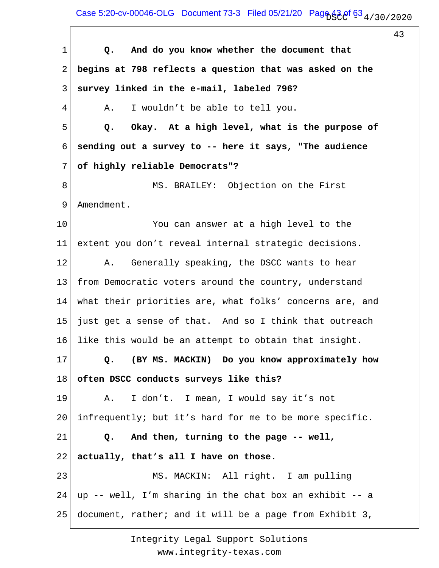Case 5:20-cv-00046-OLG Document 73-3 Filed 05/21/20 Page  $43.0f$  63  $_4$  / 30 / 20 20

43

1 2 3 4 5 6 7 8 9 10 11 12 13 14 15 16 17 18 19 20 21 22 23 24 25  **Q. And do you know whether the document that begins at 798 reflects a question that was asked on the survey linked in the e-mail, labeled 796?** A. I wouldn't be able to tell you.  **Q. Okay. At a high level, what is the purpose of sending out a survey to -- here it says, "The audience of highly reliable Democrats"?** MS. BRAILEY: Objection on the First Amendment. You can answer at a high level to the extent you don't reveal internal strategic decisions. A. Generally speaking, the DSCC wants to hear from Democratic voters around the country, understand what their priorities are, what folks' concerns are, and just get a sense of that. And so I think that outreach like this would be an attempt to obtain that insight.  **Q. (BY MS. MACKIN) Do you know approximately how often DSCC conducts surveys like this?** A. I don't. I mean, I would say it's not infrequently; but it's hard for me to be more specific.  **Q. And then, turning to the page -- well, actually, that's all I have on those.** MS. MACKIN: All right. I am pulling up -- well, I'm sharing in the chat box an exhibit -- a document, rather; and it will be a page from Exhibit 3,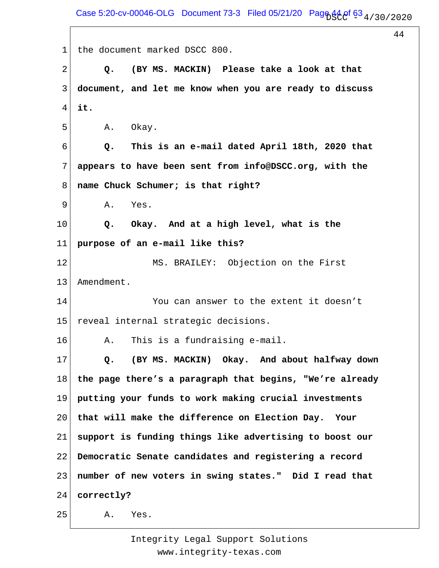Case 5:20-cv-00046-OLG Document 73-3 Filed 05/21/20 Page  $44.0^{\circ}$  63  $_4$  / 30 / 2020

44

1 2 3 4 5 6 7 8 9 10 11 12 13 14 15 16 17 18 19 20 21 22 23 24 25 the document marked DSCC 800.  **Q. (BY MS. MACKIN) Please take a look at that document, and let me know when you are ready to discuss it.** A. Okay.  **Q. This is an e-mail dated April 18th, 2020 that appears to have been sent from info@DSCC.org, with the name Chuck Schumer; is that right?** A. Yes.  **Q. Okay. And at a high level, what is the purpose of an e-mail like this?** MS. BRAILEY: Objection on the First Amendment. You can answer to the extent it doesn't reveal internal strategic decisions. A. This is a fundraising e-mail.  **Q. (BY MS. MACKIN) Okay. And about halfway down the page there's a paragraph that begins, "We're already putting your funds to work making crucial investments that will make the difference on Election Day. Your support is funding things like advertising to boost our Democratic Senate candidates and registering a record number of new voters in swing states." Did I read that correctly?** A. Yes.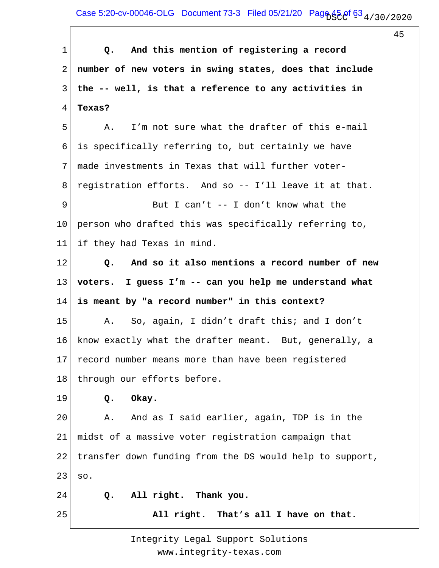Case 5:20-cv-00046-OLG Document 73-3 Filed 05/21/20 Page  $45.0f$  63  $_4$  / 30 / 20 20

45

1 2 3 4 5 6 7 8 9 10 11 12 13 14 15 16 17 18 19 20 21 22 23 24 25  **Q. And this mention of registering a record number of new voters in swing states, does that include the -- well, is that a reference to any activities in Texas?** A. I'm not sure what the drafter of this e-mail is specifically referring to, but certainly we have made investments in Texas that will further voterregistration efforts. And so -- I'll leave it at that. But I can't -- I don't know what the person who drafted this was specifically referring to, if they had Texas in mind.  **Q. And so it also mentions a record number of new voters. I guess I'm -- can you help me understand what is meant by "a record number" in this context?** A. So, again, I didn't draft this; and I don't know exactly what the drafter meant. But, generally, a record number means more than have been registered through our efforts before.  **Q. Okay.** A. And as I said earlier, again, TDP is in the midst of a massive voter registration campaign that transfer down funding from the DS would help to support, so.  **Q. All right. Thank you. All right. That's all I have on that.**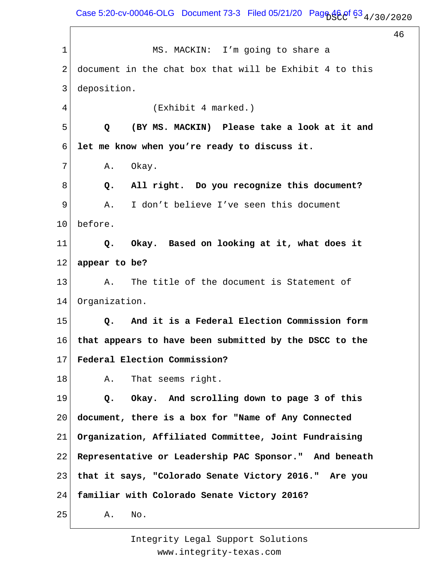Case 5:20-cv-00046-OLG Document 73-3 Filed 05/21/20 Page  $46.9f$  63  $_4$  / 30 / 2020

46

1 2 3 4 5 6 7 8 9 10 11 12 13 14 15 16 17 18 19 20 21 22 23 24 25 MS. MACKIN: I'm going to share a document in the chat box that will be Exhibit 4 to this deposition. (Exhibit 4 marked.)  **Q (BY MS. MACKIN) Please take a look at it and let me know when you're ready to discuss it.** A. Okay.  **Q. All right. Do you recognize this document?** A. I don't believe I've seen this document before.  **Q. Okay. Based on looking at it, what does it appear to be?** A. The title of the document is Statement of Organization.  **Q. And it is a Federal Election Commission form that appears to have been submitted by the DSCC to the Federal Election Commission?** A. That seems right.  **Q. Okay. And scrolling down to page 3 of this document, there is a box for "Name of Any Connected Organization, Affiliated Committee, Joint Fundraising Representative or Leadership PAC Sponsor." And beneath that it says, "Colorado Senate Victory 2016." Are you familiar with Colorado Senate Victory 2016?** A. No.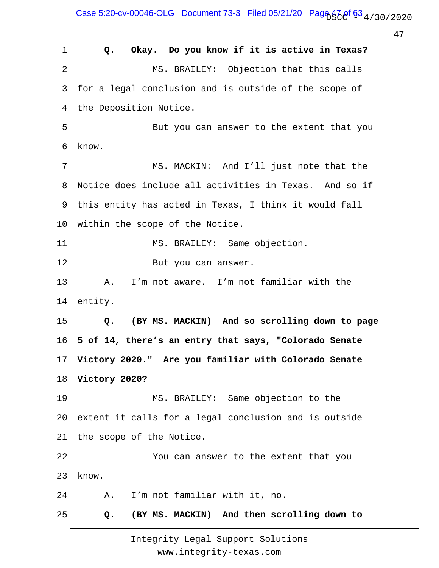Case 5:20-cv-00046-OLG Document 73-3 Filed 05/21/20 Page  $47.80/2020$ 

47

1 2 3 4 5 6 7 8 9 10 11 12 13 14 15 16 17 18 19 20 21 22 23 24 25  **Q. Okay. Do you know if it is active in Texas?** MS. BRAILEY: Objection that this calls for a legal conclusion and is outside of the scope of the Deposition Notice. But you can answer to the extent that you know. MS. MACKIN: And I'll just note that the Notice does include all activities in Texas. And so if this entity has acted in Texas, I think it would fall within the scope of the Notice. MS. BRAILEY: Same objection. But you can answer. A. I'm not aware. I'm not familiar with the entity.  **Q. (BY MS. MACKIN) And so scrolling down to page 5 of 14, there's an entry that says, "Colorado Senate Victory 2020." Are you familiar with Colorado Senate Victory 2020?** MS. BRAILEY: Same objection to the extent it calls for a legal conclusion and is outside the scope of the Notice. You can answer to the extent that you know. A. I'm not familiar with it, no.  **Q. (BY MS. MACKIN) And then scrolling down to**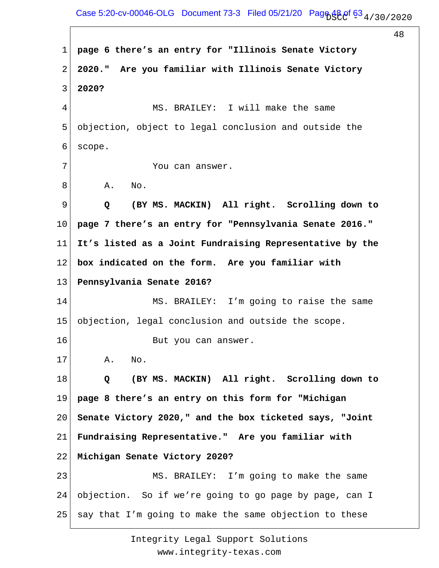Case 5:20-cv-00046-OLG Document 73-3 Filed 05/21/20 Page  $48.0f$  63  $_4$  / 30 / 20 20

48

1 2 3 4 5 6 7 8 9 10 11 12 13 14 15 16 17 18 19 20 21 22 23 24 25 **page 6 there's an entry for "Illinois Senate Victory 2020." Are you familiar with Illinois Senate Victory 2020?** MS. BRAILEY: I will make the same objection, object to legal conclusion and outside the scope. You can answer. A. No.  **Q (BY MS. MACKIN) All right. Scrolling down to page 7 there's an entry for "Pennsylvania Senate 2016." It's listed as a Joint Fundraising Representative by the box indicated on the form. Are you familiar with Pennsylvania Senate 2016?** MS. BRAILEY: I'm going to raise the same objection, legal conclusion and outside the scope. But you can answer. A. No.  **Q (BY MS. MACKIN) All right. Scrolling down to page 8 there's an entry on this form for "Michigan Senate Victory 2020," and the box ticketed says, "Joint Fundraising Representative." Are you familiar with Michigan Senate Victory 2020?** MS. BRAILEY: I'm going to make the same objection. So if we're going to go page by page, can I say that I'm going to make the same objection to these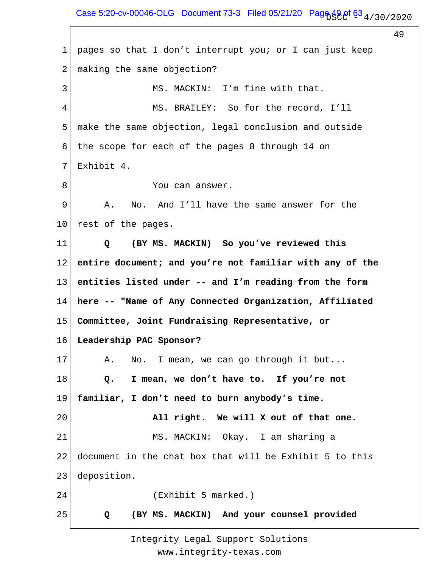Case 5:20-cv-00046-OLG Document 73-3 Filed 05/21/20 Page  $49.0^{\circ}$  63  $_4$  / 30 / 2020

49

1 2 3 4 5 6 7 8 9 10 11 12 13 14 15 16 17 18 19 20 21 22 23 24 25 pages so that I don't interrupt you; or I can just keep making the same objection? MS. MACKIN: I'm fine with that. MS. BRAILEY: So for the record, I'll make the same objection, legal conclusion and outside the scope for each of the pages 8 through 14 on Exhibit 4. You can answer. A. No. And I'll have the same answer for the rest of the pages.  **Q (BY MS. MACKIN) So you've reviewed this entire document; and you're not familiar with any of the entities listed under -- and I'm reading from the form here -- "Name of Any Connected Organization, Affiliated Committee, Joint Fundraising Representative, or Leadership PAC Sponsor?** A. No. I mean, we can go through it but...  **Q. I mean, we don't have to. If you're not familiar, I don't need to burn anybody's time. All right. We will X out of that one.** MS. MACKIN: Okay. I am sharing a document in the chat box that will be Exhibit 5 to this deposition. (Exhibit 5 marked.)  **Q (BY MS. MACKIN) And your counsel provided**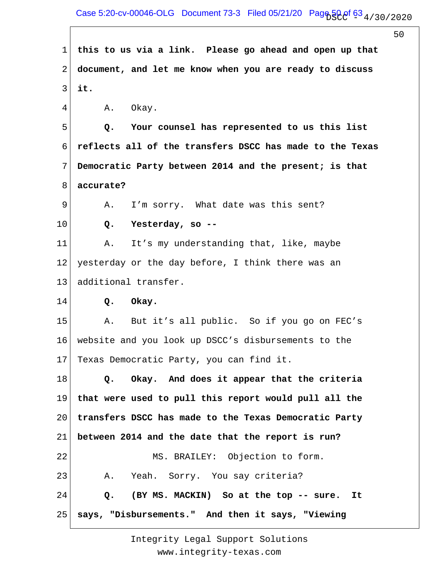1 2 3 4 5 6 7 8 9 10 11 12 13 14 15 16 17 18 19 20 21 22 23 24 25 **this to us via a link. Please go ahead and open up that document, and let me know when you are ready to discuss it.** A. Okay.  **Q. Your counsel has represented to us this list reflects all of the transfers DSCC has made to the Texas Democratic Party between 2014 and the present; is that accurate?** A. I'm sorry. What date was this sent?  **Q. Yesterday, so --** A. It's my understanding that, like, maybe yesterday or the day before, I think there was an additional transfer.  **Q. Okay.** A. But it's all public. So if you go on FEC's website and you look up DSCC's disbursements to the Texas Democratic Party, you can find it.  **Q. Okay. And does it appear that the criteria that were used to pull this report would pull all the transfers DSCC has made to the Texas Democratic Party between 2014 and the date that the report is run?** MS. BRAILEY: Objection to form. A. Yeah. Sorry. You say criteria?  **Q. (BY MS. MACKIN) So at the top -- sure. It says, "Disbursements." And then it says, "Viewing**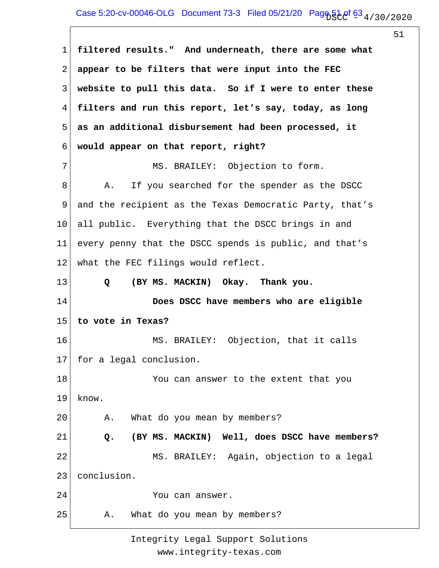1 2 3 4 5 6 7 8 9 10 11 12 13 14 15 16 17 18 19 20 21 22 23 24 25 **filtered results." And underneath, there are some what appear to be filters that were input into the FEC website to pull this data. So if I were to enter these filters and run this report, let's say, today, as long as an additional disbursement had been processed, it would appear on that report, right?** MS. BRAILEY: Objection to form. A. If you searched for the spender as the DSCC and the recipient as the Texas Democratic Party, that's all public. Everything that the DSCC brings in and every penny that the DSCC spends is public, and that's what the FEC filings would reflect.  **Q (BY MS. MACKIN) Okay. Thank you. Does DSCC have members who are eligible to vote in Texas?** MS. BRAILEY: Objection, that it calls for a legal conclusion. You can answer to the extent that you know. A. What do you mean by members?  **Q. (BY MS. MACKIN) Well, does DSCC have members?** MS. BRAILEY: Again, objection to a legal conclusion. You can answer. A. What do you mean by members?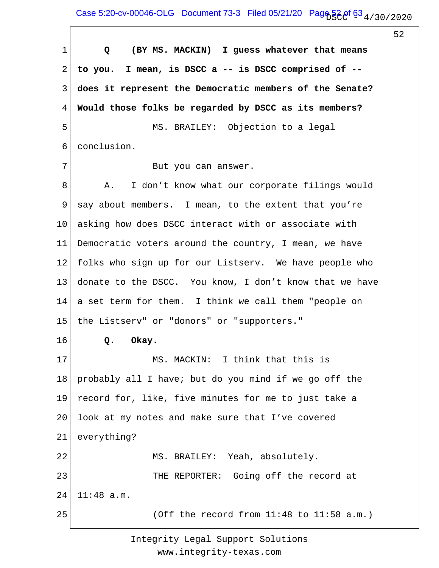52

1 2 3 4 5 6 7 8 9 10 11 12 13 14 15 16 17 18 19 20 21 22 23 24 25  **Q (BY MS. MACKIN) I guess whatever that means to you. I mean, is DSCC a -- is DSCC comprised of - does it represent the Democratic members of the Senate? Would those folks be regarded by DSCC as its members?** MS. BRAILEY: Objection to a legal conclusion. But you can answer. A. I don't know what our corporate filings would say about members. I mean, to the extent that you're asking how does DSCC interact with or associate with Democratic voters around the country, I mean, we have folks who sign up for our Listserv. We have people who donate to the DSCC. You know, I don't know that we have a set term for them. I think we call them "people on the Listserv" or "donors" or "supporters."  **Q. Okay.** MS. MACKIN: I think that this is probably all I have; but do you mind if we go off the record for, like, five minutes for me to just take a look at my notes and make sure that I've covered everything? MS. BRAILEY: Yeah, absolutely. THE REPORTER: Going off the record at 11:48 a.m. (Off the record from 11:48 to 11:58 a.m.)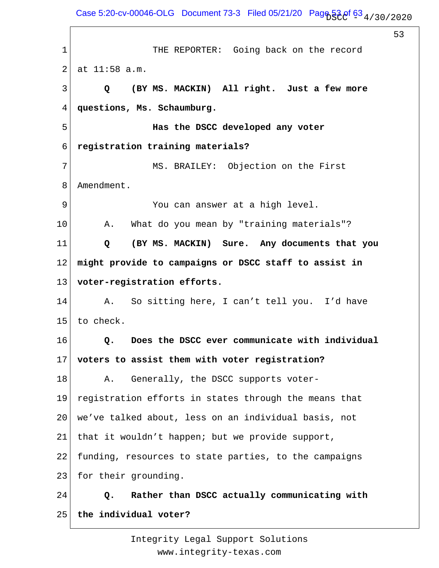53

1 2 3 4 5 6 7 8 9 10 11 12 13 14 15 16 17 18 19 20 21 22 23 24 25 THE REPORTER: Going back on the record at 11:58 a.m.  **Q (BY MS. MACKIN) All right. Just a few more questions, Ms. Schaumburg. Has the DSCC developed any voter registration training materials?** MS. BRAILEY: Objection on the First Amendment. You can answer at a high level. A. What do you mean by "training materials"?  **Q (BY MS. MACKIN) Sure. Any documents that you might provide to campaigns or DSCC staff to assist in voter-registration efforts.** A. So sitting here, I can't tell you. I'd have to check.  **Q. Does the DSCC ever communicate with individual voters to assist them with voter registration?** A. Generally, the DSCC supports voterregistration efforts in states through the means that we've talked about, less on an individual basis, not that it wouldn't happen; but we provide support, funding, resources to state parties, to the campaigns for their grounding.  **Q. Rather than DSCC actually communicating with the individual voter?**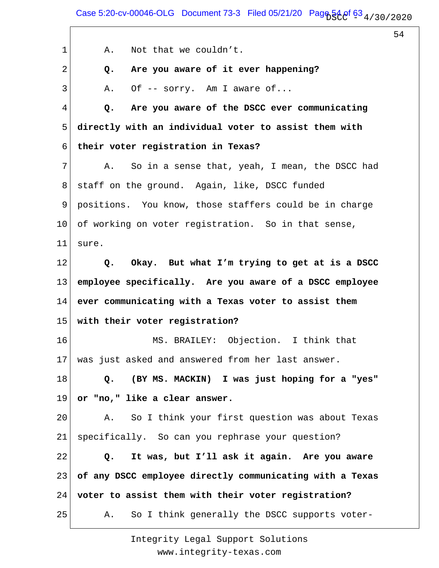54

1 2 3 4 5 6 7 8 9 10 11 12 13 14 15 16 17 18 19 20 21 22 23 24 25 A. Not that we couldn't.  **Q. Are you aware of it ever happening?** A. Of -- sorry. Am I aware of...  **Q. Are you aware of the DSCC ever communicating directly with an individual voter to assist them with their voter registration in Texas?** A. So in a sense that, yeah, I mean, the DSCC had staff on the ground. Again, like, DSCC funded positions. You know, those staffers could be in charge of working on voter registration. So in that sense, sure.  **Q. Okay. But what I'm trying to get at is a DSCC employee specifically. Are you aware of a DSCC employee ever communicating with a Texas voter to assist them with their voter registration?** MS. BRAILEY: Objection. I think that was just asked and answered from her last answer.  **Q. (BY MS. MACKIN) I was just hoping for a "yes" or "no," like a clear answer.** A. So I think your first question was about Texas specifically. So can you rephrase your question?  **Q. It was, but I'll ask it again. Are you aware of any DSCC employee directly communicating with a Texas voter to assist them with their voter registration?** A. So I think generally the DSCC supports voter-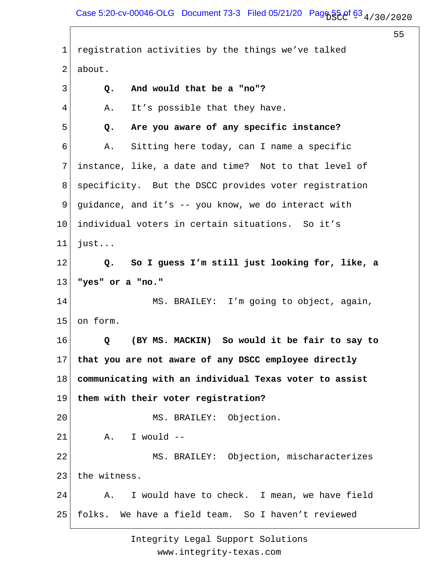1 2 3 4 5 6 7 8 9 10 11 12 13 14 15 16 17 18 19 20 21 22 23 24 25 registration activities by the things we've talked about.  **Q. And would that be a "no"?** A. It's possible that they have.  **Q. Are you aware of any specific instance?** A. Sitting here today, can I name a specific instance, like, a date and time? Not to that level of specificity. But the DSCC provides voter registration guidance, and it's -- you know, we do interact with individual voters in certain situations. So it's just...  **Q. So I guess I'm still just looking for, like, a "yes" or a "no."** MS. BRAILEY: I'm going to object, again, on form.  **Q (BY MS. MACKIN) So would it be fair to say to that you are not aware of any DSCC employee directly communicating with an individual Texas voter to assist them with their voter registration?** MS. BRAILEY: Objection. A. I would -- MS. BRAILEY: Objection, mischaracterizes the witness. A. I would have to check. I mean, we have field folks. We have a field team. So I haven't reviewed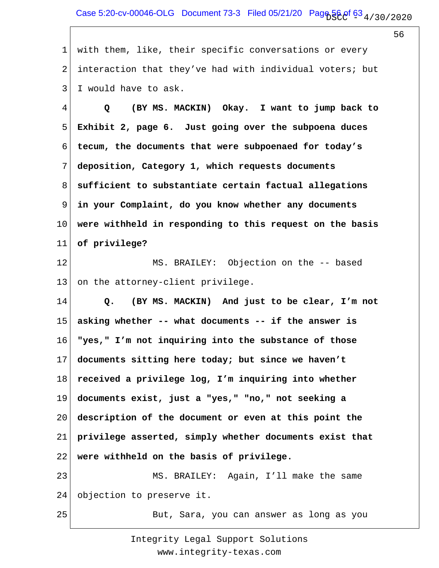1 2 3 with them, like, their specific conversations or every interaction that they've had with individual voters; but I would have to ask.

4 5 6 7 8 9 10 11 12  **Q (BY MS. MACKIN) Okay. I want to jump back to Exhibit 2, page 6. Just going over the subpoena duces tecum, the documents that were subpoenaed for today's deposition, Category 1, which requests documents sufficient to substantiate certain factual allegations in your Complaint, do you know whether any documents were withheld in responding to this request on the basis of privilege?** MS. BRAILEY: Objection on the -- based

13 on the attorney-client privilege.

14 15 16 17 18 19 20 21 22 23  **Q. (BY MS. MACKIN) And just to be clear, I'm not asking whether -- what documents -- if the answer is "yes," I'm not inquiring into the substance of those documents sitting here today; but since we haven't received a privilege log, I'm inquiring into whether documents exist, just a "yes," "no," not seeking a description of the document or even at this point the privilege asserted, simply whether documents exist that were withheld on the basis of privilege.** MS. BRAILEY: Again, I'll make the same

24 objection to preserve it.

25

But, Sara, you can answer as long as you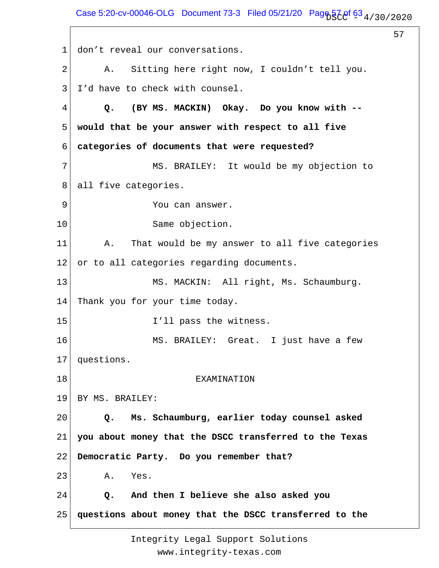Case 5:20-cv-00046-OLG Document 73-3 Filed 05/21/20 Pag $6\frac{1}{2}$   $6\frac{3}{4}$  / 30 / 2020

57

1 2 3 4 5 6 7 8 9 10 11 12 13 14 15 16 17 18 19 20 21 22 23 24 25 don't reveal our conversations. A. Sitting here right now, I couldn't tell you. I'd have to check with counsel.  **Q. (BY MS. MACKIN) Okay. Do you know with - would that be your answer with respect to all five categories of documents that were requested?** MS. BRAILEY: It would be my objection to all five categories. You can answer. Same objection. A. That would be my answer to all five categories or to all categories regarding documents. MS. MACKIN: All right, Ms. Schaumburg. Thank you for your time today. I'll pass the witness. MS. BRAILEY: Great. I just have a few questions. EXAMINATION BY MS. BRAILEY:  **Q. Ms. Schaumburg, earlier today counsel asked you about money that the DSCC transferred to the Texas Democratic Party. Do you remember that?** A. Yes.  **Q. And then I believe she also asked you questions about money that the DSCC transferred to the**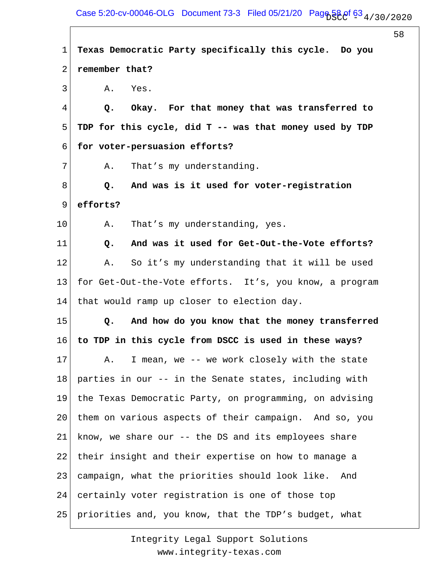58

1 2 3 4 5 6 7 8 9 10 11 12 13 14 15 16 17 18 19 20 21 22 23 24 25 **Texas Democratic Party specifically this cycle. Do you remember that?** A. Yes.  **Q. Okay. For that money that was transferred to TDP for this cycle, did T -- was that money used by TDP for voter-persuasion efforts?** A. That's my understanding.  **Q. And was is it used for voter-registration efforts?** A. That's my understanding, yes.  **Q. And was it used for Get-Out-the-Vote efforts?** A. So it's my understanding that it will be used for Get-Out-the-Vote efforts. It's, you know, a program that would ramp up closer to election day.  **Q. And how do you know that the money transferred to TDP in this cycle from DSCC is used in these ways?** A. I mean, we -- we work closely with the state parties in our -- in the Senate states, including with the Texas Democratic Party, on programming, on advising them on various aspects of their campaign. And so, you know, we share our -- the DS and its employees share their insight and their expertise on how to manage a campaign, what the priorities should look like. And certainly voter registration is one of those top priorities and, you know, that the TDP's budget, what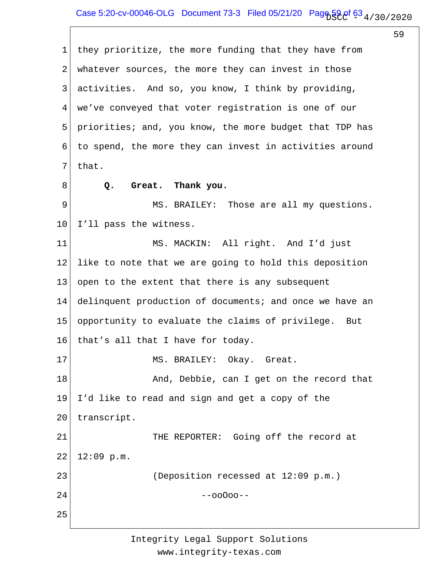1 2 3 4 5 6 7 8 9 10 11 12 13 14 15 16 17 18 19 20 21 22 23 24 25 they prioritize, the more funding that they have from whatever sources, the more they can invest in those activities. And so, you know, I think by providing, we've conveyed that voter registration is one of our priorities; and, you know, the more budget that TDP has to spend, the more they can invest in activities around that.  **Q. Great. Thank you.** MS. BRAILEY: Those are all my questions. I'll pass the witness. MS. MACKIN: All right. And I'd just like to note that we are going to hold this deposition open to the extent that there is any subsequent delinquent production of documents; and once we have an opportunity to evaluate the claims of privilege. But that's all that I have for today. MS. BRAILEY: Okay. Great. And, Debbie, can I get on the record that I'd like to read and sign and get a copy of the transcript. THE REPORTER: Going off the record at 12:09 p.m. (Deposition recessed at 12:09 p.m.) --ooOoo--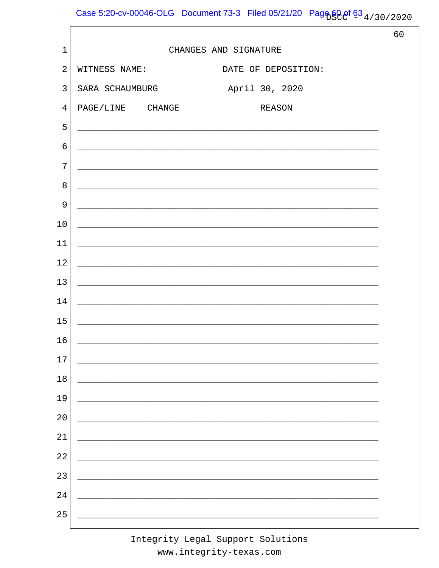Case 5:20-cv-00046-OLG Document 73-3 Filed 05/21/20 Page 60 of 63 4/30/2020

|                |                                                                                                                      |                     | 60 |
|----------------|----------------------------------------------------------------------------------------------------------------------|---------------------|----|
| $\mathbf{1}$   | CHANGES AND SIGNATURE                                                                                                |                     |    |
| $\overline{2}$ | WITNESS NAME:                                                                                                        | DATE OF DEPOSITION: |    |
| $\overline{3}$ | SARA SCHAUMBURG                                                                                                      | April 30, 2020      |    |
| $\overline{4}$ | PAGE/LINE CHANGE                                                                                                     | <b>REASON</b>       |    |
| 5              | <u> 2000 - Jan James James James James James James James James James James James James James James James James J</u> |                     |    |
| $\epsilon$     | ,我们也不能在这里的时候,我们也不能在这里的时候,我们也不能会在这里的时候,我们也不能会在这里的时候,我们也不能会在这里的时候,我们也不能会在这里的时候,我们也不                                    |                     |    |
| 7              |                                                                                                                      |                     |    |
| 8              |                                                                                                                      |                     |    |
| 9              |                                                                                                                      |                     |    |
| 10             |                                                                                                                      |                     |    |
| 11             |                                                                                                                      |                     |    |
| 12             |                                                                                                                      |                     |    |
| 13             | <u> 1980 - Andrea Barbara, Amerikaansk politik (d. 1980)</u>                                                         |                     |    |
| 14             | and the control of the control of the control of the control of the control of the control of the control of the     |                     |    |
| 15             |                                                                                                                      |                     |    |
| 16             |                                                                                                                      |                     |    |
| 17             |                                                                                                                      |                     |    |
| $18\,$         |                                                                                                                      |                     |    |
| 19             |                                                                                                                      |                     |    |
| 20             |                                                                                                                      |                     |    |
| 21             |                                                                                                                      |                     |    |
| 22             |                                                                                                                      |                     |    |
| 23             |                                                                                                                      |                     |    |
| 24             |                                                                                                                      |                     |    |
| 25             |                                                                                                                      |                     |    |
|                |                                                                                                                      |                     |    |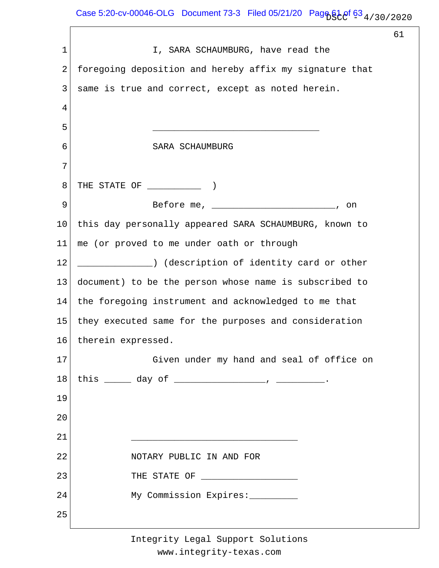$\Gamma$ 

|             |                                                                                           | 61 |
|-------------|-------------------------------------------------------------------------------------------|----|
| $\mathbf 1$ | I, SARA SCHAUMBURG, have read the                                                         |    |
| 2           | foregoing deposition and hereby affix my signature that                                   |    |
| 3           | same is true and correct, except as noted herein.                                         |    |
| 4           |                                                                                           |    |
| 5           |                                                                                           |    |
| 6           | SARA SCHAUMBURG                                                                           |    |
| 7           |                                                                                           |    |
| 8           |                                                                                           |    |
| 9           | on                                                                                        |    |
| 10          | this day personally appeared SARA SCHAUMBURG, known to                                    |    |
| 11          | me (or proved to me under oath or through                                                 |    |
| 12          | _____________) (description of identity card or other                                     |    |
| 13          | document) to be the person whose name is subscribed to                                    |    |
| 14          | the foregoing instrument and acknowledged to me that                                      |    |
| 15          | they executed same for the purposes and consideration                                     |    |
| 16          | therein expressed.                                                                        |    |
| 17          | Given under my hand and seal of office on                                                 |    |
| 18          | this $\_\_\_$ day of $\_\_\_\_\_\_$ , $\_\_\_\_\_$                                        |    |
| 19          |                                                                                           |    |
| 20          |                                                                                           |    |
| 21          | the control of the control of the control of the control of the control of the control of |    |
| 22          | NOTARY PUBLIC IN AND FOR                                                                  |    |
| 23          | THE STATE OF <b>FULLER CONSTRUCTED</b>                                                    |    |
| 24          | My Commission Expires: ________                                                           |    |
| 25          |                                                                                           |    |
|             |                                                                                           |    |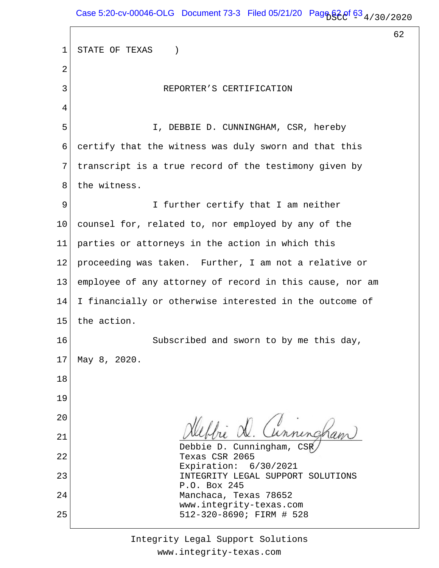$\overline{\Gamma}$ 

62

| 1              | STATE OF TEXAS<br>$\left( \right)$                       |
|----------------|----------------------------------------------------------|
| 2              |                                                          |
| 3              | REPORTER'S CERTIFICATION                                 |
| $\overline{4}$ |                                                          |
| 5              | I, DEBBIE D. CUNNINGHAM, CSR, hereby                     |
| 6              | certify that the witness was duly sworn and that this    |
| 7              | transcript is a true record of the testimony given by    |
| 8              | the witness.                                             |
| 9              | I further certify that I am neither                      |
| $10 \,$        | counsel for, related to, nor employed by any of the      |
| 11             | parties or attorneys in the action in which this         |
| 12             | proceeding was taken. Further, I am not a relative or    |
| 13             | employee of any attorney of record in this cause, nor am |
| 14             | I financially or otherwise interested in the outcome of  |
| 15             | the action.                                              |
| 16             | Subscribed and sworn to by me this day,                  |
| 17             | May 8, 2020.                                             |
| 18             |                                                          |
| 19             |                                                          |
| 20             | Hebbie D. Cunningham                                     |
| 21             | Debbie D. Cunningham, CSR                                |
| 22             | Texas CSR 2065<br>Expiration: 6/30/2021                  |
| 23             | INTEGRITY LEGAL SUPPORT SOLUTIONS<br>P.O. Box 245        |
| 24             | Manchaca, Texas 78652<br>www.integrity-texas.com         |
| 25             | 512-320-8690; FIRM # 528                                 |